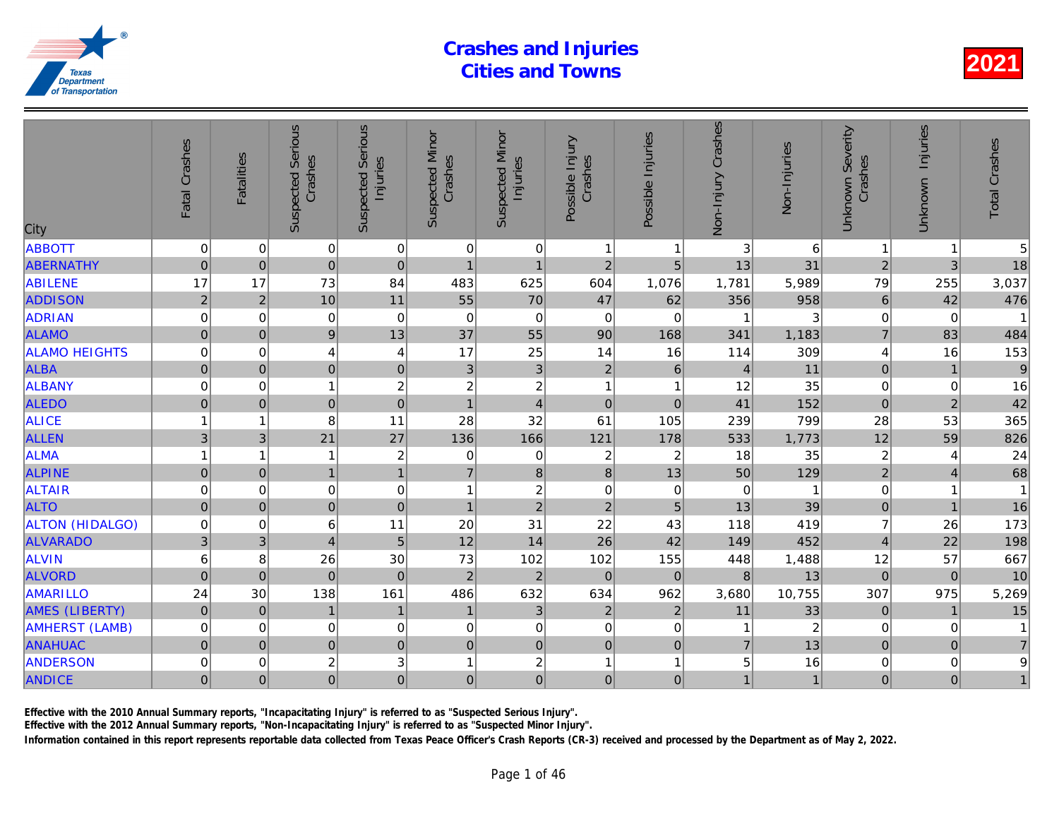| <b>ABBOTT</b><br>$\overline{0}$<br>$\pmb{0}$<br>$\pmb{0}$<br>0<br>3<br>0<br>0<br>$\mathbf{1}$<br>-1<br>$\overline{0}$<br>$\overline{2}$<br>$\overline{0}$<br> 0 <br>5<br>13<br><b>ABERNATHY</b><br>$\mathbf 0$<br>$\overline{1}$<br>$\overline{1}$<br>1,076<br>17<br>17<br>73<br>625<br>604<br>5,989<br><b>ABILENE</b><br>84<br>483<br>1,781<br>55<br>70<br>47<br>$\overline{2}$<br>10<br>11<br>62<br><b>ADDISON</b><br>$\overline{2}$<br>356<br><b>ADRIAN</b><br>$\overline{0}$<br>$\mathbf 0$<br>$\pmb{0}$<br>0<br>$\pmb{0}$<br>$\mathbf 0$<br>$\pmb{0}$<br>0<br>13<br>55<br>$\overline{9}$<br>37<br><b>ALAMO</b><br>$\mathbf 0$<br>90<br>168<br>$\pmb{0}$<br>341<br>17<br>25<br>14<br><b>ALAMO HEIGHTS</b><br>$\mathbf 0$<br>$\overline{\mathbf{4}}$<br>16<br>114<br>$\mathbf 0$<br>4<br>$\overline{0}$<br>$\overline{3}$<br>$\overline{2}$<br>$\overline{0}$<br>3<br><b>ALBA</b><br>$\mathsf{O}\xspace$<br>$\,6\,$<br>$\mathbf 0$<br>$\overline{4}$<br>$\overline{c}$<br>$\overline{c}$<br>ALBANY<br>$\boldsymbol{2}$<br>0<br>12<br>0<br>1<br>$\overline{\mathbf{1}}$<br>1<br>$\overline{0}$<br><b>ALEDO</b><br> 0 <br>$\mathbf 0$<br>$\overline{0}$<br>$\mathbf 0$<br>$\overline{1}$<br>$\overline{4}$<br>$\mathbf 0$<br>41<br>32<br>61<br>105<br><b>ALICE</b><br>8<br>11<br>28<br>239<br>1<br>1<br><b>ALLEN</b><br>3<br>21<br>27<br>136<br>3<br>166<br>121<br>178<br>533<br><b>ALMA</b><br>$\overline{c}$<br>$\boldsymbol{2}$<br>18<br>0<br>$\overline{2}$<br>1<br>1<br>0<br>1<br>$\overline{1}$<br><b>ALPINE</b><br>$\bf 8$<br>50<br>$\mathsf{O}\xspace$<br>$\pmb{0}$<br>$\overline{1}$<br>$\overline{7}$<br>$\bf 8$<br>13<br>$\boldsymbol{2}$<br><b>ALTAIR</b><br>$\pmb{0}$<br>$\pmb{0}$<br>$\mathbf 0$<br>$\pmb{0}$<br>$\mathbf 0$<br>$\mathbf 0$<br>$\overline{0}$<br>$\overline{1}$<br><b>ALTO</b><br>$\mathbf 0$<br>$\overline{2}$<br>$\mathbf 0$<br>$\mathbf 0$<br>$\overline{2}$<br>$\mathbf 0$<br>$\overline{1}$<br>5<br>13<br><b>ALTON (HIDALGO)</b><br>11<br>20<br>31<br>22<br>$\mathbf 0$<br>6<br>43<br>118<br>$\mathbf 0$<br>3<br>5<br>12<br><b>ALVARADO</b><br>3<br>$\overline{4}$<br>14<br>26<br>42<br>149<br><b>ALVIN</b><br>$\,6$<br>30<br>73<br>102<br>102<br>155<br>8<br>26<br>448<br>$\mathbf 0$<br><b>ALVORD</b><br>$\mathbf 0$<br>$\overline{0}$<br>$\mathbf 2$<br>$\sqrt{2}$<br>$\mathbf 0$<br>$\,8\,$<br>$\mathbf 0$<br>$\mathbf 0$<br>632<br><b>AMARILLO</b><br>138<br>161<br>486<br>634<br>962<br>24<br>30<br>3,680<br>$\pmb{0}$<br>$\mathfrak{3}$<br><b>AMES (LIBERTY)</b><br>$\mathbf 0$<br>$\overline{2}$<br>$\overline{2}$<br>$\mathbf{1}$<br>$\mathbf{1}$<br>$\mathbf{1}$<br>11<br><b>AMHERST (LAMB)</b><br>$\pmb{0}$<br>$\pmb{0}$<br>$\mathbf 0$<br>0<br>$\mathbf 0$<br>0<br>0<br>0<br>1<br>$\mathbf 0$<br>$\overline{0}$<br>$\pmb{0}$<br>$\overline{7}$<br><b>ANAHUAC</b><br>$\mathbf 0$<br>$\pmb{0}$<br>$\mathbf 0$<br>$\mathbf 0$<br>$\pmb{0}$<br>3<br>$\overline{c}$<br>$\overline{c}$<br>5<br><b>ANDERSON</b><br>0<br>0<br>1<br>$\mathbf{1}$<br>$\overline{1}$<br>$\overline{0}$<br>$\overline{0}$<br>$\overline{0}$<br>$\overline{0}$<br>$\overline{0}$<br>$\overline{0}$<br>$\mathbf 0$<br>$\mathbf 0$<br>$\mathbf{1}$<br><b>ANDICE</b> | City | Fatal Crashes | <b>Fatalities</b> | <b>Suspected Serious</b><br>Crashes | Serious<br>Injuries<br>Suspected | <b>Suspected Minor</b><br>Crashes | <b>Suspected Minor</b><br>Injuries | Possible Injury<br>Crashes | Possible Injuries | Non-Injury Crashes | Non-Injuries   |
|--------------------------------------------------------------------------------------------------------------------------------------------------------------------------------------------------------------------------------------------------------------------------------------------------------------------------------------------------------------------------------------------------------------------------------------------------------------------------------------------------------------------------------------------------------------------------------------------------------------------------------------------------------------------------------------------------------------------------------------------------------------------------------------------------------------------------------------------------------------------------------------------------------------------------------------------------------------------------------------------------------------------------------------------------------------------------------------------------------------------------------------------------------------------------------------------------------------------------------------------------------------------------------------------------------------------------------------------------------------------------------------------------------------------------------------------------------------------------------------------------------------------------------------------------------------------------------------------------------------------------------------------------------------------------------------------------------------------------------------------------------------------------------------------------------------------------------------------------------------------------------------------------------------------------------------------------------------------------------------------------------------------------------------------------------------------------------------------------------------------------------------------------------------------------------------------------------------------------------------------------------------------------------------------------------------------------------------------------------------------------------------------------------------------------------------------------------------------------------------------------------------------------------------------------------------------------------------------------------------------------------------------------------------------------------------------------------------------------------------------------------------------------------------------------------------------------------------------------------------------------------------------------------------------------------------------------------------------------------------------------------------------------------------------------------------------------------------------------------------------------------------------------------------------------------------|------|---------------|-------------------|-------------------------------------|----------------------------------|-----------------------------------|------------------------------------|----------------------------|-------------------|--------------------|----------------|
|                                                                                                                                                                                                                                                                                                                                                                                                                                                                                                                                                                                                                                                                                                                                                                                                                                                                                                                                                                                                                                                                                                                                                                                                                                                                                                                                                                                                                                                                                                                                                                                                                                                                                                                                                                                                                                                                                                                                                                                                                                                                                                                                                                                                                                                                                                                                                                                                                                                                                                                                                                                                                                                                                                                                                                                                                                                                                                                                                                                                                                                                                                                                                                                      |      |               |                   |                                     |                                  |                                   |                                    |                            |                   |                    | 6              |
|                                                                                                                                                                                                                                                                                                                                                                                                                                                                                                                                                                                                                                                                                                                                                                                                                                                                                                                                                                                                                                                                                                                                                                                                                                                                                                                                                                                                                                                                                                                                                                                                                                                                                                                                                                                                                                                                                                                                                                                                                                                                                                                                                                                                                                                                                                                                                                                                                                                                                                                                                                                                                                                                                                                                                                                                                                                                                                                                                                                                                                                                                                                                                                                      |      |               |                   |                                     |                                  |                                   |                                    |                            |                   |                    | 31             |
|                                                                                                                                                                                                                                                                                                                                                                                                                                                                                                                                                                                                                                                                                                                                                                                                                                                                                                                                                                                                                                                                                                                                                                                                                                                                                                                                                                                                                                                                                                                                                                                                                                                                                                                                                                                                                                                                                                                                                                                                                                                                                                                                                                                                                                                                                                                                                                                                                                                                                                                                                                                                                                                                                                                                                                                                                                                                                                                                                                                                                                                                                                                                                                                      |      |               |                   |                                     |                                  |                                   |                                    |                            |                   |                    |                |
|                                                                                                                                                                                                                                                                                                                                                                                                                                                                                                                                                                                                                                                                                                                                                                                                                                                                                                                                                                                                                                                                                                                                                                                                                                                                                                                                                                                                                                                                                                                                                                                                                                                                                                                                                                                                                                                                                                                                                                                                                                                                                                                                                                                                                                                                                                                                                                                                                                                                                                                                                                                                                                                                                                                                                                                                                                                                                                                                                                                                                                                                                                                                                                                      |      |               |                   |                                     |                                  |                                   |                                    |                            |                   |                    | 958            |
|                                                                                                                                                                                                                                                                                                                                                                                                                                                                                                                                                                                                                                                                                                                                                                                                                                                                                                                                                                                                                                                                                                                                                                                                                                                                                                                                                                                                                                                                                                                                                                                                                                                                                                                                                                                                                                                                                                                                                                                                                                                                                                                                                                                                                                                                                                                                                                                                                                                                                                                                                                                                                                                                                                                                                                                                                                                                                                                                                                                                                                                                                                                                                                                      |      |               |                   |                                     |                                  |                                   |                                    |                            |                   |                    |                |
|                                                                                                                                                                                                                                                                                                                                                                                                                                                                                                                                                                                                                                                                                                                                                                                                                                                                                                                                                                                                                                                                                                                                                                                                                                                                                                                                                                                                                                                                                                                                                                                                                                                                                                                                                                                                                                                                                                                                                                                                                                                                                                                                                                                                                                                                                                                                                                                                                                                                                                                                                                                                                                                                                                                                                                                                                                                                                                                                                                                                                                                                                                                                                                                      |      |               |                   |                                     |                                  |                                   |                                    |                            |                   |                    | 1,183          |
|                                                                                                                                                                                                                                                                                                                                                                                                                                                                                                                                                                                                                                                                                                                                                                                                                                                                                                                                                                                                                                                                                                                                                                                                                                                                                                                                                                                                                                                                                                                                                                                                                                                                                                                                                                                                                                                                                                                                                                                                                                                                                                                                                                                                                                                                                                                                                                                                                                                                                                                                                                                                                                                                                                                                                                                                                                                                                                                                                                                                                                                                                                                                                                                      |      |               |                   |                                     |                                  |                                   |                                    |                            |                   |                    | 309            |
|                                                                                                                                                                                                                                                                                                                                                                                                                                                                                                                                                                                                                                                                                                                                                                                                                                                                                                                                                                                                                                                                                                                                                                                                                                                                                                                                                                                                                                                                                                                                                                                                                                                                                                                                                                                                                                                                                                                                                                                                                                                                                                                                                                                                                                                                                                                                                                                                                                                                                                                                                                                                                                                                                                                                                                                                                                                                                                                                                                                                                                                                                                                                                                                      |      |               |                   |                                     |                                  |                                   |                                    |                            |                   |                    | 11             |
|                                                                                                                                                                                                                                                                                                                                                                                                                                                                                                                                                                                                                                                                                                                                                                                                                                                                                                                                                                                                                                                                                                                                                                                                                                                                                                                                                                                                                                                                                                                                                                                                                                                                                                                                                                                                                                                                                                                                                                                                                                                                                                                                                                                                                                                                                                                                                                                                                                                                                                                                                                                                                                                                                                                                                                                                                                                                                                                                                                                                                                                                                                                                                                                      |      |               |                   |                                     |                                  |                                   |                                    |                            |                   |                    | 35             |
|                                                                                                                                                                                                                                                                                                                                                                                                                                                                                                                                                                                                                                                                                                                                                                                                                                                                                                                                                                                                                                                                                                                                                                                                                                                                                                                                                                                                                                                                                                                                                                                                                                                                                                                                                                                                                                                                                                                                                                                                                                                                                                                                                                                                                                                                                                                                                                                                                                                                                                                                                                                                                                                                                                                                                                                                                                                                                                                                                                                                                                                                                                                                                                                      |      |               |                   |                                     |                                  |                                   |                                    |                            |                   |                    | 152            |
|                                                                                                                                                                                                                                                                                                                                                                                                                                                                                                                                                                                                                                                                                                                                                                                                                                                                                                                                                                                                                                                                                                                                                                                                                                                                                                                                                                                                                                                                                                                                                                                                                                                                                                                                                                                                                                                                                                                                                                                                                                                                                                                                                                                                                                                                                                                                                                                                                                                                                                                                                                                                                                                                                                                                                                                                                                                                                                                                                                                                                                                                                                                                                                                      |      |               |                   |                                     |                                  |                                   |                                    |                            |                   |                    | 799            |
|                                                                                                                                                                                                                                                                                                                                                                                                                                                                                                                                                                                                                                                                                                                                                                                                                                                                                                                                                                                                                                                                                                                                                                                                                                                                                                                                                                                                                                                                                                                                                                                                                                                                                                                                                                                                                                                                                                                                                                                                                                                                                                                                                                                                                                                                                                                                                                                                                                                                                                                                                                                                                                                                                                                                                                                                                                                                                                                                                                                                                                                                                                                                                                                      |      |               |                   |                                     |                                  |                                   |                                    |                            |                   |                    | 1,773          |
|                                                                                                                                                                                                                                                                                                                                                                                                                                                                                                                                                                                                                                                                                                                                                                                                                                                                                                                                                                                                                                                                                                                                                                                                                                                                                                                                                                                                                                                                                                                                                                                                                                                                                                                                                                                                                                                                                                                                                                                                                                                                                                                                                                                                                                                                                                                                                                                                                                                                                                                                                                                                                                                                                                                                                                                                                                                                                                                                                                                                                                                                                                                                                                                      |      |               |                   |                                     |                                  |                                   |                                    |                            |                   |                    | 35             |
|                                                                                                                                                                                                                                                                                                                                                                                                                                                                                                                                                                                                                                                                                                                                                                                                                                                                                                                                                                                                                                                                                                                                                                                                                                                                                                                                                                                                                                                                                                                                                                                                                                                                                                                                                                                                                                                                                                                                                                                                                                                                                                                                                                                                                                                                                                                                                                                                                                                                                                                                                                                                                                                                                                                                                                                                                                                                                                                                                                                                                                                                                                                                                                                      |      |               |                   |                                     |                                  |                                   |                                    |                            |                   |                    | 129            |
|                                                                                                                                                                                                                                                                                                                                                                                                                                                                                                                                                                                                                                                                                                                                                                                                                                                                                                                                                                                                                                                                                                                                                                                                                                                                                                                                                                                                                                                                                                                                                                                                                                                                                                                                                                                                                                                                                                                                                                                                                                                                                                                                                                                                                                                                                                                                                                                                                                                                                                                                                                                                                                                                                                                                                                                                                                                                                                                                                                                                                                                                                                                                                                                      |      |               |                   |                                     |                                  |                                   |                                    |                            |                   |                    |                |
|                                                                                                                                                                                                                                                                                                                                                                                                                                                                                                                                                                                                                                                                                                                                                                                                                                                                                                                                                                                                                                                                                                                                                                                                                                                                                                                                                                                                                                                                                                                                                                                                                                                                                                                                                                                                                                                                                                                                                                                                                                                                                                                                                                                                                                                                                                                                                                                                                                                                                                                                                                                                                                                                                                                                                                                                                                                                                                                                                                                                                                                                                                                                                                                      |      |               |                   |                                     |                                  |                                   |                                    |                            |                   |                    | 39             |
|                                                                                                                                                                                                                                                                                                                                                                                                                                                                                                                                                                                                                                                                                                                                                                                                                                                                                                                                                                                                                                                                                                                                                                                                                                                                                                                                                                                                                                                                                                                                                                                                                                                                                                                                                                                                                                                                                                                                                                                                                                                                                                                                                                                                                                                                                                                                                                                                                                                                                                                                                                                                                                                                                                                                                                                                                                                                                                                                                                                                                                                                                                                                                                                      |      |               |                   |                                     |                                  |                                   |                                    |                            |                   |                    | 419            |
|                                                                                                                                                                                                                                                                                                                                                                                                                                                                                                                                                                                                                                                                                                                                                                                                                                                                                                                                                                                                                                                                                                                                                                                                                                                                                                                                                                                                                                                                                                                                                                                                                                                                                                                                                                                                                                                                                                                                                                                                                                                                                                                                                                                                                                                                                                                                                                                                                                                                                                                                                                                                                                                                                                                                                                                                                                                                                                                                                                                                                                                                                                                                                                                      |      |               |                   |                                     |                                  |                                   |                                    |                            |                   |                    | 452            |
|                                                                                                                                                                                                                                                                                                                                                                                                                                                                                                                                                                                                                                                                                                                                                                                                                                                                                                                                                                                                                                                                                                                                                                                                                                                                                                                                                                                                                                                                                                                                                                                                                                                                                                                                                                                                                                                                                                                                                                                                                                                                                                                                                                                                                                                                                                                                                                                                                                                                                                                                                                                                                                                                                                                                                                                                                                                                                                                                                                                                                                                                                                                                                                                      |      |               |                   |                                     |                                  |                                   |                                    |                            |                   |                    | 1,488          |
|                                                                                                                                                                                                                                                                                                                                                                                                                                                                                                                                                                                                                                                                                                                                                                                                                                                                                                                                                                                                                                                                                                                                                                                                                                                                                                                                                                                                                                                                                                                                                                                                                                                                                                                                                                                                                                                                                                                                                                                                                                                                                                                                                                                                                                                                                                                                                                                                                                                                                                                                                                                                                                                                                                                                                                                                                                                                                                                                                                                                                                                                                                                                                                                      |      |               |                   |                                     |                                  |                                   |                                    |                            |                   |                    | 13             |
|                                                                                                                                                                                                                                                                                                                                                                                                                                                                                                                                                                                                                                                                                                                                                                                                                                                                                                                                                                                                                                                                                                                                                                                                                                                                                                                                                                                                                                                                                                                                                                                                                                                                                                                                                                                                                                                                                                                                                                                                                                                                                                                                                                                                                                                                                                                                                                                                                                                                                                                                                                                                                                                                                                                                                                                                                                                                                                                                                                                                                                                                                                                                                                                      |      |               |                   |                                     |                                  |                                   |                                    |                            |                   |                    | 10,755         |
|                                                                                                                                                                                                                                                                                                                                                                                                                                                                                                                                                                                                                                                                                                                                                                                                                                                                                                                                                                                                                                                                                                                                                                                                                                                                                                                                                                                                                                                                                                                                                                                                                                                                                                                                                                                                                                                                                                                                                                                                                                                                                                                                                                                                                                                                                                                                                                                                                                                                                                                                                                                                                                                                                                                                                                                                                                                                                                                                                                                                                                                                                                                                                                                      |      |               |                   |                                     |                                  |                                   |                                    |                            |                   |                    | 33             |
|                                                                                                                                                                                                                                                                                                                                                                                                                                                                                                                                                                                                                                                                                                                                                                                                                                                                                                                                                                                                                                                                                                                                                                                                                                                                                                                                                                                                                                                                                                                                                                                                                                                                                                                                                                                                                                                                                                                                                                                                                                                                                                                                                                                                                                                                                                                                                                                                                                                                                                                                                                                                                                                                                                                                                                                                                                                                                                                                                                                                                                                                                                                                                                                      |      |               |                   |                                     |                                  |                                   |                                    |                            |                   |                    | $\overline{a}$ |
|                                                                                                                                                                                                                                                                                                                                                                                                                                                                                                                                                                                                                                                                                                                                                                                                                                                                                                                                                                                                                                                                                                                                                                                                                                                                                                                                                                                                                                                                                                                                                                                                                                                                                                                                                                                                                                                                                                                                                                                                                                                                                                                                                                                                                                                                                                                                                                                                                                                                                                                                                                                                                                                                                                                                                                                                                                                                                                                                                                                                                                                                                                                                                                                      |      |               |                   |                                     |                                  |                                   |                                    |                            |                   |                    | 13             |
|                                                                                                                                                                                                                                                                                                                                                                                                                                                                                                                                                                                                                                                                                                                                                                                                                                                                                                                                                                                                                                                                                                                                                                                                                                                                                                                                                                                                                                                                                                                                                                                                                                                                                                                                                                                                                                                                                                                                                                                                                                                                                                                                                                                                                                                                                                                                                                                                                                                                                                                                                                                                                                                                                                                                                                                                                                                                                                                                                                                                                                                                                                                                                                                      |      |               |                   |                                     |                                  |                                   |                                    |                            |                   |                    | 16             |
|                                                                                                                                                                                                                                                                                                                                                                                                                                                                                                                                                                                                                                                                                                                                                                                                                                                                                                                                                                                                                                                                                                                                                                                                                                                                                                                                                                                                                                                                                                                                                                                                                                                                                                                                                                                                                                                                                                                                                                                                                                                                                                                                                                                                                                                                                                                                                                                                                                                                                                                                                                                                                                                                                                                                                                                                                                                                                                                                                                                                                                                                                                                                                                                      |      |               |                   |                                     |                                  |                                   |                                    |                            |                   |                    |                |

Effective with the 2010 Annual Summary reports, "Incapacitating Injury" is referred to as "Suspected Serious Injury".

Effective with the 2012 Annual Summary reports, "Non-Incapacitating Injury" is referred to as "Suspected Minor Injury".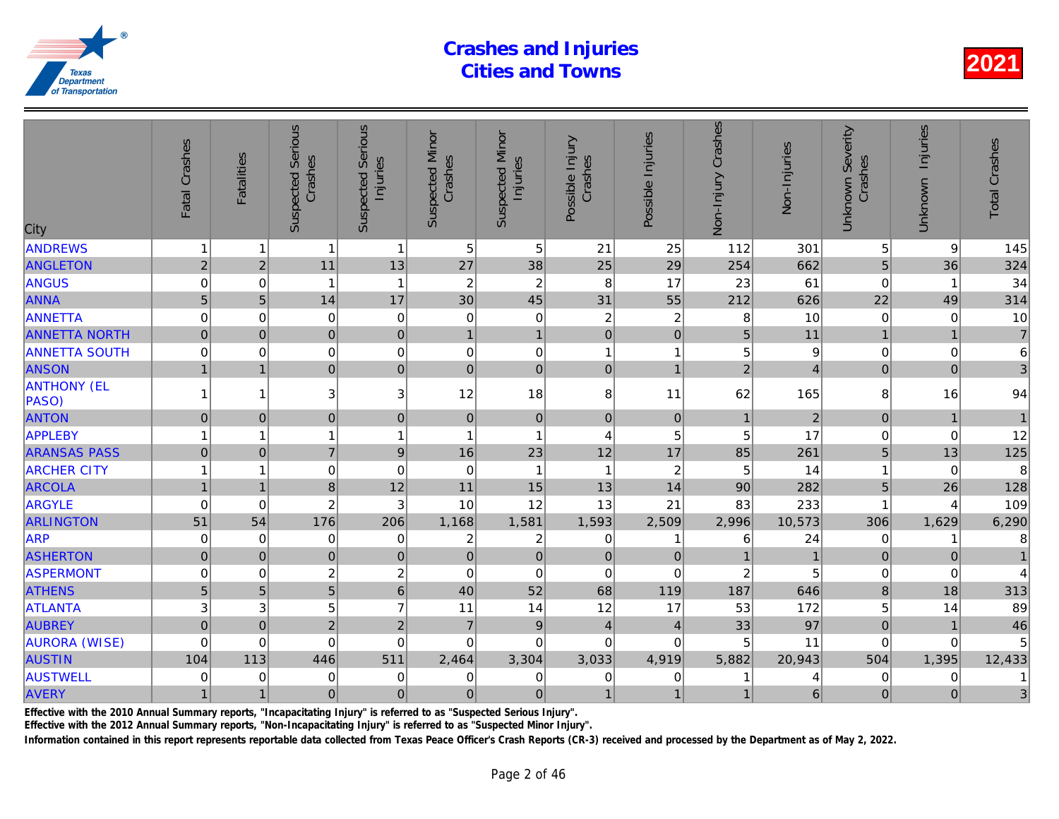| City                        | Fatal Crashes  | <b>Fatalities</b> | <b>Suspected Serious</b><br>Crashes | <b>Serious</b><br>Injuries<br>Suspected | <b>Suspected Minor</b><br>Crashes | <b>Suspected Minor</b><br>Injuries | Possible Injury<br>Crashes | Possible Injuries | Non-Injury Crashes | Non-Injuries   |
|-----------------------------|----------------|-------------------|-------------------------------------|-----------------------------------------|-----------------------------------|------------------------------------|----------------------------|-------------------|--------------------|----------------|
| <b>ANDREWS</b>              | $\mathbf{1}$   | 1                 | $\mathbf{1}$                        | $\overline{1}$                          | 5                                 | $\sqrt{5}$                         | 21                         | 25                | 112                | 301            |
| <b>ANGLETON</b>             | $\sqrt{2}$     | $\overline{c}$    | 11                                  | 13                                      | 27                                | 38                                 | 25                         | 29                | 254                | 662            |
| ANGUS                       | 0              | 0                 | $\mathbf{1}$                        | $\overline{1}$                          | $\overline{c}$                    | $\overline{c}$                     | 8                          | 17                | 23                 | 61             |
| ANNA                        | 5              | 5                 | 14                                  | 17                                      | 30                                | 45                                 | 31                         | 55                | 212                | 626            |
| ANNETTA                     | $\mathbf 0$    | $\Omega$          | $\mathbf 0$                         | $\mathbf 0$                             | 0                                 | $\mathsf 0$                        | $\overline{c}$             | $\overline{c}$    | 8                  | 10             |
| <b>ANNETTA NORTH</b>        | $\overline{0}$ | $\Omega$          | $\overline{0}$                      | $\overline{0}$                          | $\mathbf{1}$                      | $\mathbf{1}$                       | $\overline{0}$             | $\mathbf 0$       | 5                  | 11             |
| <b>ANNETTA SOUTH</b>        | $\mathbf 0$    | $\Omega$          | 0                                   | $\mathbf 0$                             | $\mathbf 0$                       | $\boldsymbol{0}$                   | 1                          | 1                 | 5                  |                |
| <b>ANSON</b>                | $\mathbf{1}$   | $\overline{1}$    | $\overline{0}$                      | $\mathbf 0$                             | $\Omega$                          | $\mathbf 0$                        | $\Omega$                   | $\overline{1}$    | $\overline{2}$     |                |
| <b>ANTHONY (EL</b><br>PASO) | 1              | 1                 | 3 <sup>1</sup>                      | 3                                       | 12                                | 18                                 | 8                          | 11                | 62                 | 165            |
| <b>ANTON</b>                | $\mathbf 0$    | $\Omega$          | $\overline{0}$                      | $\mathbf 0$                             | $\mathbf 0$                       | $\pmb{0}$                          | $\mathbf 0$                | $\mathbf 0$       | $\mathbf{1}$       | $\overline{a}$ |
| APPLEBY                     | 1              | 1                 | $\mathbf{1}$                        | $\overline{1}$                          | 1                                 | $\overline{1}$                     | $\overline{4}$             | 5                 | 5                  | 17             |
| <b>ARANSAS PASS</b>         | $\overline{0}$ | $\mathbf{0}$      | $\overline{7}$                      | $\overline{9}$                          | 16                                | 23                                 | 12                         | 17                | 85                 | 261            |
| <b>ARCHER CITY</b>          | 1              | 1                 | 0                                   | $\mathbf 0$                             | 0                                 | $\mathbf 1$                        | $\mathbf{1}$               | $\overline{2}$    | 5                  | 14             |
| <b>ARCOLA</b>               | $\overline{1}$ | 1                 | 8                                   | 12                                      | 11                                | 15                                 | 13                         | 14                | 90                 | 282            |
| <b>ARGYLE</b>               | $\mathbf 0$    | $\Omega$          | $\overline{c}$                      | 3                                       | 10                                | 12                                 | 13                         | 21                | 83                 | 233            |
| <b>ARLINGTON</b>            | 51             | 54                | 176                                 | 206                                     | 1,168                             | 1,581                              | 1,593                      | 2,509             | 2,996              | 10,573         |
| <b>ARP</b>                  | $\mathbf 0$    | 0                 | 0                                   | $\mathbf 0$                             | $\overline{c}$                    | $\boldsymbol{2}$                   | 0                          | 1                 | 6                  | 24             |
| <b>ASHERTON</b>             | $\overline{0}$ | $\mathbf 0$       | $\overline{0}$                      | $\mathbf 0$                             | $\overline{0}$                    | $\pmb{0}$                          | $\mathbf 0$                | $\mathbf 0$       | $\mathbf{1}$       |                |
| <b>ASPERMONT</b>            | 0              | 0                 | $\overline{c}$                      | $\overline{c}$                          | 0                                 | $\boldsymbol{0}$                   | $\mathbf 0$                | $\mathbf 0$       | $\overline{c}$     |                |
| <b>ATHENS</b>               | 5              | 5                 | $\overline{5}$                      | $\overline{6}$                          | 40                                | 52                                 | 68                         | 119               | 187                | 646            |
| <b>ATLANTA</b>              | 3              | 3                 | 5                                   | $\overline{7}$                          | 11                                | 14                                 | 12                         | 17                | 53                 | 172            |
| <b>AUBREY</b>               | $\mathbf 0$    | $\mathbf{0}$      | $\overline{2}$                      | $\overline{c}$                          | $\overline{7}$                    | $\boldsymbol{9}$                   | $\overline{4}$             | $\overline{4}$    | 33                 | 97             |
| <b>AURORA (WISE)</b>        | $\mathbf 0$    | 0                 | $\mathbf 0$                         | $\mathbf 0$                             | 0                                 | $\mathbf 0$                        | $\Omega$                   | 0                 | 5                  | 11             |
| <b>AUSTIN</b>               | 104            | 113               | 446                                 | 511                                     | 2,464                             | 3,304                              | 3,033                      | 4,919             | 5,882              | 20,943         |
| <b>AUSTWELL</b>             | 0              | $\Omega$          | 0                                   | $\mathbf 0$                             | 0                                 | $\mathbf 0$                        | $\mathbf 0$                | 0                 |                    |                |
| AVERY                       | $\mathbf{1}$   | $\overline{1}$    | $\overline{0}$                      | $\mathbf 0$                             | $\pmb{0}$                         | $\overline{0}$                     | $\mathbf{1}$               | $\overline{1}$    | $\mathbf{1}$       | 6              |
|                             |                |                   |                                     |                                         |                                   |                                    |                            |                   |                    |                |

Effective with the 2010 Annual Summary reports, "Incapacitating Injury" is referred to as "Suspected Serious Injury".

Effective with the 2012 Annual Summary reports, "Non-Incapacitating Injury" is referred to as "Suspected Minor Injury".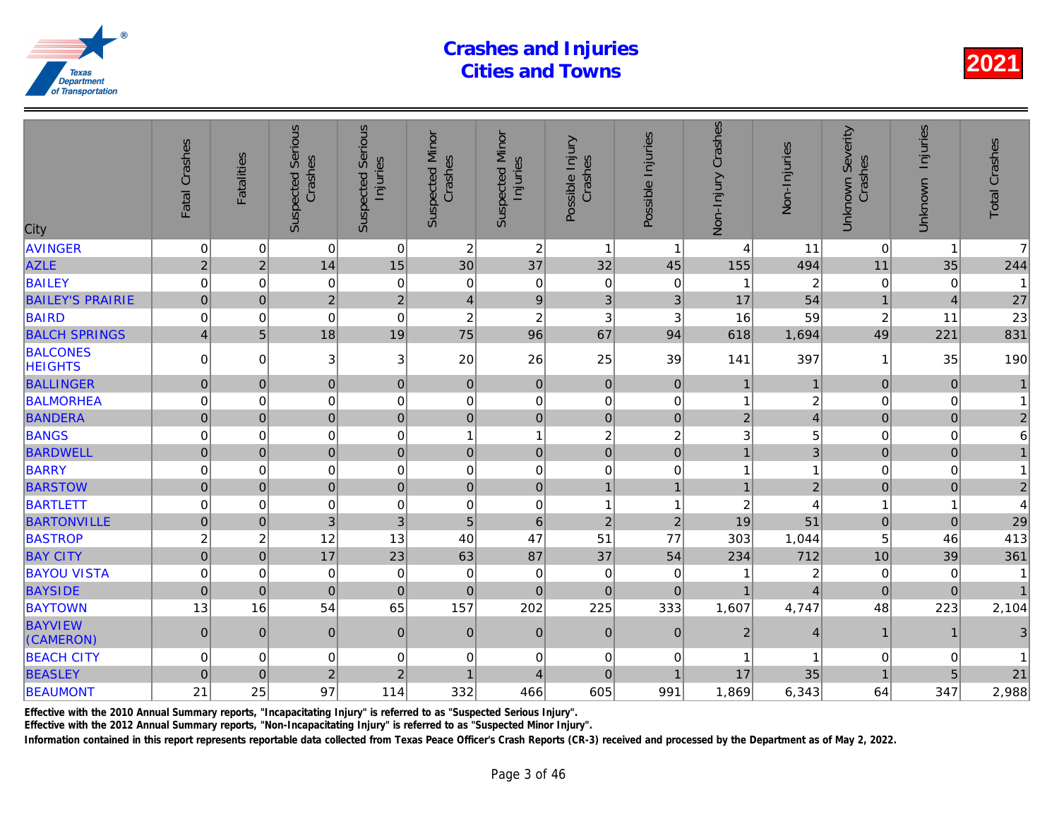| City                              | Fatal Crashes           | <b>Fatalities</b> | <b>Suspected Serious</b><br>Crashes | Serious<br>Injuries<br>Suspected | <b>Suspected Minor</b><br>Crashes | <b>Suspected Minor</b><br>Injuries | Possible Injury<br>Crashes | Possible Injuries | Non-Injury Crashes      | Non-Injuries   |
|-----------------------------------|-------------------------|-------------------|-------------------------------------|----------------------------------|-----------------------------------|------------------------------------|----------------------------|-------------------|-------------------------|----------------|
| <b>AVINGER</b>                    | $\mathbf 0$             | 0                 | $\mathbf 0$                         | $\overline{0}$                   | $\overline{c}$                    | $\sqrt{2}$                         | $\mathbf{1}$               | -1                | $\overline{4}$          | 11             |
| <b>AZLE</b>                       | $\overline{c}$          | $\overline{c}$    | 14                                  | 15                               | 30                                | 37                                 | 32                         | 45                | 155                     | 494            |
| <b>BAILEY</b>                     | 0                       | 0                 | 0                                   | $\mathbf 0$                      | 0                                 | $\pmb{0}$                          | 0                          | 0                 | 1                       | $\overline{a}$ |
| <b>BAILEY'S PRAIRIE</b>           | $\mathbf 0$             | $\mathbf 0$       | $\overline{2}$                      | $\overline{2}$                   | $\overline{4}$                    | $\boldsymbol{9}$                   | 3                          | $\mathfrak{B}$    | 17                      | 54             |
| <b>BAIRD</b>                      | $\mathbf 0$             | $\mathbf 0$       | $\mathbf 0$                         | $\mathbf 0$                      | $\overline{\mathbf{c}}$           | $\boldsymbol{2}$                   | 3                          | 3                 | 16                      | 59             |
| <b>BALCH SPRINGS</b>              | $\overline{\mathbf{4}}$ | 5                 | 18                                  | 19                               | 75                                | 96                                 | 67                         | 94                | 618                     | 1,694          |
| <b>BALCONES</b><br><b>HEIGHTS</b> | $\mathbf 0$             | $\Omega$          | 3                                   | 3                                | 20                                | 26                                 | 25                         | 39                | 141                     | 397            |
| <b>BALLINGER</b>                  | $\mathsf{O}\xspace$     | $\pmb{0}$         | $\pmb{0}$                           | $\pmb{0}$                        | $\pmb{0}$                         | $\pmb{0}$                          | $\mathbf 0$                | $\mathbf 0$       | $\mathbf{1}$            |                |
| <b>BALMORHEA</b>                  | 0                       | $\mathbf 0$       | 0                                   | $\mathbf 0$                      | $\mathbf 0$                       | $\pmb{0}$                          | $\mathbf 0$                | 0                 | $\mathbf{1}$            |                |
| <b>BANDERA</b>                    | $\mathbf 0$             | $\mathbf 0$       | $\overline{0}$                      | $\mathbf 0$                      | $\mathbf 0$                       | $\mathbf 0$                        | $\pmb{0}$                  | $\pmb{0}$         | $\overline{2}$          |                |
| <b>BANGS</b>                      | $\mathbf 0$             | 0                 | $\mathbf 0$                         | $\mathbf 0$                      | $\overline{1}$                    | $\mathbf{1}$                       | $\overline{c}$             | $\boldsymbol{2}$  | 3                       |                |
| <b>BARDWELL</b>                   | $\mathbf 0$             | $\mathbf{0}$      | $\pmb{0}$                           | $\overline{0}$                   | $\pmb{0}$                         | $\pmb{0}$                          | $\pmb{0}$                  | $\pmb{0}$         | $\mathbf{1}$            |                |
| <b>BARRY</b>                      | 0                       | 0                 | 0                                   | $\pmb{0}$                        | 0                                 | $\pmb{0}$                          | $\pmb{0}$                  | 0                 | 1                       |                |
| <b>BARSTOW</b>                    | $\overline{0}$          | $\mathbf 0$       | $\mathbf 0$                         | $\mathbf 0$                      | $\overline{0}$                    | $\mathbf 0$                        | $\overline{1}$             | $\mathbf{1}$      | $\overline{1}$          | $\overline{2}$ |
| <b>BARTLETT</b>                   | $\mathbf 0$             | $\mathbf 0$       | $\pmb{0}$                           | $\mathbf 0$                      | $\mathbf 0$                       | $\pmb{0}$                          | $\mathbf{1}$               | $\overline{1}$    | $\overline{\mathbf{c}}$ |                |
| <b>BARTONVILLE</b>                | $\pmb{0}$               | $\mathbf 0$       | 3                                   | 3                                | $\overline{5}$                    | $\,$ 6 $\,$                        | $\overline{2}$             | $\mathbf 2$       | 19                      | 51             |
| <b>BASTROP</b>                    | $\overline{c}$          | $\boldsymbol{2}$  | 12                                  | 13                               | 40                                | 47                                 | 51                         | 77                | 303                     | 1,044          |
| <b>BAY CITY</b>                   | $\mathbf 0$             | $\pmb{0}$         | 17                                  | 23                               | 63                                | 87                                 | 37                         | 54                | 234                     | 712            |
| <b>BAYOU VISTA</b>                | $\mathbf 0$             | $\mathbf 0$       | $\mathbf 0$                         | $\mathbf 0$                      | $\mathbf 0$                       | $\mathbf 0$                        | $\mathbf 0$                | $\mathbf 0$       |                         | $\overline{2}$ |
| <b>BAYSIDE</b>                    | $\overline{0}$          | $\Omega$          | $\Omega$                            | $\mathbf 0$                      | $\overline{0}$                    | $\overline{0}$                     | $\mathbf 0$                | $\Omega$          | $\mathbf 1$             |                |
| <b>BAYTOWN</b>                    | 13                      | 16                | 54                                  | 65                               | 157                               | 202                                | 225                        | 333               | 1,607                   | 4,747          |
| <b>BAYVIEW</b><br>(CAMERON)       | $\mathbf 0$             | $\mathbf{0}$      | $\mathbf 0$                         | $\pmb{0}$                        | $\mathbf 0$                       | $\pmb{0}$                          | $\mathbf{0}$               | $\mathbf{0}$      | $\overline{c}$          |                |
| <b>BEACH CITY</b>                 | 0                       | 0                 | 0                                   | 0                                | 0                                 | 0                                  | 0                          | 0                 |                         |                |
| <b>BEASLEY</b>                    | $\overline{0}$          | $\mathbf{0}$      | $\overline{2}$                      | $\overline{c}$                   | $\overline{1}$                    | $\overline{4}$                     | $\mathbf 0$                | $\overline{1}$    | 17                      | 35             |
| <b>BEAUMONT</b>                   | 21                      | 25                | 97                                  | 114                              | 332                               | 466                                | 605                        | 991               | 1,869                   | 6,343          |
|                                   |                         |                   |                                     |                                  |                                   |                                    |                            |                   |                         |                |

Effective with the 2010 Annual Summary reports, "Incapacitating Injury" is referred to as "Suspected Serious Injury".

Effective with the 2012 Annual Summary reports, "Non-Incapacitating Injury" is referred to as "Suspected Minor Injury".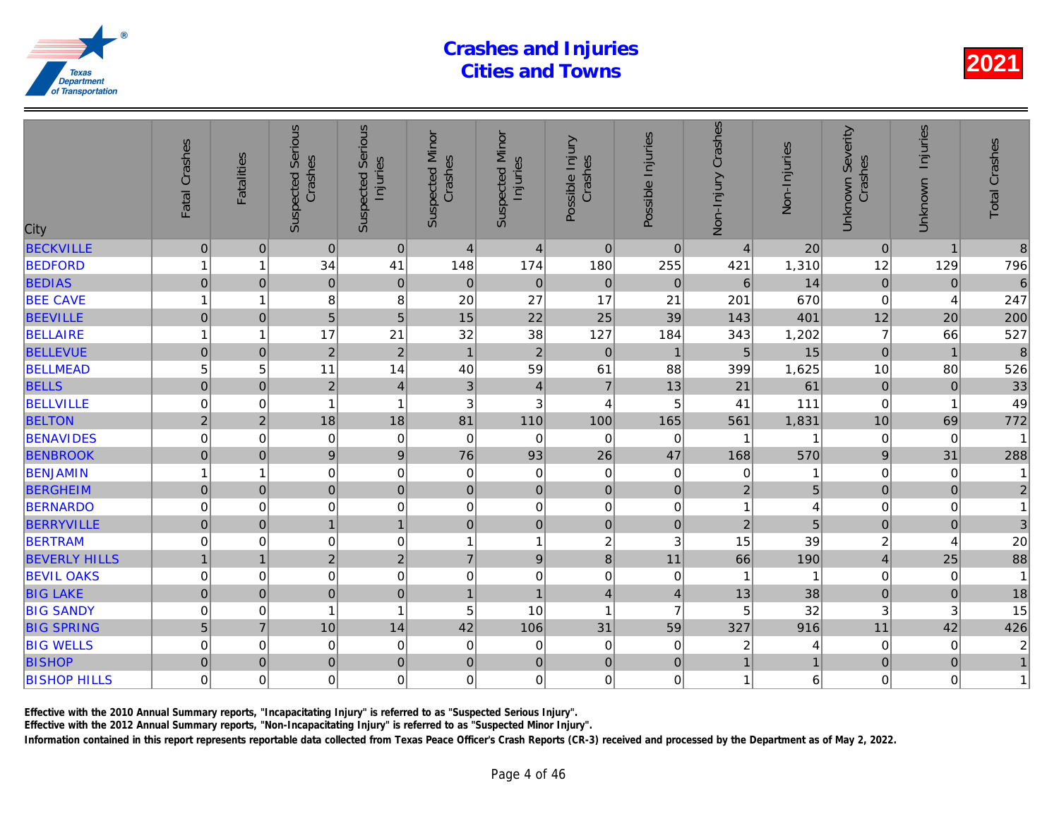| City                 | Fatal Crashes       | <b>Fatalities</b> | <b>Suspected Serious</b><br>Crashes | Serious<br>Injuries<br>Suspected | <b>Suspected Minor</b><br>Crashes | <b>Suspected Minor</b><br>Injuries | Possible Injury<br>Crashes | Possible Injuries | Non-Injury Crashes | Non-Injuries   |
|----------------------|---------------------|-------------------|-------------------------------------|----------------------------------|-----------------------------------|------------------------------------|----------------------------|-------------------|--------------------|----------------|
| <b>BECKVILLE</b>     | $\pmb{0}$           | $\mathbf 0$       | $\pmb{0}$                           | $\mathbf 0$                      | $\overline{4}$                    | 4                                  | $\mathbf 0$                | $\mathbf 0$       | $\overline{4}$     | 20             |
| <b>BEDFORD</b>       | 1                   | 1                 | 34                                  | 41                               | 148                               | 174                                | 180                        | 255               | 421                | 1,310          |
| <b>BEDIAS</b>        | $\mathbf 0$         | $\mathbf 0$       | $\mathbf 0$                         | $\mathbf 0$                      | $\pmb{0}$                         | $\mathbf 0$                        | $\pmb{0}$                  | $\mathbf{0}$      | $6\phantom{a}$     | 14             |
| <b>BEE CAVE</b>      | 1                   | 1                 | 8                                   | 8                                | 20                                | 27                                 | 17                         | 21                | 201                | 670            |
| <b>BEEVILLE</b>      | $\mathsf{O}\xspace$ | $\mathbf 0$       | 5                                   | 5                                | 15                                | 22                                 | 25                         | 39                | 143                | 401            |
| <b>BELLAIRE</b>      | 1                   | 1                 | 17                                  | 21                               | 32                                | 38                                 | 127                        | 184               | 343                | 1,202          |
| <b>BELLEVUE</b>      | $\mathsf 0$         | $\overline{0}$    | $\sqrt{2}$                          | $\overline{c}$                   | $\overline{1}$                    | $\mathbf 2$                        | $\mathbf 0$                | $\overline{1}$    | 5                  | 15             |
| <b>BELLMEAD</b>      | 5                   | 5                 | 11                                  | 14                               | 40                                | 59                                 | 61                         | 88                | 399                | 1,625          |
| <b>BELLS</b>         | $\mathbf 0$         | $\mathbf 0$       | $\overline{2}$                      | $\overline{4}$                   | 3                                 | $\overline{4}$                     | $\overline{7}$             | 13                | 21                 | 61             |
| <b>BELLVILLE</b>     | $\mathbf 0$         | $\mathbf 0$       | $\overline{1}$                      | $\mathbf{1}$                     | 3                                 | 3                                  | $\overline{4}$             | 5                 | 41                 | $111$          |
| <b>BELTON</b>        | $\overline{2}$      | $\overline{2}$    | 18                                  | 18                               | 81                                | 110                                | 100                        | 165               | 561                | 1,831          |
| <b>BENAVIDES</b>     | $\mathbf 0$         | 0                 | $\mathbf 0$                         | $\mathbf 0$                      | $\mathbf 0$                       | $\mathbf 0$                        | $\pmb{0}$                  | $\mathbf 0$       | 1                  |                |
| <b>BENBROOK</b>      | $\mathsf{O}\xspace$ | $\mathbf 0$       | $\boldsymbol{9}$                    | $\boldsymbol{9}$                 | 76                                | 93                                 | 26                         | 47                | 168                | 570            |
| <b>BENJAMIN</b>      |                     | 1                 | $\mathbf 0$                         | 0                                | 0                                 | $\pmb{0}$                          | $\pmb{0}$                  | 0                 | $\mathbf 0$        |                |
| <b>BERGHEIM</b>      | $\mathbf 0$         | $\Omega$          | $\overline{0}$                      | $\mathbf 0$                      | $\mathbf 0$                       | $\pmb{0}$                          | $\mathbf 0$                | $\mathbf 0$       | $\overline{2}$     | 5              |
| <b>BERNARDO</b>      | $\mathbf 0$         | 0                 | $\mathbf 0$                         | 0                                | 0                                 | $\mathbf 0$                        | $\mathbf 0$                | 0                 | 1                  |                |
| <b>BERRYVILLE</b>    | $\mathbf 0$         | $\mathbf 0$       | $\mathbf{1}$                        | $\overline{1}$                   | $\overline{0}$                    | $\mathbf 0$                        | $\mathbf 0$                | $\mathbf 0$       | $\overline{2}$     | $\overline{5}$ |
| <b>BERTRAM</b>       | $\mathbf 0$         | $\mathbf 0$       | $\mathbf 0$                         | $\mathbf 0$                      | $\overline{1}$                    | $\mathbf{1}$                       | $\overline{c}$             | 3                 | 15                 | 39             |
| <b>BEVERLY HILLS</b> |                     | $\overline{1}$    | $\overline{2}$                      | $\overline{a}$                   | $\overline{7}$                    | $\boldsymbol{9}$                   | $\overline{8}$             | 11                | 66                 | 190            |
| <b>BEVIL OAKS</b>    | $\mathbf 0$         | $\mathbf 0$       | $\mathbf 0$                         | $\mathbf 0$                      | 0                                 | $\mathbf 0$                        | $\pmb{0}$                  | $\mathbf 0$       |                    |                |
| <b>BIG LAKE</b>      | $\overline{0}$      | $\mathbf 0$       | $\overline{0}$                      | $\mathbf 0$                      | $\overline{1}$                    | $\overline{1}$                     | $\overline{4}$             | $\overline{4}$    | 13                 | 38             |
| <b>BIG SANDY</b>     | 0                   | 0                 |                                     | $\mathbf{1}$                     | 5                                 | 10                                 | $\mathbf{1}$               | $\overline{7}$    | 5                  | 32             |
| <b>BIG SPRING</b>    | 5                   | $\overline{7}$    | 10                                  | 14                               | 42                                | 106                                | 31                         | 59                | 327                | 916            |
| <b>BIG WELLS</b>     | $\overline{0}$      | 0                 | $\mathbf 0$                         | $\mathbf 0$                      | 0                                 | 0                                  | $\pmb{0}$                  | 0                 | $\overline{a}$     |                |
| <b>BISHOP</b>        | $\overline{0}$      | $\pmb{0}$         | $\mathbf 0$                         | $\overline{0}$                   | $\pmb{0}$                         | $\mathbf 0$                        | $\mathbf 0$                | $\pmb{0}$         | $\mathbf{1}$       |                |
| <b>BISHOP HILLS</b>  | $\mathbf 0$         | $\Omega$          | $\mathbf 0$                         | $\overline{0}$                   | $\mathbf 0$                       | $\mathbf 0$                        | $\Omega$                   | $\Omega$          | $\mathbf{1}$       | 6              |
|                      |                     |                   |                                     |                                  |                                   |                                    |                            |                   |                    |                |

Effective with the 2010 Annual Summary reports, "Incapacitating Injury" is referred to as "Suspected Serious Injury".

Effective with the 2012 Annual Summary reports, "Non-Incapacitating Injury" is referred to as "Suspected Minor Injury".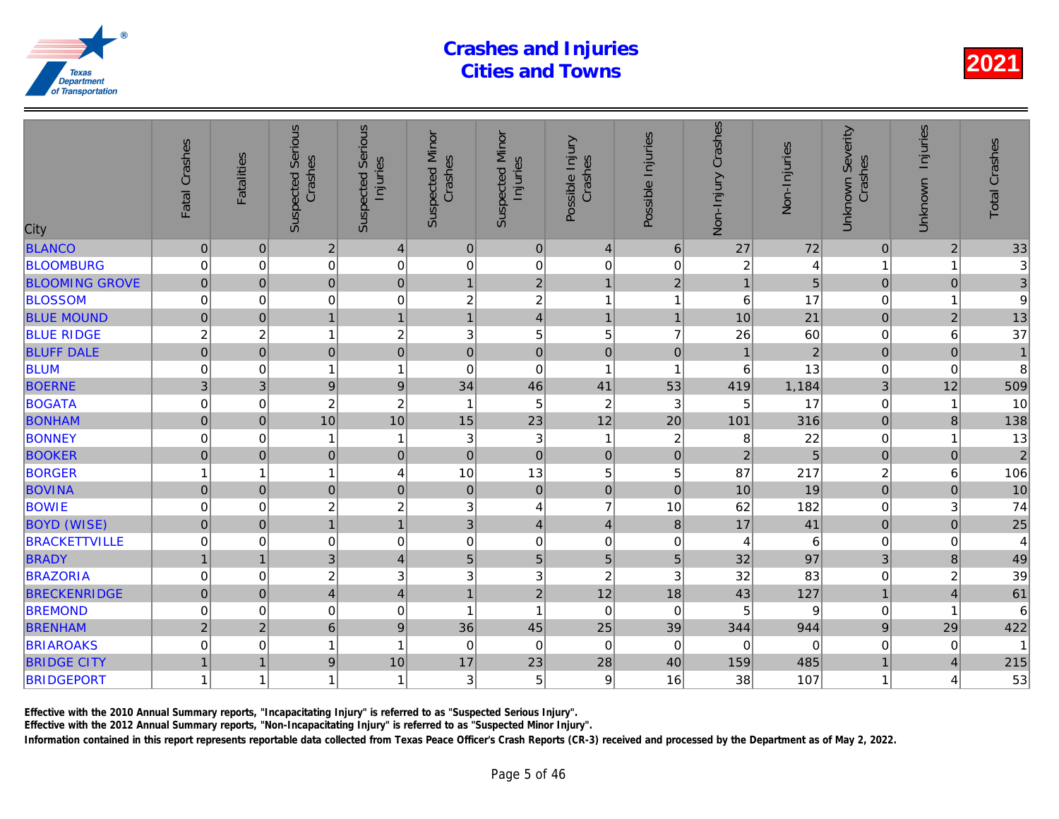| City                  | Fatal Crashes       | <b>Fatalities</b>       | <b>Suspected Serious</b><br>Crashes | Serious<br>Injuries<br>Suspected | <b>Suspected Minor</b><br>Crashes | <b>Suspected Minor</b><br>Injuries | Possible Injury<br>Crashes | Possible Injuries | Non-Injury Crashes | Non-Injuries   |
|-----------------------|---------------------|-------------------------|-------------------------------------|----------------------------------|-----------------------------------|------------------------------------|----------------------------|-------------------|--------------------|----------------|
| <b>BLANCO</b>         | $\pmb{0}$           | $\pmb{0}$               | $\overline{2}$                      | $\overline{4}$                   | $\mathbf 0$                       | $\pmb{0}$                          | $\overline{4}$             | 6                 | 27                 | 72             |
| <b>BLOOMBURG</b>      | 0                   | $\mathbf 0$             | $\mathbf 0$                         | $\mathbf 0$                      | 0                                 | $\pmb{0}$                          | $\mathbf 0$                | $\mathbf 0$       | $\boldsymbol{2}$   |                |
| <b>BLOOMING GROVE</b> | 0                   | $\mathbf{0}$            | $\overline{0}$                      | $\mathbf 0$                      | $\mathbf{1}$                      | $\overline{2}$                     | $\mathbf{1}$               | $\overline{2}$    | $\mathbf{1}$       | 5              |
| <b>BLOSSOM</b>        | $\mathbf 0$         | 0                       | 0                                   | $\mathbf 0$                      | 2                                 | $\sqrt{2}$                         | 1                          | $\overline{1}$    | 6                  | 17             |
| <b>BLUE MOUND</b>     | $\pmb{0}$           | $\mathbf{0}$            | $\mathbf{1}$                        | $\mathbf{1}$                     | $\mathbf{1}$                      | $\overline{4}$                     | $\mathbf{1}$               | $\mathbf{1}$      | 10                 | 21             |
| <b>BLUE RIDGE</b>     | $\overline{c}$      | $\overline{\mathbf{c}}$ | 1                                   | $\overline{\mathbf{c}}$          | $\ensuremath{\mathsf{3}}$         | $\mathbf 5$                        | 5                          | $\overline{7}$    | 26                 | 60             |
| <b>BLUFF DALE</b>     | $\mathbf 0$         | $\mathbf 0$             | $\mathbf 0$                         | $\overline{0}$                   | $\mathbf 0$                       | $\mathsf{O}\xspace$                | $\mathbf 0$                | $\overline{0}$    |                    | $\overline{a}$ |
| <b>BLUM</b>           | 0                   | $\mathbf 0$             |                                     | $\mathbf{1}$                     | 0                                 | $\mathbf 0$                        | $\mathbf{1}$               | -1                | 6                  | 13             |
| <b>BOERNE</b>         | 3                   | 3                       | $\overline{9}$                      | $\boldsymbol{9}$                 | 34                                | 46                                 | 41                         | 53                | 419                | 1,184          |
| <b>BOGATA</b>         | $\mathbf 0$         | $\mathbf 0$             | $\boldsymbol{2}$                    | $\overline{c}$                   | $\overline{\mathbf{1}}$           | 5                                  | $\boldsymbol{2}$           | $\mathbf{3}$      | 5                  | 17             |
| <b>BONHAM</b>         | $\overline{0}$      | $\overline{0}$          | 10                                  | 10                               | 15                                | 23                                 | 12                         | 20                | 101                | 316            |
| <b>BONNEY</b>         | $\mathbf 0$         | 0                       |                                     | $\mathbf{1}$                     | 3                                 | $\ensuremath{\mathsf{3}}$          | $\mathbf{1}$               | $\boldsymbol{2}$  | 8                  | 22             |
| <b>BOOKER</b>         | $\mathbf 0$         | $\mathbf 0$             | $\pmb{0}$                           | $\mathbf 0$                      | $\overline{0}$                    | $\mathsf{O}\xspace$                | $\pmb{0}$                  | $\pmb{0}$         | $\overline{2}$     | $\overline{5}$ |
| <b>BORGER</b>         |                     | 1                       |                                     | $\overline{\mathbf{4}}$          | 10                                | 13                                 | 5                          | 5                 | 87                 | 217            |
| <b>BOVINA</b>         | $\mathsf{O}\xspace$ | $\mathbf 0$             | $\overline{0}$                      | $\mathbf 0$                      | $\pmb{0}$                         | $\mathbf 0$                        | $\pmb{0}$                  | $\mathbf 0$       | 10                 | 19             |
| <b>BOWIE</b>          | $\overline{0}$      | 0                       | $\overline{c}$                      | $\overline{c}$                   | 3                                 | 4                                  | $\overline{7}$             | 10                | 62                 | 182            |
| <b>BOYD (WISE)</b>    | $\overline{0}$      | $\mathbf 0$             | $\overline{1}$                      | $\overline{1}$                   | 3                                 | $\overline{4}$                     | $\overline{4}$             | $\boldsymbol{8}$  | 17                 | 41             |
| <b>BRACKETTVILLE</b>  | 0                   | $\Omega$                | $\mathbf 0$                         | $\mathbf 0$                      | $\mathbf 0$                       | $\mathbf 0$                        | $\mathbf 0$                | $\mathbf 0$       | 4                  | 6              |
| <b>BRADY</b>          | $\mathbf{1}$        | $\overline{1}$          | 3                                   | $\overline{\mathbf{4}}$          | 5                                 | 5                                  | $\overline{5}$             | 5                 | 32                 | 97             |
| <b>BRAZORIA</b>       | 0                   | 0                       | $\boldsymbol{2}$                    | 3                                | 3                                 | 3                                  | $\boldsymbol{2}$           | 3                 | 32                 | 83             |
| <b>BRECKENRIDGE</b>   | $\mathsf{O}\xspace$ | $\mathbf{0}$            | $\overline{4}$                      | $\overline{\mathbf{4}}$          | $\mathbf{1}$                      | $\overline{c}$                     | 12                         | 18                | 43                 | 127            |
| <b>BREMOND</b>        | $\mathbf 0$         | $\mathbf 0$             | 0                                   | $\mathbf 0$                      | 1                                 | $\mathbf{1}$                       | $\mathbf 0$                | $\mathbf 0$       | 5                  | q              |
| <b>BRENHAM</b>        | $\overline{2}$      | $\overline{2}$          | 6                                   | $\boldsymbol{9}$                 | 36                                | 45                                 | 25                         | 39                | 344                | 944            |
| <b>BRIAROAKS</b>      | 0                   | 0                       | 1                                   | $\mathbf{1}$                     | 0                                 | $\mathbf 0$                        | $\mathbf 0$                | $\mathbf 0$       | 0                  | $\Omega$       |
| <b>BRIDGE CITY</b>    |                     | $\overline{1}$          | $\mathsf g$                         | 10                               | 17                                | 23                                 | 28                         | 40                | 159                | 485            |
| <b>BRIDGEPORT</b>     | 1                   | 1                       |                                     | $\mathbf{1}$                     | 3 <sub>1</sub>                    | 5                                  | 9                          | 16                | 38                 | 107            |
|                       |                     |                         |                                     |                                  |                                   |                                    |                            |                   |                    |                |

Effective with the 2010 Annual Summary reports, "Incapacitating Injury" is referred to as "Suspected Serious Injury".

Effective with the 2012 Annual Summary reports, "Non-Incapacitating Injury" is referred to as "Suspected Minor Injury".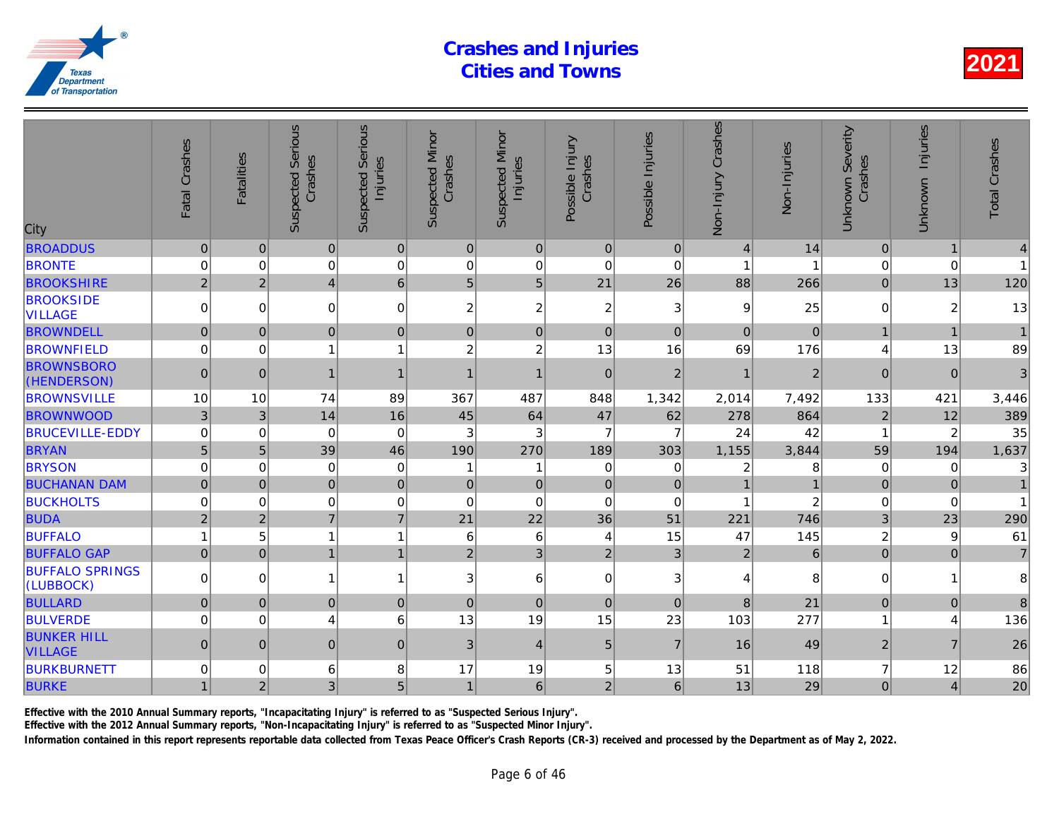| City                                 | Fatal Crashes  | <b>Fatalities</b> | <b>Suspected Serious</b><br>Crashes | <b>Serious</b><br>Injuries<br>Suspected | <b>Suspected Minor</b><br>Crashes | <b>Suspected Minor</b><br>Injuries | Possible Injury<br>Crashes | Possible Injuries | Non-Injury Crashes | Non-Injuries   |
|--------------------------------------|----------------|-------------------|-------------------------------------|-----------------------------------------|-----------------------------------|------------------------------------|----------------------------|-------------------|--------------------|----------------|
| <b>BROADDUS</b>                      | $\pmb{0}$      | $\mathbf{0}$      | $\overline{0}$                      | $\pmb{0}$                               | $\mathbf 0$                       | 0                                  | $\mathbf{0}$               | $\mathbf{0}$      | $\overline{4}$     | 14             |
| <b>BRONTE</b>                        | 0              | 0                 | 0                                   | $\mathbf 0$                             | 0                                 | $\mathbf 0$                        | $\mathbf 0$                | 0                 |                    |                |
| <b>BROOKSHIRE</b>                    | $\overline{2}$ | $\overline{2}$    | 4 <sup>1</sup>                      | $6\phantom{a}$                          | 5                                 | $\overline{5}$                     | 21                         | 26                | 88                 | 266            |
| <b>BROOKSIDE</b><br><b>VILLAGE</b>   | $\mathbf 0$    | $\Omega$          | $\overline{0}$                      | $\mathbf 0$                             | $\overline{c}$                    | $\overline{c}$                     | $\overline{c}$             | 3                 | $\boldsymbol{9}$   | 25             |
| <b>BROWNDELL</b>                     | $\mathbf 0$    | $\Omega$          | $\overline{0}$                      | $\mathbf 0$                             | $\pmb{0}$                         | $\mathbf 0$                        | $\mathbf 0$                | $\Omega$          | $\Omega$           | $\overline{0}$ |
| <b>BROWNFIELD</b>                    | $\mathbf 0$    | $\Omega$          | 1                                   | $\overline{1}$                          | $\overline{c}$                    | $\boldsymbol{2}$                   | 13                         | 16                | 69                 | 176            |
| <b>BROWNSBORO</b><br>(HENDERSON)     | $\pmb{0}$      | $\mathbf{0}$      | $\mathbf{1}$                        | $\mathbf{1}$                            | $\overline{1}$                    | $\mathbf{1}$                       | $\mathbf 0$                | $\overline{2}$    |                    | $\overline{a}$ |
| <b>BROWNSVILLE</b>                   | 10             | 10                | 74                                  | 89                                      | 367                               | 487                                | 848                        | 1,342             | 2,014              | 7,492          |
| <b>BROWNWOOD</b>                     | $\sqrt{3}$     | 3                 | 14                                  | 16                                      | 45                                | 64                                 | 47                         | 62                | 278                | 864            |
| <b>BRUCEVILLE-EDDY</b>               | $\mathbf 0$    | 0                 | $\mathbf 0$                         | $\mathbf 0$                             | 3                                 | $\ensuremath{\mathsf{3}}$          | $\overline{7}$             | $\overline{7}$    | 24                 | 42             |
| <b>BRYAN</b>                         | 5              | 5                 | 39                                  | 46                                      | 190                               | 270                                | 189                        | 303               | 1,155              | 3,844          |
| <b>BRYSON</b>                        | 0              | 0                 | 0                                   | $\mathbf 0$                             | 1                                 | 1                                  | 0                          | 0                 | 2                  |                |
| <b>BUCHANAN DAM</b>                  | $\mathbf 0$    | $\Omega$          | $\overline{0}$                      | $\mathbf 0$                             | $\mathbf{0}$                      | $\pmb{0}$                          | $\overline{0}$             | $\mathbf 0$       |                    |                |
| <b>BUCKHOLTS</b>                     | $\mathbf 0$    | $\Omega$          | 0                                   | $\mathbf 0$                             | 0                                 | $\mathbf 0$                        | $\Omega$                   | 0                 |                    |                |
| <b>BUDA</b>                          | $\overline{2}$ | $\overline{2}$    | $\overline{7}$                      | $\overline{7}$                          | 21                                | 22                                 | 36                         | 51                | 221                | 746            |
| <b>BUFFALO</b>                       | 1              | 5                 | 1                                   | $\overline{1}$                          | 6                                 | $\,6$                              | 4                          | 15                | 47                 | 145            |
| <b>BUFFALO GAP</b>                   | $\overline{0}$ | $\overline{0}$    | $\overline{1}$                      | $\overline{1}$                          | $\overline{2}$                    | $\overline{3}$                     | $\overline{2}$             | 3                 | $\overline{2}$     | 6              |
| <b>BUFFALO SPRINGS</b><br>(LUBBOCK)  | $\Omega$       | $\Omega$          | $\mathbf{1}$                        | $\mathbf{1}$                            | 3                                 | $\,6\,$                            | $\Omega$                   | 3                 | 4                  | 8              |
| <b>BULLARD</b>                       | $\mathbf 0$    | $\mathbf{0}$      | $\mathbf 0$                         | $\boldsymbol{0}$                        | $\pmb{0}$                         | $\pmb{0}$                          | $\overline{0}$             | $\mathbf{0}$      | 8                  | 21             |
| <b>BULVERDE</b>                      | $\mathbf 0$    | 0                 | 4                                   | 6                                       | 13                                | 19                                 | 15                         | 23                | 103                | 277            |
| <b>BUNKER HILL</b><br><b>VILLAGE</b> | $\overline{0}$ | $\mathbf{0}$      | $\overline{0}$                      | $\mathbf 0$                             | 3                                 | $\overline{4}$                     | 5                          | $\overline{7}$    | 16                 | 49             |
| <b>BURKBURNETT</b>                   | $\mathbf 0$    | 0                 | 6                                   | 8                                       | 17                                | 19                                 | 5                          | 13                | 51                 | 118            |
| <b>BURKE</b>                         | $\mathbf{1}$   | $\overline{2}$    | 3 <sup>1</sup>                      | 5 <sup>2</sup>                          | $\mathbf{1}$                      | $\,6\,$                            | $\overline{2}$             | $\,6$             | 13                 | 29             |
|                                      |                |                   |                                     |                                         |                                   |                                    |                            |                   |                    |                |

Effective with the 2010 Annual Summary reports, "Incapacitating Injury" is referred to as "Suspected Serious Injury".

Effective with the 2012 Annual Summary reports, "Non-Incapacitating Injury" is referred to as "Suspected Minor Injury".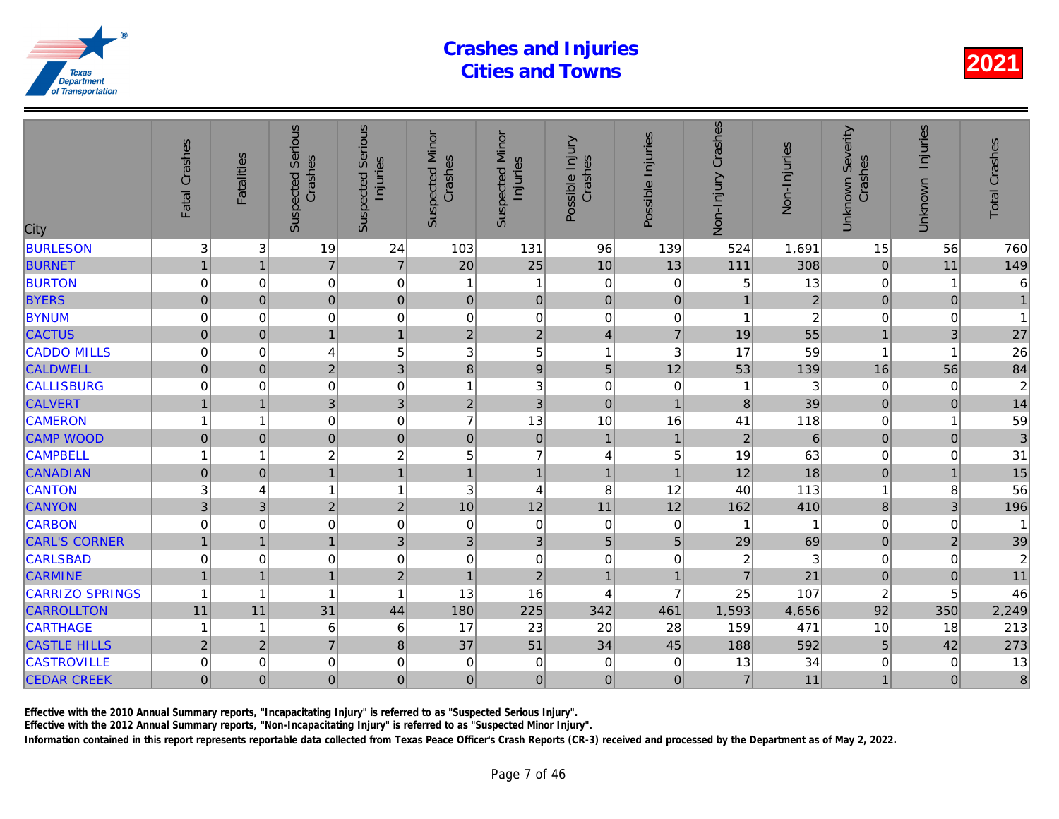| City                   | Fatal Crashes  | <b>Fatalities</b> | <b>Suspected Serious</b><br>Crashes | <b>Serious</b><br>Injuries<br>Suspected | <b>Suspected Minor</b><br>Crashes | <b>Suspected Minor</b><br>Injuries | Possible Injury<br>Crashes | Possible Injuries | Non-Injury Crashes      | Non-Injuries   |
|------------------------|----------------|-------------------|-------------------------------------|-----------------------------------------|-----------------------------------|------------------------------------|----------------------------|-------------------|-------------------------|----------------|
| <b>BURLESON</b>        | 3              | 3                 | 19                                  | 24                                      | 103                               | 131                                | 96                         | 139               | 524                     | 1,691          |
| <b>BURNET</b>          | $\overline{1}$ | $\overline{1}$    | $\overline{7}$                      | $\overline{7}$                          | 20                                | 25                                 | 10                         | 13                | 111                     | 308            |
| <b>BURTON</b>          | 0              | 0                 | 0                                   | $\pmb{0}$                               | 1                                 | $\mathbf{1}$                       | $\mathbf 0$                | 0                 | 5                       | 13             |
| <b>BYERS</b>           | $\pmb{0}$      | $\mathbf{0}$      | 0                                   | $\mathbf 0$                             | $\mathbf 0$                       | $\mathbf 0$                        | $\mathbf 0$                | $\pmb{0}$         |                         | $\frac{2}{2}$  |
| <b>BYNUM</b>           | 0              | 0                 | 0                                   | $\mathbf 0$                             | $\mathbf 0$                       | $\mbox{O}$                         | $\mathbf 0$                | 0                 | 1                       |                |
| <b>CACTUS</b>          | $\mathbf 0$    | $\mathbf 0$       | $\overline{1}$                      | $\mathbf{1}$                            | $\overline{2}$                    | $\overline{2}$                     | $\overline{4}$             | $\overline{7}$    | 19                      | 55             |
| <b>CADDO MILLS</b>     | 0              | 0                 | 4                                   | 5                                       | 3                                 | 5                                  | 1                          | $\mathbf{3}$      | 17                      | 59             |
| <b>CALDWELL</b>        | $\pmb{0}$      | $\pmb{0}$         | $\overline{2}$                      | $\overline{3}$                          | $\bf8$                            | $\mathsf g$                        | 5                          | 12                | 53                      | 139            |
| <b>CALLISBURG</b>      | 0              | 0                 | 0                                   | $\mathbf 0$                             | 1                                 | 3                                  | $\mathbf 0$                | $\mathbf 0$       |                         | 3              |
| <b>CALVERT</b>         | 1              | $\overline{1}$    | 3 <sup>1</sup>                      | 3                                       | $\overline{2}$                    | $\overline{3}$                     | $\overline{0}$             | $\overline{1}$    | 8                       | 39             |
| <b>CAMERON</b>         | 1              | 1                 | $\mathbf 0$                         | $\pmb{0}$                               | $\overline{7}$                    | 13                                 | 10                         | 16                | 41                      | 118            |
| <b>CAMP WOOD</b>       | $\pmb{0}$      | $\pmb{0}$         | $\overline{0}$                      | $\mathbf 0$                             | $\pmb{0}$                         | $\pmb{0}$                          | $\mathbf{1}$               | $\mathbf 1$       | $\overline{2}$          | $\overline{6}$ |
| <b>CAMPBELL</b>        | $\mathbf{1}$   | 1                 | 2                                   | $\overline{c}$                          | 5                                 | $\overline{7}$                     | $\overline{4}$             | 5                 | 19                      | 63             |
| <b>CANADIAN</b>        | $\overline{0}$ | $\mathbf 0$       | $\overline{1}$                      | $\mathbf{1}$                            | $\overline{1}$                    | $\mathbf{1}$                       | $\mathbf{1}$               | $\overline{1}$    | 12                      | 18             |
| <b>CANTON</b>          | 3              | 4                 | 1                                   | $\overline{1}$                          | 3                                 | $\overline{4}$                     | 8                          | 12                | 40                      | 113            |
| <b>CANYON</b>          | 3              | 3                 | $\overline{2}$                      | $\mathbf 2$                             | 10                                | 12                                 | 11                         | 12                | 162                     | 410            |
| <b>CARBON</b>          | $\mathbf 0$    | 0                 | 0                                   | $\mathbf 0$                             | 0                                 | $\pmb{0}$                          | $\mathbf 0$                | 0                 |                         |                |
| <b>CARL'S CORNER</b>   | $\overline{1}$ | $\overline{1}$    | $\mathbf{1}$                        | 3                                       | 3                                 | 3                                  | 5                          | 5                 | 29                      | 69             |
| <b>CARLSBAD</b>        | 0              | $\Omega$          | 0                                   | $\mathbf 0$                             | 0                                 | $\mathsf 0$                        | $\mathbf 0$                | $\mathbf 0$       | $\overline{\mathbf{c}}$ | 3              |
| <b>CARMINE</b>         | $\mathbf{1}$   | $\overline{1}$    | $\mathbf{1}$                        | $\mathbf 2$                             | $\mathbf{1}$                      | $\mathbf 2$                        | $\mathbf{1}$               | $\overline{1}$    | $\overline{7}$          | 21             |
| <b>CARRIZO SPRINGS</b> | $\mathbf{1}$   | 1                 | 1                                   | $\overline{1}$                          | 13                                | 16                                 | $\overline{4}$             | $\overline{7}$    | 25                      | 107            |
| <b>CARROLLTON</b>      | 11             | 11                | 31                                  | 44                                      | 180                               | 225                                | 342                        | 461               | 1,593                   | 4,656          |
| <b>CARTHAGE</b>        | $\mathbf 1$    | 1                 | 6                                   | 6                                       | 17                                | 23                                 | 20                         | 28                | 159                     | 471            |
| <b>CASTLE HILLS</b>    | $\overline{2}$ | $\overline{2}$    | $\overline{7}$                      | $\bf8$                                  | 37                                | 51                                 | 34                         | 45                | 188                     | 592            |
| <b>CASTROVILLE</b>     | 0              | 0                 | $\mathbf 0$                         | $\pmb{0}$                               | 0                                 | $\mathbf 0$                        | $\mathbf 0$                | 0                 | 13                      | 34             |
| <b>CEDAR CREEK</b>     | $\overline{0}$ | $\Omega$          | $\overline{0}$                      | $\mathbf 0$                             | $\mathbf 0$                       | $\mathbf 0$                        | $\overline{0}$             | $\mathbf 0$       | $\overline{7}$          | 11             |
|                        |                |                   |                                     |                                         |                                   |                                    |                            |                   |                         |                |

Effective with the 2010 Annual Summary reports, "Incapacitating Injury" is referred to as "Suspected Serious Injury".

Effective with the 2012 Annual Summary reports, "Non-Incapacitating Injury" is referred to as "Suspected Minor Injury".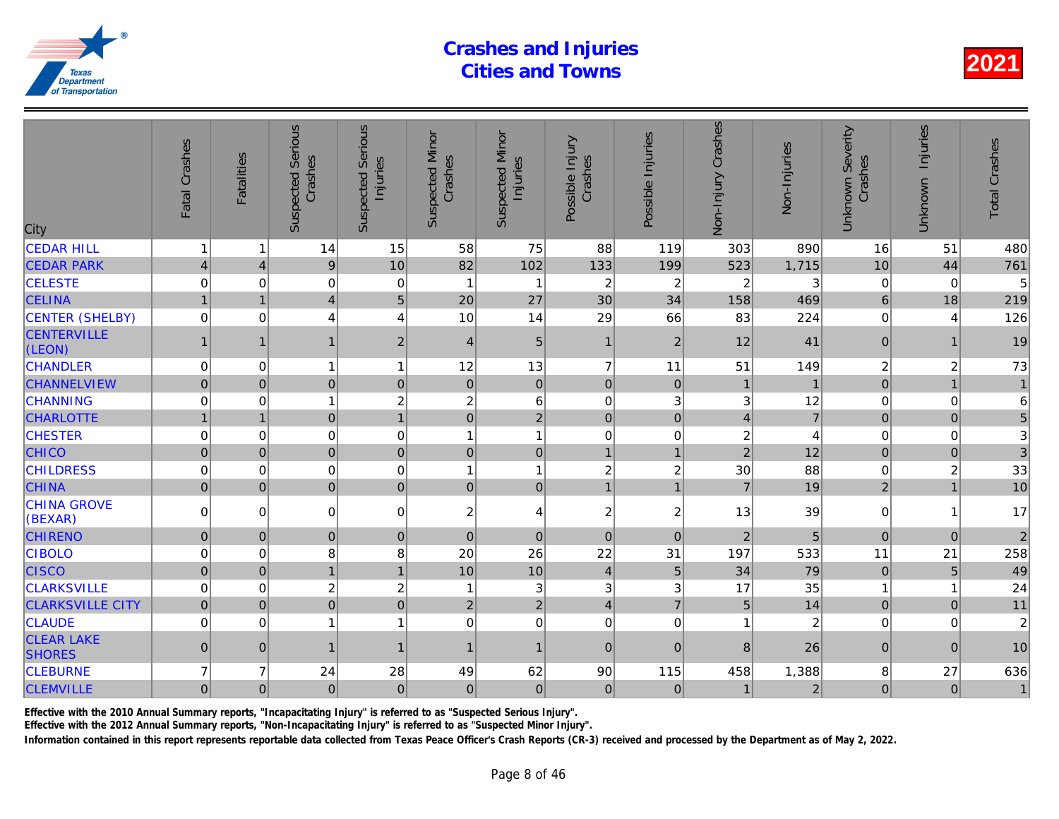| City                               | Fatal Crashes       | <b>Fatalities</b> | <b>Suspected Serious</b><br>Crashes | Serious<br>Injuries<br>Suspected | <b>Suspected Minor</b><br>Crashes | <b>Suspected Minor</b><br>Injuries | Possible Injury<br>Crashes | Possible Injuries | Non-Injury Crashes      | Non-Injuries   |
|------------------------------------|---------------------|-------------------|-------------------------------------|----------------------------------|-----------------------------------|------------------------------------|----------------------------|-------------------|-------------------------|----------------|
| <b>CEDAR HILL</b>                  | 1                   | 1                 | 14                                  | 15                               | 58                                | 75                                 | 88                         | 119               | 303                     | 890            |
| <b>CEDAR PARK</b>                  | $\overline{4}$      | $\overline{4}$    | 9                                   | 10                               | 82                                | 102                                | 133                        | 199               | 523                     | 1,715          |
| <b>CELESTE</b>                     | 0                   | 0                 | 0                                   | 0                                | $\overline{1}$                    | 1                                  | $\overline{c}$             | 2                 | $\overline{c}$          | 3              |
| <b>CELINA</b>                      | $\overline{1}$      | $\overline{1}$    | $\overline{4}$                      | 5                                | 20                                | 27                                 | 30                         | 34                | 158                     | 469            |
| <b>CENTER (SHELBY)</b>             | $\pmb{0}$           | $\mathbf 0$       | 4                                   | 4                                | 10                                | 14                                 | 29                         | 66                | 83                      | 224            |
| <b>CENTERVILLE</b><br>(LEON)       |                     | 1                 |                                     | $\overline{2}$                   | $\overline{4}$                    | $\overline{5}$                     | $\vert$ 1                  | $\overline{2}$    | 12                      | 41             |
| <b>CHANDLER</b>                    | 0                   | $\mathbf 0$       | 1                                   | $\mathbf{1}$                     | 12                                | 13                                 | $\overline{7}$             | 11                | 51                      | 149            |
| <b>CHANNELVIEW</b>                 | $\overline{0}$      | $\pmb{0}$         | $\overline{0}$                      | $\pmb{0}$                        | $\pmb{0}$                         | $\mathbf 0$                        | $\mathbf 0$                | $\pmb{0}$         | $\mathbf{1}$            |                |
| <b>CHANNING</b>                    | 0                   | $\mathbf 0$       |                                     | $\overline{c}$                   | $\overline{c}$                    | $\,6$                              | $\mathbf 0$                | 3                 | 3                       | 12             |
| <b>CHARLOTTE</b>                   | 1                   | 1                 | $\overline{0}$                      | $\overline{1}$                   | $\mathbf 0$                       | $\overline{2}$                     | $\mathbf 0$                | $\mathbf 0$       | $\overline{4}$          | $\overline{7}$ |
| <b>CHESTER</b>                     | 0                   | 0                 | $\mathbf 0$                         | $\mathbf 0$                      | 1                                 | $\mathbf{1}$                       | $\mathbf 0$                | 0                 | $\overline{\mathbf{c}}$ |                |
| <b>CHICO</b>                       | $\overline{0}$      | $\mathbf 0$       | $\mathbf 0$                         | $\mathbf 0$                      | $\mathbf 0$                       | $\pmb{0}$                          | $\mathbf{1}$               | $\mathbf{1}$      | $\overline{2}$          | 12             |
| <b>CHILDRESS</b>                   | $\mathbf 0$         | $\mathbf 0$       | $\mathbf 0$                         | $\mathbf 0$                      | $\overline{1}$                    | $\mathbf{1}$                       | $\boldsymbol{2}$           | $\boldsymbol{2}$  | 30                      | 88             |
| <b>CHINA</b>                       | $\mathbf 0$         | $\Omega$          | $\overline{0}$                      | $\pmb{0}$                        | $\overline{0}$                    | $\mathbf 0$                        | $\overline{1}$             | $\overline{1}$    | $\overline{7}$          | 19             |
| <b>CHINA GROVE</b><br>(BEXAR)      | 0                   | $\Omega$          | $\mathbf 0$                         | $\mathbf 0$                      | 2                                 | $\overline{4}$                     | $\overline{c}$             | $\overline{c}$    | 13                      | 39             |
| <b>CHIRENO</b>                     | $\mathbf 0$         | $\mathbf{0}$      | $\mathbf 0$                         | $\pmb{0}$                        | $\mathbf 0$                       | $\pmb{0}$                          | $\mathbf 0$                | $\mathbf 0$       | $\overline{2}$          | 5              |
| <b>CIBOLO</b>                      | 0                   | 0                 | 8                                   | 8                                | 20                                | 26                                 | 22                         | 31                | 197                     | 533            |
| <b>CISCO</b>                       | $\mathbf 0$         | $\mathbf{0}$      | 1                                   | $\mathbf{1}$                     | 10                                | 10                                 | $\overline{\mathbf{4}}$    | $5\phantom{.}$    | 34                      | 79             |
| <b>CLARKSVILLE</b>                 | $\pmb{0}$           | $\mathbf 0$       | $\overline{c}$                      | $\overline{c}$                   | -1                                | $\mathfrak{S}$                     | $\mathbf{3}$               | 3                 | 17                      | 35             |
| <b>CLARKSVILLE CITY</b>            | $\mathsf{O}\xspace$ | $\mathbf{0}$      | $\overline{0}$                      | $\mathbf 0$                      | $\overline{c}$                    | $\overline{2}$                     | $\overline{4}$             | $\overline{7}$    | 5                       | 14             |
| <b>CLAUDE</b>                      | $\mathbf 0$         | $\mathbf 0$       | $\mathbf{1}$                        | $\mathbf{1}$                     | $\mathbf 0$                       | $\pmb{0}$                          | $\mathbf 0$                | $\mathbf 0$       | 1                       | $\overline{a}$ |
| <b>CLEAR LAKE</b><br><b>SHORES</b> | $\pmb{0}$           | $\overline{0}$    | 1                                   | $\mathbf{1}$                     | $\mathbf{1}$                      | $\mathbf{1}$                       | $\mathbf{0}$               | $\overline{0}$    | 8                       | 26             |
| <b>CLEBURNE</b>                    | $\overline{7}$      | $\overline{7}$    | 24                                  | 28                               | 49                                | 62                                 | 90                         | 115               | 458                     | 1,388          |
| <b>CLEMVILLE</b>                   | $\mathbf 0$         | $\mathbf 0$       | $\pmb{0}$                           | 0                                | $\pmb{0}$                         | $\mathbf 0$                        | $\mathbf 0$                | $\mathbf 0$       | $\mathbf{1}$            | $\overline{2}$ |
|                                    |                     |                   |                                     |                                  |                                   |                                    |                            |                   |                         |                |

Effective with the 2010 Annual Summary reports, "Incapacitating Injury" is referred to as "Suspected Serious Injury".

Effective with the 2012 Annual Summary reports, "Non-Incapacitating Injury" is referred to as "Suspected Minor Injury".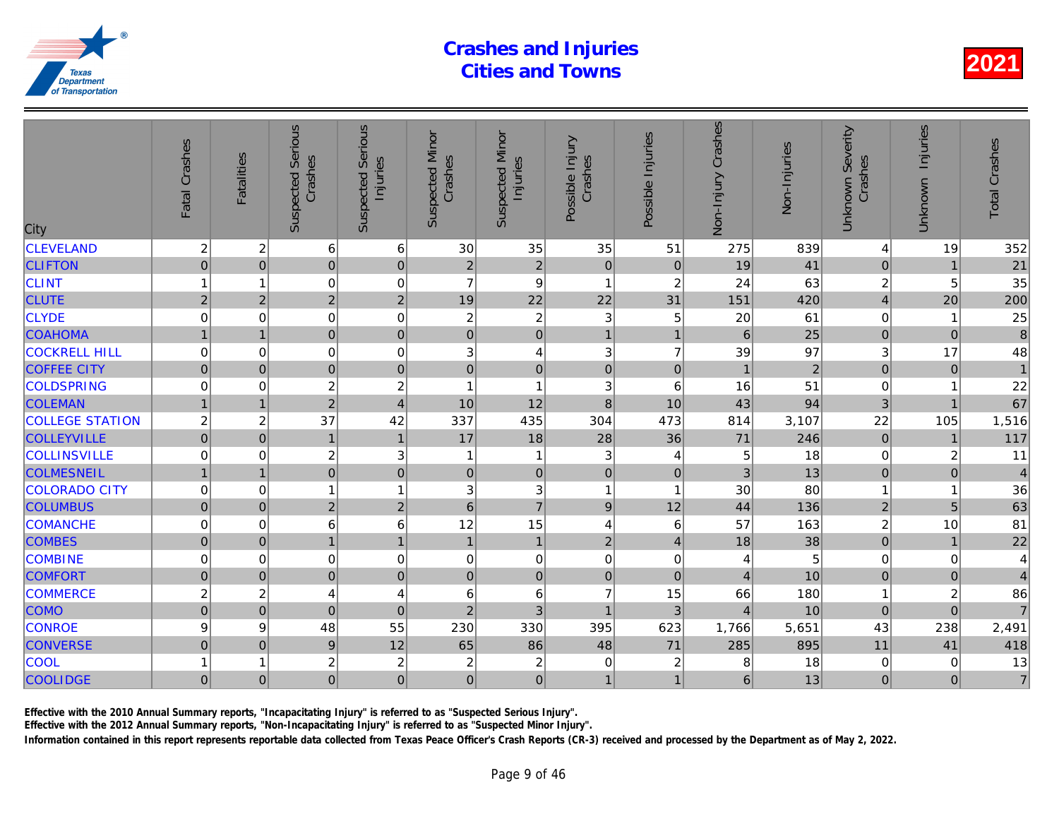| City                   | Fatal Crashes    | <b>Fatalities</b> | <b>Suspected Serious</b><br>Crashes | <b>Serious</b><br>Injuries<br>Suspected | <b>Suspected Minor</b><br>Crashes | <b>Suspected Minor</b><br>Injuries | Possible Injury<br>Crashes | Possible Injuries       | Non-Injury Crashes | Non-Injuries   |
|------------------------|------------------|-------------------|-------------------------------------|-----------------------------------------|-----------------------------------|------------------------------------|----------------------------|-------------------------|--------------------|----------------|
| <b>CLEVELAND</b>       | $\overline{c}$   | $\overline{c}$    | 6                                   | $\,6$                                   | 30                                | 35                                 | 35                         | 51                      | 275                | 839            |
| <b>CLIFTON</b>         | $\overline{0}$   | $\overline{0}$    | $\overline{0}$                      | $\mathbf 0$                             | $\overline{2}$                    | $\overline{2}$                     | $\mathbf 0$                | $\mathbf 0$             | 19                 | 41             |
| <b>CLINT</b>           | $\mathbf 1$      | 1                 | 0                                   | $\mathbf 0$                             | $\overline{7}$                    | $\boldsymbol{9}$                   | $\mathbf{1}$               | $\boldsymbol{2}$        | 24                 | 63             |
| <b>CLUTE</b>           | $\overline{2}$   | $\overline{2}$    | $\overline{2}$                      | $\overline{2}$                          | 19                                | 22                                 | 22                         | 31                      | 151                | 420            |
| <b>CLYDE</b>           | 0                | 0                 | 0                                   | $\mathbf 0$                             | $\overline{c}$                    | $\boldsymbol{2}$                   | 3                          | 5                       | 20                 | 61             |
| <b>COAHOMA</b>         | $\overline{1}$   | $\overline{1}$    | $\overline{0}$                      | $\mathbf 0$                             | $\mathbf 0$                       | $\overline{0}$                     | $\mathbf{1}$               | $\overline{1}$          | $6\phantom{1}$     | 25             |
| <b>COCKRELL HILL</b>   | $\mathbf 0$      | 0                 | 0                                   | $\mathbf 0$                             | 3                                 | $\overline{\mathbf{4}}$            | 3                          | $\overline{7}$          | 39                 | 97             |
| <b>COFFEE CITY</b>     | $\mathbf 0$      | $\mathbf{0}$      | $\overline{0}$                      | $\overline{0}$                          | $\pmb{0}$                         | $\mathbf 0$                        | $\pmb{0}$                  | $\pmb{0}$               | $\mathbf 1$        | $\overline{a}$ |
| <b>COLDSPRING</b>      | 0                | 0                 | $\overline{c}$                      | $\overline{c}$                          | 1                                 | $\overline{1}$                     | 3                          | 6                       | 16                 | 51             |
| <b>COLEMAN</b>         | $\overline{1}$   | $\overline{1}$    | $\overline{2}$                      | $\overline{4}$                          | 10                                | 12                                 | 8                          | 10                      | 43                 | 94             |
| <b>COLLEGE STATION</b> | $\boldsymbol{2}$ | $\overline{c}$    | 37                                  | 42                                      | 337                               | 435                                | 304                        | 473                     | 814                | 3,107          |
| <b>COLLEYVILLE</b>     | $\overline{0}$   | $\pmb{0}$         | $\mathbf{1}$                        | $\mathbf{1}$                            | 17                                | 18                                 | 28                         | 36                      | 71                 | 246            |
| <b>COLLINSVILLE</b>    | $\mathbf 0$      | 0                 | $\overline{c}$                      | 3                                       | 1                                 | $\mathbf{1}$                       | 3                          | 4                       | 5                  | 18             |
| <b>COLMESNEIL</b>      | $\overline{1}$   | $\mathbf{1}$      | $\overline{0}$                      | $\mathbf 0$                             | $\mathbf 0$                       | 0                                  | $\overline{0}$             | $\mathbf 0$             | 3                  | 13             |
| <b>COLORADO CITY</b>   | 0                | $\mathbf 0$       | $\mathbf{1}$                        | $\overline{1}$                          | 3                                 | $\sqrt{3}$                         | 1                          | $\overline{\mathbf{1}}$ | 30                 | 80             |
| <b>COLUMBUS</b>        | $\overline{0}$   | $\mathbf{0}$      | $\overline{2}$                      | $\mathbf 2$                             | $6\phantom{1}$                    | $\overline{7}$                     | $\overline{9}$             | 12                      | 44                 | 136            |
| <b>COMANCHE</b>        | $\mathbf 0$      | 0                 | 6                                   | $6\phantom{1}6$                         | 12                                | 15                                 | 4                          | 6                       | 57                 | 163            |
| <b>COMBES</b>          | $\overline{0}$   | $\mathbf{0}$      | 1                                   | $\mathbf{1}$                            | $\mathbf{1}$                      | $\mathbf{1}$                       | $\overline{2}$             | $\overline{4}$          | 18                 | 38             |
| <b>COMBINE</b>         | 0                | $\Omega$          | $\mathbf 0$                         | $\mathbf 0$                             | 0                                 | $\mathsf 0$                        | $\mathbf 0$                | $\mathbf 0$             | 4                  | 5              |
| <b>COMFORT</b>         | $\overline{0}$   | $\mathbf{0}$      | $\overline{0}$                      | $\mathbf 0$                             | $\pmb{0}$                         | $\mathbf 0$                        | $\pmb{0}$                  | $\mathbf{0}$            | $\overline{4}$     | 10             |
| <b>COMMERCE</b>        | $\overline{c}$   | $\overline{c}$    | 4                                   | $\overline{4}$                          | 6                                 | 6                                  | $\overline{7}$             | 15                      | 66                 | 180            |
| <b>COMO</b>            | $\overline{0}$   | $\mathbf 0$       | $\overline{0}$                      | $\mathbf 0$                             | $\overline{2}$                    | 3                                  | $\overline{1}$             | $\overline{3}$          | $\overline{4}$     | 10             |
| <b>CONROE</b>          | 9                | 9                 | 48                                  | 55                                      | 230                               | 330                                | 395                        | 623                     | 1,766              | 5,651          |
| <b>CONVERSE</b>        | $\mathbf 0$      | $\mathbf 0$       | 9                                   | 12                                      | 65                                | 86                                 | 48                         | 71                      | 285                | 895            |
| COOL                   | 1                | 1                 | $\overline{c}$                      | $\overline{\mathbf{c}}$                 | $\overline{\mathbf{c}}$           | $\boldsymbol{2}$                   | 0                          | $\boldsymbol{2}$        | 8                  | 18             |
| <b>COOLIDGE</b>        | $\overline{0}$   | $\overline{0}$    | $\overline{0}$                      | $\mathbf 0$                             | $\mathbf 0$                       | $\mathbf 0$                        | $\overline{1}$             | $\overline{1}$          | 6                  | 13             |
|                        |                  |                   |                                     |                                         |                                   |                                    |                            |                         |                    |                |

Effective with the 2010 Annual Summary reports, "Incapacitating Injury" is referred to as "Suspected Serious Injury".

Effective with the 2012 Annual Summary reports, "Non-Incapacitating Injury" is referred to as "Suspected Minor Injury".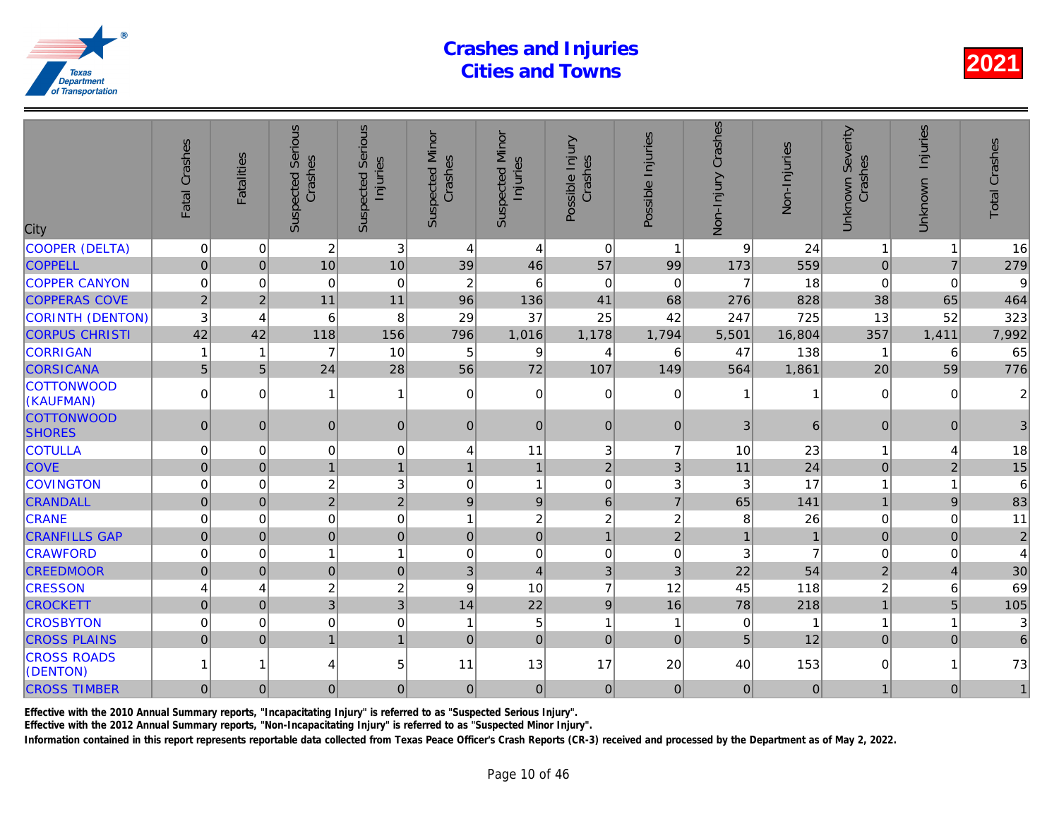| 3<br>COOPER (DELTA)<br>$\mathbf 0$<br>$\overline{c}$<br>$\Omega$<br>$\Omega$<br>9<br>4<br>4<br>1<br>$\overline{0}$<br>10<br>10<br><b>COPPELL</b><br>46<br>57<br>$\Omega$<br>39<br>173<br>99<br><b>COPPER CANYON</b><br>$\overline{c}$<br>$\mathbf 0$<br>$\mathbf 0$<br>6<br>$\Omega$<br>0<br>$\Omega$<br>7<br>0<br><b>COPPERAS COVE</b><br>$\overline{2}$<br>$\overline{2}$<br>11<br>136<br>41<br>11<br>96<br>68<br>276<br>828<br>3<br>25<br>CORINTH (DENTON)<br>8<br>29<br>37<br>6<br>42<br>247<br>4<br>42<br><b>CORPUS CHRISTI</b><br>42<br>118<br>796<br>1,178<br>156<br>1,016<br>1,794<br>16,804<br>5,501<br><b>CORRIGAN</b><br>10<br>$\overline{7}$<br>5<br>9<br>47<br>138<br>$\mathbf{1}$<br>4<br>6<br>1<br>5 <sup>1</sup><br><b>CORSICANA</b><br>72<br>5<br>24<br>28<br>56<br>107<br>149<br>564<br>1,861<br><b>COTTONWOOD</b><br>$\mathbf 0$<br>$\Omega$<br>$\Omega$<br>$\Omega$<br>$\Omega$<br>$\Omega$<br>1<br>$\overline{1}$<br>(KAUFMAN)<br><b>COTTONWOOD</b><br>$\overline{0}$<br>$\overline{0}$<br> 0 <br>3<br>$\overline{0}$<br>$\Omega$<br>$\mathbf{0}$<br>$\Omega$<br>$\Omega$<br><b>SHORES</b><br><b>COTULLA</b><br>$\mathbf 0$<br>$\mathbf 0$<br>11<br>3<br>$\mathbf 0$<br>$\Omega$<br>$\overline{7}$<br>10<br>4<br><b>COVE</b><br>$\pmb{0}$<br>1<br>$\mathbf{1}$<br>$\mathbf{1}$<br>$\overline{2}$<br>3<br>11<br>$\mathbf{0}$<br>$\mathbf{1}$<br>$\overline{c}$<br>3<br>$\mathbf{1}$<br><b>COVINGTON</b><br>$\mathbf 0$<br>0<br>$\mathbf 0$<br>3<br>3<br>0<br>$\overline{2}$<br>$\overline{2}$<br>$\vert 9 \vert$<br>$\overline{7}$<br>65<br><b>CRANDALL</b><br>$\mathbf 0$<br>$\Omega$<br>6<br>9<br>$\mathbf 0$<br>$\overline{c}$<br>$\Omega$<br>$\overline{c}$<br>$\overline{c}$<br><b>CRANE</b><br>$\Omega$<br>$\Omega$<br>1<br>8<br>$\overline{0}$<br>$\mathbf 0$<br>$\overline{2}$<br><b>CRANFILLS GAP</b><br>$\overline{0}$<br>$\overline{0}$<br>$\mathbf{1}$<br>$\mathbf{0}$<br>$\pmb{0}$<br>$\mathbf{1}$<br>$\mathsf 0$<br><b>CRAWFORD</b><br>0<br>$\overline{1}$<br>$\Omega$<br>3<br>$\Omega$<br>1<br>0<br>$\mathbf 0$<br>$\mathbf 0$<br>0<br>$\overline{0}$<br>$\overline{4}$<br>3<br>3<br>22<br><b>CREEDMOOR</b><br>$\Omega$<br>3<br>$\overline{c}$<br>10<br>$\overline{7}$<br><b>CRESSON</b><br>$\overline{c}$<br>12<br>9<br>45<br>4<br>4<br>$\overline{3}$<br>3<br><b>CROCKETT</b><br>$\overline{0}$<br>22<br>9<br>16<br>$\Omega$<br>14<br>78<br><b>CROSBYTON</b><br>0<br>$\mathbf 0$<br>$\mathbf 0$<br>5<br>$\Omega$<br>1<br>1<br>0<br>$\mathbf 1$<br>$\mathbf 0$<br><b>CROSS PLAINS</b><br>$\overline{0}$<br>$\overline{1}$<br>5<br>$\Omega$<br>$\mathbf{1}$<br>$\mathbf 0$<br>$\mathbf{0}$<br>$\Omega$<br><b>CROSS ROADS</b><br>5<br>11<br>13<br>17<br>20<br>40<br>4<br>1<br>(DENTON)<br><b>CROSS TIMBER</b><br> 0 <br> 0 <br>$\overline{0}$<br>$\mathbf 0$<br> 0 <br>$\overline{0}$<br>$\overline{0}$<br>$\overline{0}$<br>$\mathbf{0}$ | City | Fatal Crashes | <b>Fatalities</b> | Serious<br>Crashes<br>Suspected | <b>Serious</b><br>Injuries<br>Suspected | <b>Suspected Minor</b><br>Crashes | <b>Suspected Minor</b><br>Injuries | Possible Injury<br>Crashes | Possible Injuries | Non-Injury Crashes | Non-Injuries |
|-----------------------------------------------------------------------------------------------------------------------------------------------------------------------------------------------------------------------------------------------------------------------------------------------------------------------------------------------------------------------------------------------------------------------------------------------------------------------------------------------------------------------------------------------------------------------------------------------------------------------------------------------------------------------------------------------------------------------------------------------------------------------------------------------------------------------------------------------------------------------------------------------------------------------------------------------------------------------------------------------------------------------------------------------------------------------------------------------------------------------------------------------------------------------------------------------------------------------------------------------------------------------------------------------------------------------------------------------------------------------------------------------------------------------------------------------------------------------------------------------------------------------------------------------------------------------------------------------------------------------------------------------------------------------------------------------------------------------------------------------------------------------------------------------------------------------------------------------------------------------------------------------------------------------------------------------------------------------------------------------------------------------------------------------------------------------------------------------------------------------------------------------------------------------------------------------------------------------------------------------------------------------------------------------------------------------------------------------------------------------------------------------------------------------------------------------------------------------------------------------------------------------------------------------------------------------------------------------------------------------------------------------------------------------------------------------------------------------------------------------------------------------------------------------------------------------------------------------------------------------------|------|---------------|-------------------|---------------------------------|-----------------------------------------|-----------------------------------|------------------------------------|----------------------------|-------------------|--------------------|--------------|
|                                                                                                                                                                                                                                                                                                                                                                                                                                                                                                                                                                                                                                                                                                                                                                                                                                                                                                                                                                                                                                                                                                                                                                                                                                                                                                                                                                                                                                                                                                                                                                                                                                                                                                                                                                                                                                                                                                                                                                                                                                                                                                                                                                                                                                                                                                                                                                                                                                                                                                                                                                                                                                                                                                                                                                                                                                                                             |      |               |                   |                                 |                                         |                                   |                                    |                            |                   |                    | 24           |
|                                                                                                                                                                                                                                                                                                                                                                                                                                                                                                                                                                                                                                                                                                                                                                                                                                                                                                                                                                                                                                                                                                                                                                                                                                                                                                                                                                                                                                                                                                                                                                                                                                                                                                                                                                                                                                                                                                                                                                                                                                                                                                                                                                                                                                                                                                                                                                                                                                                                                                                                                                                                                                                                                                                                                                                                                                                                             |      |               |                   |                                 |                                         |                                   |                                    |                            |                   |                    | 559          |
|                                                                                                                                                                                                                                                                                                                                                                                                                                                                                                                                                                                                                                                                                                                                                                                                                                                                                                                                                                                                                                                                                                                                                                                                                                                                                                                                                                                                                                                                                                                                                                                                                                                                                                                                                                                                                                                                                                                                                                                                                                                                                                                                                                                                                                                                                                                                                                                                                                                                                                                                                                                                                                                                                                                                                                                                                                                                             |      |               |                   |                                 |                                         |                                   |                                    |                            |                   |                    | 18           |
|                                                                                                                                                                                                                                                                                                                                                                                                                                                                                                                                                                                                                                                                                                                                                                                                                                                                                                                                                                                                                                                                                                                                                                                                                                                                                                                                                                                                                                                                                                                                                                                                                                                                                                                                                                                                                                                                                                                                                                                                                                                                                                                                                                                                                                                                                                                                                                                                                                                                                                                                                                                                                                                                                                                                                                                                                                                                             |      |               |                   |                                 |                                         |                                   |                                    |                            |                   |                    |              |
|                                                                                                                                                                                                                                                                                                                                                                                                                                                                                                                                                                                                                                                                                                                                                                                                                                                                                                                                                                                                                                                                                                                                                                                                                                                                                                                                                                                                                                                                                                                                                                                                                                                                                                                                                                                                                                                                                                                                                                                                                                                                                                                                                                                                                                                                                                                                                                                                                                                                                                                                                                                                                                                                                                                                                                                                                                                                             |      |               |                   |                                 |                                         |                                   |                                    |                            |                   |                    | 725          |
|                                                                                                                                                                                                                                                                                                                                                                                                                                                                                                                                                                                                                                                                                                                                                                                                                                                                                                                                                                                                                                                                                                                                                                                                                                                                                                                                                                                                                                                                                                                                                                                                                                                                                                                                                                                                                                                                                                                                                                                                                                                                                                                                                                                                                                                                                                                                                                                                                                                                                                                                                                                                                                                                                                                                                                                                                                                                             |      |               |                   |                                 |                                         |                                   |                                    |                            |                   |                    |              |
|                                                                                                                                                                                                                                                                                                                                                                                                                                                                                                                                                                                                                                                                                                                                                                                                                                                                                                                                                                                                                                                                                                                                                                                                                                                                                                                                                                                                                                                                                                                                                                                                                                                                                                                                                                                                                                                                                                                                                                                                                                                                                                                                                                                                                                                                                                                                                                                                                                                                                                                                                                                                                                                                                                                                                                                                                                                                             |      |               |                   |                                 |                                         |                                   |                                    |                            |                   |                    |              |
|                                                                                                                                                                                                                                                                                                                                                                                                                                                                                                                                                                                                                                                                                                                                                                                                                                                                                                                                                                                                                                                                                                                                                                                                                                                                                                                                                                                                                                                                                                                                                                                                                                                                                                                                                                                                                                                                                                                                                                                                                                                                                                                                                                                                                                                                                                                                                                                                                                                                                                                                                                                                                                                                                                                                                                                                                                                                             |      |               |                   |                                 |                                         |                                   |                                    |                            |                   |                    |              |
|                                                                                                                                                                                                                                                                                                                                                                                                                                                                                                                                                                                                                                                                                                                                                                                                                                                                                                                                                                                                                                                                                                                                                                                                                                                                                                                                                                                                                                                                                                                                                                                                                                                                                                                                                                                                                                                                                                                                                                                                                                                                                                                                                                                                                                                                                                                                                                                                                                                                                                                                                                                                                                                                                                                                                                                                                                                                             |      |               |                   |                                 |                                         |                                   |                                    |                            |                   |                    |              |
|                                                                                                                                                                                                                                                                                                                                                                                                                                                                                                                                                                                                                                                                                                                                                                                                                                                                                                                                                                                                                                                                                                                                                                                                                                                                                                                                                                                                                                                                                                                                                                                                                                                                                                                                                                                                                                                                                                                                                                                                                                                                                                                                                                                                                                                                                                                                                                                                                                                                                                                                                                                                                                                                                                                                                                                                                                                                             |      |               |                   |                                 |                                         |                                   |                                    |                            |                   |                    | 6            |
|                                                                                                                                                                                                                                                                                                                                                                                                                                                                                                                                                                                                                                                                                                                                                                                                                                                                                                                                                                                                                                                                                                                                                                                                                                                                                                                                                                                                                                                                                                                                                                                                                                                                                                                                                                                                                                                                                                                                                                                                                                                                                                                                                                                                                                                                                                                                                                                                                                                                                                                                                                                                                                                                                                                                                                                                                                                                             |      |               |                   |                                 |                                         |                                   |                                    |                            |                   |                    | 23           |
|                                                                                                                                                                                                                                                                                                                                                                                                                                                                                                                                                                                                                                                                                                                                                                                                                                                                                                                                                                                                                                                                                                                                                                                                                                                                                                                                                                                                                                                                                                                                                                                                                                                                                                                                                                                                                                                                                                                                                                                                                                                                                                                                                                                                                                                                                                                                                                                                                                                                                                                                                                                                                                                                                                                                                                                                                                                                             |      |               |                   |                                 |                                         |                                   |                                    |                            |                   |                    | 24           |
|                                                                                                                                                                                                                                                                                                                                                                                                                                                                                                                                                                                                                                                                                                                                                                                                                                                                                                                                                                                                                                                                                                                                                                                                                                                                                                                                                                                                                                                                                                                                                                                                                                                                                                                                                                                                                                                                                                                                                                                                                                                                                                                                                                                                                                                                                                                                                                                                                                                                                                                                                                                                                                                                                                                                                                                                                                                                             |      |               |                   |                                 |                                         |                                   |                                    |                            |                   |                    | 17           |
|                                                                                                                                                                                                                                                                                                                                                                                                                                                                                                                                                                                                                                                                                                                                                                                                                                                                                                                                                                                                                                                                                                                                                                                                                                                                                                                                                                                                                                                                                                                                                                                                                                                                                                                                                                                                                                                                                                                                                                                                                                                                                                                                                                                                                                                                                                                                                                                                                                                                                                                                                                                                                                                                                                                                                                                                                                                                             |      |               |                   |                                 |                                         |                                   |                                    |                            |                   |                    | 141          |
|                                                                                                                                                                                                                                                                                                                                                                                                                                                                                                                                                                                                                                                                                                                                                                                                                                                                                                                                                                                                                                                                                                                                                                                                                                                                                                                                                                                                                                                                                                                                                                                                                                                                                                                                                                                                                                                                                                                                                                                                                                                                                                                                                                                                                                                                                                                                                                                                                                                                                                                                                                                                                                                                                                                                                                                                                                                                             |      |               |                   |                                 |                                         |                                   |                                    |                            |                   |                    | 26           |
|                                                                                                                                                                                                                                                                                                                                                                                                                                                                                                                                                                                                                                                                                                                                                                                                                                                                                                                                                                                                                                                                                                                                                                                                                                                                                                                                                                                                                                                                                                                                                                                                                                                                                                                                                                                                                                                                                                                                                                                                                                                                                                                                                                                                                                                                                                                                                                                                                                                                                                                                                                                                                                                                                                                                                                                                                                                                             |      |               |                   |                                 |                                         |                                   |                                    |                            |                   |                    |              |
|                                                                                                                                                                                                                                                                                                                                                                                                                                                                                                                                                                                                                                                                                                                                                                                                                                                                                                                                                                                                                                                                                                                                                                                                                                                                                                                                                                                                                                                                                                                                                                                                                                                                                                                                                                                                                                                                                                                                                                                                                                                                                                                                                                                                                                                                                                                                                                                                                                                                                                                                                                                                                                                                                                                                                                                                                                                                             |      |               |                   |                                 |                                         |                                   |                                    |                            |                   |                    |              |
|                                                                                                                                                                                                                                                                                                                                                                                                                                                                                                                                                                                                                                                                                                                                                                                                                                                                                                                                                                                                                                                                                                                                                                                                                                                                                                                                                                                                                                                                                                                                                                                                                                                                                                                                                                                                                                                                                                                                                                                                                                                                                                                                                                                                                                                                                                                                                                                                                                                                                                                                                                                                                                                                                                                                                                                                                                                                             |      |               |                   |                                 |                                         |                                   |                                    |                            |                   |                    | 54           |
|                                                                                                                                                                                                                                                                                                                                                                                                                                                                                                                                                                                                                                                                                                                                                                                                                                                                                                                                                                                                                                                                                                                                                                                                                                                                                                                                                                                                                                                                                                                                                                                                                                                                                                                                                                                                                                                                                                                                                                                                                                                                                                                                                                                                                                                                                                                                                                                                                                                                                                                                                                                                                                                                                                                                                                                                                                                                             |      |               |                   |                                 |                                         |                                   |                                    |                            |                   |                    | 118          |
|                                                                                                                                                                                                                                                                                                                                                                                                                                                                                                                                                                                                                                                                                                                                                                                                                                                                                                                                                                                                                                                                                                                                                                                                                                                                                                                                                                                                                                                                                                                                                                                                                                                                                                                                                                                                                                                                                                                                                                                                                                                                                                                                                                                                                                                                                                                                                                                                                                                                                                                                                                                                                                                                                                                                                                                                                                                                             |      |               |                   |                                 |                                         |                                   |                                    |                            |                   |                    | 218          |
|                                                                                                                                                                                                                                                                                                                                                                                                                                                                                                                                                                                                                                                                                                                                                                                                                                                                                                                                                                                                                                                                                                                                                                                                                                                                                                                                                                                                                                                                                                                                                                                                                                                                                                                                                                                                                                                                                                                                                                                                                                                                                                                                                                                                                                                                                                                                                                                                                                                                                                                                                                                                                                                                                                                                                                                                                                                                             |      |               |                   |                                 |                                         |                                   |                                    |                            |                   |                    |              |
|                                                                                                                                                                                                                                                                                                                                                                                                                                                                                                                                                                                                                                                                                                                                                                                                                                                                                                                                                                                                                                                                                                                                                                                                                                                                                                                                                                                                                                                                                                                                                                                                                                                                                                                                                                                                                                                                                                                                                                                                                                                                                                                                                                                                                                                                                                                                                                                                                                                                                                                                                                                                                                                                                                                                                                                                                                                                             |      |               |                   |                                 |                                         |                                   |                                    |                            |                   |                    | 12           |
|                                                                                                                                                                                                                                                                                                                                                                                                                                                                                                                                                                                                                                                                                                                                                                                                                                                                                                                                                                                                                                                                                                                                                                                                                                                                                                                                                                                                                                                                                                                                                                                                                                                                                                                                                                                                                                                                                                                                                                                                                                                                                                                                                                                                                                                                                                                                                                                                                                                                                                                                                                                                                                                                                                                                                                                                                                                                             |      |               |                   |                                 |                                         |                                   |                                    |                            |                   |                    | 153          |
|                                                                                                                                                                                                                                                                                                                                                                                                                                                                                                                                                                                                                                                                                                                                                                                                                                                                                                                                                                                                                                                                                                                                                                                                                                                                                                                                                                                                                                                                                                                                                                                                                                                                                                                                                                                                                                                                                                                                                                                                                                                                                                                                                                                                                                                                                                                                                                                                                                                                                                                                                                                                                                                                                                                                                                                                                                                                             |      |               |                   |                                 |                                         |                                   |                                    |                            |                   |                    | $\Omega$     |

Effective with the 2010 Annual Summary reports, "Incapacitating Injury" is referred to as "Suspected Serious Injury".

Effective with the 2012 Annual Summary reports, "Non-Incapacitating Injury" is referred to as "Suspected Minor Injury".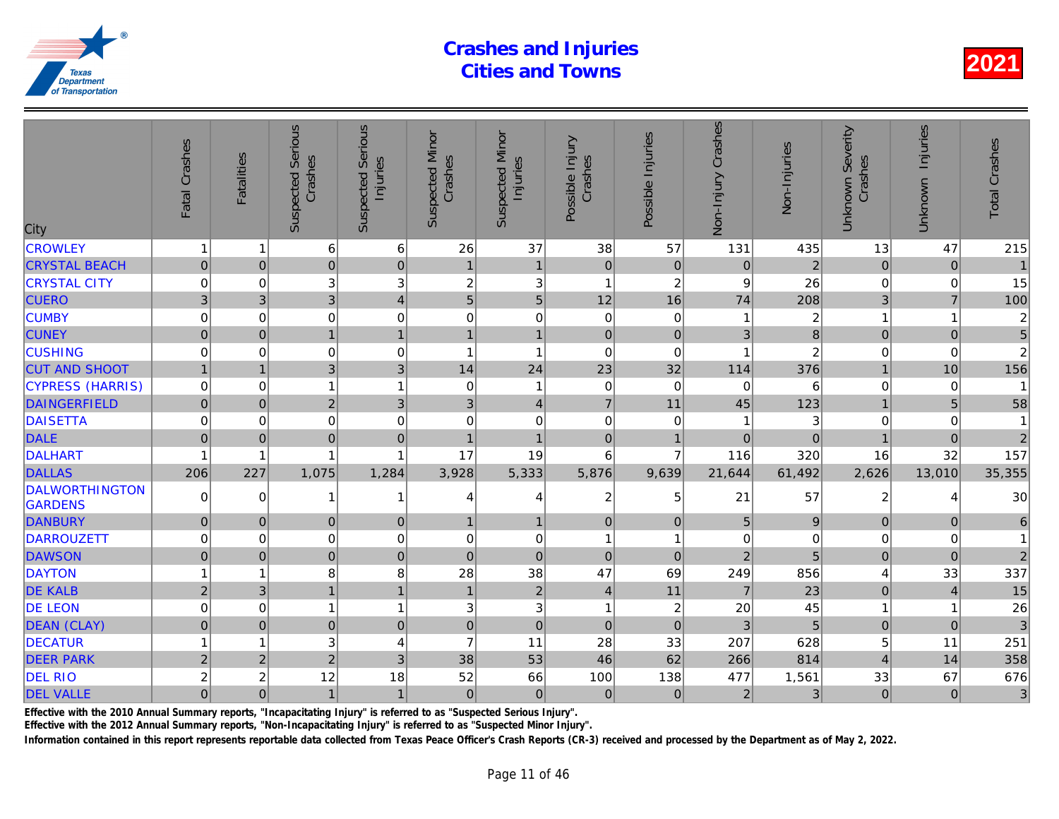| City                                    | Fatal Crashes    | <b>Fatalities</b> | <b>Suspected Serious</b><br>Crashes | <b>Serious</b><br>Injuries<br>Suspected | <b>Suspected Minor</b><br>Crashes | <b>Suspected Minor</b><br>Injuries | Possible Injury<br>Crashes | Possible Injuries | Non-Injury Crashes | Non-Injuries   |
|-----------------------------------------|------------------|-------------------|-------------------------------------|-----------------------------------------|-----------------------------------|------------------------------------|----------------------------|-------------------|--------------------|----------------|
| <b>CROWLEY</b>                          | $\mathbf{1}$     | 1                 | 6                                   | $\,6$                                   | 26                                | 37                                 | 38                         | 57                | 131                | 435            |
| <b>CRYSTAL BEACH</b>                    | $\overline{0}$   | $\pmb{0}$         | $\overline{0}$                      | $\pmb{0}$                               | $\mathbf{1}$                      | $\mathbf{1}$                       | $\mathbf 0$                | $\mathbf 0$       | $\mathbf 0$        | $\overline{a}$ |
| <b>CRYSTAL CITY</b>                     | 0                | 0                 | 3                                   | 3                                       | $\overline{c}$                    | $\sqrt{3}$                         | $\mathbf{1}$               | $\overline{c}$    | 9                  | 26             |
| <b>CUERO</b>                            | 3                | 3                 | $\overline{3}$                      | $\overline{4}$                          | 5                                 | $\overline{5}$                     | 12                         | 16                | 74                 | 208            |
| <b>CUMBY</b>                            | $\mathbf 0$      | $\Omega$          | 0                                   | $\mathbf 0$                             | 0                                 | $\mathbf 0$                        | $\Omega$                   | $\mathbf 0$       |                    | $\overline{2}$ |
| <b>CUNEY</b>                            | $\mathbf 0$      | $\Omega$          | $\mathbf{1}$                        | $\mathbf{1}$                            | 1                                 | $\mathbf{1}$                       | $\Omega$                   | $\mathbf 0$       | 3                  | 8              |
| <b>CUSHING</b>                          | $\mathbf 0$      | $\Omega$          | 0                                   | $\mathbf 0$                             | 1                                 | $\overline{1}$                     | $\Omega$                   | $\Omega$          |                    |                |
| <b>CUT AND SHOOT</b>                    | $\mathbf{1}$     | $\overline{1}$    | 3 <sup>1</sup>                      | 3                                       | 14                                | 24                                 | 23                         | 32                | 114                | 376            |
| <b>CYPRESS (HARRIS)</b>                 | $\mathbf 0$      | $\Omega$          | $\mathbf{1}$                        | $\overline{1}$                          | 0                                 | $\mathbf{1}$                       | $\mathbf 0$                | 0                 | 0                  | 6              |
| <b>DAINGERFIELD</b>                     | $\pmb{0}$        | $\Omega$          | $\overline{2}$                      | 3                                       | 3                                 | $\overline{4}$                     | $\overline{7}$             | 11                | 45                 | 123            |
| <b>DAISETTA</b>                         | $\mathbf 0$      | $\Omega$          | $\mathbf 0$                         | $\mathbf 0$                             | 0                                 | $\boldsymbol{0}$                   | $\Omega$                   | 0                 |                    |                |
| <b>DALE</b>                             | $\mathbf 0$      | $\mathbf{0}$      | $\mathbf 0$                         | $\mathbf 0$                             | $\overline{1}$                    | $\overline{1}$                     | $\pmb{0}$                  | $\overline{1}$    | $\mathbf 0$        | $\Omega$       |
| DALHART                                 | 1                | 1                 | 1                                   | $\overline{1}$                          | 17                                | 19                                 | 6                          | $\overline{7}$    | 116                | 320            |
| <b>DALLAS</b>                           | 206              | 227               | 1,075                               | 1,284                                   | 3,928                             | 5,333                              | 5,876                      | 9,639             | 21,644             | 61,492         |
| <b>DALWORTHINGTON</b><br><b>GARDENS</b> | 0                | $\Omega$          | 1                                   | $\overline{1}$                          | 4                                 | 4                                  | $\overline{c}$             | 5                 | 21                 | 57             |
| <b>DANBURY</b>                          | $\mathbf{0}$     | $\Omega$          | 0                                   | $\boldsymbol{0}$                        | 1                                 | $\mathbf{1}$                       | $\overline{0}$             | $\mathbf{0}$      | 5                  |                |
| DARROUZETT                              | $\mathbf 0$      | $\Omega$          | 0                                   | $\mathbf 0$                             | 0                                 | $\boldsymbol{0}$                   | 1                          | 1                 | $\mathbf 0$        |                |
| <b>DAWSON</b>                           | $\overline{0}$   | $\Omega$          | $\overline{0}$                      | $\mathbf 0$                             | $\mathbf 0$                       | $\mathbf 0$                        | $\Omega$                   | $\Omega$          | $\overline{2}$     | 5              |
| <b>DAYTON</b>                           | 1                | 1                 | 8                                   | 8                                       | 28                                | 38                                 | 47                         | 69                | 249                | 856            |
| <b>DE KALB</b>                          | $\overline{c}$   | 3                 | $\mathbf{1}$                        | $\mathbf{1}$                            | $\overline{1}$                    | $\sqrt{2}$                         | $\overline{4}$             | 11                | $\overline{7}$     | 23             |
| <b>DE LEON</b>                          | $\mathbf 0$      | 0                 | $\mathbf{1}$                        | $\overline{1}$                          | 3                                 | $\sqrt{3}$                         | 1                          | $\boldsymbol{2}$  | 20                 | 45             |
| <b>DEAN (CLAY)</b>                      | $\pmb{0}$        | $\mathbf{0}$      | $\mathbf 0$                         | $\mathbf 0$                             | $\mathbf 0$                       | $\mathbf 0$                        | $\mathbf{0}$               | $\mathbf{0}$      | 3                  | 5              |
| <b>DECATUR</b>                          | 1                | 1                 | 3                                   | 4                                       | $\overline{7}$                    | 11                                 | 28                         | 33                | 207                | 628            |
| <b>DEER PARK</b>                        | $\overline{2}$   | $\overline{2}$    | $\overline{c}$                      | 3                                       | 38                                | 53                                 | 46                         | 62                | 266                | 814            |
| <b>DEL RIO</b>                          | $\boldsymbol{2}$ | $\overline{c}$    | 12                                  | 18                                      | 52                                | 66                                 | 100                        | 138               | 477                | 1,561          |
| <b>DEL VALLE</b>                        | $\overline{0}$   | $\mathbf 0$       | $\mathbf{1}$                        | $\mathbf{1}$                            | $\mathbf 0$                       | 0                                  | $\mathbf 0$                | $\mathbf 0$       | $\mathbf 2$        |                |
|                                         |                  |                   |                                     |                                         |                                   |                                    |                            |                   |                    |                |

Effective with the 2010 Annual Summary reports, "Incapacitating Injury" is referred to as "Suspected Serious Injury".

Effective with the 2012 Annual Summary reports, "Non-Incapacitating Injury" is referred to as "Suspected Minor Injury".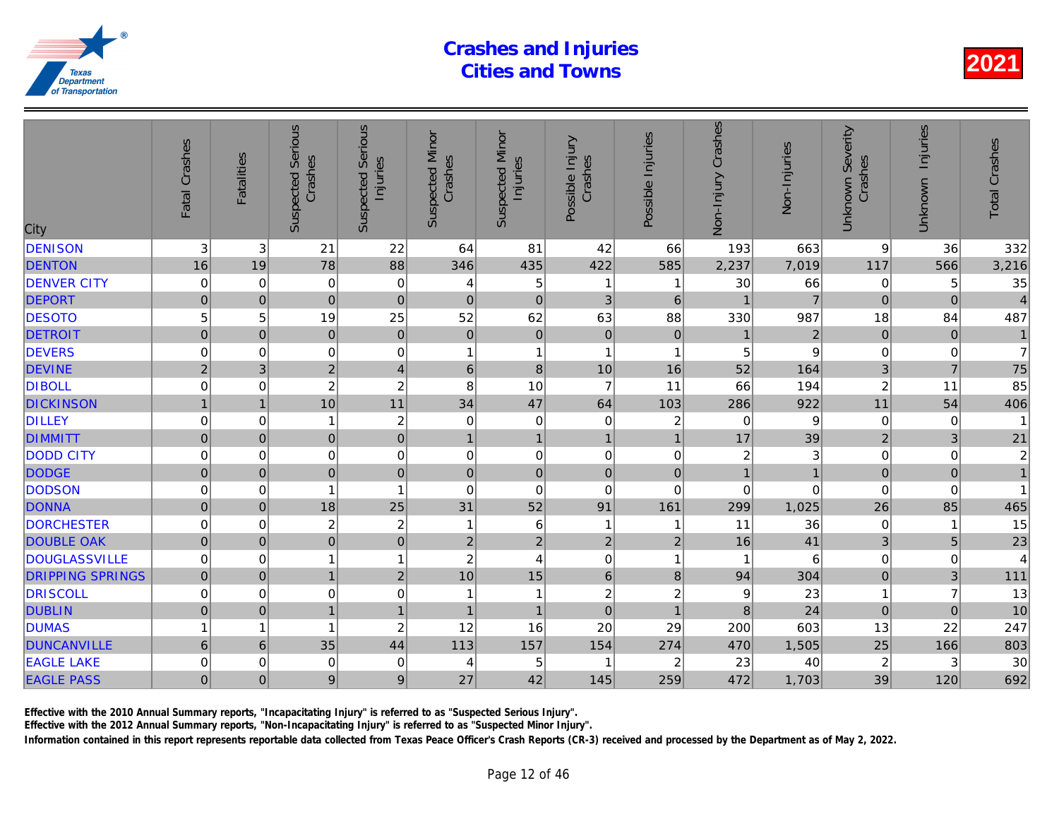| <b>DENISON</b><br>3<br>22<br>42<br>3<br>21<br>64<br>81<br>66<br>193<br>88<br>78<br><b>DENTON</b><br>422<br>16<br>19<br>346<br>435<br>585<br>2,237<br><b>DENVER CITY</b><br>$\mathbf 0$<br>5<br>30<br>$\mathbf 0$<br>$\mathbf 0$<br>0<br>$\mathbf{1}$<br>4<br>-1<br><b>DEPORT</b><br>$\mathbf 0$<br>$\mathbf 0$<br>$\mathbf 0$<br>3<br>$\overline{0}$<br>$\mathbf 0$<br>$\pmb{0}$<br>$\,6$<br><b>DESOTO</b><br>5<br>25<br>52<br>62<br>19<br>63<br>88<br>330<br>5<br>$\pmb{0}$<br>$\pmb{0}$<br>$\pmb{0}$<br><b>DETROIT</b><br>$\overline{0}$<br>$\mathbf 0$<br>$\pmb{0}$<br>$\pmb{0}$<br>$\pmb{0}$<br><b>DEVERS</b><br>$\mathbf 0$<br>$\mathbf 0$<br>$\mathbf 0$<br>0<br>$\mathbf{1}$<br>$\mathbf{1}$<br>5<br>1<br>-1<br>$\overline{2}$<br>$\overline{\mathbf{4}}$<br><b>DEVINE</b><br>$\bf 8$<br>10<br>52<br>$\overline{2}$<br>3<br>$\,6$<br>16<br>$\overline{7}$<br><b>DIBOLL</b><br>$\overline{c}$<br>$\boldsymbol{2}$<br>8<br>10<br>11<br>66<br>$\Omega$<br>0<br>11<br>34<br>47<br><b>DICKINSON</b><br>10<br>64<br>103<br>286<br>$\overline{1}$<br>$\overline{1}$<br><b>DILLEY</b><br>$\boldsymbol{2}$<br>$\mathbf 0$<br>$\mathbf 0$<br>$\mathbf 0$<br>0<br>0<br>2<br>0<br>-1<br>$\mathbf 0$<br><b>DIMMITT</b><br>$\pmb{0}$<br>$\mathbf{1}$<br>$\overline{0}$<br>$\mathbf 0$<br>17<br>$\mathbf{1}$<br>$\mathbf{1}$<br>$\overline{1}$<br><b>DODD CITY</b><br>$\mathbf 0$<br>$\pmb{0}$<br>$\mathbf 0$<br>$\mathbf 0$<br>$\mathbf 0$<br>0<br>0<br>$\pmb{0}$<br>$\overline{\mathbf{c}}$<br>$\mathbf 0$<br><b>DODGE</b><br>$\overline{0}$<br>$\pmb{0}$<br>$\mathbf 0$<br>$\mathbf 0$<br>$\mathbf 0$<br>$\mathbf 0$<br>$\mathbf{0}$<br>$\overline{1}$<br><b>DODSON</b><br>$\mathbf 0$<br>$\mathbf 0$<br>$\Omega$<br>$\Omega$<br>$\mathbf 0$<br>$\mathbf 0$<br>$\mathbf{1}$<br>$\mathbf 0$<br>1<br><b>DONNA</b><br>$\mathbf 0$<br>18<br>25<br>31<br>52<br>161<br>299<br>1,025<br>91<br>$\mathbf{0}$<br><b>DORCHESTER</b><br>$\boldsymbol{2}$<br>$\sqrt{2}$<br>6<br>0<br>0<br>$\mathbf 1$<br>1<br>11<br>1<br>$\mathbf 0$<br>$\overline{0}$<br>$\mathbf 2$<br><b>DOUBLE OAK</b><br>$\mathbf 0$<br>$\mathbf 0$<br>$\overline{c}$<br>$\mathbf 2$<br>$\mathbf 2$<br>16<br><b>DOUGLASSVILLE</b><br>$\boldsymbol{2}$<br>$\mathbf{1}$<br>$\mathbf 0$<br>0<br>$\overline{4}$<br>0<br>$\overline{1}$<br>1<br>1<br>$6\phantom{1}$<br><b>DRIPPING SPRINGS</b><br>$\pmb{0}$<br>$\mathbf 2$<br>10<br>15<br>$\boldsymbol{8}$<br>$\pmb{0}$<br>94<br>$\overline{1}$<br>$\mathbf 0$<br><b>DRISCOLL</b><br>$\overline{c}$<br>$\boldsymbol{2}$<br>$\mathbf 0$<br>$\mathbf 0$<br>0<br>9<br>1<br>$\mathbf{1}$<br>$\mathbf 0$<br>$\overline{1}$<br><b>DUBLIN</b><br>$\pmb{0}$<br>$\mathbf{0}$<br>$\mathbf{1}$<br>$\overline{1}$<br>8<br>$\overline{1}$<br>$\mathbf{1}$<br>$\overline{\mathbf{c}}$<br>12<br>20<br><b>DUMAS</b><br>16<br>29<br>200<br>1<br><b>DUNCANVILLE</b><br>44<br>157<br>35<br>154<br>1,505<br>$\,6$<br>6<br>113<br>274<br>470<br><b>EAGLE LAKE</b><br>$\mathbf 0$<br>$\mathbf 0$<br>$\mathbf 0$<br>0<br>5<br>$\overline{c}$<br>23<br>$\overline{1}$<br>4<br><b>EAGLE PASS</b><br>9<br>42<br>$\mathbf 0$<br>$\Omega$<br>9<br>27<br>145<br>259<br>472<br>1,703 | City | Fatal Crashes | <b>Fatalities</b> | <b>Suspected Serious</b><br>Crashes | Serious<br>Injuries<br>Suspected | <b>Suspected Minor</b><br>Crashes | <b>Suspected Minor</b><br>Injuries | Possible Injury<br>Crashes | Possible Injuries | Non-Injury Crashes | Non-Injuries   |
|------------------------------------------------------------------------------------------------------------------------------------------------------------------------------------------------------------------------------------------------------------------------------------------------------------------------------------------------------------------------------------------------------------------------------------------------------------------------------------------------------------------------------------------------------------------------------------------------------------------------------------------------------------------------------------------------------------------------------------------------------------------------------------------------------------------------------------------------------------------------------------------------------------------------------------------------------------------------------------------------------------------------------------------------------------------------------------------------------------------------------------------------------------------------------------------------------------------------------------------------------------------------------------------------------------------------------------------------------------------------------------------------------------------------------------------------------------------------------------------------------------------------------------------------------------------------------------------------------------------------------------------------------------------------------------------------------------------------------------------------------------------------------------------------------------------------------------------------------------------------------------------------------------------------------------------------------------------------------------------------------------------------------------------------------------------------------------------------------------------------------------------------------------------------------------------------------------------------------------------------------------------------------------------------------------------------------------------------------------------------------------------------------------------------------------------------------------------------------------------------------------------------------------------------------------------------------------------------------------------------------------------------------------------------------------------------------------------------------------------------------------------------------------------------------------------------------------------------------------------------------------------------------------------------------------------------------------------------------------------------------------------------------------------------------------------------------------------------------------------------------------------------------|------|---------------|-------------------|-------------------------------------|----------------------------------|-----------------------------------|------------------------------------|----------------------------|-------------------|--------------------|----------------|
|                                                                                                                                                                                                                                                                                                                                                                                                                                                                                                                                                                                                                                                                                                                                                                                                                                                                                                                                                                                                                                                                                                                                                                                                                                                                                                                                                                                                                                                                                                                                                                                                                                                                                                                                                                                                                                                                                                                                                                                                                                                                                                                                                                                                                                                                                                                                                                                                                                                                                                                                                                                                                                                                                                                                                                                                                                                                                                                                                                                                                                                                                                                                                      |      |               |                   |                                     |                                  |                                   |                                    |                            |                   |                    | 663            |
|                                                                                                                                                                                                                                                                                                                                                                                                                                                                                                                                                                                                                                                                                                                                                                                                                                                                                                                                                                                                                                                                                                                                                                                                                                                                                                                                                                                                                                                                                                                                                                                                                                                                                                                                                                                                                                                                                                                                                                                                                                                                                                                                                                                                                                                                                                                                                                                                                                                                                                                                                                                                                                                                                                                                                                                                                                                                                                                                                                                                                                                                                                                                                      |      |               |                   |                                     |                                  |                                   |                                    |                            |                   |                    | 7,019          |
|                                                                                                                                                                                                                                                                                                                                                                                                                                                                                                                                                                                                                                                                                                                                                                                                                                                                                                                                                                                                                                                                                                                                                                                                                                                                                                                                                                                                                                                                                                                                                                                                                                                                                                                                                                                                                                                                                                                                                                                                                                                                                                                                                                                                                                                                                                                                                                                                                                                                                                                                                                                                                                                                                                                                                                                                                                                                                                                                                                                                                                                                                                                                                      |      |               |                   |                                     |                                  |                                   |                                    |                            |                   |                    | 66             |
|                                                                                                                                                                                                                                                                                                                                                                                                                                                                                                                                                                                                                                                                                                                                                                                                                                                                                                                                                                                                                                                                                                                                                                                                                                                                                                                                                                                                                                                                                                                                                                                                                                                                                                                                                                                                                                                                                                                                                                                                                                                                                                                                                                                                                                                                                                                                                                                                                                                                                                                                                                                                                                                                                                                                                                                                                                                                                                                                                                                                                                                                                                                                                      |      |               |                   |                                     |                                  |                                   |                                    |                            |                   |                    | $\overline{7}$ |
|                                                                                                                                                                                                                                                                                                                                                                                                                                                                                                                                                                                                                                                                                                                                                                                                                                                                                                                                                                                                                                                                                                                                                                                                                                                                                                                                                                                                                                                                                                                                                                                                                                                                                                                                                                                                                                                                                                                                                                                                                                                                                                                                                                                                                                                                                                                                                                                                                                                                                                                                                                                                                                                                                                                                                                                                                                                                                                                                                                                                                                                                                                                                                      |      |               |                   |                                     |                                  |                                   |                                    |                            |                   |                    | 987            |
|                                                                                                                                                                                                                                                                                                                                                                                                                                                                                                                                                                                                                                                                                                                                                                                                                                                                                                                                                                                                                                                                                                                                                                                                                                                                                                                                                                                                                                                                                                                                                                                                                                                                                                                                                                                                                                                                                                                                                                                                                                                                                                                                                                                                                                                                                                                                                                                                                                                                                                                                                                                                                                                                                                                                                                                                                                                                                                                                                                                                                                                                                                                                                      |      |               |                   |                                     |                                  |                                   |                                    |                            |                   |                    | $\overline{a}$ |
|                                                                                                                                                                                                                                                                                                                                                                                                                                                                                                                                                                                                                                                                                                                                                                                                                                                                                                                                                                                                                                                                                                                                                                                                                                                                                                                                                                                                                                                                                                                                                                                                                                                                                                                                                                                                                                                                                                                                                                                                                                                                                                                                                                                                                                                                                                                                                                                                                                                                                                                                                                                                                                                                                                                                                                                                                                                                                                                                                                                                                                                                                                                                                      |      |               |                   |                                     |                                  |                                   |                                    |                            |                   |                    |                |
|                                                                                                                                                                                                                                                                                                                                                                                                                                                                                                                                                                                                                                                                                                                                                                                                                                                                                                                                                                                                                                                                                                                                                                                                                                                                                                                                                                                                                                                                                                                                                                                                                                                                                                                                                                                                                                                                                                                                                                                                                                                                                                                                                                                                                                                                                                                                                                                                                                                                                                                                                                                                                                                                                                                                                                                                                                                                                                                                                                                                                                                                                                                                                      |      |               |                   |                                     |                                  |                                   |                                    |                            |                   |                    | 164            |
|                                                                                                                                                                                                                                                                                                                                                                                                                                                                                                                                                                                                                                                                                                                                                                                                                                                                                                                                                                                                                                                                                                                                                                                                                                                                                                                                                                                                                                                                                                                                                                                                                                                                                                                                                                                                                                                                                                                                                                                                                                                                                                                                                                                                                                                                                                                                                                                                                                                                                                                                                                                                                                                                                                                                                                                                                                                                                                                                                                                                                                                                                                                                                      |      |               |                   |                                     |                                  |                                   |                                    |                            |                   |                    | 194            |
|                                                                                                                                                                                                                                                                                                                                                                                                                                                                                                                                                                                                                                                                                                                                                                                                                                                                                                                                                                                                                                                                                                                                                                                                                                                                                                                                                                                                                                                                                                                                                                                                                                                                                                                                                                                                                                                                                                                                                                                                                                                                                                                                                                                                                                                                                                                                                                                                                                                                                                                                                                                                                                                                                                                                                                                                                                                                                                                                                                                                                                                                                                                                                      |      |               |                   |                                     |                                  |                                   |                                    |                            |                   |                    | 922            |
|                                                                                                                                                                                                                                                                                                                                                                                                                                                                                                                                                                                                                                                                                                                                                                                                                                                                                                                                                                                                                                                                                                                                                                                                                                                                                                                                                                                                                                                                                                                                                                                                                                                                                                                                                                                                                                                                                                                                                                                                                                                                                                                                                                                                                                                                                                                                                                                                                                                                                                                                                                                                                                                                                                                                                                                                                                                                                                                                                                                                                                                                                                                                                      |      |               |                   |                                     |                                  |                                   |                                    |                            |                   |                    | 9              |
|                                                                                                                                                                                                                                                                                                                                                                                                                                                                                                                                                                                                                                                                                                                                                                                                                                                                                                                                                                                                                                                                                                                                                                                                                                                                                                                                                                                                                                                                                                                                                                                                                                                                                                                                                                                                                                                                                                                                                                                                                                                                                                                                                                                                                                                                                                                                                                                                                                                                                                                                                                                                                                                                                                                                                                                                                                                                                                                                                                                                                                                                                                                                                      |      |               |                   |                                     |                                  |                                   |                                    |                            |                   |                    | 39             |
|                                                                                                                                                                                                                                                                                                                                                                                                                                                                                                                                                                                                                                                                                                                                                                                                                                                                                                                                                                                                                                                                                                                                                                                                                                                                                                                                                                                                                                                                                                                                                                                                                                                                                                                                                                                                                                                                                                                                                                                                                                                                                                                                                                                                                                                                                                                                                                                                                                                                                                                                                                                                                                                                                                                                                                                                                                                                                                                                                                                                                                                                                                                                                      |      |               |                   |                                     |                                  |                                   |                                    |                            |                   |                    |                |
|                                                                                                                                                                                                                                                                                                                                                                                                                                                                                                                                                                                                                                                                                                                                                                                                                                                                                                                                                                                                                                                                                                                                                                                                                                                                                                                                                                                                                                                                                                                                                                                                                                                                                                                                                                                                                                                                                                                                                                                                                                                                                                                                                                                                                                                                                                                                                                                                                                                                                                                                                                                                                                                                                                                                                                                                                                                                                                                                                                                                                                                                                                                                                      |      |               |                   |                                     |                                  |                                   |                                    |                            |                   |                    |                |
|                                                                                                                                                                                                                                                                                                                                                                                                                                                                                                                                                                                                                                                                                                                                                                                                                                                                                                                                                                                                                                                                                                                                                                                                                                                                                                                                                                                                                                                                                                                                                                                                                                                                                                                                                                                                                                                                                                                                                                                                                                                                                                                                                                                                                                                                                                                                                                                                                                                                                                                                                                                                                                                                                                                                                                                                                                                                                                                                                                                                                                                                                                                                                      |      |               |                   |                                     |                                  |                                   |                                    |                            |                   |                    |                |
|                                                                                                                                                                                                                                                                                                                                                                                                                                                                                                                                                                                                                                                                                                                                                                                                                                                                                                                                                                                                                                                                                                                                                                                                                                                                                                                                                                                                                                                                                                                                                                                                                                                                                                                                                                                                                                                                                                                                                                                                                                                                                                                                                                                                                                                                                                                                                                                                                                                                                                                                                                                                                                                                                                                                                                                                                                                                                                                                                                                                                                                                                                                                                      |      |               |                   |                                     |                                  |                                   |                                    |                            |                   |                    |                |
|                                                                                                                                                                                                                                                                                                                                                                                                                                                                                                                                                                                                                                                                                                                                                                                                                                                                                                                                                                                                                                                                                                                                                                                                                                                                                                                                                                                                                                                                                                                                                                                                                                                                                                                                                                                                                                                                                                                                                                                                                                                                                                                                                                                                                                                                                                                                                                                                                                                                                                                                                                                                                                                                                                                                                                                                                                                                                                                                                                                                                                                                                                                                                      |      |               |                   |                                     |                                  |                                   |                                    |                            |                   |                    | 36             |
|                                                                                                                                                                                                                                                                                                                                                                                                                                                                                                                                                                                                                                                                                                                                                                                                                                                                                                                                                                                                                                                                                                                                                                                                                                                                                                                                                                                                                                                                                                                                                                                                                                                                                                                                                                                                                                                                                                                                                                                                                                                                                                                                                                                                                                                                                                                                                                                                                                                                                                                                                                                                                                                                                                                                                                                                                                                                                                                                                                                                                                                                                                                                                      |      |               |                   |                                     |                                  |                                   |                                    |                            |                   |                    | 41             |
|                                                                                                                                                                                                                                                                                                                                                                                                                                                                                                                                                                                                                                                                                                                                                                                                                                                                                                                                                                                                                                                                                                                                                                                                                                                                                                                                                                                                                                                                                                                                                                                                                                                                                                                                                                                                                                                                                                                                                                                                                                                                                                                                                                                                                                                                                                                                                                                                                                                                                                                                                                                                                                                                                                                                                                                                                                                                                                                                                                                                                                                                                                                                                      |      |               |                   |                                     |                                  |                                   |                                    |                            |                   |                    | 6              |
|                                                                                                                                                                                                                                                                                                                                                                                                                                                                                                                                                                                                                                                                                                                                                                                                                                                                                                                                                                                                                                                                                                                                                                                                                                                                                                                                                                                                                                                                                                                                                                                                                                                                                                                                                                                                                                                                                                                                                                                                                                                                                                                                                                                                                                                                                                                                                                                                                                                                                                                                                                                                                                                                                                                                                                                                                                                                                                                                                                                                                                                                                                                                                      |      |               |                   |                                     |                                  |                                   |                                    |                            |                   |                    | 304            |
|                                                                                                                                                                                                                                                                                                                                                                                                                                                                                                                                                                                                                                                                                                                                                                                                                                                                                                                                                                                                                                                                                                                                                                                                                                                                                                                                                                                                                                                                                                                                                                                                                                                                                                                                                                                                                                                                                                                                                                                                                                                                                                                                                                                                                                                                                                                                                                                                                                                                                                                                                                                                                                                                                                                                                                                                                                                                                                                                                                                                                                                                                                                                                      |      |               |                   |                                     |                                  |                                   |                                    |                            |                   |                    | 23             |
|                                                                                                                                                                                                                                                                                                                                                                                                                                                                                                                                                                                                                                                                                                                                                                                                                                                                                                                                                                                                                                                                                                                                                                                                                                                                                                                                                                                                                                                                                                                                                                                                                                                                                                                                                                                                                                                                                                                                                                                                                                                                                                                                                                                                                                                                                                                                                                                                                                                                                                                                                                                                                                                                                                                                                                                                                                                                                                                                                                                                                                                                                                                                                      |      |               |                   |                                     |                                  |                                   |                                    |                            |                   |                    | 24             |
|                                                                                                                                                                                                                                                                                                                                                                                                                                                                                                                                                                                                                                                                                                                                                                                                                                                                                                                                                                                                                                                                                                                                                                                                                                                                                                                                                                                                                                                                                                                                                                                                                                                                                                                                                                                                                                                                                                                                                                                                                                                                                                                                                                                                                                                                                                                                                                                                                                                                                                                                                                                                                                                                                                                                                                                                                                                                                                                                                                                                                                                                                                                                                      |      |               |                   |                                     |                                  |                                   |                                    |                            |                   |                    | 603            |
|                                                                                                                                                                                                                                                                                                                                                                                                                                                                                                                                                                                                                                                                                                                                                                                                                                                                                                                                                                                                                                                                                                                                                                                                                                                                                                                                                                                                                                                                                                                                                                                                                                                                                                                                                                                                                                                                                                                                                                                                                                                                                                                                                                                                                                                                                                                                                                                                                                                                                                                                                                                                                                                                                                                                                                                                                                                                                                                                                                                                                                                                                                                                                      |      |               |                   |                                     |                                  |                                   |                                    |                            |                   |                    |                |
|                                                                                                                                                                                                                                                                                                                                                                                                                                                                                                                                                                                                                                                                                                                                                                                                                                                                                                                                                                                                                                                                                                                                                                                                                                                                                                                                                                                                                                                                                                                                                                                                                                                                                                                                                                                                                                                                                                                                                                                                                                                                                                                                                                                                                                                                                                                                                                                                                                                                                                                                                                                                                                                                                                                                                                                                                                                                                                                                                                                                                                                                                                                                                      |      |               |                   |                                     |                                  |                                   |                                    |                            |                   |                    | 40             |
|                                                                                                                                                                                                                                                                                                                                                                                                                                                                                                                                                                                                                                                                                                                                                                                                                                                                                                                                                                                                                                                                                                                                                                                                                                                                                                                                                                                                                                                                                                                                                                                                                                                                                                                                                                                                                                                                                                                                                                                                                                                                                                                                                                                                                                                                                                                                                                                                                                                                                                                                                                                                                                                                                                                                                                                                                                                                                                                                                                                                                                                                                                                                                      |      |               |                   |                                     |                                  |                                   |                                    |                            |                   |                    |                |

Effective with the 2010 Annual Summary reports, "Incapacitating Injury" is referred to as "Suspected Serious Injury".

Effective with the 2012 Annual Summary reports, "Non-Incapacitating Injury" is referred to as "Suspected Minor Injury".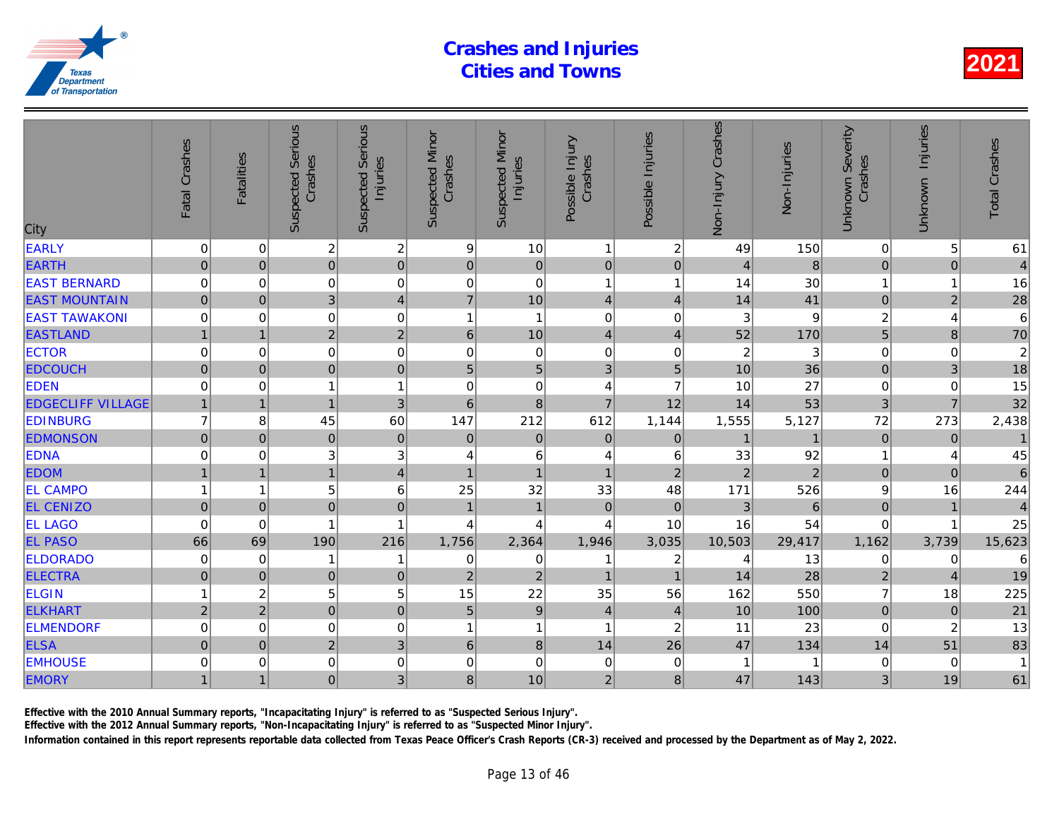| <b>EARLY</b><br>$\overline{\mathbf{c}}$<br>$\boldsymbol{2}$<br>9<br>10<br>$\boldsymbol{2}$<br>$\mathbf 0$<br>0<br>$\mathbf{1}$<br>49<br>$\overline{0}$<br><b>EARTH</b><br>$\overline{0}$<br>$\mathbf 0$<br>$\overline{0}$<br>$\mathbf 0$<br>$\mathbf 0$<br>$\mathbf 0$<br>$\mathbf 0$<br>$\overline{4}$<br><b>EAST BERNARD</b><br>$\mathbf 0$<br>$\mathbf 0$<br>$\mathbf 0$<br>$\mathbf 0$<br>$\mathbf 0$<br>$\mathbf 0$<br>$\mathbf{1}$<br>14<br>$\overline{\mathbf{1}}$<br>10<br>3<br>$\overline{7}$<br>41<br><b>EAST MOUNTAIN</b><br>$\mathbf 0$<br>$\mathbf 0$<br>$\overline{\mathbf{4}}$<br>14<br>$\overline{4}$<br>$\overline{4}$<br><b>EAST TAWAKONI</b><br>$\mathbf 0$<br>$\mathbf 0$<br>$\mathbf 0$<br>$\mathbf 0$<br>3<br>$\mathbf 0$<br>1<br>$\mathbf{1}$<br>$\mathbf 0$<br>$\overline{c}$<br>$\overline{2}$<br>52<br><b>EASTLAND</b><br>10<br>6<br>$\overline{4}$<br>$\overline{1}$<br>$\overline{4}$<br>$\boldsymbol{0}$<br>$\mathbf 0$<br>$\overline{c}$<br><b>ECTOR</b><br>0<br>$\mathbf 0$<br>$\mathbf 0$<br>$\pmb{0}$<br>$\mathbf 0$<br>0<br>$\overline{0}$<br>$\overline{5}$<br>3<br>5<br><b>EDCOUCH</b><br>$\overline{0}$<br>10<br>36<br>$\mathsf{O}\xspace$<br>5<br>$\boldsymbol{0}$<br>27<br><b>EDEN</b><br>$\mathbf 0$<br>$\mathbf{1}$<br>$\mathbf 0$<br>$\overline{7}$<br>10<br>$\mathbf 0$<br>0<br>4<br>1<br>$\overline{7}$<br><b>EDGECLIFF VILLAGE</b><br>$\mathbf{3}$<br>53<br>8<br>12<br>$\overline{1}$<br>$\overline{1}$<br>$6\phantom{1}$<br>14<br>$\overline{1}$<br>612<br>1,144<br><b>EDINBURG</b><br>$\overline{7}$<br>60<br>147<br>212<br>1,555<br>5,127<br>8<br>45<br><b>EDMONSON</b><br>$\mathsf{O}\xspace$<br>$\mathbf 0$<br>$\pmb{0}$<br>$\mathsf{O}\xspace$<br>$\pmb{0}$<br>$\boldsymbol{0}$<br>$\mathbf 0$<br>$\mathbf 0$<br>$\mathbf{1}$<br><b>EDNA</b><br>$\ensuremath{\mathsf{3}}$<br>$\ensuremath{\mathsf{3}}$<br>$\,6$<br>0<br>33<br>92<br>0<br>4<br>4<br>6<br>$\overline{2}$<br>$\overline{4}$<br>$\overline{1}$<br>$\mathbf{1}$<br>$\overline{2}$<br>$\overline{2}$<br><b>EDOM</b><br>$\overline{1}$<br>$\overline{1}$<br>$\overline{1}$<br>6<br>25<br>32<br>33<br>171<br><b>EL CAMPO</b><br>5<br>48<br>526<br>1<br>6<br><b>EL CENIZO</b><br>$\overline{0}$<br>$\mathbf 0$<br>$\mathbf 0$<br>$\overline{1}$<br>$\pmb{0}$<br>$\mathfrak{3}$<br>$\overline{0}$<br>$\overline{1}$<br>$\mathbf{0}$<br><b>EL LAGO</b><br>$\mathbf 0$<br>$\mathbf{1}$<br>10<br>16<br>54<br>0<br>4<br>4<br>4<br>1<br><b>EL PASO</b><br>216<br>66<br>69<br>190<br>1,756<br>2,364<br>1,946<br>3,035<br>10,503<br>29,417<br><b>ELDORADO</b><br>13<br>0<br>0<br>1<br>0<br>$\mathbf 0$<br>1<br>$\overline{c}$<br>4<br>1<br><b>ELECTRA</b><br>28<br>$\mathbf 0$<br>$\pmb{0}$<br>$\mathbf 0$<br>$\overline{2}$<br>$\overline{2}$<br>$\mathbf 0$<br>$\mathbf{1}$<br>$\overline{1}$<br>14<br>5<br>5<br>15<br>22<br>35<br>$\overline{c}$<br>56<br>162<br>550<br><b>ELGIN</b><br>1<br>$\mathbf 0$<br>$\boldsymbol{9}$<br>$\overline{0}$<br>$\overline{2}$<br>$\overline{2}$<br>5<br><b>ELKHART</b><br>$\overline{\mathbf{4}}$<br>10<br>$\overline{4}$<br>100<br>$\mathbf 0$<br><b>ELMENDORF</b><br>0<br>0<br>$\mathbf{1}$<br>23<br>0<br>1<br>1<br>2<br>11<br><b>ELSA</b><br>$\overline{2}$<br>3<br>$\mathsf{O}\xspace$<br>$\,$ 6 $\,$<br>8<br>14<br>26<br>47<br>134<br>$\mathbf{0}$<br>$\mathbf 0$<br><b>EMHOUSE</b><br>0<br>$\mathbf 0$<br>0<br>$\mathbf 0$<br>$\mathbf 0$<br>$\mathbf 0$<br>0<br>1<br>3 <sup>2</sup><br>10<br>$\overline{2}$<br>47<br><b>EMORY</b><br>$\overline{0}$<br>8<br>8<br>143<br>$\overline{1}$<br>$\overline{1}$ | City | Fatal Crashes | <b>Fatalities</b> | <b>Suspected Serious</b><br>Crashes | Serious<br>Injuries<br>Suspected | <b>Suspected Minor</b><br>Crashes | <b>Suspected Minor</b><br>Injuries | Possible Injury<br>Crashes | Possible Injuries | Non-Injury Crashes | Non-Injuries |
|---------------------------------------------------------------------------------------------------------------------------------------------------------------------------------------------------------------------------------------------------------------------------------------------------------------------------------------------------------------------------------------------------------------------------------------------------------------------------------------------------------------------------------------------------------------------------------------------------------------------------------------------------------------------------------------------------------------------------------------------------------------------------------------------------------------------------------------------------------------------------------------------------------------------------------------------------------------------------------------------------------------------------------------------------------------------------------------------------------------------------------------------------------------------------------------------------------------------------------------------------------------------------------------------------------------------------------------------------------------------------------------------------------------------------------------------------------------------------------------------------------------------------------------------------------------------------------------------------------------------------------------------------------------------------------------------------------------------------------------------------------------------------------------------------------------------------------------------------------------------------------------------------------------------------------------------------------------------------------------------------------------------------------------------------------------------------------------------------------------------------------------------------------------------------------------------------------------------------------------------------------------------------------------------------------------------------------------------------------------------------------------------------------------------------------------------------------------------------------------------------------------------------------------------------------------------------------------------------------------------------------------------------------------------------------------------------------------------------------------------------------------------------------------------------------------------------------------------------------------------------------------------------------------------------------------------------------------------------------------------------------------------------------------------------------------------------------------------------------------------------------------------------------------------------------------------------------------------------------------------------------------------------------------------------------------------------------------------------------------------------------------------------------------------------------------------------------------------------------------------------------------------------------------------------------|------|---------------|-------------------|-------------------------------------|----------------------------------|-----------------------------------|------------------------------------|----------------------------|-------------------|--------------------|--------------|
|                                                                                                                                                                                                                                                                                                                                                                                                                                                                                                                                                                                                                                                                                                                                                                                                                                                                                                                                                                                                                                                                                                                                                                                                                                                                                                                                                                                                                                                                                                                                                                                                                                                                                                                                                                                                                                                                                                                                                                                                                                                                                                                                                                                                                                                                                                                                                                                                                                                                                                                                                                                                                                                                                                                                                                                                                                                                                                                                                                                                                                                                                                                                                                                                                                                                                                                                                                                                                                                                                                                                                         |      |               |                   |                                     |                                  |                                   |                                    |                            |                   |                    | 150          |
|                                                                                                                                                                                                                                                                                                                                                                                                                                                                                                                                                                                                                                                                                                                                                                                                                                                                                                                                                                                                                                                                                                                                                                                                                                                                                                                                                                                                                                                                                                                                                                                                                                                                                                                                                                                                                                                                                                                                                                                                                                                                                                                                                                                                                                                                                                                                                                                                                                                                                                                                                                                                                                                                                                                                                                                                                                                                                                                                                                                                                                                                                                                                                                                                                                                                                                                                                                                                                                                                                                                                                         |      |               |                   |                                     |                                  |                                   |                                    |                            |                   |                    | 8            |
|                                                                                                                                                                                                                                                                                                                                                                                                                                                                                                                                                                                                                                                                                                                                                                                                                                                                                                                                                                                                                                                                                                                                                                                                                                                                                                                                                                                                                                                                                                                                                                                                                                                                                                                                                                                                                                                                                                                                                                                                                                                                                                                                                                                                                                                                                                                                                                                                                                                                                                                                                                                                                                                                                                                                                                                                                                                                                                                                                                                                                                                                                                                                                                                                                                                                                                                                                                                                                                                                                                                                                         |      |               |                   |                                     |                                  |                                   |                                    |                            |                   |                    | 30           |
|                                                                                                                                                                                                                                                                                                                                                                                                                                                                                                                                                                                                                                                                                                                                                                                                                                                                                                                                                                                                                                                                                                                                                                                                                                                                                                                                                                                                                                                                                                                                                                                                                                                                                                                                                                                                                                                                                                                                                                                                                                                                                                                                                                                                                                                                                                                                                                                                                                                                                                                                                                                                                                                                                                                                                                                                                                                                                                                                                                                                                                                                                                                                                                                                                                                                                                                                                                                                                                                                                                                                                         |      |               |                   |                                     |                                  |                                   |                                    |                            |                   |                    |              |
|                                                                                                                                                                                                                                                                                                                                                                                                                                                                                                                                                                                                                                                                                                                                                                                                                                                                                                                                                                                                                                                                                                                                                                                                                                                                                                                                                                                                                                                                                                                                                                                                                                                                                                                                                                                                                                                                                                                                                                                                                                                                                                                                                                                                                                                                                                                                                                                                                                                                                                                                                                                                                                                                                                                                                                                                                                                                                                                                                                                                                                                                                                                                                                                                                                                                                                                                                                                                                                                                                                                                                         |      |               |                   |                                     |                                  |                                   |                                    |                            |                   |                    |              |
|                                                                                                                                                                                                                                                                                                                                                                                                                                                                                                                                                                                                                                                                                                                                                                                                                                                                                                                                                                                                                                                                                                                                                                                                                                                                                                                                                                                                                                                                                                                                                                                                                                                                                                                                                                                                                                                                                                                                                                                                                                                                                                                                                                                                                                                                                                                                                                                                                                                                                                                                                                                                                                                                                                                                                                                                                                                                                                                                                                                                                                                                                                                                                                                                                                                                                                                                                                                                                                                                                                                                                         |      |               |                   |                                     |                                  |                                   |                                    |                            |                   |                    | 170          |
|                                                                                                                                                                                                                                                                                                                                                                                                                                                                                                                                                                                                                                                                                                                                                                                                                                                                                                                                                                                                                                                                                                                                                                                                                                                                                                                                                                                                                                                                                                                                                                                                                                                                                                                                                                                                                                                                                                                                                                                                                                                                                                                                                                                                                                                                                                                                                                                                                                                                                                                                                                                                                                                                                                                                                                                                                                                                                                                                                                                                                                                                                                                                                                                                                                                                                                                                                                                                                                                                                                                                                         |      |               |                   |                                     |                                  |                                   |                                    |                            |                   |                    | 3            |
|                                                                                                                                                                                                                                                                                                                                                                                                                                                                                                                                                                                                                                                                                                                                                                                                                                                                                                                                                                                                                                                                                                                                                                                                                                                                                                                                                                                                                                                                                                                                                                                                                                                                                                                                                                                                                                                                                                                                                                                                                                                                                                                                                                                                                                                                                                                                                                                                                                                                                                                                                                                                                                                                                                                                                                                                                                                                                                                                                                                                                                                                                                                                                                                                                                                                                                                                                                                                                                                                                                                                                         |      |               |                   |                                     |                                  |                                   |                                    |                            |                   |                    |              |
|                                                                                                                                                                                                                                                                                                                                                                                                                                                                                                                                                                                                                                                                                                                                                                                                                                                                                                                                                                                                                                                                                                                                                                                                                                                                                                                                                                                                                                                                                                                                                                                                                                                                                                                                                                                                                                                                                                                                                                                                                                                                                                                                                                                                                                                                                                                                                                                                                                                                                                                                                                                                                                                                                                                                                                                                                                                                                                                                                                                                                                                                                                                                                                                                                                                                                                                                                                                                                                                                                                                                                         |      |               |                   |                                     |                                  |                                   |                                    |                            |                   |                    |              |
|                                                                                                                                                                                                                                                                                                                                                                                                                                                                                                                                                                                                                                                                                                                                                                                                                                                                                                                                                                                                                                                                                                                                                                                                                                                                                                                                                                                                                                                                                                                                                                                                                                                                                                                                                                                                                                                                                                                                                                                                                                                                                                                                                                                                                                                                                                                                                                                                                                                                                                                                                                                                                                                                                                                                                                                                                                                                                                                                                                                                                                                                                                                                                                                                                                                                                                                                                                                                                                                                                                                                                         |      |               |                   |                                     |                                  |                                   |                                    |                            |                   |                    |              |
|                                                                                                                                                                                                                                                                                                                                                                                                                                                                                                                                                                                                                                                                                                                                                                                                                                                                                                                                                                                                                                                                                                                                                                                                                                                                                                                                                                                                                                                                                                                                                                                                                                                                                                                                                                                                                                                                                                                                                                                                                                                                                                                                                                                                                                                                                                                                                                                                                                                                                                                                                                                                                                                                                                                                                                                                                                                                                                                                                                                                                                                                                                                                                                                                                                                                                                                                                                                                                                                                                                                                                         |      |               |                   |                                     |                                  |                                   |                                    |                            |                   |                    |              |
|                                                                                                                                                                                                                                                                                                                                                                                                                                                                                                                                                                                                                                                                                                                                                                                                                                                                                                                                                                                                                                                                                                                                                                                                                                                                                                                                                                                                                                                                                                                                                                                                                                                                                                                                                                                                                                                                                                                                                                                                                                                                                                                                                                                                                                                                                                                                                                                                                                                                                                                                                                                                                                                                                                                                                                                                                                                                                                                                                                                                                                                                                                                                                                                                                                                                                                                                                                                                                                                                                                                                                         |      |               |                   |                                     |                                  |                                   |                                    |                            |                   |                    |              |
|                                                                                                                                                                                                                                                                                                                                                                                                                                                                                                                                                                                                                                                                                                                                                                                                                                                                                                                                                                                                                                                                                                                                                                                                                                                                                                                                                                                                                                                                                                                                                                                                                                                                                                                                                                                                                                                                                                                                                                                                                                                                                                                                                                                                                                                                                                                                                                                                                                                                                                                                                                                                                                                                                                                                                                                                                                                                                                                                                                                                                                                                                                                                                                                                                                                                                                                                                                                                                                                                                                                                                         |      |               |                   |                                     |                                  |                                   |                                    |                            |                   |                    |              |
|                                                                                                                                                                                                                                                                                                                                                                                                                                                                                                                                                                                                                                                                                                                                                                                                                                                                                                                                                                                                                                                                                                                                                                                                                                                                                                                                                                                                                                                                                                                                                                                                                                                                                                                                                                                                                                                                                                                                                                                                                                                                                                                                                                                                                                                                                                                                                                                                                                                                                                                                                                                                                                                                                                                                                                                                                                                                                                                                                                                                                                                                                                                                                                                                                                                                                                                                                                                                                                                                                                                                                         |      |               |                   |                                     |                                  |                                   |                                    |                            |                   |                    |              |
|                                                                                                                                                                                                                                                                                                                                                                                                                                                                                                                                                                                                                                                                                                                                                                                                                                                                                                                                                                                                                                                                                                                                                                                                                                                                                                                                                                                                                                                                                                                                                                                                                                                                                                                                                                                                                                                                                                                                                                                                                                                                                                                                                                                                                                                                                                                                                                                                                                                                                                                                                                                                                                                                                                                                                                                                                                                                                                                                                                                                                                                                                                                                                                                                                                                                                                                                                                                                                                                                                                                                                         |      |               |                   |                                     |                                  |                                   |                                    |                            |                   |                    |              |
|                                                                                                                                                                                                                                                                                                                                                                                                                                                                                                                                                                                                                                                                                                                                                                                                                                                                                                                                                                                                                                                                                                                                                                                                                                                                                                                                                                                                                                                                                                                                                                                                                                                                                                                                                                                                                                                                                                                                                                                                                                                                                                                                                                                                                                                                                                                                                                                                                                                                                                                                                                                                                                                                                                                                                                                                                                                                                                                                                                                                                                                                                                                                                                                                                                                                                                                                                                                                                                                                                                                                                         |      |               |                   |                                     |                                  |                                   |                                    |                            |                   |                    |              |
|                                                                                                                                                                                                                                                                                                                                                                                                                                                                                                                                                                                                                                                                                                                                                                                                                                                                                                                                                                                                                                                                                                                                                                                                                                                                                                                                                                                                                                                                                                                                                                                                                                                                                                                                                                                                                                                                                                                                                                                                                                                                                                                                                                                                                                                                                                                                                                                                                                                                                                                                                                                                                                                                                                                                                                                                                                                                                                                                                                                                                                                                                                                                                                                                                                                                                                                                                                                                                                                                                                                                                         |      |               |                   |                                     |                                  |                                   |                                    |                            |                   |                    |              |
|                                                                                                                                                                                                                                                                                                                                                                                                                                                                                                                                                                                                                                                                                                                                                                                                                                                                                                                                                                                                                                                                                                                                                                                                                                                                                                                                                                                                                                                                                                                                                                                                                                                                                                                                                                                                                                                                                                                                                                                                                                                                                                                                                                                                                                                                                                                                                                                                                                                                                                                                                                                                                                                                                                                                                                                                                                                                                                                                                                                                                                                                                                                                                                                                                                                                                                                                                                                                                                                                                                                                                         |      |               |                   |                                     |                                  |                                   |                                    |                            |                   |                    |              |
|                                                                                                                                                                                                                                                                                                                                                                                                                                                                                                                                                                                                                                                                                                                                                                                                                                                                                                                                                                                                                                                                                                                                                                                                                                                                                                                                                                                                                                                                                                                                                                                                                                                                                                                                                                                                                                                                                                                                                                                                                                                                                                                                                                                                                                                                                                                                                                                                                                                                                                                                                                                                                                                                                                                                                                                                                                                                                                                                                                                                                                                                                                                                                                                                                                                                                                                                                                                                                                                                                                                                                         |      |               |                   |                                     |                                  |                                   |                                    |                            |                   |                    |              |
|                                                                                                                                                                                                                                                                                                                                                                                                                                                                                                                                                                                                                                                                                                                                                                                                                                                                                                                                                                                                                                                                                                                                                                                                                                                                                                                                                                                                                                                                                                                                                                                                                                                                                                                                                                                                                                                                                                                                                                                                                                                                                                                                                                                                                                                                                                                                                                                                                                                                                                                                                                                                                                                                                                                                                                                                                                                                                                                                                                                                                                                                                                                                                                                                                                                                                                                                                                                                                                                                                                                                                         |      |               |                   |                                     |                                  |                                   |                                    |                            |                   |                    |              |
|                                                                                                                                                                                                                                                                                                                                                                                                                                                                                                                                                                                                                                                                                                                                                                                                                                                                                                                                                                                                                                                                                                                                                                                                                                                                                                                                                                                                                                                                                                                                                                                                                                                                                                                                                                                                                                                                                                                                                                                                                                                                                                                                                                                                                                                                                                                                                                                                                                                                                                                                                                                                                                                                                                                                                                                                                                                                                                                                                                                                                                                                                                                                                                                                                                                                                                                                                                                                                                                                                                                                                         |      |               |                   |                                     |                                  |                                   |                                    |                            |                   |                    |              |
|                                                                                                                                                                                                                                                                                                                                                                                                                                                                                                                                                                                                                                                                                                                                                                                                                                                                                                                                                                                                                                                                                                                                                                                                                                                                                                                                                                                                                                                                                                                                                                                                                                                                                                                                                                                                                                                                                                                                                                                                                                                                                                                                                                                                                                                                                                                                                                                                                                                                                                                                                                                                                                                                                                                                                                                                                                                                                                                                                                                                                                                                                                                                                                                                                                                                                                                                                                                                                                                                                                                                                         |      |               |                   |                                     |                                  |                                   |                                    |                            |                   |                    |              |
|                                                                                                                                                                                                                                                                                                                                                                                                                                                                                                                                                                                                                                                                                                                                                                                                                                                                                                                                                                                                                                                                                                                                                                                                                                                                                                                                                                                                                                                                                                                                                                                                                                                                                                                                                                                                                                                                                                                                                                                                                                                                                                                                                                                                                                                                                                                                                                                                                                                                                                                                                                                                                                                                                                                                                                                                                                                                                                                                                                                                                                                                                                                                                                                                                                                                                                                                                                                                                                                                                                                                                         |      |               |                   |                                     |                                  |                                   |                                    |                            |                   |                    |              |
|                                                                                                                                                                                                                                                                                                                                                                                                                                                                                                                                                                                                                                                                                                                                                                                                                                                                                                                                                                                                                                                                                                                                                                                                                                                                                                                                                                                                                                                                                                                                                                                                                                                                                                                                                                                                                                                                                                                                                                                                                                                                                                                                                                                                                                                                                                                                                                                                                                                                                                                                                                                                                                                                                                                                                                                                                                                                                                                                                                                                                                                                                                                                                                                                                                                                                                                                                                                                                                                                                                                                                         |      |               |                   |                                     |                                  |                                   |                                    |                            |                   |                    |              |
|                                                                                                                                                                                                                                                                                                                                                                                                                                                                                                                                                                                                                                                                                                                                                                                                                                                                                                                                                                                                                                                                                                                                                                                                                                                                                                                                                                                                                                                                                                                                                                                                                                                                                                                                                                                                                                                                                                                                                                                                                                                                                                                                                                                                                                                                                                                                                                                                                                                                                                                                                                                                                                                                                                                                                                                                                                                                                                                                                                                                                                                                                                                                                                                                                                                                                                                                                                                                                                                                                                                                                         |      |               |                   |                                     |                                  |                                   |                                    |                            |                   |                    |              |
|                                                                                                                                                                                                                                                                                                                                                                                                                                                                                                                                                                                                                                                                                                                                                                                                                                                                                                                                                                                                                                                                                                                                                                                                                                                                                                                                                                                                                                                                                                                                                                                                                                                                                                                                                                                                                                                                                                                                                                                                                                                                                                                                                                                                                                                                                                                                                                                                                                                                                                                                                                                                                                                                                                                                                                                                                                                                                                                                                                                                                                                                                                                                                                                                                                                                                                                                                                                                                                                                                                                                                         |      |               |                   |                                     |                                  |                                   |                                    |                            |                   |                    |              |

Effective with the 2010 Annual Summary reports, "Incapacitating Injury" is referred to as "Suspected Serious Injury".

Effective with the 2012 Annual Summary reports, "Non-Incapacitating Injury" is referred to as "Suspected Minor Injury".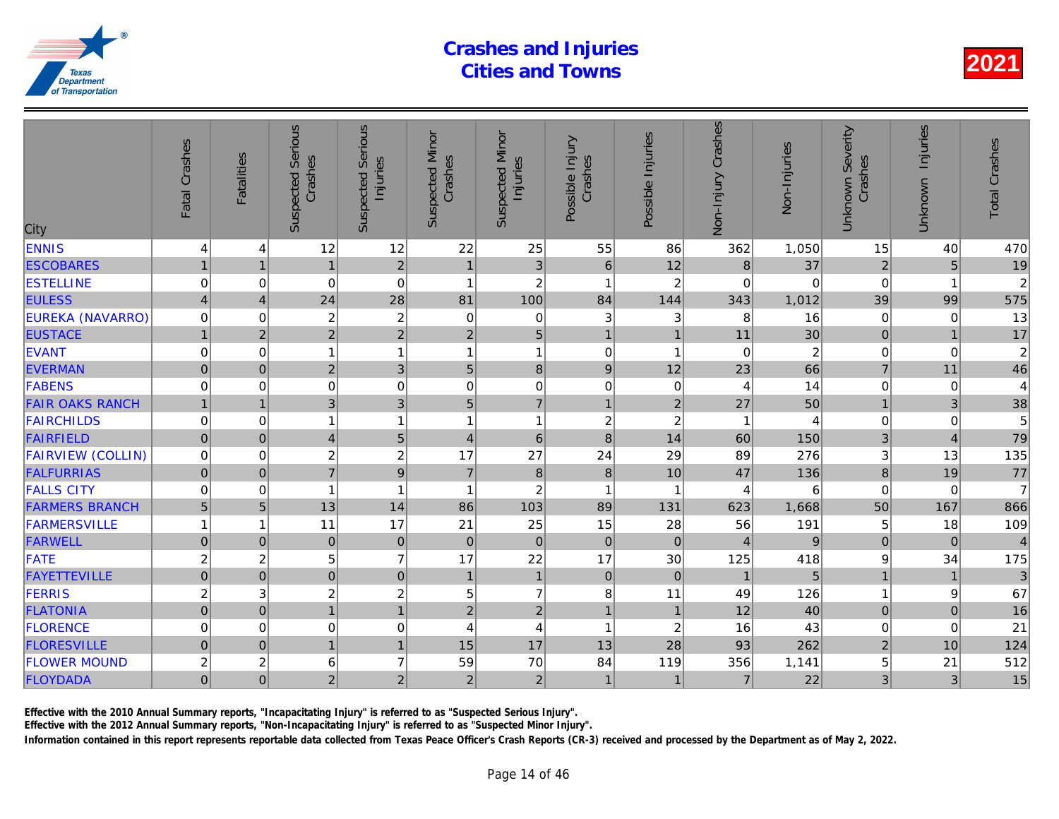| <b>ENNIS</b><br>12<br>12<br>22<br>25<br>55<br>362<br>86<br>4<br>4<br>$\overline{c}$<br>37<br>3<br>12<br><b>ESCOBARES</b><br>$\overline{1}$<br>$6\phantom{1}6$<br>$\bf 8$<br>$\mathbf{1}$<br>1<br>$\overline{1}$<br>$\mathbf 0$<br>$\overline{c}$<br><b>ESTELLINE</b><br>0<br>$\mathbf 0$<br>$\overline{\mathbf{1}}$<br>$\overline{2}$<br>0<br>$\mathbf{1}$<br>0<br>28<br><b>EULESS</b><br>100<br>144<br>24<br>81<br>84<br>343<br>1,012<br>$\overline{4}$<br>$\boldsymbol{\Delta}$<br><b>EUREKA (NAVARRO)</b><br>$\mathbf 0$<br>2<br>$\overline{\mathbf{c}}$<br>$\mathbf{3}$<br>$\Omega$<br>$\mathbf 0$<br>0<br>3<br>8<br>16<br>$\overline{2}$<br>$\overline{2}$<br>5<br><b>EUSTACE</b><br>$\overline{2}$<br>$\overline{c}$<br>30<br>11<br>$\mathbf{1}$<br>$\mathbf 1$<br>$\overline{a}$<br><b>EVANT</b><br>0<br>$\mathbf 0$<br>$\mathbf{1}$<br>$\mathbf{1}$<br>$\mathbf 0$<br>$\mathbf 0$<br>1<br>$\overline{1}$<br>-1<br>3<br>$\overline{2}$<br>8<br>12<br>66<br><b>EVERMAN</b><br>$\mathsf{O}\xspace$<br>5<br>$9\,$<br>23<br>$\pmb{0}$<br><b>FABENS</b><br>$\mathbf 0$<br>$\mathbf 0$<br>$\mathbf 0$<br>$\mathbf 0$<br>$\mathbf 0$<br>14<br>$\mathbf 0$<br>0<br>0<br>4<br>3<br>$\overline{7}$<br>3<br><b>FAIR OAKS RANCH</b><br>5<br>27<br>50<br>$\overline{1}$<br>$\overline{1}$<br>$\overline{2}$<br>$\overline{1}$<br>$\overline{c}$<br>$\overline{c}$<br><b>FAIRCHILDS</b><br>$\mathbf 0$<br>$\mathbf 0$<br>$\mathbf{1}$<br>$\mathbf{1}$<br>1<br>1<br>1<br>5<br><b>FAIRFIELD</b><br>$\mathsf{O}\xspace$<br>$\,6$<br>$\boldsymbol{8}$<br>$\mathbf{0}$<br>$\overline{4}$<br>14<br>60<br>150<br>4<br><b>FAIRVIEW (COLLIN)</b><br>$\boldsymbol{2}$<br>$\overline{\mathbf{c}}$<br>17<br>27<br>24<br>29<br>276<br>0<br>89<br>0<br>$\overline{7}$<br>9<br>$\overline{0}$<br>$\overline{7}$<br>$\bf 8$<br><b>FALFURRIAS</b><br>$\Omega$<br>$\boldsymbol{8}$<br>10<br>47<br>136<br>$\overline{c}$<br><b>FALLS CITY</b><br>$\mathbf{1}$<br>$\mathbf 0$<br>1<br>$\Omega$<br>$\overline{1}$<br>4<br>-1<br><b>FARMERS BRANCH</b><br>5<br>5<br>14<br>103<br>89<br>131<br>1,668<br>13<br>86<br>623<br><b>FARMERSVILLE</b><br>17<br>21<br>25<br>15<br>28<br>56<br>1<br>1<br>11<br><b>FARWELL</b><br>$\overline{0}$<br>$\pmb{0}$<br>$\mathbf 0$<br>$\mathbf 0$<br>$\pmb{0}$<br>$\pmb{0}$<br>$\mathbf 0$<br>$\mathbf{0}$<br>$\overline{4}$<br>$\overline{7}$<br>17<br>$\overline{c}$<br>5<br>17<br>22<br><b>FATE</b><br>$\overline{c}$<br>30<br>125<br><b>FAYETTEVILLE</b><br>$\mathbf 0$<br>$\overline{0}$<br>$\pmb{0}$<br>$\mathbf{1}$<br>$\pmb{0}$<br>$\mathbf 0$<br>$\overline{1}$<br>$\mathbf 0$<br>$\overline{1}$<br>$\overline{c}$<br>$\overline{c}$<br>$\overline{7}$<br>FERRIS<br>$\overline{c}$<br>3<br>5<br>8<br>11<br>49<br>$\overline{1}$<br>$\overline{2}$<br>$\mathbf 0$<br>$\overline{2}$<br>$\overline{1}$<br>12<br><b>FLATONIA</b><br>$\mathbf{0}$<br>$\overline{1}$<br>$\mathbf{1}$<br>$\mathbf 0$<br><b>FLORENCE</b><br>0<br>$\mathbf 0$<br>4<br>16<br>0<br>4<br>1<br>$\overline{c}$<br>17<br>15<br>28<br><b>FLORESVILLE</b><br>$\mathsf{O}\xspace$<br>$\mathbf{1}$<br>13<br>93<br>$\mathbf{0}$<br>$\mathbf{1}$<br>$\overline{7}$<br><b>FLOWER MOUND</b><br>$\overline{c}$<br>6<br>70<br>84<br>$\overline{\mathbf{c}}$<br>59<br>119<br>356<br>1,141<br>$\overline{2}$<br>$\overline{0}$<br>$\overline{2}$<br>$\overline{2}$<br>$\overline{2}$<br>$\overline{7}$<br>FLOYDADA<br>$\Omega$<br>$\mathbf{1}$<br>$\mathbf{1}$ | City | Fatal Crashes | <b>Fatalities</b> | <b>Suspected Serious</b><br>Crashes | Serious<br>Injuries<br>Suspected | <b>Suspected Minor</b><br>Crashes | <b>Suspected Minor</b><br>Injuries | Possible Injury<br>Crashes | Possible Injuries | Non-Injury Crashes | Non-Injuries |
|---------------------------------------------------------------------------------------------------------------------------------------------------------------------------------------------------------------------------------------------------------------------------------------------------------------------------------------------------------------------------------------------------------------------------------------------------------------------------------------------------------------------------------------------------------------------------------------------------------------------------------------------------------------------------------------------------------------------------------------------------------------------------------------------------------------------------------------------------------------------------------------------------------------------------------------------------------------------------------------------------------------------------------------------------------------------------------------------------------------------------------------------------------------------------------------------------------------------------------------------------------------------------------------------------------------------------------------------------------------------------------------------------------------------------------------------------------------------------------------------------------------------------------------------------------------------------------------------------------------------------------------------------------------------------------------------------------------------------------------------------------------------------------------------------------------------------------------------------------------------------------------------------------------------------------------------------------------------------------------------------------------------------------------------------------------------------------------------------------------------------------------------------------------------------------------------------------------------------------------------------------------------------------------------------------------------------------------------------------------------------------------------------------------------------------------------------------------------------------------------------------------------------------------------------------------------------------------------------------------------------------------------------------------------------------------------------------------------------------------------------------------------------------------------------------------------------------------------------------------------------------------------------------------------------------------------------------------------------------------------------------------------------------------------------------------------------------------------------------------------------------------------------------------------------------------------------------------------------------------------------------------------------------------------------------------------------------------------------------------------------------------------------------------------------------|------|---------------|-------------------|-------------------------------------|----------------------------------|-----------------------------------|------------------------------------|----------------------------|-------------------|--------------------|--------------|
|                                                                                                                                                                                                                                                                                                                                                                                                                                                                                                                                                                                                                                                                                                                                                                                                                                                                                                                                                                                                                                                                                                                                                                                                                                                                                                                                                                                                                                                                                                                                                                                                                                                                                                                                                                                                                                                                                                                                                                                                                                                                                                                                                                                                                                                                                                                                                                                                                                                                                                                                                                                                                                                                                                                                                                                                                                                                                                                                                                                                                                                                                                                                                                                                                                                                                                                                                                                                                                 |      |               |                   |                                     |                                  |                                   |                                    |                            |                   |                    | 1,050        |
|                                                                                                                                                                                                                                                                                                                                                                                                                                                                                                                                                                                                                                                                                                                                                                                                                                                                                                                                                                                                                                                                                                                                                                                                                                                                                                                                                                                                                                                                                                                                                                                                                                                                                                                                                                                                                                                                                                                                                                                                                                                                                                                                                                                                                                                                                                                                                                                                                                                                                                                                                                                                                                                                                                                                                                                                                                                                                                                                                                                                                                                                                                                                                                                                                                                                                                                                                                                                                                 |      |               |                   |                                     |                                  |                                   |                                    |                            |                   |                    |              |
|                                                                                                                                                                                                                                                                                                                                                                                                                                                                                                                                                                                                                                                                                                                                                                                                                                                                                                                                                                                                                                                                                                                                                                                                                                                                                                                                                                                                                                                                                                                                                                                                                                                                                                                                                                                                                                                                                                                                                                                                                                                                                                                                                                                                                                                                                                                                                                                                                                                                                                                                                                                                                                                                                                                                                                                                                                                                                                                                                                                                                                                                                                                                                                                                                                                                                                                                                                                                                                 |      |               |                   |                                     |                                  |                                   |                                    |                            |                   |                    |              |
|                                                                                                                                                                                                                                                                                                                                                                                                                                                                                                                                                                                                                                                                                                                                                                                                                                                                                                                                                                                                                                                                                                                                                                                                                                                                                                                                                                                                                                                                                                                                                                                                                                                                                                                                                                                                                                                                                                                                                                                                                                                                                                                                                                                                                                                                                                                                                                                                                                                                                                                                                                                                                                                                                                                                                                                                                                                                                                                                                                                                                                                                                                                                                                                                                                                                                                                                                                                                                                 |      |               |                   |                                     |                                  |                                   |                                    |                            |                   |                    |              |
|                                                                                                                                                                                                                                                                                                                                                                                                                                                                                                                                                                                                                                                                                                                                                                                                                                                                                                                                                                                                                                                                                                                                                                                                                                                                                                                                                                                                                                                                                                                                                                                                                                                                                                                                                                                                                                                                                                                                                                                                                                                                                                                                                                                                                                                                                                                                                                                                                                                                                                                                                                                                                                                                                                                                                                                                                                                                                                                                                                                                                                                                                                                                                                                                                                                                                                                                                                                                                                 |      |               |                   |                                     |                                  |                                   |                                    |                            |                   |                    |              |
|                                                                                                                                                                                                                                                                                                                                                                                                                                                                                                                                                                                                                                                                                                                                                                                                                                                                                                                                                                                                                                                                                                                                                                                                                                                                                                                                                                                                                                                                                                                                                                                                                                                                                                                                                                                                                                                                                                                                                                                                                                                                                                                                                                                                                                                                                                                                                                                                                                                                                                                                                                                                                                                                                                                                                                                                                                                                                                                                                                                                                                                                                                                                                                                                                                                                                                                                                                                                                                 |      |               |                   |                                     |                                  |                                   |                                    |                            |                   |                    |              |
|                                                                                                                                                                                                                                                                                                                                                                                                                                                                                                                                                                                                                                                                                                                                                                                                                                                                                                                                                                                                                                                                                                                                                                                                                                                                                                                                                                                                                                                                                                                                                                                                                                                                                                                                                                                                                                                                                                                                                                                                                                                                                                                                                                                                                                                                                                                                                                                                                                                                                                                                                                                                                                                                                                                                                                                                                                                                                                                                                                                                                                                                                                                                                                                                                                                                                                                                                                                                                                 |      |               |                   |                                     |                                  |                                   |                                    |                            |                   |                    |              |
|                                                                                                                                                                                                                                                                                                                                                                                                                                                                                                                                                                                                                                                                                                                                                                                                                                                                                                                                                                                                                                                                                                                                                                                                                                                                                                                                                                                                                                                                                                                                                                                                                                                                                                                                                                                                                                                                                                                                                                                                                                                                                                                                                                                                                                                                                                                                                                                                                                                                                                                                                                                                                                                                                                                                                                                                                                                                                                                                                                                                                                                                                                                                                                                                                                                                                                                                                                                                                                 |      |               |                   |                                     |                                  |                                   |                                    |                            |                   |                    |              |
|                                                                                                                                                                                                                                                                                                                                                                                                                                                                                                                                                                                                                                                                                                                                                                                                                                                                                                                                                                                                                                                                                                                                                                                                                                                                                                                                                                                                                                                                                                                                                                                                                                                                                                                                                                                                                                                                                                                                                                                                                                                                                                                                                                                                                                                                                                                                                                                                                                                                                                                                                                                                                                                                                                                                                                                                                                                                                                                                                                                                                                                                                                                                                                                                                                                                                                                                                                                                                                 |      |               |                   |                                     |                                  |                                   |                                    |                            |                   |                    |              |
|                                                                                                                                                                                                                                                                                                                                                                                                                                                                                                                                                                                                                                                                                                                                                                                                                                                                                                                                                                                                                                                                                                                                                                                                                                                                                                                                                                                                                                                                                                                                                                                                                                                                                                                                                                                                                                                                                                                                                                                                                                                                                                                                                                                                                                                                                                                                                                                                                                                                                                                                                                                                                                                                                                                                                                                                                                                                                                                                                                                                                                                                                                                                                                                                                                                                                                                                                                                                                                 |      |               |                   |                                     |                                  |                                   |                                    |                            |                   |                    |              |
|                                                                                                                                                                                                                                                                                                                                                                                                                                                                                                                                                                                                                                                                                                                                                                                                                                                                                                                                                                                                                                                                                                                                                                                                                                                                                                                                                                                                                                                                                                                                                                                                                                                                                                                                                                                                                                                                                                                                                                                                                                                                                                                                                                                                                                                                                                                                                                                                                                                                                                                                                                                                                                                                                                                                                                                                                                                                                                                                                                                                                                                                                                                                                                                                                                                                                                                                                                                                                                 |      |               |                   |                                     |                                  |                                   |                                    |                            |                   |                    |              |
|                                                                                                                                                                                                                                                                                                                                                                                                                                                                                                                                                                                                                                                                                                                                                                                                                                                                                                                                                                                                                                                                                                                                                                                                                                                                                                                                                                                                                                                                                                                                                                                                                                                                                                                                                                                                                                                                                                                                                                                                                                                                                                                                                                                                                                                                                                                                                                                                                                                                                                                                                                                                                                                                                                                                                                                                                                                                                                                                                                                                                                                                                                                                                                                                                                                                                                                                                                                                                                 |      |               |                   |                                     |                                  |                                   |                                    |                            |                   |                    |              |
|                                                                                                                                                                                                                                                                                                                                                                                                                                                                                                                                                                                                                                                                                                                                                                                                                                                                                                                                                                                                                                                                                                                                                                                                                                                                                                                                                                                                                                                                                                                                                                                                                                                                                                                                                                                                                                                                                                                                                                                                                                                                                                                                                                                                                                                                                                                                                                                                                                                                                                                                                                                                                                                                                                                                                                                                                                                                                                                                                                                                                                                                                                                                                                                                                                                                                                                                                                                                                                 |      |               |                   |                                     |                                  |                                   |                                    |                            |                   |                    |              |
|                                                                                                                                                                                                                                                                                                                                                                                                                                                                                                                                                                                                                                                                                                                                                                                                                                                                                                                                                                                                                                                                                                                                                                                                                                                                                                                                                                                                                                                                                                                                                                                                                                                                                                                                                                                                                                                                                                                                                                                                                                                                                                                                                                                                                                                                                                                                                                                                                                                                                                                                                                                                                                                                                                                                                                                                                                                                                                                                                                                                                                                                                                                                                                                                                                                                                                                                                                                                                                 |      |               |                   |                                     |                                  |                                   |                                    |                            |                   |                    |              |
|                                                                                                                                                                                                                                                                                                                                                                                                                                                                                                                                                                                                                                                                                                                                                                                                                                                                                                                                                                                                                                                                                                                                                                                                                                                                                                                                                                                                                                                                                                                                                                                                                                                                                                                                                                                                                                                                                                                                                                                                                                                                                                                                                                                                                                                                                                                                                                                                                                                                                                                                                                                                                                                                                                                                                                                                                                                                                                                                                                                                                                                                                                                                                                                                                                                                                                                                                                                                                                 |      |               |                   |                                     |                                  |                                   |                                    |                            |                   |                    | 6            |
|                                                                                                                                                                                                                                                                                                                                                                                                                                                                                                                                                                                                                                                                                                                                                                                                                                                                                                                                                                                                                                                                                                                                                                                                                                                                                                                                                                                                                                                                                                                                                                                                                                                                                                                                                                                                                                                                                                                                                                                                                                                                                                                                                                                                                                                                                                                                                                                                                                                                                                                                                                                                                                                                                                                                                                                                                                                                                                                                                                                                                                                                                                                                                                                                                                                                                                                                                                                                                                 |      |               |                   |                                     |                                  |                                   |                                    |                            |                   |                    |              |
|                                                                                                                                                                                                                                                                                                                                                                                                                                                                                                                                                                                                                                                                                                                                                                                                                                                                                                                                                                                                                                                                                                                                                                                                                                                                                                                                                                                                                                                                                                                                                                                                                                                                                                                                                                                                                                                                                                                                                                                                                                                                                                                                                                                                                                                                                                                                                                                                                                                                                                                                                                                                                                                                                                                                                                                                                                                                                                                                                                                                                                                                                                                                                                                                                                                                                                                                                                                                                                 |      |               |                   |                                     |                                  |                                   |                                    |                            |                   |                    | 191          |
|                                                                                                                                                                                                                                                                                                                                                                                                                                                                                                                                                                                                                                                                                                                                                                                                                                                                                                                                                                                                                                                                                                                                                                                                                                                                                                                                                                                                                                                                                                                                                                                                                                                                                                                                                                                                                                                                                                                                                                                                                                                                                                                                                                                                                                                                                                                                                                                                                                                                                                                                                                                                                                                                                                                                                                                                                                                                                                                                                                                                                                                                                                                                                                                                                                                                                                                                                                                                                                 |      |               |                   |                                     |                                  |                                   |                                    |                            |                   |                    |              |
|                                                                                                                                                                                                                                                                                                                                                                                                                                                                                                                                                                                                                                                                                                                                                                                                                                                                                                                                                                                                                                                                                                                                                                                                                                                                                                                                                                                                                                                                                                                                                                                                                                                                                                                                                                                                                                                                                                                                                                                                                                                                                                                                                                                                                                                                                                                                                                                                                                                                                                                                                                                                                                                                                                                                                                                                                                                                                                                                                                                                                                                                                                                                                                                                                                                                                                                                                                                                                                 |      |               |                   |                                     |                                  |                                   |                                    |                            |                   |                    | 418          |
|                                                                                                                                                                                                                                                                                                                                                                                                                                                                                                                                                                                                                                                                                                                                                                                                                                                                                                                                                                                                                                                                                                                                                                                                                                                                                                                                                                                                                                                                                                                                                                                                                                                                                                                                                                                                                                                                                                                                                                                                                                                                                                                                                                                                                                                                                                                                                                                                                                                                                                                                                                                                                                                                                                                                                                                                                                                                                                                                                                                                                                                                                                                                                                                                                                                                                                                                                                                                                                 |      |               |                   |                                     |                                  |                                   |                                    |                            |                   |                    | 5            |
|                                                                                                                                                                                                                                                                                                                                                                                                                                                                                                                                                                                                                                                                                                                                                                                                                                                                                                                                                                                                                                                                                                                                                                                                                                                                                                                                                                                                                                                                                                                                                                                                                                                                                                                                                                                                                                                                                                                                                                                                                                                                                                                                                                                                                                                                                                                                                                                                                                                                                                                                                                                                                                                                                                                                                                                                                                                                                                                                                                                                                                                                                                                                                                                                                                                                                                                                                                                                                                 |      |               |                   |                                     |                                  |                                   |                                    |                            |                   |                    | 126          |
|                                                                                                                                                                                                                                                                                                                                                                                                                                                                                                                                                                                                                                                                                                                                                                                                                                                                                                                                                                                                                                                                                                                                                                                                                                                                                                                                                                                                                                                                                                                                                                                                                                                                                                                                                                                                                                                                                                                                                                                                                                                                                                                                                                                                                                                                                                                                                                                                                                                                                                                                                                                                                                                                                                                                                                                                                                                                                                                                                                                                                                                                                                                                                                                                                                                                                                                                                                                                                                 |      |               |                   |                                     |                                  |                                   |                                    |                            |                   |                    | 40           |
|                                                                                                                                                                                                                                                                                                                                                                                                                                                                                                                                                                                                                                                                                                                                                                                                                                                                                                                                                                                                                                                                                                                                                                                                                                                                                                                                                                                                                                                                                                                                                                                                                                                                                                                                                                                                                                                                                                                                                                                                                                                                                                                                                                                                                                                                                                                                                                                                                                                                                                                                                                                                                                                                                                                                                                                                                                                                                                                                                                                                                                                                                                                                                                                                                                                                                                                                                                                                                                 |      |               |                   |                                     |                                  |                                   |                                    |                            |                   |                    | 43           |
|                                                                                                                                                                                                                                                                                                                                                                                                                                                                                                                                                                                                                                                                                                                                                                                                                                                                                                                                                                                                                                                                                                                                                                                                                                                                                                                                                                                                                                                                                                                                                                                                                                                                                                                                                                                                                                                                                                                                                                                                                                                                                                                                                                                                                                                                                                                                                                                                                                                                                                                                                                                                                                                                                                                                                                                                                                                                                                                                                                                                                                                                                                                                                                                                                                                                                                                                                                                                                                 |      |               |                   |                                     |                                  |                                   |                                    |                            |                   |                    | 262          |
|                                                                                                                                                                                                                                                                                                                                                                                                                                                                                                                                                                                                                                                                                                                                                                                                                                                                                                                                                                                                                                                                                                                                                                                                                                                                                                                                                                                                                                                                                                                                                                                                                                                                                                                                                                                                                                                                                                                                                                                                                                                                                                                                                                                                                                                                                                                                                                                                                                                                                                                                                                                                                                                                                                                                                                                                                                                                                                                                                                                                                                                                                                                                                                                                                                                                                                                                                                                                                                 |      |               |                   |                                     |                                  |                                   |                                    |                            |                   |                    |              |
|                                                                                                                                                                                                                                                                                                                                                                                                                                                                                                                                                                                                                                                                                                                                                                                                                                                                                                                                                                                                                                                                                                                                                                                                                                                                                                                                                                                                                                                                                                                                                                                                                                                                                                                                                                                                                                                                                                                                                                                                                                                                                                                                                                                                                                                                                                                                                                                                                                                                                                                                                                                                                                                                                                                                                                                                                                                                                                                                                                                                                                                                                                                                                                                                                                                                                                                                                                                                                                 |      |               |                   |                                     |                                  |                                   |                                    |                            |                   |                    | 22           |

Effective with the 2010 Annual Summary reports, "Incapacitating Injury" is referred to as "Suspected Serious Injury".

Effective with the 2012 Annual Summary reports, "Non-Incapacitating Injury" is referred to as "Suspected Minor Injury".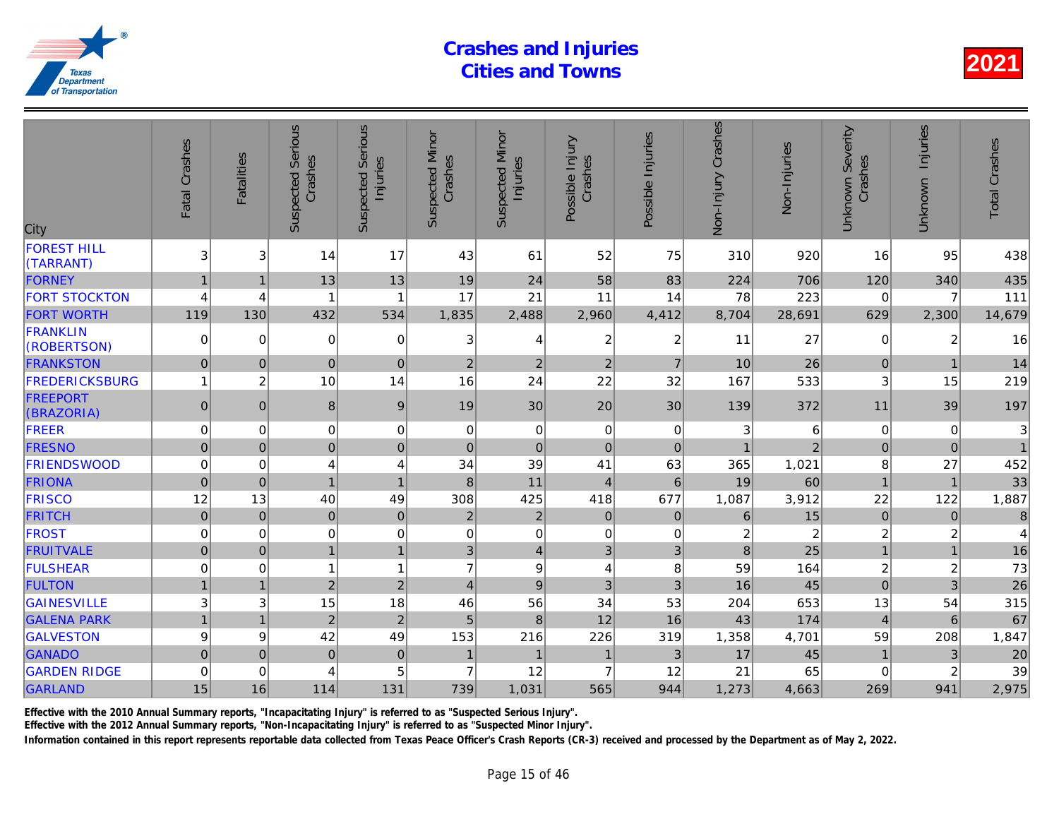| City                            | Fatal Crashes       | <b>Fatalities</b> | <b>Suspected Serious</b><br>Crashes | Serious<br>Injuries<br>Suspected | <b>Suspected Minor</b><br>Crashes | <b>Suspected Minor</b><br>Injuries | Possible Injury<br>Crashes | Possible Injuries | Non-Injury Crashes      | Non-Injuries   |
|---------------------------------|---------------------|-------------------|-------------------------------------|----------------------------------|-----------------------------------|------------------------------------|----------------------------|-------------------|-------------------------|----------------|
| <b>FOREST HILL</b><br>(TARRANT) | 3                   | 3                 | 14                                  | 17                               | 43                                | 61                                 | 52                         | 75                | 310                     | 920            |
| <b>FORNEY</b>                   | $\mathbf{1}$        | 1                 | 13                                  | 13                               | 19                                | 24                                 | 58                         | 83                | 224                     | 706            |
| <b>FORT STOCKTON</b>            | 4                   | 4                 |                                     | 1                                | 17                                | 21                                 | 11                         | 14                | 78                      | 223            |
| <b>FORT WORTH</b>               | 119                 | 130               | 432                                 | 534                              | 1,835                             | 2,488                              | 2,960                      | 4,412             | 8,704                   | 28,691         |
| <b>FRANKLIN</b><br>(ROBERTSON)  | 0                   | $\Omega$          | $\mathbf 0$                         | $\mathbf 0$                      | 3                                 | 4                                  | 2                          | $\overline{2}$    | 11                      | 27             |
| <b>FRANKSTON</b>                | $\overline{0}$      | $\Omega$          | $\mathbf{0}$                        | $\overline{0}$                   | $\overline{2}$                    | 2                                  | $\overline{2}$             | $\overline{7}$    | 10                      | 26             |
| <b>FREDERICKSBURG</b>           | 1                   | $\overline{c}$    | 10                                  | 14                               | 16                                | 24                                 | 22                         | 32                | 167                     | 533            |
| <b>FREEPORT</b><br>(BRAZORIA)   | $\pmb{0}$           | $\Omega$          | 8                                   | 9                                | 19                                | 30                                 | 20                         | 30                | 139                     | 372            |
| FREER                           | 0                   | 0                 | $\mathbf 0$                         | 0                                | 0                                 | 0                                  | $\mathbf 0$                | $\mathbf 0$       | 3                       | 6              |
| <b>FRESNO</b>                   | $\overline{0}$      | $\Omega$          | $\overline{0}$                      | $\mathbf 0$                      | $\mathbf 0$                       | $\pmb{0}$                          | $\pmb{0}$                  | $\mathbf 0$       | $\overline{1}$          |                |
| <b>FRIENDSWOOD</b>              | $\mathbf 0$         | 0                 | 4                                   | $\overline{\mathbf{4}}$          | 34                                | 39                                 | 41                         | 63                | 365                     | 1,021          |
| <b>FRIONA</b>                   | $\mathbf 0$         | $\Omega$          | $\overline{1}$                      | $\mathbf{1}$                     | 8                                 | 11                                 | $\overline{4}$             | $6\phantom{1}$    | 19                      | 60             |
| <b>FRISCO</b>                   | 12                  | 13                | 40                                  | 49                               | 308                               | 425                                | 418                        | 677               | 1,087                   | 3,912          |
| <b>FRITCH</b>                   | $\mathsf{O}\xspace$ | $\mathbf{0}$      | $\pmb{0}$                           | $\pmb{0}$                        | $\mathbf 2$                       | $\overline{c}$                     | $\pmb{0}$                  | $\mathbf{0}$      | 6                       | 15             |
| <b>FROST</b>                    | $\mathbf 0$         | $\mathbf 0$       | $\pmb{0}$                           | $\mathbf 0$                      | $\mathbf 0$                       | $\pmb{0}$                          | $\mathbf 0$                | $\mathbf 0$       | $\overline{\mathbf{c}}$ | $\overline{2}$ |
| <b>FRUITVALE</b>                | $\mathbf 0$         | $\mathbf{0}$      | 1                                   | $\mathbf{1}$                     | 3                                 | $\overline{4}$                     | 3                          | 3                 | 8                       | 25             |
| <b>FULSHEAR</b>                 | 0                   | 0                 | 1                                   | $\mathbf{1}$                     | $\overline{7}$                    | $\boldsymbol{9}$                   | 4                          | 8                 | 59                      | 164            |
| <b>FULTON</b>                   | 1                   | $\overline{1}$    | $\overline{2}$                      | $\overline{2}$                   | $\overline{4}$                    | $\boldsymbol{9}$                   | 3                          | 3                 | 16                      | 45             |
| <b>GAINESVILLE</b>              | 3                   | 3                 | 15                                  | 18                               | 46                                | 56                                 | 34                         | 53                | 204                     | 653            |
| <b>GALENA PARK</b>              | $\mathbf{1}$        | $\overline{1}$    | $\overline{2}$                      | $\overline{c}$                   | 5                                 | $\bf 8$                            | 12                         | 16                | 43                      | 174            |
| <b>GALVESTON</b>                | 9                   | 9                 | 42                                  | 49                               | 153                               | 216                                | 226                        | 319               | 1,358                   | 4,701          |
| <b>GANADO</b>                   | $\overline{0}$      | $\mathbf 0$       | $\mathbf 0$                         | $\pmb{0}$                        | $\mathbf{1}$                      | $\mathbf{1}$                       | $\mathbf{1}$               | $\mathfrak{B}$    | 17                      | 45             |
| <b>GARDEN RIDGE</b>             | $\mathbf 0$         | $\mathbf 0$       | 4                                   | 5                                | $\overline{7}$                    | 12                                 | $\overline{7}$             | 12                | 21                      | 65             |
| <b>GARLAND</b>                  | 15                  | 16                | 114                                 | 131                              | 739                               | 1,031                              | 565                        | 944               | 1,273                   | 4,663          |
|                                 |                     |                   |                                     |                                  |                                   |                                    |                            |                   |                         |                |

Effective with the 2010 Annual Summary reports, "Incapacitating Injury" is referred to as "Suspected Serious Injury".

Effective with the 2012 Annual Summary reports, "Non-Incapacitating Injury" is referred to as "Suspected Minor Injury".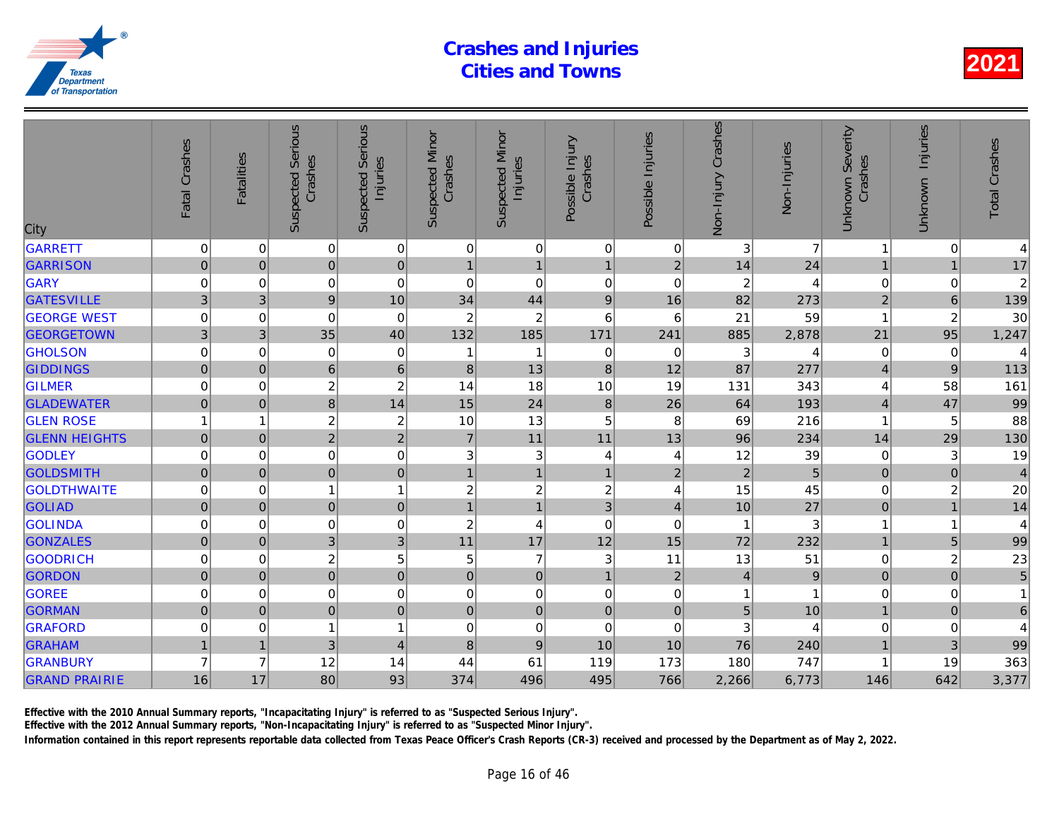| City                 | Fatal Crashes       | <b>Fatalities</b> | <b>Suspected Serious</b><br>Crashes | Serious<br>Injuries<br>Suspected | <b>Suspected Minor</b><br>Crashes | <b>Suspected Minor</b><br>Injuries | Possible Injury<br>Crashes | Possible Injuries | Non-Injury Crashes | Non-Injuries   |
|----------------------|---------------------|-------------------|-------------------------------------|----------------------------------|-----------------------------------|------------------------------------|----------------------------|-------------------|--------------------|----------------|
| <b>GARRETT</b>       | 0                   | 0                 | $\pmb{0}$                           | $\overline{0}$                   | 0                                 | $\mathbf 0$                        | $\mathbf 0$                | 0                 | 3                  | $\overline{7}$ |
| <b>GARRISON</b>      | $\pmb{0}$           | $\mathbf{0}$      | 0                                   | $\mathbf 0$                      | $\overline{1}$                    | $\overline{1}$                     | $\mathbf{1}$               | $\overline{2}$    | 14                 | 24             |
| GARY                 | 0                   | $\mathbf 0$       | 0                                   | $\mathbf 0$                      | $\boldsymbol{0}$                  | $\mathbf 0$                        | $\pmb{0}$                  | $\mathbf 0$       | $\overline{c}$     |                |
| <b>GATESVILLE</b>    | 3                   | 3                 | $\overline{9}$                      | 10                               | 34                                | 44                                 | $9\,$                      | 16                | 82                 | 273            |
| <b>GEORGE WEST</b>   | $\overline{0}$      | $\mathbf 0$       | $\Omega$                            | $\mathbf 0$                      | $\overline{c}$                    | $\overline{c}$                     | 6                          | 6                 | 21                 | 59             |
| <b>GEORGETOWN</b>    | 3                   | 3                 | 35                                  | 40                               | 132                               | 185                                | 171                        | 241               | 885                | 2,878          |
| <b>GHOLSON</b>       | 0                   | 0                 | $\mathbf 0$                         | $\mathbf 0$                      | 1                                 | 1                                  | 0                          | 0                 | 3                  |                |
| <b>GIDDINGS</b>      | $\mathsf{O}\xspace$ | $\boldsymbol{0}$  | 6                                   | $\overline{6}$                   | 8                                 | 13                                 | $\boldsymbol{8}$           | 12                | 87                 | 277            |
| <b>GILMER</b>        | 0                   | $\mathbf 0$       | $\boldsymbol{2}$                    | $\overline{c}$                   | 14                                | 18                                 | 10                         | 19                | 131                | 343            |
| <b>GLADEWATER</b>    | $\overline{0}$      | $\mathbf 0$       | 8                                   | 14                               | 15                                | 24                                 | $\boldsymbol{8}$           | 26                | 64                 | 193            |
| <b>GLEN ROSE</b>     |                     | 1                 | $\boldsymbol{2}$                    | $\overline{c}$                   | 10                                | 13                                 | 5                          | 8                 | 69                 | 216            |
| <b>GLENN HEIGHTS</b> | $\mathsf{O}\xspace$ | $\pmb{0}$         | $\overline{2}$                      | $\overline{c}$                   | $\overline{7}$                    | 11                                 | 11                         | 13                | 96                 | 234            |
| <b>GODLEY</b>        | 0                   | 0                 | 0                                   | $\mathbf 0$                      | 3                                 | $\ensuremath{\mathsf{3}}$          | 4                          | 4                 | 12                 | 39             |
| <b>GOLDSMITH</b>     | $\overline{0}$      | $\mathbf 0$       | $\overline{0}$                      | $\mathbf 0$                      | $\overline{1}$                    | $\mathbf{1}$                       | $\mathbf{1}$               | $\overline{2}$    | $\overline{2}$     | 5              |
| <b>GOLDTHWAITE</b>   | $\mathbf 0$         | $\Omega$          |                                     | $\mathbf{1}$                     | $\overline{c}$                    | $\boldsymbol{2}$                   | $\boldsymbol{2}$           | 4                 | 15                 | 45             |
| <b>GOLIAD</b>        | $\mathbf 0$         | $\mathbf{0}$      | $\mathbf 0$                         | $\pmb{0}$                        | $\overline{1}$                    | $\mathbf{1}$                       | 3                          | $\overline{4}$    | 10                 | 27             |
| <b>GOLINDA</b>       | 0                   | 0                 | 0                                   | 0                                | $\boldsymbol{2}$                  | 4                                  | $\mathbf 0$                | 0                 | 1                  | 3              |
| <b>GONZALES</b>      | $\mathbf 0$         | $\mathbf 0$       | 3                                   | 3                                | 11                                | 17                                 | 12                         | 15                | 72                 | 232            |
| <b>GOODRICH</b>      | 0                   | 0                 | $\overline{c}$                      | 5                                | 5                                 | $\overline{7}$                     | 3                          | 11                | 13                 | 51             |
| <b>GORDON</b>        | $\mathbf 0$         | $\pmb{0}$         | $\mathbf 0$                         | $\pmb{0}$                        | $\pmb{0}$                         | $\pmb{0}$                          | $\mathbf{1}$               | $\overline{2}$    | $\overline{4}$     | 9              |
| <b>GOREE</b>         | 0                   | $\mathbf 0$       | $\mathbf 0$                         | 0                                | $\mathbf 0$                       | $\pmb{0}$                          | $\mathbf 0$                | 0                 | 1                  |                |
| <b>GORMAN</b>        | 0                   | $\mathbf{0}$      | $\mathbf 0$                         | $\overline{0}$                   | $\mathsf 0$                       | $\pmb{0}$                          | $\mathbf 0$                | $\mathbf 0$       | 5                  | 10             |
| <b>GRAFORD</b>       | 0                   | 0                 |                                     | $\mathbf{1}$                     | 0                                 | $\pmb{0}$                          | $\mathbf 0$                | 0                 | 3                  |                |
| <b>GRAHAM</b>        | $\mathbf{1}$        | $\overline{1}$    | 3                                   | $\overline{\mathbf{4}}$          | $\bf 8$                           | $\boldsymbol{9}$                   | 10                         | 10                | 76                 | 240            |
| <b>GRANBURY</b>      | $\overline{7}$      | $\overline{7}$    | 12                                  | 14                               | 44                                | 61                                 | 119                        | 173               | 180                | 747            |
| <b>GRAND PRAIRIE</b> | 16                  | 17                | 80                                  | 93                               | 374                               | 496                                | 495                        | 766               | 2,266              | 6,773          |
|                      |                     |                   |                                     |                                  |                                   |                                    |                            |                   |                    |                |

Effective with the 2010 Annual Summary reports, "Incapacitating Injury" is referred to as "Suspected Serious Injury".

Effective with the 2012 Annual Summary reports, "Non-Incapacitating Injury" is referred to as "Suspected Minor Injury".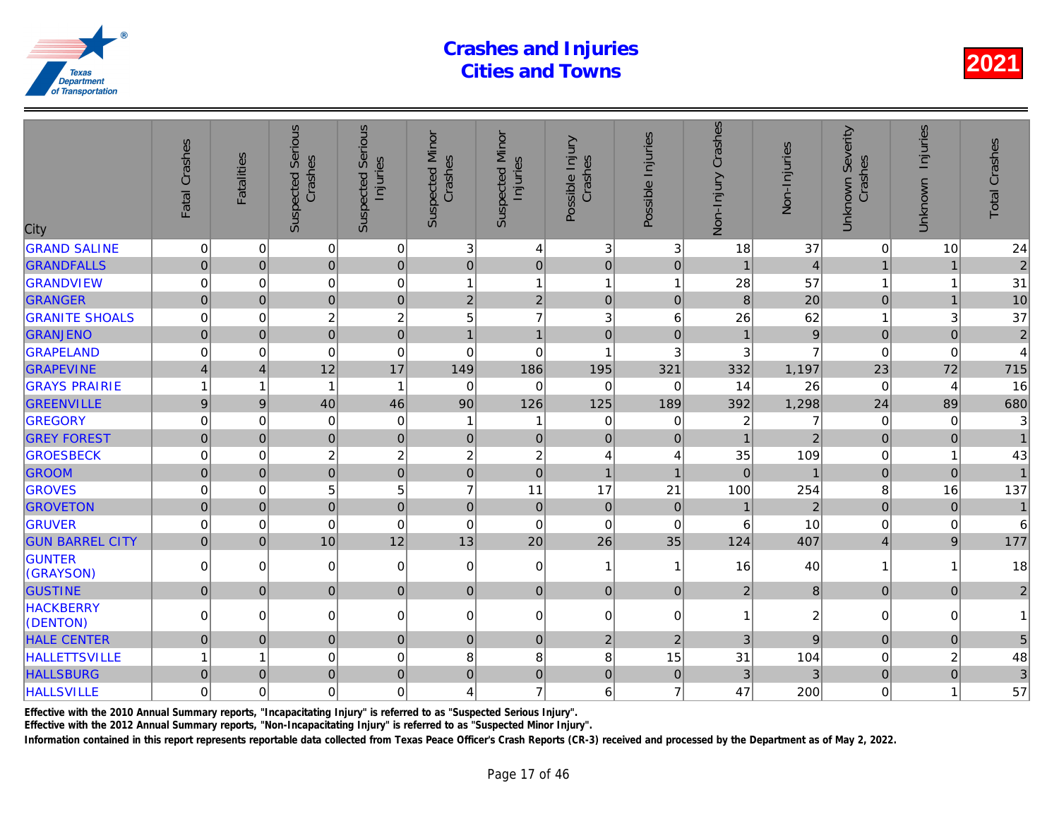| City                         | Fatal Crashes       | <b>Fatalities</b> | <b>Suspected Serious</b><br>Crashes | Serious<br>Injuries<br>Suspected | <b>Suspected Minor</b><br>Crashes | <b>Suspected Minor</b><br>Injuries | Possible Injury<br>Crashes | Possible Injuries       | Non-Injury Crashes | Non-Injuries   |
|------------------------------|---------------------|-------------------|-------------------------------------|----------------------------------|-----------------------------------|------------------------------------|----------------------------|-------------------------|--------------------|----------------|
| <b>GRAND SALINE</b>          | $\mathbf 0$         | 0                 | $\mathbf 0$                         | 0                                | 3                                 | $\overline{4}$                     | 3                          | 3                       | 18                 | 37             |
| <b>GRANDFALLS</b>            | $\mathbf 0$         | $\mathbf{0}$      | $\pmb{0}$                           | $\overline{0}$                   | $\mathbf 0$                       | $\mathbf 0$                        | $\pmb{0}$                  | $\mathbf 0$             | $\overline{1}$     | $\overline{4}$ |
| <b>GRANDVIEW</b>             | 0                   | $\mathbf 0$       | $\pmb{0}$                           | 0                                | $\overline{1}$                    | $\mathbf{1}$                       | $\mathbf{1}$               | $\overline{\mathbf{1}}$ | 28                 | 57             |
| <b>GRANGER</b>               | $\overline{0}$      | $\mathbf 0$       | $\mathbf 0$                         | $\mathbf 0$                      | $\overline{2}$                    | $\overline{2}$                     | $\pmb{0}$                  | $\mathbf 0$             | 8                  | 20             |
| <b>GRANITE SHOALS</b>        | $\mathbf 0$         | $\Omega$          | $\boldsymbol{2}$                    | $\overline{c}$                   | 5                                 | $\overline{7}$                     | 3                          | 6                       | 26                 | 62             |
| <b>GRANJENO</b>              | $\mathbf 0$         | $\mathbf{0}$      | $\mathbf 0$                         | $\mathbf 0$                      | $\overline{1}$                    | $\overline{1}$                     | $\mathbf 0$                | $\mathbf 0$             |                    | 9              |
| GRAPELAND                    | 0                   | 0                 | $\mathbf 0$                         | $\mathbf 0$                      | $\mathbf 0$                       | 0                                  | 1                          | 3                       | 3                  |                |
| <b>GRAPEVINE</b>             | $\overline{4}$      | $\overline{4}$    | 12                                  | 17                               | 149                               | 186                                | 195                        | 321                     | 332                | 1,197          |
| <b>GRAYS PRAIRIE</b>         |                     | 1                 | 1                                   | $\mathbf{1}$                     | $\Omega$                          | $\Omega$                           | $\mathbf 0$                | $\Omega$                | 14                 | 26             |
| <b>GREENVILLE</b>            | 9                   | 9                 | 40                                  | 46                               | 90                                | 126                                | 125                        | 189                     | 392                | 1,298          |
| <b>GREGORY</b>               | $\mathbf 0$         | 0                 | $\mathbf 0$                         | $\mathbf 0$                      | $\overline{\mathbf{1}}$           | 1                                  | $\mathbf 0$                | 0                       | $\overline{2}$     | 7              |
| <b>GREY FOREST</b>           | $\mathbf 0$         | $\mathbf 0$       | $\mathbf 0$                         | $\mathbf 0$                      | $\mathbf 0$                       | $\mathbf 0$                        | $\mathbf 0$                | $\mathbf 0$             |                    | $\overline{a}$ |
| <b>GROESBECK</b>             | 0                   | $\mathbf 0$       | $\boldsymbol{2}$                    | $\overline{c}$                   | $\overline{c}$                    | $\sqrt{2}$                         | $\overline{\mathbf{4}}$    | 4                       | 35                 | 109            |
| <b>GROOM</b>                 | $\mathbf 0$         | $\Omega$          | $\overline{0}$                      | $\overline{0}$                   | $\overline{0}$                    | $\overline{0}$                     | $\overline{1}$             | $\overline{1}$          | $\Omega$           |                |
| <b>GROVES</b>                | $\mathbf 0$         | $\Omega$          | 5                                   | 5                                | $\overline{7}$                    | 11                                 | 17                         | 21                      | 100                | 254            |
| <b>GROVETON</b>              | $\mathsf{O}\xspace$ | $\mathbf{0}$      | $\mathbf 0$                         | $\pmb{0}$                        | $\mathbf 0$                       | $\pmb{0}$                          | $\mathbf 0$                | $\mathbf 0$             | $\mathbf{1}$       | $\overline{a}$ |
| <b>GRUVER</b>                | 0                   | $\mathbf 0$       | $\mathbf 0$                         | $\mathbf 0$                      | $\mathbf 0$                       | $\mathbf 0$                        | $\mathbf 0$                | $\mathbf 0$             | 6                  | 10             |
| <b>GUN BARREL CITY</b>       | $\mathbf 0$         | $\mathbf 0$       | 10                                  | 12                               | 13                                | 20                                 | 26                         | 35                      | 124                | 407            |
| <b>GUNTER</b><br>(GRAYSON)   | $\Omega$            | $\Omega$          | $\mathbf 0$                         | $\mathbf 0$                      | $\mathbf 0$                       | $\pmb{0}$                          | $\mathbf{1}$               | -1                      | 16                 | 40             |
| <b>GUSTINE</b>               | $\mathbf 0$         | $\mathbf{0}$      | $\pmb{0}$                           | $\overline{0}$                   | 0                                 | 0                                  | $\mathbf 0$                | $\mathbf{0}$            | $\overline{2}$     | 8              |
| <b>HACKBERRY</b><br>(DENTON) | $\mathbf 0$         | $\Omega$          | $\mathbf 0$                         | $\overline{0}$                   | $\mathbf 0$                       | $\pmb{0}$                          | $\Omega$                   | $\Omega$                | $\mathbf{1}$       | $\overline{a}$ |
| <b>HALE CENTER</b>           | $\mathsf{O}\xspace$ | $\mathbf 0$       | $\pmb{0}$                           | $\pmb{0}$                        | $\mathbf 0$                       | $\mathbf 0$                        | $\overline{2}$             | $\overline{2}$          | 3                  | 9              |
| <b>HALLETTSVILLE</b>         |                     | 1                 | $\mathbf 0$                         | $\mathbf 0$                      | 8                                 | 8                                  | 8                          | 15                      | 31                 | 104            |
| <b>HALLSBURG</b>             | $\mathbf 0$         | $\Omega$          | $\overline{0}$                      | $\mathbf 0$                      | $\overline{0}$                    | $\mathbf 0$                        | $\mathbf 0$                | $\overline{0}$          | 3                  | 3              |
| <b>HALLSVILLE</b>            | $\mathbf 0$         | $\mathbf 0$       | $\mathbf 0$                         | $\overline{0}$                   | 4                                 | $\overline{7}$                     | 6                          | $\overline{7}$          | 47                 | 200            |
|                              |                     |                   |                                     |                                  |                                   |                                    |                            |                         |                    |                |

Effective with the 2010 Annual Summary reports, "Incapacitating Injury" is referred to as "Suspected Serious Injury".

Effective with the 2012 Annual Summary reports, "Non-Incapacitating Injury" is referred to as "Suspected Minor Injury".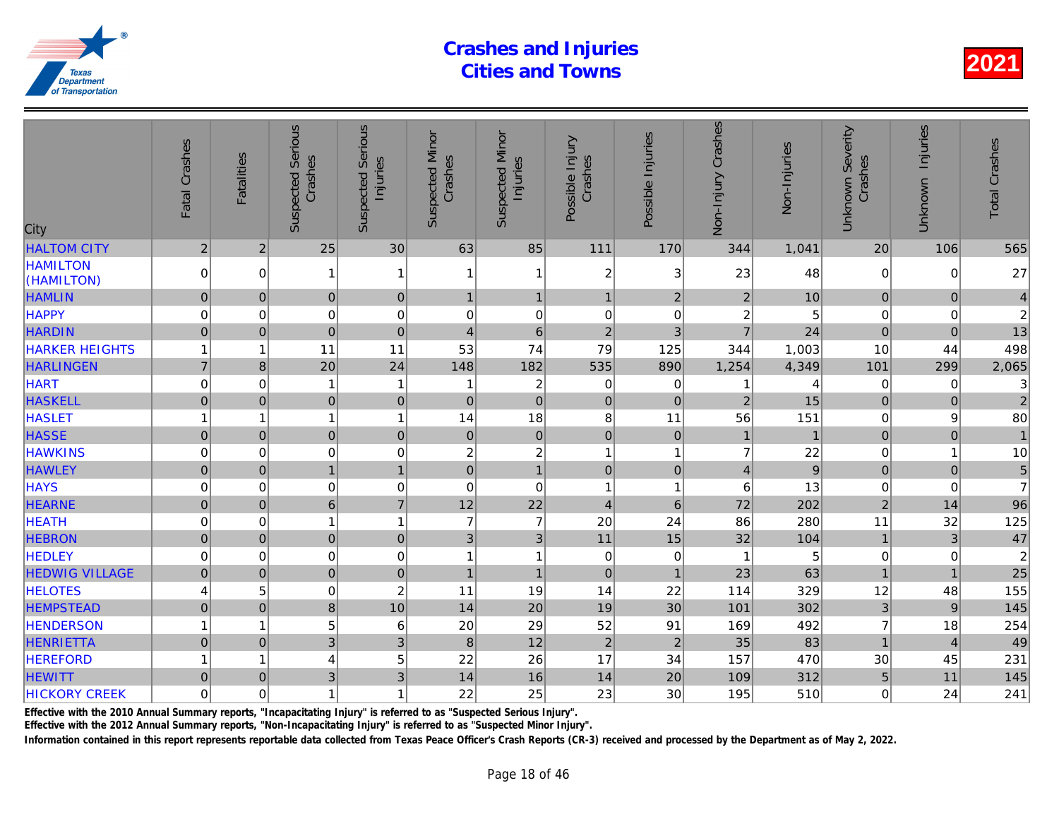| City                          | Fatal Crashes       | <b>Fatalities</b>       | <b>Suspected Serious</b><br>Crashes | Serious<br>Injuries<br>Suspected | <b>Suspected Minor</b><br>Crashes | <b>Suspected Minor</b><br>Injuries | Possible Injury<br>Crashes | Possible Injuries       | Non-Injury Crashes      | Non-Injuries |
|-------------------------------|---------------------|-------------------------|-------------------------------------|----------------------------------|-----------------------------------|------------------------------------|----------------------------|-------------------------|-------------------------|--------------|
| <b>HALTOM CITY</b>            | $\sqrt{2}$          | $\overline{2}$          | 25                                  | 30                               | 63                                | 85                                 | 111                        | 170                     | 344                     | 1,041        |
| <b>HAMILTON</b><br>(HAMILTON) | 0                   | 0                       |                                     | 1                                | -1                                | 1                                  | $\boldsymbol{2}$           | 3                       | 23                      | 48           |
| <b>HAMLIN</b>                 | $\mathsf{O}\xspace$ | $\mathbf{0}$            | $\pmb{0}$                           | $\pmb{0}$                        | $\mathbf{1}$                      | $\mathbf{1}$                       | $\mathbf{1}$               | $\mathbf 2$             | $\overline{c}$          | 10           |
| <b>HAPPY</b>                  | 0                   | 0                       | $\mathbf 0$                         | $\mathbf 0$                      | 0                                 | $\pmb{0}$                          | $\pmb{0}$                  | $\,0\,$                 | $\overline{\mathbf{c}}$ | 5            |
| <b>HARDIN</b>                 | $\mathsf{O}\xspace$ | $\pmb{0}$               | $\pmb{0}$                           | $\pmb{0}$                        | $\overline{4}$                    | $\,6$                              | $\overline{2}$             | $\mathfrak{B}$          | $\overline{7}$          | 24           |
| <b>HARKER HEIGHTS</b>         | 1                   | 1                       | 11                                  | 11                               | 53                                | 74                                 | 79                         | 125                     | 344                     | 1,003        |
| <b>HARLINGEN</b>              | $\overline{7}$      | 8                       | 20                                  | 24                               | 148                               | 182                                | 535                        | 890                     | 1,254                   | 4,349        |
| <b>HART</b>                   | $\mathbf 0$         | $\mathbf 0$             |                                     | 1                                | -1                                | $\overline{\mathbf{c}}$            | $\mathbf 0$                | 0                       |                         |              |
| <b>HASKELL</b>                | $\overline{0}$      | $\mathbf 0$             | $\mathbf 0$                         | $\mathbf 0$                      | $\mathbf 0$                       | $\overline{0}$                     | $\mathbf 0$                | $\mathbf 0$             | $\overline{2}$          | 15           |
| <b>HASLET</b>                 | 1                   | $\overline{\mathbf{1}}$ | 1                                   | $\mathbf{1}$                     | 14                                | 18                                 | 8                          | 11                      | 56                      | 151          |
| <b>HASSE</b>                  | $\mathbf 0$         | $\Omega$                | $\overline{0}$                      | $\pmb{0}$                        | $\overline{0}$                    | $\pmb{0}$                          | $\mathbf 0$                | $\overline{0}$          |                         |              |
| <b>HAWKINS</b>                | 0                   | $\mathbf 0$             | $\mathbf 0$                         | $\mathbf 0$                      | 2                                 | $\boldsymbol{2}$                   | 1                          | 1                       | $\overline{7}$          | 22           |
| <b>HAWLEY</b>                 | $\mathsf{O}\xspace$ | $\mathbf 0$             | $\mathbf{1}$                        | $\mathbf{1}$                     | $\mathbf 0$                       | $\mathbf{1}$                       | $\mathbf 0$                | $\mathbf 0$             | $\overline{4}$          | 9            |
| <b>HAYS</b>                   | 0                   | $\mathbf 0$             | 0                                   | $\mathbf 0$                      | $\mathbf 0$                       | $\mathbf 0$                        | $\mathbf{1}$               | $\overline{\mathbf{1}}$ | 6                       | 13           |
| <b>HEARNE</b>                 | $\mathbf 0$         | $\mathbf 0$             | $6\phantom{a}$                      | $\overline{7}$                   | 12                                | 22                                 | $\overline{\mathbf{4}}$    | $6\phantom{1}6$         | 72                      | 202          |
| <b>HEATH</b>                  | $\mathbf 0$         | 0                       | 1                                   | $\mathbf{1}$                     | $\overline{7}$                    | $\overline{7}$                     | 20                         | 24                      | 86                      | 280          |
| <b>HEBRON</b>                 | $\mathbf 0$         | $\mathbf 0$             | $\pmb{0}$                           | $\pmb{0}$                        | $\mathfrak{B}$                    | $\mathfrak{3}$                     | 11                         | 15                      | 32                      | 104          |
| <b>HEDLEY</b>                 | $\mathbf 0$         | 0                       | 0                                   | 0                                | 1                                 | 1                                  | $\pmb{0}$                  | 0                       |                         | 5            |
| <b>HEDWIG VILLAGE</b>         | $\mathbf 0$         | $\mathbf{0}$            | $\mathbf 0$                         | $\mathbf 0$                      | $\mathbf{1}$                      | $\overline{1}$                     | $\mathbf 0$                | $\overline{1}$          | 23                      | 63           |
| <b>HELOTES</b>                | 4                   | 5                       | $\pmb{0}$                           | $\overline{c}$                   | 11                                | 19                                 | 14                         | 22                      | 114                     | 329          |
| <b>HEMPSTEAD</b>              | $\pmb{0}$           | $\overline{0}$          | 8                                   | 10                               | 14                                | 20                                 | 19                         | 30                      | 101                     | 302          |
| <b>HENDERSON</b>              |                     | 1                       | 5                                   | 6                                | 20                                | 29                                 | 52                         | 91                      | 169                     | 492          |
| <b>HENRIETTA</b>              | $\overline{0}$      | $\mathbf 0$             | $\overline{3}$                      | 3                                | $\boldsymbol{8}$                  | 12                                 | $\overline{2}$             | $\overline{2}$          | 35                      | 83           |
| <b>HEREFORD</b>               | 1                   | $\overline{\mathbf{1}}$ | 4                                   | 5                                | 22                                | 26                                 | 17                         | 34                      | 157                     | 470          |
| <b>HEWITT</b>                 | $\pmb{0}$           | $\overline{0}$          | $\mathfrak{B}$                      | 3                                | 14                                | 16                                 | 14                         | 20                      | 109                     | 312          |
| <b>HICKORY CREEK</b>          | $\mathbf 0$         | 0                       |                                     | $\mathbf{1}$                     | 22                                | 25                                 | 23                         | 30                      | 195                     | 510          |
|                               |                     |                         |                                     |                                  |                                   |                                    |                            |                         |                         |              |

Effective with the 2010 Annual Summary reports, "Incapacitating Injury" is referred to as "Suspected Serious Injury".

Effective with the 2012 Annual Summary reports, "Non-Incapacitating Injury" is referred to as "Suspected Minor Injury".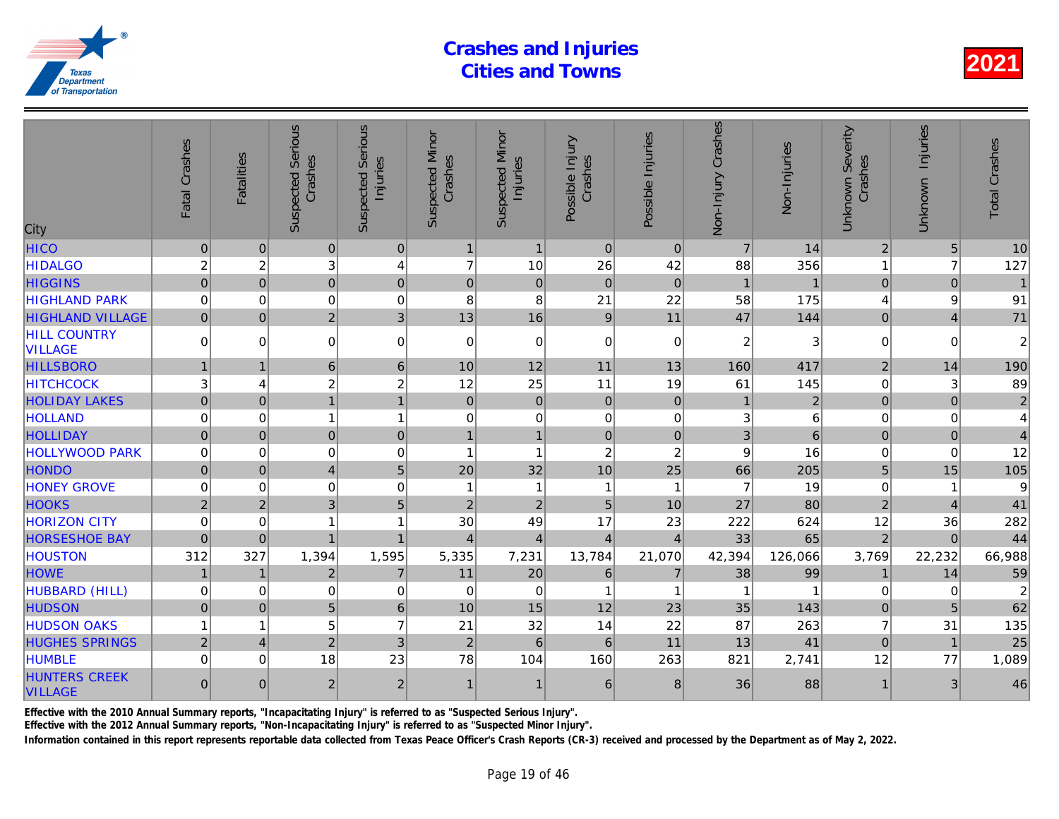| City                                   | Fatal Crashes  | <b>Fatalities</b> | <b>Suspected Serious</b><br>Crashes | Serious<br>Injuries<br>Suspected | <b>Suspected Minor</b><br>Crashes | <b>Suspected Minor</b><br>Injuries | Possible Injury<br>Crashes | Possible Injuries | Non-Injury Crashes | Non-Injuries   |
|----------------------------------------|----------------|-------------------|-------------------------------------|----------------------------------|-----------------------------------|------------------------------------|----------------------------|-------------------|--------------------|----------------|
| <b>HICO</b>                            | $\pmb{0}$      | $\mathbf{0}$      | $\mathbf{0}$                        | $\mathbf 0$                      | $\mathbf{1}$                      | $\mathbf{1}$                       | $\mathbf{0}$               | $\Omega$          | $\overline{7}$     | 14             |
| <b>HIDALGO</b>                         | $\overline{c}$ | $\overline{c}$    | 3                                   | $\overline{\mathbf{4}}$          | $\overline{7}$                    | 10                                 | 26                         | 42                | 88                 | 356            |
| <b>HIGGINS</b>                         | $\overline{0}$ | $\Omega$          | $\overline{0}$                      | $\overline{0}$                   | $\overline{0}$                    | $\mathbf 0$                        | $\overline{0}$             | $\Omega$          |                    | $\overline{1}$ |
| <b>HIGHLAND PARK</b>                   | $\mathbf 0$    | $\Omega$          | $\mathbf 0$                         | $\mathbf 0$                      | 8                                 | 8                                  | 21                         | 22                | 58                 | 175            |
| <b>HIGHLAND VILLAGE</b>                | $\Omega$       | $\Omega$          | $\overline{2}$                      | 3                                | 13                                | 16                                 | 9                          | 11                | 47                 | 144            |
| <b>HILL COUNTRY</b><br><b>VILLAGE</b>  | $\Omega$       | $\Omega$          | $\Omega$                            | $\mathbf 0$                      | $\Omega$                          | $\mathbf 0$                        | $\Omega$                   | $\Omega$          | $\overline{2}$     | 3              |
| <b>HILLSBORO</b>                       | $\mathbf{1}$   | $\overline{1}$    | 6                                   | $6\phantom{1}$                   | 10                                | 12                                 | 11                         | 13                | 160                | 417            |
| <b>HITCHCOCK</b>                       | 3              | 4                 | $\overline{2}$                      | $\overline{c}$                   | 12                                | 25                                 | 11                         | 19                | 61                 | 145            |
| <b>HOLIDAY LAKES</b>                   | $\overline{0}$ | $\Omega$          | $\overline{1}$                      | $\mathbf{1}$                     | $\mathbf 0$                       | $\pmb{0}$                          | $\pmb{0}$                  | $\mathbf 0$       | $\mathbf 1$        | $\overline{2}$ |
| <b>HOLLAND</b>                         | $\mathbf 0$    | $\Omega$          |                                     | $\mathbf{1}$                     | $\mathbf 0$                       | $\pmb{0}$                          | $\mathbf 0$                | $\mathbf 0$       | 3                  | 6              |
| <b>HOLLIDAY</b>                        | $\overline{0}$ | $\Omega$          | $\overline{0}$                      | $\mathbf 0$                      | $\mathbf{1}$                      | $\mathbf{1}$                       | $\mathbf 0$                | $\Omega$          | 3                  | $\overline{6}$ |
| <b>HOLLYWOOD PARK</b>                  | $\mathbf 0$    | $\mathbf 0$       | $\mathbf 0$                         | $\mathbf 0$                      | 1                                 | $\mathbf{1}$                       | $\overline{c}$             | $\overline{2}$    | 9                  | 16             |
| <b>HONDO</b>                           | $\Omega$       | $\Omega$          | $\overline{4}$                      | 5                                | 20                                | 32                                 | 10                         | 25                | 66                 | 205            |
| <b>HONEY GROVE</b>                     | $\mathbf 0$    | $\mathbf 0$       | $\mathbf 0$                         | $\mathbf 0$                      | $\overline{\mathbf{1}}$           | $\mathbf{1}$                       | $\mathbf{1}$               | -1                | 7                  | 19             |
| <b>HOOKS</b>                           | $\overline{2}$ | $\overline{2}$    | 3                                   | 5                                | $\overline{2}$                    | $\overline{2}$                     | $\overline{5}$             | 10                | 27                 | 80             |
| <b>HORIZON CITY</b>                    | $\Omega$       | $\mathbf 0$       |                                     | 1                                | 30                                | 49                                 | 17                         | 23                | 222                | 624            |
| <b>HORSESHOE BAY</b>                   | $\mathbf 0$    | $\mathbf 0$       | 1                                   | $\mathbf{1}$                     | 4                                 | $\overline{4}$                     | $\overline{4}$             | $\overline{4}$    | 33                 | 65             |
| <b>HOUSTON</b>                         | 312            | 327               | 1,394                               | 1,595                            | 5,335                             | 7,231                              | 13,784                     | 21,070            | 42,394             | 126,066        |
| <b>HOWE</b>                            | $\mathbf{1}$   | $\overline{1}$    | $\overline{2}$                      | $\overline{7}$                   | 11                                | 20                                 | $6\phantom{1}$             | $\overline{7}$    | 38                 | 99             |
| HUBBARD (HILL)                         | $\mathbf 0$    | $\Omega$          | $\mathbf 0$                         | $\mathbf 0$                      | $\Omega$                          | $\mathbf 0$                        | 1                          | -1                |                    |                |
| <b>HUDSON</b>                          | $\overline{0}$ | $\Omega$          | 5                                   | $6\phantom{a}$                   | 10                                | 15                                 | 12                         | 23                | 35                 | 143            |
| <b>HUDSON OAKS</b>                     | 1              | 1                 | 5                                   | $\overline{7}$                   | 21                                | 32                                 | 14                         | 22                | 87                 | 263            |
| <b>HUGHES SPRINGS</b>                  | $\overline{2}$ | $\overline{4}$    | $\overline{2}$                      | 3                                | $\overline{2}$                    | $6\phantom{a}$                     | 6                          | 11                | 13                 | 41             |
| <b>HUMBLE</b>                          | $\Omega$       | $\Omega$          | 18                                  | 23                               | 78                                | 104                                | 160                        | 263               | 821                | 2,741          |
| <b>HUNTERS CREEK</b><br><b>VILLAGE</b> | $\Omega$       | $\Omega$          | 2                                   | 2 <sup>1</sup>                   | $\mathbf{1}$                      | $\mathbf{1}$                       | 6                          | 8                 | 36                 | 88             |
|                                        |                |                   |                                     |                                  |                                   |                                    |                            |                   |                    |                |

Effective with the 2010 Annual Summary reports, "Incapacitating Injury" is referred to as "Suspected Serious Injury".

Effective with the 2012 Annual Summary reports, "Non-Incapacitating Injury" is referred to as "Suspected Minor Injury".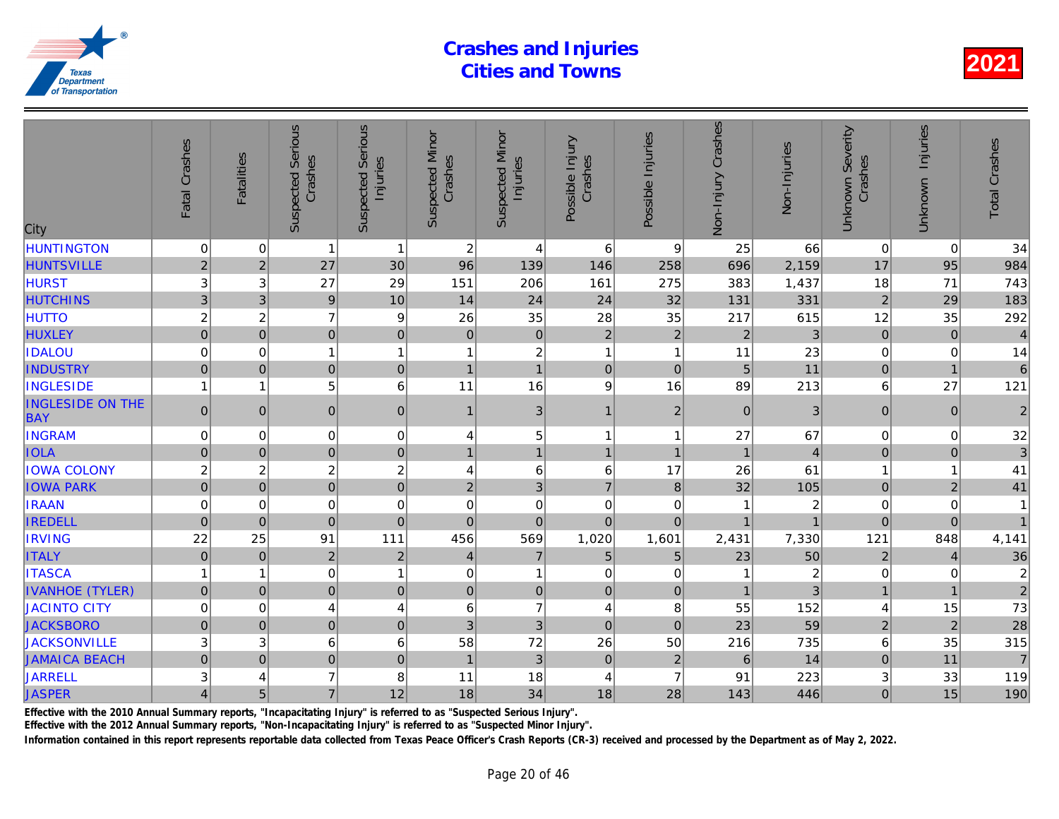| City                                  | Fatal Crashes   | <b>Fatalities</b> | <b>Suspected Serious</b><br>Crashes | <b>Serious</b><br>Injuries<br>Suspected | <b>Suspected Minor</b><br>Crashes | <b>Suspected Minor</b><br>Injuries | Possible Injury<br>Crashes | Possible Injuries | Non-Injury Crashes | Non-Injuries   |
|---------------------------------------|-----------------|-------------------|-------------------------------------|-----------------------------------------|-----------------------------------|------------------------------------|----------------------------|-------------------|--------------------|----------------|
| <b>HUNTINGTON</b>                     | $\pmb{0}$       | 0                 | $\mathbf{1}$                        | $\overline{1}$                          | $\overline{c}$                    | $\overline{4}$                     | $6\phantom{1}6$            | 9                 | 25                 | 66             |
| <b>HUNTSVILLE</b>                     | $\overline{c}$  | $\overline{c}$    | 27                                  | 30                                      | 96                                | 139                                | 146                        | 258               | 696                | 2,159          |
| <b>HURST</b>                          | 3               | 3                 | 27                                  | 29                                      | 151                               | 206                                | 161                        | 275               | 383                | 1,437          |
| <b>HUTCHINS</b>                       | 3               | 3                 | $\overline{9}$                      | 10                                      | 14                                | 24                                 | 24                         | 32                | 131                | 331            |
| <b>HUTTO</b>                          | $\overline{c}$  | $\overline{c}$    | $\overline{7}$                      | 9                                       | 26                                | 35                                 | 28                         | 35                | 217                | 615            |
| <b>HUXLEY</b>                         | $\overline{0}$  | $\Omega$          | $\overline{0}$                      | $\overline{0}$                          | $\mathbf 0$                       | $\pmb{0}$                          | $\overline{2}$             | $\overline{2}$    | $\overline{2}$     | 3              |
| <b>IDALOU</b>                         | $\mathbf 0$     | $\Omega$          | 1                                   | $\overline{1}$                          | 1                                 | $\boldsymbol{2}$                   | 1                          | $\overline{1}$    | 11                 | 23             |
| <b>INDUSTRY</b>                       | $\mathbf 0$     | $\Omega$          | $\overline{0}$                      | $\mathbf 0$                             | $\overline{1}$                    | $\mathbf{1}$                       | $\mathbf 0$                | $\mathbf{0}$      | 5                  | 11             |
| <b>INGLESIDE</b>                      | 1               | 1                 | 5                                   | 6                                       | 11                                | 16                                 | 9                          | 16                | 89                 | 213            |
| <b>INGLESIDE ON THE</b><br><b>BAY</b> | $\overline{0}$  | $\mathbf{0}$      | $\overline{0}$                      | $\pmb{0}$                               | 1                                 | 3 <sup>1</sup>                     | $\mathbf{1}$               | $\overline{2}$    | $\boldsymbol{0}$   | 3              |
| <b>INGRAM</b>                         | $\mathbf 0$     | $\Omega$          | $\mathbf 0$                         | $\mathbf 0$                             | 4                                 | $\sqrt{5}$                         | 1                          | -1                | 27                 | 67             |
| <b>IOLA</b>                           | $\pmb{0}$       | $\mathbf{0}$      | $\overline{0}$                      | $\mathbf 0$                             | $\mathbf{1}$                      | $\mathbf{1}$                       | $\mathbf{1}$               | $\overline{1}$    | $\overline{1}$     | $\overline{4}$ |
| <b>IOWA COLONY</b>                    | $\overline{c}$  | $\overline{c}$    | $\overline{c}$                      | $\overline{c}$                          | 4                                 | 6                                  | 6                          | 17                | 26                 | 61             |
| <b>IOWA PARK</b>                      | $\overline{0}$  | $\mathbf{0}$      | $\overline{0}$                      | $\overline{0}$                          | $\overline{2}$                    | 3                                  | $\overline{7}$             | 8                 | 32                 | 105            |
| <b>IRAAN</b>                          | $\mathbf 0$     | $\mathbf 0$       | $\mathbf 0$                         | $\mathbf 0$                             | $\mathbf 0$                       | $\mathbf 0$                        | $\mathbf 0$                | $\mathbf 0$       |                    |                |
| <b>IREDELL</b>                        | $\overline{0}$  | $\Omega$          | $\overline{0}$                      | $\overline{0}$                          | $\mathbf{0}$                      | $\overline{0}$                     | $\overline{0}$             | $\Omega$          |                    |                |
| <b>IRVING</b>                         | 22              | 25                | 91                                  | 111                                     | 456                               | 569                                | 1,020                      | 1,601             | 2,431              | 7,330          |
| <b>ITALY</b>                          | $\pmb{0}$       | $\mathbf 0$       | $\overline{2}$                      | $\overline{2}$                          | $\overline{4}$                    | $\overline{7}$                     | 5                          | $\overline{5}$    | 23                 | 50             |
| <b>ITASCA</b>                         | 1               | 1                 | 0                                   | $\mathbf{1}$                            | 0                                 | $\mathbf{1}$                       | 0                          | $\mathbf 0$       |                    | $\overline{2}$ |
| <b>IVANHOE (TYLER)</b>                | $\overline{0}$  | $\mathbf{0}$      | $\overline{0}$                      | $\pmb{0}$                               | $\pmb{0}$                         | $\mathbf 0$                        | $\mathbf 0$                | $\mathbf{0}$      | $\overline{1}$     |                |
| <b>JACINTO CITY</b>                   | $\mathbf 0$     | 0                 | 4                                   | 4                                       | 6                                 | $\overline{7}$                     | 4                          | 8                 | 55                 | 152            |
| <b>JACKSBORO</b>                      | $\overline{0}$  | $\mathbf 0$       | $\mathbf 0$                         | $\pmb{0}$                               | 3                                 | $\mathbf{3}$                       | $\mathbf 0$                | $\mathbf{0}$      | 23                 | 59             |
| <b>JACKSONVILLE</b>                   | 3               | 3                 | 6                                   | 6                                       | 58                                | 72                                 | 26                         | 50                | 216                | 735            |
| <b>JAMAICA BEACH</b>                  | $\overline{0}$  | $\mathbf 0$       | $\overline{0}$                      | $\mathbf 0$                             | $\overline{1}$                    | $\mathbf{3}$                       | $\mathbf{0}$               | $\overline{2}$    | 6                  | 14             |
| <b>JARRELL</b>                        | 3               | 4                 | $\overline{7}$                      | 8                                       | 11                                | 18                                 | $\overline{4}$             | $\overline{7}$    | 91                 | 223            |
| <b>JASPER</b>                         | $\vert 4 \vert$ | 5                 | $\overline{7}$                      | 12                                      | 18                                | 34                                 | 18                         | 28                | 143                | 446            |
|                                       |                 |                   |                                     |                                         |                                   |                                    |                            |                   |                    |                |

Effective with the 2010 Annual Summary reports, "Incapacitating Injury" is referred to as "Suspected Serious Injury".

Effective with the 2012 Annual Summary reports, "Non-Incapacitating Injury" is referred to as "Suspected Minor Injury".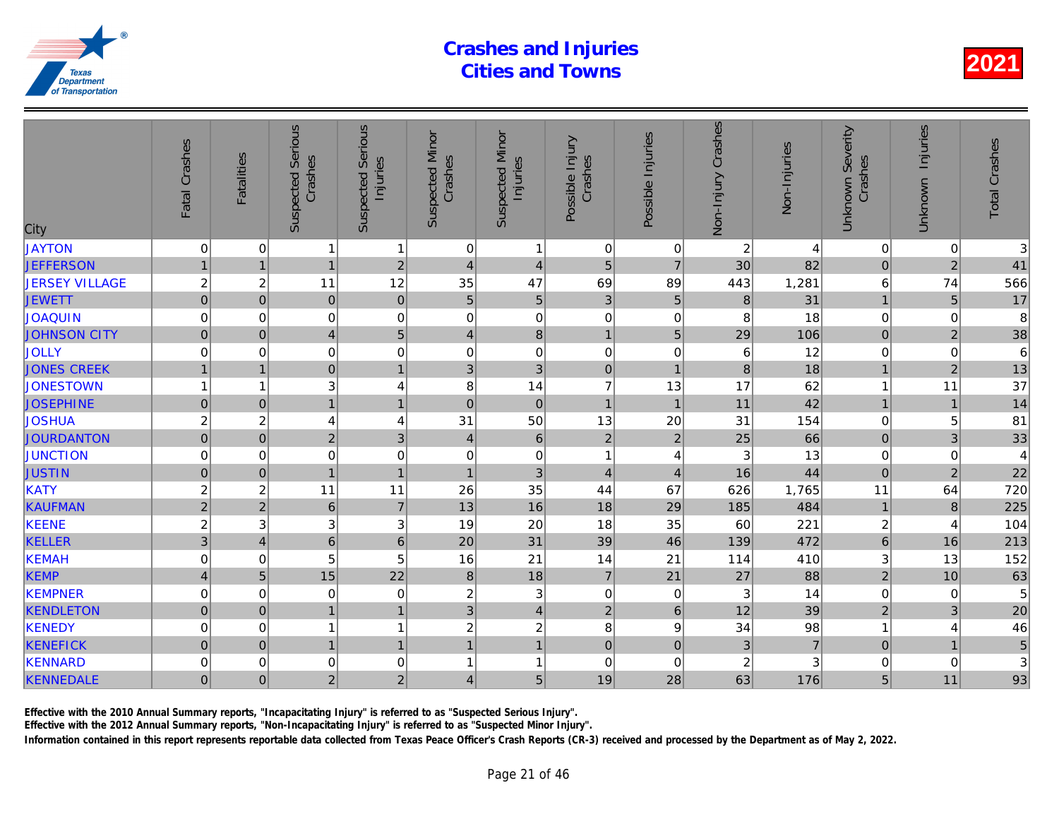| City                  | Fatal Crashes           | <b>Fatalities</b> | <b>Suspected Serious</b><br>Crashes | Serious<br>Injuries<br>Suspected | <b>Suspected Minor</b><br>Crashes | <b>Suspected Minor</b><br>Injuries | Possible Injury<br>Crashes | Possible Injuries | Non-Injury Crashes      | Non-Injuries   |
|-----------------------|-------------------------|-------------------|-------------------------------------|----------------------------------|-----------------------------------|------------------------------------|----------------------------|-------------------|-------------------------|----------------|
| <b>JAYTON</b>         | $\pmb{0}$               | 0                 | 1                                   | $\mathbf{1}$                     | 0                                 | 1                                  | $\mathbf 0$                | 0                 | $\overline{\mathbf{c}}$ |                |
| <b>JEFFERSON</b>      | $\mathbf{1}$            | $\overline{1}$    | $\mathbf{1}$                        | $\overline{2}$                   | $\overline{4}$                    | $\overline{4}$                     | 5                          | $\overline{7}$    | 30                      | 82             |
| <b>JERSEY VILLAGE</b> | $\overline{c}$          | $\overline{c}$    | 11                                  | 12                               | 35                                | 47                                 | 69                         | 89                | 443                     | 1,281          |
| <b>JEWETT</b>         | $\mathbf 0$             | $\mathbf 0$       | $\mathbf 0$                         | $\mathbf 0$                      | $\overline{5}$                    | $\overline{5}$                     | 3                          | 5                 | 8                       | 31             |
| <b>JOAQUIN</b>        | $\mathbf 0$             | $\mathbf 0$       | $\mathbf 0$                         | $\mathbf 0$                      | 0                                 | $\mathbf 0$                        | $\boldsymbol{0}$           | 0                 | 8                       | 18             |
| <b>JOHNSON CITY</b>   | $\mathsf{O}\xspace$     | $\pmb{0}$         | $\overline{4}$                      | 5                                | 4                                 | 8                                  | $\mathbf{1}$               | $5\phantom{.}$    | 29                      | 106            |
| <b>JOLLY</b>          | $\mathbf 0$             | $\mathbf 0$       | $\pmb{0}$                           | $\mathbf 0$                      | 0                                 | $\mathbf 0$                        | $\boldsymbol{0}$           | $\mathbf 0$       | 6                       | 12             |
| <b>JONES CREEK</b>    | $\mathbf{1}$            | $\overline{1}$    | $\overline{0}$                      | $\mathbf{1}$                     | 3                                 | 3                                  | $\pmb{0}$                  | $\overline{1}$    | 8                       | 18             |
| <b>JONESTOWN</b>      | 1                       | 1                 | $\ensuremath{\mathsf{3}}$           | $\overline{\mathbf{4}}$          | 8                                 | 14                                 | $\overline{7}$             | 13                | 17                      | 62             |
| <b>JOSEPHINE</b>      | $\overline{0}$          | $\mathbf 0$       | $\overline{1}$                      | $\mathbf{1}$                     | $\mathbf 0$                       | $\pmb{0}$                          | $\mathbf{1}$               | $\overline{1}$    | 11                      | 42             |
| <b>JOSHUA</b>         | $\overline{c}$          | $\overline{c}$    | 4                                   | 4                                | 31                                | 50                                 | 13                         | 20                | 31                      | 154            |
| <b>JOURDANTON</b>     | $\mathsf{O}\xspace$     | $\pmb{0}$         | $\mathbf 2$                         | 3                                | 4                                 | $\,6\,$                            | $\sqrt{2}$                 | $\overline{2}$    | 25                      | 66             |
| <b>JUNCTION</b>       | 0                       | 0                 | 0                                   | $\mathbf 0$                      | 0                                 | $\pmb{0}$                          | $\mathbf{1}$               | 4                 | 3                       | 13             |
| <b>JUSTIN</b>         | $\mathbf 0$             | $\mathbf 0$       | $\overline{1}$                      | $\mathbf{1}$                     | $\overline{1}$                    | 3                                  | $\overline{\mathbf{4}}$    | $\overline{4}$    | 16                      | 44             |
| KATY                  | $\overline{c}$          | $\overline{c}$    | 11                                  | 11                               | 26                                | 35                                 | 44                         | 67                | 626                     | 1,765          |
| <b>KAUFMAN</b>        | $\overline{2}$          | $\overline{2}$    | $\,$ 6 $\,$                         | $\overline{7}$                   | 13                                | 16                                 | 18                         | 29                | 185                     | 484            |
| <b>KEENE</b>          | $\overline{c}$          | 3                 | $\ensuremath{\mathsf{3}}$           | 3                                | 19                                | 20                                 | 18                         | 35                | 60                      | 221            |
| <b>KELLER</b>         | 3                       | $\overline{4}$    | $6\overline{6}$                     | $\overline{6}$                   | 20                                | 31                                 | 39                         | 46                | 139                     | 472            |
| <b>KEMAH</b>          | 0                       | 0                 | 5                                   | 5                                | 16                                | 21                                 | 14                         | 21                | 114                     | 410            |
| <b>KEMP</b>           | $\overline{\mathbf{4}}$ | $\overline{5}$    | 15                                  | 22                               | $\boldsymbol{8}$                  | 18                                 | $\overline{7}$             | 21                | 27                      | 88             |
| <b>KEMPNER</b>        | 0                       | $\mathbf 0$       | $\mathbf 0$                         | $\mathbf 0$                      | $\overline{c}$                    | $\ensuremath{\mathsf{3}}$          | $\mathbf 0$                | $\mathbf 0$       | 3                       | 14             |
| <b>KENDLETON</b>      | $\mathbf 0$             | $\mathbf{0}$      | $\overline{1}$                      | $\mathbf{1}$                     | 3                                 | $\overline{\mathbf{4}}$            | $\overline{c}$             | $\,$ 6 $\,$       | 12                      | 39             |
| <b>KENEDY</b>         | 0                       | 0                 |                                     | $\mathbf{1}$                     | $\overline{\mathbf{c}}$           | $\overline{\mathbf{c}}$            | 8                          | 9                 | 34                      | 98             |
| <b>KENEFICK</b>       | $\mathsf{O}\xspace$     | $\mathbf{0}$      | $\mathbf{1}$                        | $\mathbf{1}$                     | $\mathbf{1}$                      | $\overline{1}$                     | $\mathbf 0$                | $\mathbf 0$       | 3                       | $\overline{7}$ |
| <b>KENNARD</b>        | 0                       | 0                 | 0                                   | $\mathbf 0$                      | $\overline{1}$                    | $\mathbf{1}$                       | $\mathbf 0$                | $\mathbf 0$       | $\sqrt{2}$              |                |
| <b>KENNEDALE</b>      | $\mathbf 0$             | $\Omega$          | $\overline{2}$                      | 2                                | 4                                 | 5                                  | 19                         | 28                | 63                      | 176            |
|                       |                         |                   |                                     |                                  |                                   |                                    |                            |                   |                         |                |

Effective with the 2010 Annual Summary reports, "Incapacitating Injury" is referred to as "Suspected Serious Injury".

Effective with the 2012 Annual Summary reports, "Non-Incapacitating Injury" is referred to as "Suspected Minor Injury".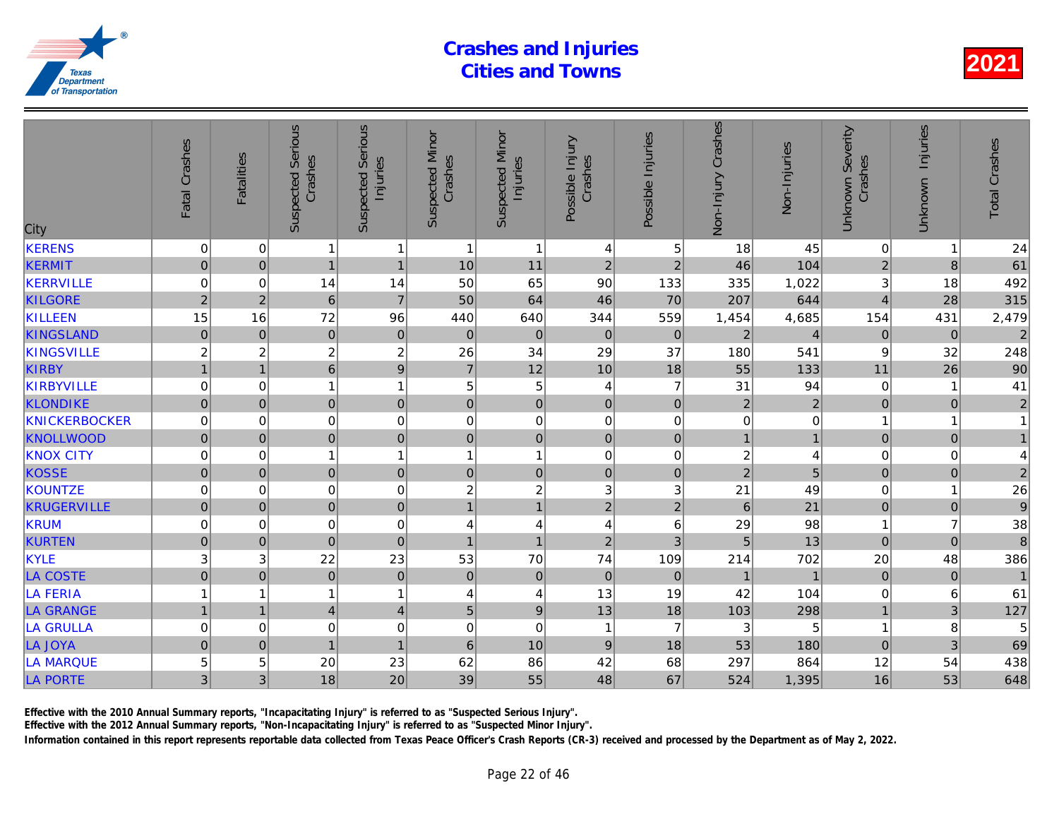| City                 | Fatal Crashes       | <b>Fatalities</b> | <b>Suspected Serious</b><br>Crashes | Serious<br>Injuries<br>Suspected | <b>Suspected Minor</b><br>Crashes | <b>Suspected Minor</b><br>Injuries | Possible Injury<br>Crashes | Possible Injuries | Non-Injury Crashes      | Non-Injuries   |
|----------------------|---------------------|-------------------|-------------------------------------|----------------------------------|-----------------------------------|------------------------------------|----------------------------|-------------------|-------------------------|----------------|
| <b>KERENS</b>        | 0                   | 0                 | 1                                   | $\mathbf{1}$                     | $\overline{1}$                    | $\mathbf{1}$                       | 4                          | 5                 | 18                      | 45             |
| <b>KERMIT</b>        | $\mathsf{O}\xspace$ | $\mathbf 0$       | $\mathbf{1}$                        | $\mathbf{1}$                     | 10                                | 11                                 | $\overline{2}$             | $\overline{2}$    | 46                      | 104            |
| KERRVILLE            | 0                   | $\mathbf 0$       | 14                                  | 14                               | 50                                | 65                                 | 90                         | 133               | 335                     | 1,022          |
| <b>KILGORE</b>       | $\overline{2}$      | $\overline{2}$    | 6                                   | $\overline{7}$                   | 50                                | 64                                 | 46                         | 70                | 207                     | 644            |
| KILLEEN              | 15                  | 16                | 72                                  | 96                               | 440                               | 640                                | 344                        | 559               | 1,454                   | 4,685          |
| <b>KINGSLAND</b>     | $\pmb{0}$           | $\mathbf{0}$      | $\pmb{0}$                           | $\pmb{0}$                        | $\boldsymbol{0}$                  | $\pmb{0}$                          | $\mathbf 0$                | $\mathbf{0}$      | $\sqrt{2}$              |                |
| <b>KINGSVILLE</b>    | $\sqrt{2}$          | $\overline{c}$    | $\boldsymbol{2}$                    | $\overline{c}$                   | 26                                | 34                                 | 29                         | 37                | 180                     | 541            |
| <b>KIRBY</b>         | $\mathbf{1}$        | $\overline{1}$    | $6\overline{6}$                     | $\overline{9}$                   | $\overline{7}$                    | 12                                 | 10                         | 18                | 55                      | 133            |
| KIRBYVILLE           | $\mathbf 0$         | 0                 | 1                                   | $\mathbf{1}$                     | 5                                 | $\,$ 5 $\,$                        | $\overline{4}$             | $\overline{7}$    | 31                      | 94             |
| <b>KLONDIKE</b>      | $\overline{0}$      | $\mathbf 0$       | 0                                   | $\pmb{0}$                        | $\overline{0}$                    | $\mathbf 0$                        | $\pmb{0}$                  | $\mathbf 0$       | $\overline{2}$          | $\overline{2}$ |
| <b>KNICKERBOCKER</b> | $\mathbf 0$         | $\mathbf 0$       | $\pmb{0}$                           | $\pmb{0}$                        | 0                                 | $\pmb{0}$                          | $\mathbf 0$                | 0                 | $\mathbf 0$             |                |
| <b>KNOLLWOOD</b>     | $\mathsf{O}\xspace$ | $\pmb{0}$         | $\pmb{0}$                           | $\overline{0}$                   | 0                                 | $\mathbf 0$                        | $\pmb{0}$                  | $\pmb{0}$         | $\mathbf{1}$            |                |
| <b>KNOX CITY</b>     | 0                   | 0                 | 1                                   | $\mathbf{1}$                     | 1                                 | 1                                  | $\pmb{0}$                  | 0                 | $\overline{\mathbf{c}}$ |                |
| <b>KOSSE</b>         | $\overline{0}$      | $\mathbf 0$       | $\mathbf 0$                         | $\mathbf 0$                      | $\overline{0}$                    | $\mathsf{O}\xspace$                | $\pmb{0}$                  | $\mathbf 0$       | $\overline{c}$          | 5              |
| <b>KOUNTZE</b>       | $\mathbf 0$         | $\Omega$          | $\mathbf 0$                         | $\mathbf 0$                      | $\overline{c}$                    | $\boldsymbol{2}$                   | $\mathbf{3}$               | 3                 | 21                      | 49             |
| <b>KRUGERVILLE</b>   | $\mathbf 0$         | $\mathbf{0}$      | $\mathbf 0$                         | $\overline{0}$                   | $\mathbf{1}$                      | $\overline{1}$                     | $\overline{2}$             | $\overline{2}$    | 6                       | 21             |
| <b>KRUM</b>          | 0                   | 0                 | 0                                   | 0                                | 4                                 | 4                                  | 4                          | 6                 | 29                      | 98             |
| <b>KURTEN</b>        | $\mathbf 0$         | $\mathbf 0$       | $\mathbf 0$                         | $\pmb{0}$                        | $\overline{1}$                    | $\overline{1}$                     | $\overline{c}$             | 3                 | 5                       | 13             |
| KYLE                 | 3                   | 3                 | 22                                  | 23                               | 53                                | 70                                 | 74                         | 109               | 214                     | 702            |
| <b>LA COSTE</b>      | $\mathbf 0$         | $\pmb{0}$         | $\pmb{0}$                           | $\pmb{0}$                        | $\pmb{0}$                         | $\pmb{0}$                          | $\mathbf 0$                | $\mathbf 0$       | $\mathbf{1}$            |                |
| <b>LA FERIA</b>      |                     | 1                 | 1                                   | $\mathbf{1}$                     | 4                                 | $\overline{\mathbf{4}}$            | 13                         | 19                | 42                      | 104            |
| <b>LA GRANGE</b>     |                     | $\overline{1}$    | $\overline{4}$                      | $\overline{\mathbf{4}}$          | 5                                 | 9                                  | 13                         | 18                | 103                     | 298            |
| <b>LA GRULLA</b>     | 0                   | 0                 | $\mathbf 0$                         | $\mathbf 0$                      | 0                                 | $\mathbf 0$                        | 1                          | $\overline{7}$    | 3                       | 5              |
| LA JOYA              | $\mathsf{O}\xspace$ | $\overline{0}$    | $\mathbf{1}$                        | $\mathbf{1}$                     | $\,$ 6 $\,$                       | 10                                 | $9\,$                      | 18                | 53                      | 180            |
| <b>LA MARQUE</b>     | 5                   | 5                 | 20                                  | 23                               | 62                                | 86                                 | 42                         | 68                | 297                     | 864            |
| LA PORTE             | 3                   | 3                 | 18                                  | 20                               | 39                                | 55                                 | 48                         | 67                | 524                     | 1,395          |
|                      |                     |                   |                                     |                                  |                                   |                                    |                            |                   |                         |                |

Effective with the 2010 Annual Summary reports, "Incapacitating Injury" is referred to as "Suspected Serious Injury".

Effective with the 2012 Annual Summary reports, "Non-Incapacitating Injury" is referred to as "Suspected Minor Injury".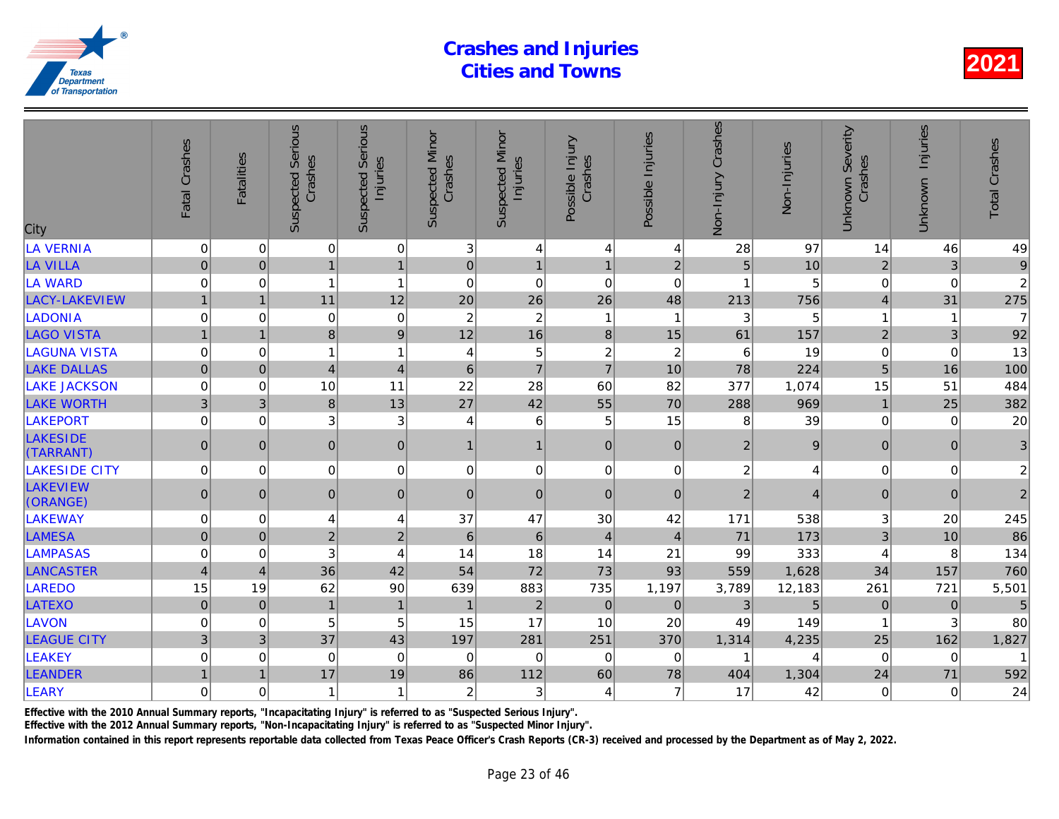| City                         | Fatal Crashes    | <b>Fatalities</b> | <b>Suspected Serious</b><br>Crashes | <b>Serious</b><br>Injuries<br>Suspected | <b>Suspected Minor</b><br>Crashes | <b>Suspected Minor</b><br>Injuries | Possible Injury<br>Crashes | Possible Injuries       | Non-Injury Crashes | Non-Injuries        |
|------------------------------|------------------|-------------------|-------------------------------------|-----------------------------------------|-----------------------------------|------------------------------------|----------------------------|-------------------------|--------------------|---------------------|
| LA VERNIA                    | $\pmb{0}$        | 0                 | $\overline{0}$                      | $\pmb{0}$                               | 3                                 | $\overline{4}$                     | 4                          | 4                       | 28                 | 97                  |
| <b>LA VILLA</b>              | $\pmb{0}$        | $\mathbf 0$       | 1                                   | $\mathbf{1}$                            | $\pmb{0}$                         | $\mathbf{1}$                       | $\mathbf{1}$               | 2 <sup>1</sup>          | $\overline{5}$     | 10                  |
| LA WARD                      | $\boldsymbol{0}$ | 0                 | $\mathbf{1}$                        | $\overline{1}$                          | $\mathbf 0$                       | $\mathbf 0$                        | $\mathbf 0$                | $\mathbf 0$             | 1                  | 5                   |
| LACY-LAKEVIEW                | $\overline{1}$   | $\overline{1}$    | 11                                  | 12                                      | 20                                | 26                                 | 26                         | 48                      | 213                | 756                 |
| <b>LADONIA</b>               | $\boldsymbol{0}$ | $\Omega$          | 0                                   | $\boldsymbol{0}$                        | $\overline{c}$                    | $\overline{c}$                     | $\mathbf{1}$               | $\overline{\mathbf{1}}$ | 3                  | 5                   |
| <b>LAGO VISTA</b>            | $\mathbf{1}$     | $\overline{1}$    | 8                                   | $\overline{9}$                          | 12                                | 16                                 | 8                          | 15                      | 61                 | 157                 |
| <b>LAGUNA VISTA</b>          | $\mathbf 0$      | 0                 | 1                                   | $\overline{1}$                          | 4                                 | 5                                  | $\overline{\mathbf{c}}$    | $\overline{c}$          | 6                  | 19                  |
| <b>LAKE DALLAS</b>           | $\overline{0}$   | $\overline{0}$    | $\vert 4 \vert$                     | $\overline{\mathbf{4}}$                 | $6\phantom{1}$                    | $\overline{7}$                     | $\overline{7}$             | 10                      | 78                 | 224                 |
| <b>LAKE JACKSON</b>          | $\mathbf 0$      | $\Omega$          | 10                                  | 11                                      | 22                                | 28                                 | 60                         | 82                      | 377                | 1,074               |
| <b>LAKE WORTH</b>            | 3                | 3                 | 8                                   | 13                                      | 27                                | 42                                 | 55                         | 70                      | 288                | 969                 |
| LAKEPORT                     | $\mathbf 0$      | $\Omega$          | 3                                   | 3                                       | $\overline{4}$                    | $\,6$                              | 5                          | 15                      | 8                  | 39                  |
| <b>LAKESIDE</b><br>(TARRANT) | $\mathbf 0$      | $\Omega$          | $\overline{0}$                      | $\pmb{0}$                               | $\mathbf{1}$                      | $\mathbf{1}$                       | $\overline{0}$             | $\Omega$                | $\overline{2}$     | 9                   |
| <b>LAKESIDE CITY</b>         | $\overline{0}$   | 0                 | $\overline{0}$                      | $\pmb{0}$                               | 0                                 | $\mathsf 0$                        | $\pmb{0}$                  | $\mathbf 0$             | $\overline{c}$     |                     |
| <b>LAKEVIEW</b><br>(ORANGE)  | $\overline{0}$   | $\mathbf{0}$      | $\overline{0}$                      | $\pmb{0}$                               | $\mathbf{0}$                      | $\pmb{0}$                          | $\mathbf 0$                | $\mathbf{0}$            | $\overline{2}$     | $\overline{\Delta}$ |
| LAKEWAY                      | $\mathbf 0$      | $\mathbf 0$       | 4                                   | $\overline{4}$                          | 37                                | 47                                 | 30                         | 42                      | 171                | 538                 |
| <b>LAMESA</b>                | $\mathbf 0$      | $\Omega$          | $\overline{2}$                      | $\overline{2}$                          | 6                                 | $\,6\,$                            | $\overline{4}$             | $\overline{4}$          | 71                 | 173                 |
| <b>LAMPASAS</b>              | 0                | 0                 | 3                                   | $\overline{4}$                          | 14                                | 18                                 | 14                         | 21                      | 99                 | 333                 |
| <b>LANCASTER</b>             | $\overline{4}$   | $\overline{4}$    | 36                                  | 42                                      | 54                                | 72                                 | 73                         | 93                      | 559                | 1,628               |
| LAREDO                       | 15               | 19                | 62                                  | 90                                      | 639                               | 883                                | 735                        | 1,197                   | 3,789              | 12,183              |
| LATEXO                       | $\pmb{0}$        | $\mathbf 0$       | $\overline{1}$                      | $\mathbf{1}$                            | $\overline{1}$                    | $\sqrt{2}$                         | $\overline{0}$             | $\mathbf 0$             | 3                  | 5                   |
| LAVON                        | $\mathbf 0$      | 0                 | 5                                   | 5                                       | 15                                | 17                                 | 10                         | 20                      | 49                 | 149                 |
| <b>LEAGUE CITY</b>           | 3 <sup>1</sup>   | 3                 | 37                                  | 43                                      | 197                               | 281                                | 251                        | 370                     | 1,314              | 4,235               |
| LEAKEY                       | $\mathbf 0$      | $\Omega$          | $\mathbf 0$                         | $\mathbf 0$                             | $\mathbf 0$                       | $\mathbf 0$                        | $\Omega$                   | 0                       |                    |                     |
| <b>LEANDER</b>               | $\mathbf{1}$     | 1                 | 17                                  | 19                                      | 86                                | 112                                | 60                         | 78                      | 404                | 1,304               |
| <b>LEARY</b>                 | $\mathbf 0$      | $\Omega$          | 1                                   | $\overline{1}$                          | $\overline{c}$                    | 3                                  | $\overline{4}$             | 7                       | 17                 | 42                  |
|                              |                  |                   |                                     |                                         |                                   |                                    |                            |                         |                    |                     |

Effective with the 2010 Annual Summary reports, "Incapacitating Injury" is referred to as "Suspected Serious Injury".

Effective with the 2012 Annual Summary reports, "Non-Incapacitating Injury" is referred to as "Suspected Minor Injury".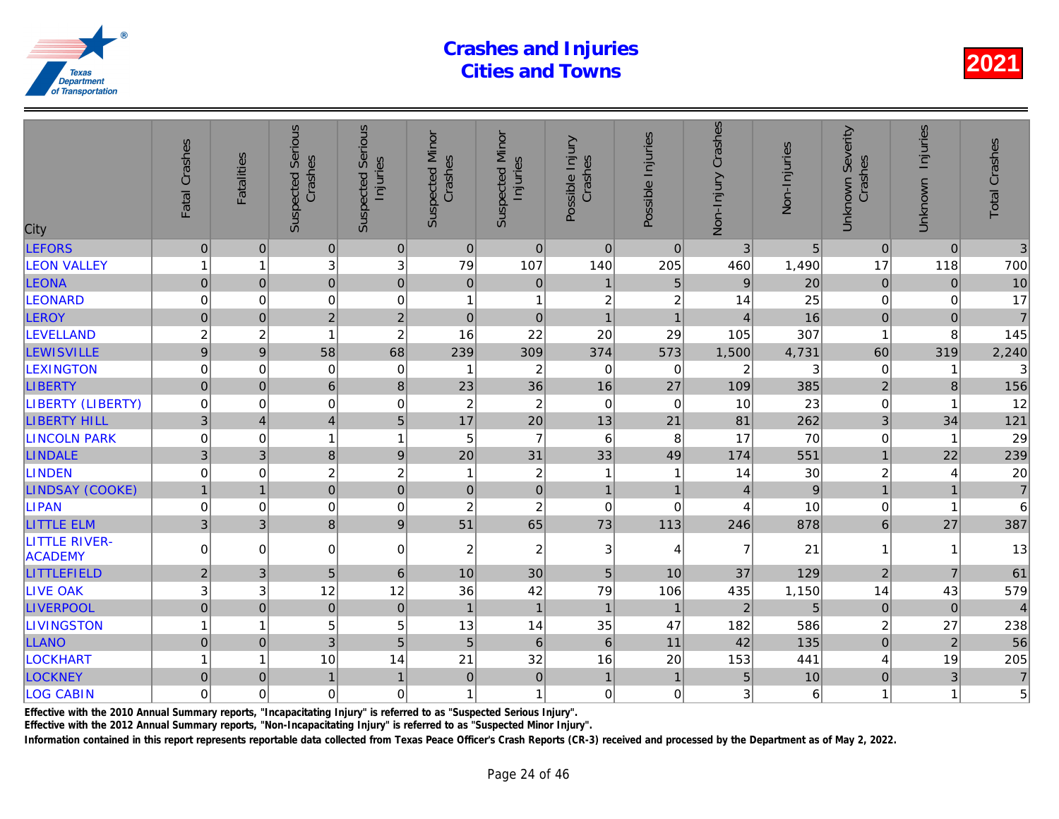| City                                   | Fatal Crashes       | <b>Fatalities</b> | <b>Suspected Serious</b><br>Crashes | Serious<br>Injuries<br>Suspected | <b>Suspected Minor</b><br>Crashes | <b>Suspected Minor</b><br>Injuries | Possible Injury<br>Crashes | Possible Injuries | Non-Injury Crashes | Non-Injuries |
|----------------------------------------|---------------------|-------------------|-------------------------------------|----------------------------------|-----------------------------------|------------------------------------|----------------------------|-------------------|--------------------|--------------|
| <b>LEFORS</b>                          | $\mathsf{O}\xspace$ | $\mathbf{0}$      | $\pmb{0}$                           | $\overline{0}$                   | $\mathbf 0$                       | $\pmb{0}$                          | $\mathbf 0$                | $\mathbf{0}$      | 3                  | 5            |
| <b>LEON VALLEY</b>                     | 1                   | 1                 | 3                                   | 3                                | 79                                | 107                                | 140                        | 205               | 460                | 1,490        |
| <b>LEONA</b>                           | $\mathbf 0$         | $\pmb{0}$         | $\mathbf 0$                         | $\mathbf 0$                      | $\pmb{0}$                         | $\pmb{0}$                          | $\mathbf{1}$               | $\overline{5}$    | $\boldsymbol{9}$   | 20           |
| <b>LEONARD</b>                         | 0                   | 0                 | $\pmb{0}$                           | $\mathbf 0$                      | $\mathbf{1}$                      | $\mathbf{1}$                       | $\overline{c}$             | $\boldsymbol{2}$  | 14                 | 25           |
| LEROY                                  | $\overline{0}$      | $\mathbf 0$       | $\overline{2}$                      | $\overline{2}$                   | $\pmb{0}$                         | $\mathbf 0$                        | $\overline{1}$             | $\overline{1}$    | $\overline{4}$     | 16           |
| LEVELLAND                              | $\overline{c}$      | $\overline{c}$    | 1                                   | $\overline{c}$                   | 16                                | 22                                 | 20                         | 29                | 105                | 307          |
| <b>LEWISVILLE</b>                      | 9                   | $\boldsymbol{9}$  | 58                                  | 68                               | 239                               | 309                                | 374                        | 573               | 1,500              | 4,731        |
| <b>LEXINGTON</b>                       | $\mathbf 0$         | 0                 | $\mathbf 0$                         | $\mathbf 0$                      | $\overline{\mathbf{1}}$           | $\overline{c}$                     | $\mathbf 0$                | 0                 | $\overline{c}$     |              |
| <b>LIBERTY</b>                         | $\mathbf 0$         | $\mathbf 0$       | $6\phantom{a}$                      | $\,8\,$                          | 23                                | 36                                 | 16                         | 27                | 109                | 385          |
| <b>LIBERTY (LIBERTY)</b>               | $\pmb{0}$           | $\mathbf 0$       | $\mathbf 0$                         | $\mathbf 0$                      | $\boldsymbol{2}$                  | $\boldsymbol{2}$                   | $\boldsymbol{0}$           | $\mathbf 0$       | 10                 | 23           |
| <b>LIBERTY HILL</b>                    | 3                   | $\overline{4}$    | $\overline{4}$                      | 5                                | 17                                | 20                                 | 13                         | 21                | 81                 | 262          |
| <b>LINCOLN PARK</b>                    | $\mathbf 0$         | 0                 |                                     | $\mathbf{1}$                     | 5                                 | $\overline{7}$                     | $\,6$                      | $\, 8$            | 17                 | 70           |
| <b>LINDALE</b>                         | 3                   | 3                 | 8                                   | $\boldsymbol{9}$                 | 20                                | 31                                 | 33                         | 49                | 174                | 551          |
| <b>LINDEN</b>                          | $\pmb{0}$           | $\mathbf 0$       | $\boldsymbol{2}$                    | $\overline{c}$                   | $\overline{1}$                    | $\sqrt{2}$                         | $\mathbf{1}$               | $\overline{1}$    | 14                 | 30           |
| <b>LINDSAY (COOKE)</b>                 | $\mathbf{1}$        | $\overline{1}$    | $\overline{0}$                      | $\overline{0}$                   | $\mathbf 0$                       | $\mathsf{O}\xspace$                | $\mathbf{1}$               | $\mathbf{1}$      | $\overline{4}$     | 9            |
| <b>LIPAN</b>                           | $\pmb{0}$           | $\mathbf 0$       | $\mathbf 0$                         | $\mathbf 0$                      | $\boldsymbol{2}$                  | $\overline{c}$                     | $\mathbf 0$                | $\mathbf 0$       | $\overline{4}$     | 10           |
| <b>LITTLE ELM</b>                      | 3                   | 3                 | 8                                   | $\boldsymbol{9}$                 | 51                                | 65                                 | 73                         | 113               | 246                | 878          |
| <b>LITTLE RIVER-</b><br><b>ACADEMY</b> | $\Omega$            | $\Omega$          | $\Omega$                            | $\overline{0}$                   | $\overline{c}$                    | $\boldsymbol{2}$                   | 3                          | 4                 | $\overline{7}$     | 21           |
| LITTLEFIELD                            | $\overline{2}$      | 3                 | 5                                   | $\,6\,$                          | 10                                | 30                                 | $\overline{5}$             | 10                | 37                 | 129          |
| <b>LIVE OAK</b>                        | 3                   | 3                 | 12                                  | 12                               | 36                                | 42                                 | 79                         | 106               | 435                | 1,150        |
| <b>LIVERPOOL</b>                       | $\mathbf 0$         | $\mathbf 0$       | $\mathbf 0$                         | $\overline{0}$                   | $\mathbf{1}$                      | $\mathbf{1}$                       | $\mathbf{1}$               | $\overline{1}$    | $\overline{2}$     | 5            |
| <b>LIVINGSTON</b>                      | 1                   | 1                 | 5                                   | 5                                | 13                                | 14                                 | 35                         | 47                | 182                | 586          |
| <b>LLANO</b>                           | $\overline{0}$      | $\overline{0}$    | $\overline{3}$                      | 5                                | 5                                 | $6\phantom{a}$                     | $6\phantom{1}$             | 11                | 42                 | 135          |
| <b>LOCKHART</b>                        | 1                   | $\overline{1}$    | 10                                  | 14                               | 21                                | 32                                 | 16                         | 20                | 153                | 441          |
| <b>LOCKNEY</b>                         | $\mathbf 0$         | $\mathbf 0$       | $\overline{1}$                      | $\mathbf{1}$                     | $\mathbf 0$                       | $\pmb{0}$                          | $\mathbf{1}$               | $\mathbf{1}$      | 5                  | 10           |
| <b>LOG CABIN</b>                       | $\mathbf 0$         | 0                 | $\mathbf 0$                         | $\overline{0}$                   | 1                                 | $\mathbf{1}$                       | $\Omega$                   | $\mathbf 0$       | 3                  | 6            |
|                                        |                     |                   |                                     |                                  |                                   |                                    |                            |                   |                    |              |

Effective with the 2010 Annual Summary reports, "Incapacitating Injury" is referred to as "Suspected Serious Injury".

Effective with the 2012 Annual Summary reports, "Non-Incapacitating Injury" is referred to as "Suspected Minor Injury".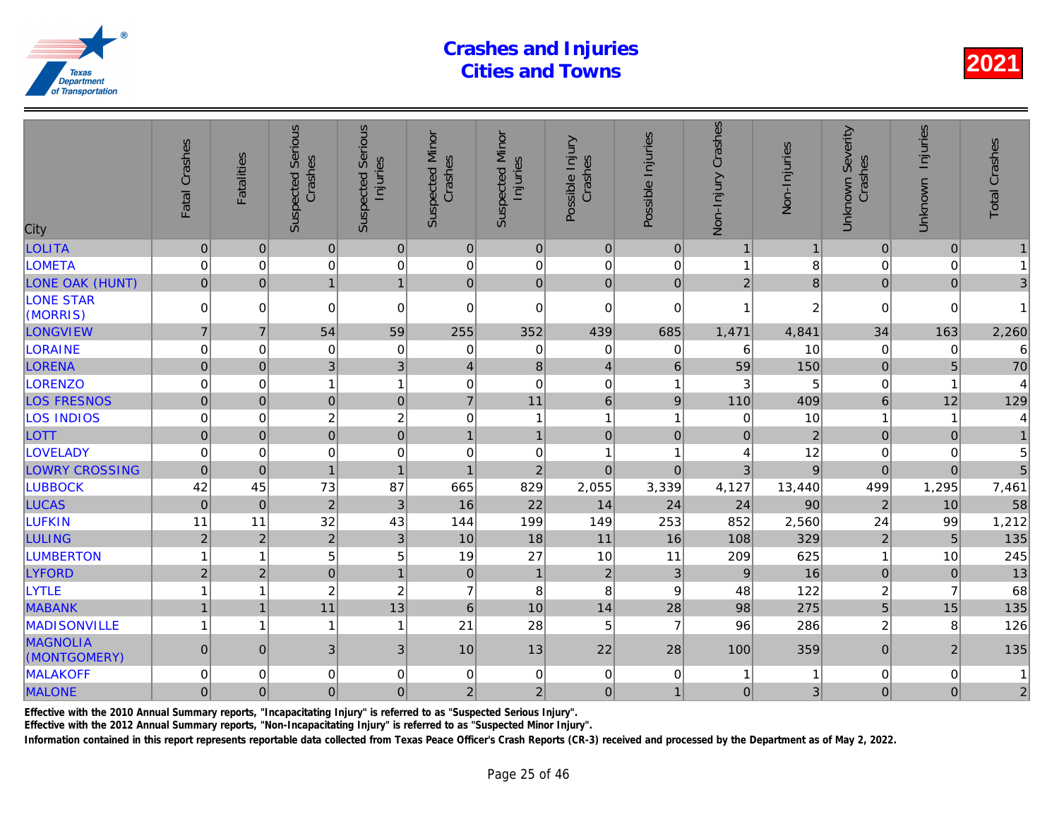| City                            | Fatal Crashes       | <b>Fatalities</b> | <b>Suspected Serious</b><br>Crashes | Serious<br>Injuries<br>Suspected | <b>Suspected Minor</b><br>Crashes | <b>Suspected Minor</b><br>Injuries | Possible Injury<br>Crashes | Possible Injuries       | Non-Injury Crashes | Non-Injuries   |
|---------------------------------|---------------------|-------------------|-------------------------------------|----------------------------------|-----------------------------------|------------------------------------|----------------------------|-------------------------|--------------------|----------------|
| <b>LOLITA</b>                   | $\mathsf{O}\xspace$ | $\pmb{0}$         | $\mathbf 0$                         | $\pmb{0}$                        | $\mathbf 0$                       | $\pmb{0}$                          | $\mathbf 0$                | $\overline{0}$          | $\overline{1}$     |                |
| <b>LOMETA</b>                   | $\mathbf 0$         | $\mathbf 0$       | $\mathbf 0$                         | $\mathbf 0$                      | $\mathbf 0$                       | $\pmb{0}$                          | $\mathbf 0$                | $\mathbf 0$             |                    | 8              |
| <b>LONE OAK (HUNT)</b>          | $\mathbf 0$         | $\Omega$          | $\overline{1}$                      | $\mathbf{1}$                     | $\Omega$                          | $\mathbf 0$                        | $\Omega$                   | $\Omega$                | 2                  | 8              |
| <b>LONE STAR</b><br>(MORRIS)    | $\mathbf 0$         | $\mathbf 0$       | $\mathbf 0$                         | $\overline{0}$                   | 0                                 | $\pmb{0}$                          | $\mathbf 0$                | $\mathbf 0$             | 1                  | $\overline{2}$ |
| LONGVIEW                        | $\overline{7}$      | $\overline{7}$    | 54                                  | 59                               | 255                               | 352                                | 439                        | 685                     | 1,471              | 4,841          |
| <b>LORAINE</b>                  | $\mathbf 0$         | $\Omega$          | 0                                   | 0                                | 0                                 | 0                                  | $\Omega$                   | 0                       | 6                  | 10             |
| <b>LORENA</b>                   | $\mathbf 0$         | $\mathbf 0$       | 3                                   | 3                                | 4                                 | $\bf 8$                            | $\overline{4}$             | $\,6\,$                 | 59                 | 150            |
| <b>LORENZO</b>                  | $\mathbf 0$         | 0                 | 1                                   | $\mathbf{1}$                     | 0                                 | $\mathbf 0$                        | $\pmb{0}$                  | -1                      | 3                  | 5              |
| <b>LOS FRESNOS</b>              | $\mathbf 0$         | $\mathbf 0$       | $\mathbf 0$                         | $\pmb{0}$                        | $\overline{7}$                    | 11                                 | $6\phantom{1}$             | 9                       | 110                | 409            |
| <b>LOS INDIOS</b>               | $\mathbf 0$         | $\Omega$          | $\overline{c}$                      | $\overline{c}$                   | $\mathbf 0$                       | $\mathbf{1}$                       | $\mathbf{1}$               | $\overline{\mathbf{1}}$ | $\mathbf 0$        | 10             |
| <b>LOTT</b>                     | $\overline{0}$      | $\overline{0}$    | $\overline{0}$                      | $\overline{0}$                   | $\mathbf{1}$                      | $\mathbf{1}$                       | $\mathbf 0$                | $\mathbf 0$             | $\mathbf{0}$       | $\overline{a}$ |
| <b>LOVELADY</b>                 | 0                   | 0                 | $\mathbf 0$                         | $\mathbf 0$                      | 0                                 | $\mathbf 0$                        | 1                          | $\overline{\mathbf{1}}$ | 4                  | 12             |
| <b>LOWRY CROSSING</b>           | $\overline{0}$      | $\mathbf 0$       | $\overline{1}$                      | $\mathbf{1}$                     | $\overline{1}$                    | $\overline{2}$                     | $\mathbf 0$                | $\mathbf 0$             | 3                  | 9              |
| <b>LUBBOCK</b>                  | 42                  | 45                | 73                                  | 87                               | 665                               | 829                                | 2,055                      | 3,339                   | 4,127              | 13,440         |
| <b>LUCAS</b>                    | $\pmb{0}$           | $\Omega$          | $\overline{2}$                      | 3                                | 16                                | 22                                 | 14                         | 24                      | 24                 | 90             |
| <b>LUFKIN</b>                   | 11                  | 11                | 32                                  | 43                               | 144                               | 199                                | 149                        | 253                     | 852                | 2,560          |
| <b>LULING</b>                   | $\overline{2}$      | $\overline{2}$    | $\overline{2}$                      | $\mathbf{3}$                     | 10                                | 18                                 | 11                         | 16                      | 108                | 329            |
| <b>LUMBERTON</b>                |                     | 1                 | 5                                   | 5                                | 19                                | 27                                 | 10                         | 11                      | 209                | 625            |
| <b>LYFORD</b>                   | $\overline{2}$      | $\overline{2}$    | $\mathbf 0$                         | $\mathbf{1}$                     | $\boldsymbol{0}$                  | $\mathbf{1}$                       | $\overline{2}$             | 3                       | 9                  | 16             |
| <b>LYTLE</b>                    |                     | 1                 | 2                                   | $\overline{c}$                   | $\overline{7}$                    | $\bf 8$                            | 8                          | 9                       | 48                 | 122            |
| <b>MABANK</b>                   | $\mathbf{1}$        | $\overline{1}$    | 11                                  | 13                               | $\,$ 6 $\,$                       | 10                                 | 14                         | 28                      | 98                 | 275            |
| <b>MADISONVILLE</b>             | 1                   | 1                 | $\mathbf{1}$                        | 1                                | 21                                | 28                                 | 5                          | $\overline{7}$          | 96                 | 286            |
| <b>MAGNOLIA</b><br>(MONTGOMERY) | $\mathsf{O}\xspace$ | $\overline{0}$    | $\mathfrak{B}$                      | 3                                | 10                                | 13                                 | 22                         | 28                      | 100                | 359            |
| <b>MALAKOFF</b>                 | $\mathbf 0$         | 0                 | $\mathbf 0$                         | $\mathbf 0$                      | 0                                 | $\mathbf 0$                        | $\mathbf 0$                | 0                       | 1                  |                |
| <b>MALONE</b>                   | $\mathbf 0$         | $\mathbf{0}$      | 0                                   | 0                                | $\overline{2}$                    | $\overline{2}$                     | $\mathbf 0$                | $\mathbf{1}$            | $\mathbf 0$        | 3              |
|                                 |                     |                   |                                     |                                  |                                   |                                    |                            |                         |                    |                |

Effective with the 2010 Annual Summary reports, "Incapacitating Injury" is referred to as "Suspected Serious Injury".

Effective with the 2012 Annual Summary reports, "Non-Incapacitating Injury" is referred to as "Suspected Minor Injury".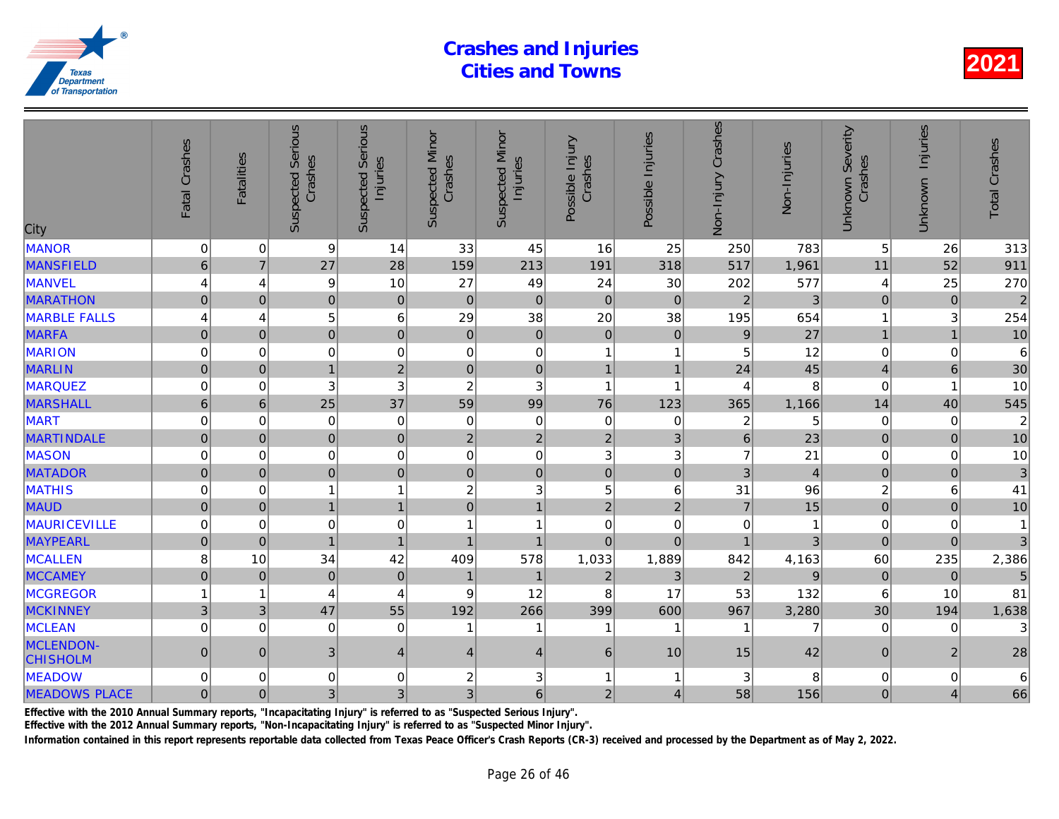| City                                | Fatal Crashes       | <b>Fatalities</b> | <b>Suspected Serious</b><br>Crashes | Serious<br>Injuries<br>Suspected | <b>Suspected Minor</b><br>Crashes | <b>Suspected Minor</b><br>Injuries | Possible Injury<br>Crashes | Possible Injuries       | Non-Injury Crashes      | Non-Injuries   |
|-------------------------------------|---------------------|-------------------|-------------------------------------|----------------------------------|-----------------------------------|------------------------------------|----------------------------|-------------------------|-------------------------|----------------|
| <b>MANOR</b>                        | $\mathbf 0$         | 0                 | 9                                   | 14                               | 33                                | 45                                 | 16                         | 25                      | 250                     | 783            |
| <b>MANSFIELD</b>                    | $6\phantom{1}$      | $\overline{7}$    | 27                                  | 28                               | 159                               | 213                                | 191                        | 318                     | 517                     | 1,961          |
| <b>MANVEL</b>                       | 4                   | 4                 | 9                                   | 10                               | 27                                | 49                                 | 24                         | 30                      | 202                     | 577            |
| <b>MARATHON</b>                     | $\overline{0}$      | $\overline{0}$    | $\mathbf 0$                         | $\pmb{0}$                        | $\overline{0}$                    | $\pmb{0}$                          | $\mathbf{0}$               | $\overline{0}$          | $\overline{2}$          | 3              |
| <b>MARBLE FALLS</b>                 | 4                   | $\overline{4}$    | 5                                   | $6\phantom{1}6$                  | 29                                | 38                                 | 20                         | 38                      | 195                     | 654            |
| <b>MARFA</b>                        | $\overline{0}$      | $\overline{0}$    | $\overline{0}$                      | $\mathbf 0$                      | $\mathbf 0$                       | $\pmb{0}$                          | $\mathbf 0$                | $\mathbf{0}$            | 9                       | 27             |
| <b>MARION</b>                       | 0                   | $\mathbf 0$       | $\mathbf 0$                         | $\mathbf 0$                      | $\mathbf 0$                       | $\mathbf 0$                        | 1                          | 1                       | 5                       | 12             |
| <b>MARLIN</b>                       | $\mathbf 0$         | $\mathbf{0}$      | $\mathbf{1}$                        | $\overline{2}$                   | $\mathbf 0$                       | $\pmb{0}$                          | $\mathbf{1}$               | $\mathbf{1}$            | 24                      | 45             |
| <b>MARQUEZ</b>                      | $\mathbf 0$         | $\mathbf 0$       | $\ensuremath{\mathsf{3}}$           | 3                                | $\sqrt{2}$                        | $\sqrt{3}$                         | $\mathbf{1}$               | $\overline{\mathbf{1}}$ | 4                       | 8              |
| <b>MARSHALL</b>                     | $6\phantom{a}$      | $6\phantom{1}$    | 25                                  | 37                               | 59                                | 99                                 | 76                         | 123                     | 365                     | 1,166          |
| <b>MART</b>                         | $\mathbf 0$         | $\mathbf 0$       | $\mathbf 0$                         | $\mathbf 0$                      | 0                                 | $\pmb{0}$                          | $\mathbf 0$                | $\mathbf 0$             | $\overline{\mathbf{c}}$ | 5              |
| <b>MARTINDALE</b>                   | $\mathsf{O}\xspace$ | $\pmb{0}$         | $\pmb{0}$                           | $\mathbf 0$                      | $\overline{2}$                    | $\mathbf 2$                        | $\overline{2}$             | 3                       | $\,$ 6 $\,$             | 23             |
| <b>MASON</b>                        | 0                   | 0                 | $\pmb{0}$                           | $\mathbf 0$                      | 0                                 | $\pmb{0}$                          | $\sqrt{3}$                 | 3                       | $\overline{7}$          | 21             |
| <b>MATADOR</b>                      | $\mathbf 0$         | $\mathbf 0$       | $\overline{0}$                      | $\mathbf 0$                      | $\overline{0}$                    | $\mathbf 0$                        | $\mathbf 0$                | $\mathbf 0$             | 3                       | $\overline{4}$ |
| <b>MATHIS</b>                       | $\Omega$            | $\Omega$          |                                     | $\mathbf{1}$                     | $\overline{c}$                    | $\mathfrak{Z}$                     | 5                          | 6                       | 31                      | 96             |
| <b>MAUD</b>                         | $\overline{0}$      | $\overline{0}$    | $\overline{1}$                      | $\mathbf{1}$                     | $\overline{0}$                    | $\mathbf{1}$                       | $\overline{2}$             | $\overline{2}$          | $\overline{7}$          | 15             |
| <b>MAURICEVILLE</b>                 | 0                   | $\mathbf 0$       | $\mathbf 0$                         | $\mathbf 0$                      | 1                                 | 1                                  | $\mathbf 0$                | 0                       | $\Omega$                |                |
| <b>MAYPEARL</b>                     | $\overline{0}$      | $\mathbf{0}$      | $\overline{1}$                      | $\mathbf{1}$                     | $\mathbf{1}$                      | $\overline{1}$                     | $\mathbf 0$                | $\mathbf 0$             | $\overline{1}$          |                |
| <b>MCALLEN</b>                      | 8                   | 10                | 34                                  | 42                               | 409                               | 578                                | 1,033                      | 1,889                   | 842                     | 4,163          |
| <b>MCCAMEY</b>                      | $\mathbf 0$         | $\overline{0}$    | $\overline{0}$                      | $\mathbf 0$                      | $\mathbf{1}$                      | $\mathbf 1$                        | $\overline{2}$             | 3                       | $\overline{2}$          | 9              |
| <b>MCGREGOR</b>                     |                     | 1                 | 4                                   | $\overline{4}$                   | 9                                 | 12                                 | 8                          | 17                      | 53                      | 132            |
| <b>MCKINNEY</b>                     | 3                   | 3                 | 47                                  | 55                               | 192                               | 266                                | 399                        | 600                     | 967                     | 3,280          |
| <b>MCLEAN</b>                       | $\mathbf 0$         | $\mathbf 0$       | $\mathbf 0$                         | $\mathbf 0$                      | 1                                 | 1                                  | $\mathbf{1}$               | -1                      |                         |                |
| <b>MCLENDON-</b><br><b>CHISHOLM</b> | $\overline{0}$      | $\Omega$          | 3                                   | $\overline{4}$                   | 4                                 | $\overline{4}$                     | 6                          | 10                      | 15                      | 42             |
| <b>MEADOW</b>                       | 0                   | 0                 | 0                                   | 0                                | 2                                 | 3                                  | $\mathbf{1}$               | -1                      | 3                       | 8              |
| <b>MEADOWS PLACE</b>                | $\mathbf 0$         | $\overline{0}$    | 3                                   | 3                                | 3                                 | 6                                  | $\overline{c}$             | 4                       | 58                      | 156            |
|                                     |                     |                   |                                     |                                  |                                   |                                    |                            |                         |                         |                |

Effective with the 2010 Annual Summary reports, "Incapacitating Injury" is referred to as "Suspected Serious Injury".

Effective with the 2012 Annual Summary reports, "Non-Incapacitating Injury" is referred to as "Suspected Minor Injury".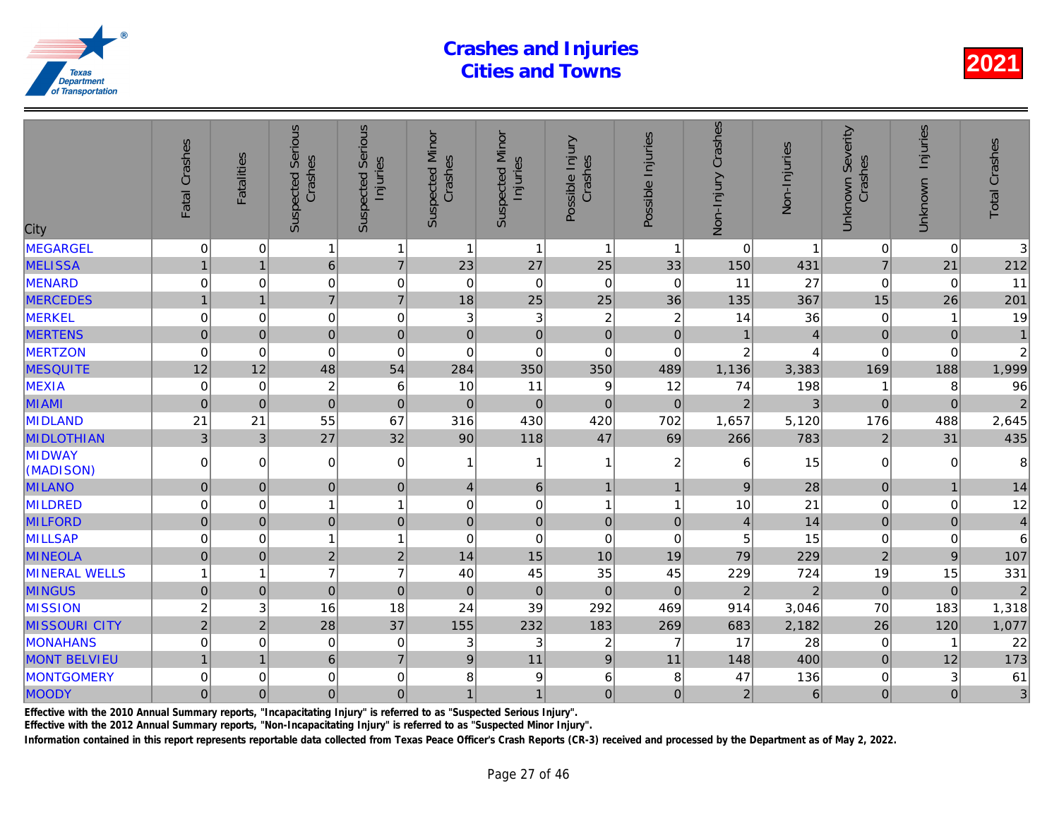| City                 | Fatal Crashes  | <b>Fatalities</b> | <b>Suspected Serious</b><br>Crashes | <b>Serious</b><br>Injuries<br>Suspected | <b>Suspected Minor</b><br>Crashes | <b>Suspected Minor</b><br>Injuries | Possible Injury<br>Crashes | Possible Injuries | Non-Injury Crashes | Non-Injuries   |
|----------------------|----------------|-------------------|-------------------------------------|-----------------------------------------|-----------------------------------|------------------------------------|----------------------------|-------------------|--------------------|----------------|
| <b>MEGARGEL</b>      | $\mathbf 0$    | 0                 | $\mathbf{1}$                        | $\mathbf{1}$                            | $\overline{1}$                    | $\mathbf{1}$                       | $\mathbf{1}$               | $\overline{1}$    | $\mathbf 0$        |                |
| <b>MELISSA</b>       | $\mathbf{1}$   | $\overline{1}$    | $\,$ 6 $\,$                         | $\overline{7}$                          | 23                                | 27                                 | 25                         | 33                | 150                | 431            |
| <b>MENARD</b>        | $\mathbf 0$    | 0                 | 0                                   | $\mathbf 0$                             | $\mathbf 0$                       | $\pmb{0}$                          | $\mathbf 0$                | $\mathbf 0$       | 11                 | 27             |
| <b>MERCEDES</b>      | $\overline{1}$ | $\overline{1}$    | $\overline{7}$                      | $\overline{7}$                          | 18                                | 25                                 | 25                         | 36                | 135                | 367            |
| MERKEL               | $\mathbf 0$    | $\Omega$          | $\mathbf 0$                         | $\mathbf 0$                             | 3                                 | $\sqrt{3}$                         | $\overline{c}$             | $\overline{2}$    | 14                 | 36             |
| <b>MERTENS</b>       | $\mathbf 0$    | $\mathbf{0}$      | $\overline{0}$                      | $\mathbf 0$                             | $\pmb{0}$                         | $\mathbf 0$                        | $\mathbf 0$                | $\pmb{0}$         |                    |                |
| <b>MERTZON</b>       | $\mathbf 0$    | $\mathbf 0$       | 0                                   | $\mathbf 0$                             | $\mathbf 0$                       | $\mathbf 0$                        | $\mathbf 0$                | $\mathbf 0$       | $\overline{c}$     |                |
| <b>MESQUITE</b>      | 12             | 12                | 48                                  | 54                                      | 284                               | 350                                | 350                        | 489               | 1,136              | 3,383          |
| MEXIA                | $\mathbf 0$    | $\mathbf 0$       | $\overline{\mathbf{c}}$             | $6\phantom{1}6$                         | 10                                | 11                                 | 9                          | 12                | 74                 | 198            |
| <b>MIAMI</b>         | $\mathbf 0$    | $\Omega$          | $\overline{0}$                      | $\overline{0}$                          | $\mathbf 0$                       | $\mathbf 0$                        | $\mathbf 0$                | $\overline{0}$    | $\overline{2}$     |                |
| <b>MIDLAND</b>       | 21             | 21                | 55                                  | 67                                      | 316                               | 430                                | 420                        | 702               | 1,657              | 5,120          |
| <b>MIDLOTHIAN</b>    | 3 <sup>1</sup> | $\mathfrak{3}$    | 27                                  | 32                                      | 90                                | 118                                | 47                         | 69                | 266                | 783            |
| MIDWAY<br>(MADISON)  | 0              | 0                 | $\overline{0}$                      | 0                                       | 1                                 | $\mathbf{1}$                       | 1                          | $\boldsymbol{2}$  | 6                  | 15             |
| <b>MILANO</b>        | $\mathbf 0$    | $\mathbf{0}$      | $\overline{0}$                      | $\mathbf 0$                             | $\overline{4}$                    | $\,6\,$                            | $\mathbf{1}$               | $\overline{1}$    | $\boldsymbol{9}$   | 28             |
| <b>MILDRED</b>       | $\mathbf 0$    | $\Omega$          | $\mathbf{1}$                        | $\overline{1}$                          | 0                                 | $\mathsf 0$                        | 1                          | 1                 | 10                 | 21             |
| <b>MILFORD</b>       | $\pmb{0}$      | $\mathbf{0}$      | $\overline{0}$                      | $\mathbf 0$                             | $\pmb{0}$                         | $\mathbf 0$                        | $\pmb{0}$                  | $\pmb{0}$         | $\overline{4}$     | 14             |
| <b>MILLSAP</b>       | 0              | 0                 | 1                                   | $\overline{1}$                          | 0                                 | $\mathbf 0$                        | $\mathbf 0$                | 0                 | 5                  | 15             |
| <b>MINEOLA</b>       | $\mathbf 0$    | $\mathbf 0$       | $\overline{2}$                      | $\mathbf 2$                             | 14                                | 15                                 | 10                         | 19                | 79                 | 229            |
| <b>MINERAL WELLS</b> | $\overline{1}$ | 1                 | $\overline{7}$                      | $\overline{7}$                          | 40                                | 45                                 | 35                         | 45                | 229                | 724            |
| <b>MINGUS</b>        | $\mathbf 0$    | $\mathbf{0}$      | $\mathbf 0$                         | $\mathbf 0$                             | $\pmb{0}$                         | $\pmb{0}$                          | $\mathbf 0$                | $\mathbf 0$       | $\overline{2}$     | $\overline{2}$ |
| <b>MISSION</b>       | $\overline{c}$ | 3                 | 16                                  | 18                                      | 24                                | 39                                 | 292                        | 469               | 914                | 3,046          |
| <b>MISSOURI CITY</b> | $\overline{2}$ | $\overline{2}$    | 28                                  | 37                                      | 155                               | 232                                | 183                        | 269               | 683                | 2,182          |
| MONAHANS             | $\mathbf 0$    | 0                 | $\mathbf 0$                         | $\mathbf 0$                             | 3                                 | $\ensuremath{\mathsf{3}}$          | $\overline{\mathbf{c}}$    | $\overline{7}$    | 17                 | 28             |
| <b>MONT BELVIEU</b>  | $\mathbf{1}$   |                   | $6\phantom{1}$                      | $\overline{7}$                          | $9\,$                             | 11                                 | $\overline{9}$             | 11                | 148                | 400            |
| <b>MONTGOMERY</b>    | 0              | 0                 | 0                                   | $\mathbf 0$                             | 8                                 | 9                                  | 6                          | 8                 | 47                 | 136            |
| <b>MOODY</b>         | $\mathbf 0$    | $\mathbf{0}$      | 0                                   | $\mathbf 0$                             | $\overline{1}$                    | $\mathbf{1}$                       | $\mathbf 0$                | $\mathbf 0$       | $\overline{2}$     | 6              |

Effective with the 2010 Annual Summary reports, "Incapacitating Injury" is referred to as "Suspected Serious Injury".

Effective with the 2012 Annual Summary reports, "Non-Incapacitating Injury" is referred to as "Suspected Minor Injury".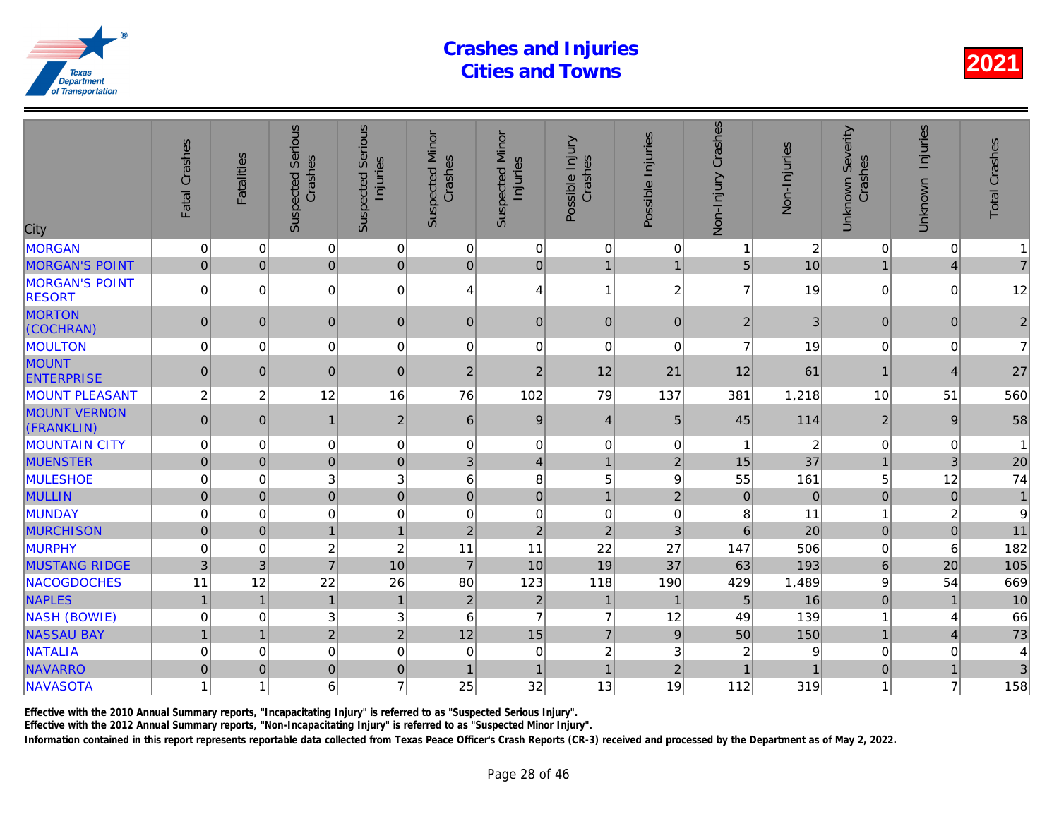| City                                   | Fatal Crashes    | <b>Fatalities</b> | <b>Suspected Serious</b><br>Crashes | <b>Serious</b><br>Injuries<br>Suspected | <b>Suspected Minor</b><br>Crashes | <b>Suspected Minor</b><br>Injuries | Possible Injury<br>Crashes | Possible Injuries | Non-Injury Crashes | Non-Injuries   |
|----------------------------------------|------------------|-------------------|-------------------------------------|-----------------------------------------|-----------------------------------|------------------------------------|----------------------------|-------------------|--------------------|----------------|
| <b>MORGAN</b>                          | $\mathbf 0$      | $\Omega$          | $\overline{0}$                      | $\mathbf 0$                             | 0                                 | 0                                  | $\mathbf 0$                | $\mathbf 0$       |                    | $\overline{c}$ |
| <b>MORGAN'S POINT</b>                  | $\overline{0}$   | $\mathbf{0}$      | $\overline{0}$                      | $\pmb{0}$                               | $\mathbf 0$                       | $\overline{0}$                     | $\mathbf{1}$               | $\mathbf{1}$      | 5                  | 10             |
| <b>MORGAN'S POINT</b><br><b>RESORT</b> | 0                | 0                 | $\Omega$                            | 0                                       | 4                                 | 4                                  | $\mathbf{1}$               | $\overline{c}$    | $\overline{7}$     | 19             |
| <b>MORTON</b><br>(COCHRAN)             | $\overline{0}$   | $\mathbf{0}$      | $\overline{0}$                      | $\mathbf 0$                             | $\pmb{0}$                         | $\overline{0}$                     | $\mathbf 0$                | $\mathbf{0}$      | $\overline{2}$     | 3              |
| <b>MOULTON</b>                         | 0                | 0                 | $\overline{0}$                      | $\mathbf 0$                             | 0                                 | $\mathsf 0$                        | $\mathbf 0$                | 0                 | $\overline{7}$     | 19             |
| <b>MOUNT</b><br><b>ENTERPRISE</b>      | $\overline{0}$   | $\mathbf{0}$      | $\overline{0}$                      | $\boldsymbol{0}$                        | $\overline{c}$                    | $\overline{2}$                     | 12                         | 21                | 12                 | 61             |
| <b>MOUNT PLEASANT</b>                  | $\boldsymbol{2}$ | $\overline{c}$    | 12                                  | 16                                      | 76                                | 102                                | 79                         | 137               | 381                | 1,218          |
| <b>MOUNT VERNON</b><br>(FRANKLIN)      | $\overline{0}$   | $\mathbf{0}$      | $\mathbf{1}$                        | $\boldsymbol{2}$                        | 6                                 | $9\,$                              | $\overline{4}$             | 5                 | 45                 | 114            |
| <b>MOUNTAIN CITY</b>                   | $\pmb{0}$        | 0                 | $\mathbf 0$                         | $\pmb{0}$                               | 0                                 | $\pmb{0}$                          | $\pmb{0}$                  | 0                 |                    | $\overline{c}$ |
| <b>MUENSTER</b>                        | $\pmb{0}$        | $\Omega$          | $\overline{0}$                      | $\mathbf 0$                             | 3                                 | $\vert 4 \vert$                    | $\mathbf{1}$               | $\overline{2}$    | 15                 | 37             |
| <b>MULESHOE</b>                        | 0                | 0                 | 3                                   | $\ensuremath{\mathsf{3}}$               | 6                                 | 8                                  | 5                          | 9                 | 55                 | 161            |
| <b>MULLIN</b>                          | $\overline{0}$   | $\mathbf{0}$      | $\overline{0}$                      | $\mathbf 0$                             | $\mathbf 0$                       | $\overline{0}$                     | $\mathbf{1}$               | $\overline{2}$    | $\boldsymbol{0}$   | $\overline{0}$ |
| <b>MUNDAY</b>                          | 0                | 0                 | $\mathbf 0$                         | $\mathbf 0$                             | 0                                 | $\pmb{0}$                          | $\mathbf 0$                | 0                 | 8                  | 11             |
| <b>MURCHISON</b>                       | $\mathbf 0$      | $\Omega$          | $\overline{1}$                      | $\mathbf{1}$                            | $\overline{2}$                    | $\overline{2}$                     | $\overline{2}$             | 3                 | 6                  | 20             |
| <b>MURPHY</b>                          | $\mathbf 0$      | 0                 | $\overline{c}$                      | $\overline{c}$                          | 11                                | 11                                 | 22                         | 27                | 147                | 506            |
| <b>MUSTANG RIDGE</b>                   | 3                | 3                 | $\overline{7}$                      | 10                                      | $\overline{7}$                    | 10                                 | 19                         | 37                | 63                 | 193            |
| NACOGDOCHES                            | 11               | 12                | 22                                  | 26                                      | 80                                | 123                                | 118                        | 190               | 429                | 1,489          |
| <b>NAPLES</b>                          | $\mathbf{1}$     | $\overline{1}$    | $\mathbf{1}$                        | $\mathbf{1}$                            | $\overline{2}$                    | $\overline{c}$                     | $\mathbf{1}$               | $\overline{1}$    | 5                  | 16             |
| <b>NASH (BOWIE)</b>                    | $\mathbf 0$      | $\Omega$          | 3                                   | $\ensuremath{\mathsf{3}}$               | 6                                 | $\overline{7}$                     | $\overline{7}$             | 12                | 49                 | 139            |
| <b>NASSAU BAY</b>                      | $\overline{1}$   | $\overline{1}$    | $\overline{2}$                      | $\overline{c}$                          | 12                                | 15                                 | $\overline{7}$             | $\boldsymbol{9}$  | 50                 | 150            |
| <b>NATALIA</b>                         | $\mathbf 0$      | 0                 | $\overline{0}$                      | $\mathbf 0$                             | 0                                 | $\mathsf 0$                        | $\overline{c}$             | 3                 | 2                  |                |
| <b>NAVARRO</b>                         | 0                | $\overline{0}$    | $\overline{0}$                      | $\pmb{0}$                               | $\overline{1}$                    | $\overline{1}$                     | $\overline{1}$             | $\overline{2}$    |                    |                |
| NAVASOTA                               | 1                |                   | 6                                   | $\overline{7}$                          | 25                                | 32                                 | 13                         | 19                | 112                | 319            |

Effective with the 2010 Annual Summary reports, "Incapacitating Injury" is referred to as "Suspected Serious Injury".

Effective with the 2012 Annual Summary reports, "Non-Incapacitating Injury" is referred to as "Suspected Minor Injury".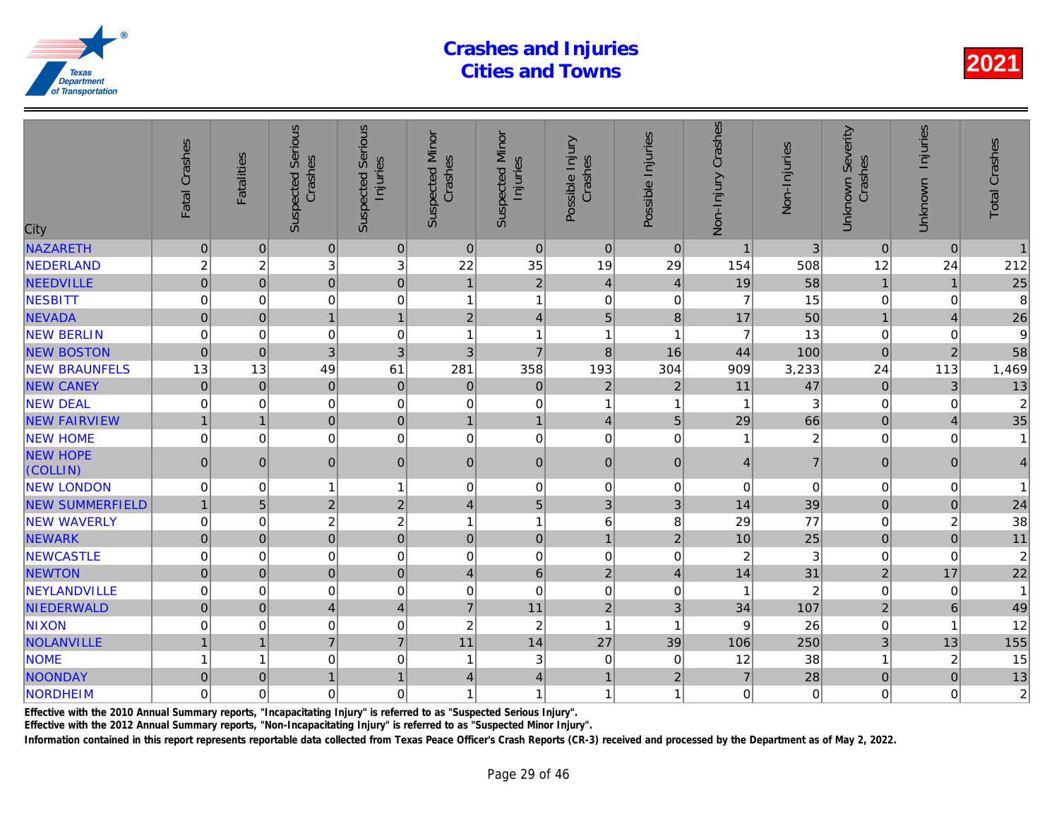| City                        | Fatal Crashes  | <b>Fatalities</b> | Serious<br>Crashes<br>Suspected | <b>Serious</b><br>Injuries<br>Suspected | <b>Suspected Minor</b><br>Crashes | <b>Suspected Minor</b><br>Injuries | Possible Injury<br>Crashes | Possible Injuries       | Non-Injury Crashes | Non-Injuries   |
|-----------------------------|----------------|-------------------|---------------------------------|-----------------------------------------|-----------------------------------|------------------------------------|----------------------------|-------------------------|--------------------|----------------|
| <b>NAZARETH</b>             | $\pmb{0}$      | $\Omega$          | $\overline{0}$                  | $\mathbf 0$                             | $\mathbf{0}$                      | $\mathbf 0$                        | $\mathbf{0}$               | $\Omega$                | $\overline{1}$     | 3              |
| NEDERLAND                   | $\overline{c}$ | $\overline{c}$    | 3                               | 3                                       | 22                                | 35                                 | 19                         | 29                      | 154                | 508            |
| <b>NEEDVILLE</b>            | $\overline{0}$ | $\mathbf{0}$      | $\overline{0}$                  | $\mathbf 0$                             | $\mathbf{1}$                      | $\overline{2}$                     | $\overline{4}$             | $\overline{4}$          | 19                 | 58             |
| <b>NESBITT</b>              | $\mathbf 0$    | 0                 | $\mathbf 0$                     | $\mathbf 0$                             | 1                                 | $\mathbf{1}$                       | $\mathbf 0$                | $\mathbf 0$             | $\overline{7}$     | 15             |
| <b>NEVADA</b>               | $\mathbf 0$    | $\mathbf 0$       | $\mathbf{1}$                    | $\overline{1}$                          | $\overline{2}$                    | $\overline{4}$                     | 5                          | $\bf{8}$                | 17                 | 50             |
| <b>NEW BERLIN</b>           | $\Omega$       | $\Omega$          | $\mathbf 0$                     | $\mathbf 0$                             | 1                                 | $\overline{1}$                     | 1                          | $\overline{1}$          | 7                  | 13             |
| <b>NEW BOSTON</b>           | $\mathbf 0$    | $\mathbf 0$       | 3 <sup>1</sup>                  | 3                                       | 3                                 | $\overline{7}$                     | 8                          | 16                      | 44                 | 100            |
| <b>NEW BRAUNFELS</b>        | 13             | 13                | 49                              | 61                                      | 281                               | 358                                | 193                        | 304                     | 909                | 3,233          |
| <b>NEW CANEY</b>            | $\overline{0}$ | $\mathbf 0$       | $\overline{0}$                  | $\mathbf 0$                             | $\pmb{0}$                         | $\mathbf 0$                        | $\overline{c}$             | $\overline{2}$          | 11                 | 47             |
| <b>NEW DEAL</b>             | $\mathbf 0$    | 0                 | $\mathbf 0$                     | $\mathbf 0$                             | 0                                 | $\pmb{0}$                          | 1                          | $\overline{\mathbf{1}}$ |                    |                |
| <b>NEW FAIRVIEW</b>         | $\overline{1}$ | $\overline{1}$    | $\pmb{0}$                       | $\mathbf 0$                             | $\mathbf{1}$                      | $\mathbf{1}$                       | $\overline{4}$             | $\overline{5}$          | 29                 | 66             |
| <b>NEW HOME</b>             | $\mathbf 0$    | 0                 | 0                               | $\mathbf 0$                             | $\mathbf 0$                       | $\pmb{0}$                          | $\mathbf 0$                | 0                       |                    | $\overline{a}$ |
| <b>NEW HOPE</b><br>(COLLIN) | $\pmb{0}$      | $\Omega$          | $\overline{0}$                  | $\pmb{0}$                               | $\pmb{0}$                         | $\pmb{0}$                          | $\mathbf{0}$               | $\mathbf{0}$            | $\overline{4}$     | $\overline{7}$ |
| <b>NEW LONDON</b>           | $\pmb{0}$      | 0                 | $\mathbf{1}$                    | $\mathbf{1}$                            | 0                                 | $\mathsf 0$                        | $\mathbf 0$                | 0                       | $\pmb{0}$          | $\Omega$       |
| <b>NEW SUMMERFIELD</b>      | $\mathbf{1}$   | 5                 | $\overline{2}$                  | $\overline{2}$                          | $\overline{\mathbf{4}}$           | 5                                  | 3                          | 3                       | 14                 | 39             |
| <b>NEW WAVERLY</b>          | $\mathbf 0$    | 0                 | $\overline{c}$                  | $\overline{c}$                          | $\mathbf{1}$                      | $\mathbf{1}$                       | $6\phantom{1}6$            | 8                       | 29                 | 77             |
| <b>NEWARK</b>               | $\overline{0}$ | $\mathbf 0$       | $\overline{0}$                  | $\mathbf{0}$                            | $\mathbf{0}$                      | $\overline{0}$                     | $\mathbf{1}$               | $\overline{2}$          | 10                 | 25             |
| <b>NEWCASTLE</b>            | $\mathbf 0$    | 0                 | 0                               | $\mathbf 0$                             | 0                                 | $\mathsf 0$                        | $\mathbf 0$                | $\mathbf 0$             | $\overline{c}$     | 3              |
| <b>NEWTON</b>               | $\overline{0}$ | $\overline{0}$    | $\overline{0}$                  | $\mathbf 0$                             | $\overline{4}$                    | $6\phantom{a}$                     | $\overline{2}$             | $\overline{4}$          | 14                 | 31             |
| NEYLANDVILLE                | $\mathbf 0$    | $\Omega$          | $\mathbf 0$                     | $\mathbf 0$                             | 0                                 | $\mathbf 0$                        | $\Omega$                   | $\mathbf 0$             |                    | $\overline{2}$ |
| NIEDERWALD                  | $\mathbf 0$    | $\mathbf{0}$      | $\vert 4 \vert$                 | $\overline{4}$                          | $\overline{7}$                    | 11                                 | $\overline{2}$             | 3                       | 34                 | 107            |
| <b>NIXON</b>                | 0              | 0                 | 0                               | $\mathbf 0$                             | $\overline{c}$                    | $\overline{c}$                     | $\mathbf{1}$               | $\overline{1}$          | 9                  | 26             |
| NOLANVILLE                  | $\overline{1}$ | $\overline{1}$    | $\overline{7}$                  | $\overline{7}$                          | 11                                | 14                                 | 27                         | 39                      | 106                | 250            |
| <b>NOME</b>                 | $\overline{1}$ | 1                 | 0                               | $\mathbf 0$                             | 1                                 | 3                                  | $\mathbf 0$                | 0                       | 12                 | 38             |
| NOONDAY                     | $\pmb{0}$      | $\Omega$          | $\mathbf{1}$                    | $\overline{1}$                          | $\overline{4}$                    | $\overline{4}$                     | $\mathbf{1}$               | $\overline{2}$          | $\overline{7}$     | 28             |
| NORDHEIM                    | $\mathbf 0$    | $\Omega$          | 0                               | $\mathbf 0$                             | 1                                 | 1                                  | $\overline{1}$             | 1                       | $\mathbf 0$        |                |
|                             |                |                   |                                 |                                         |                                   |                                    |                            |                         |                    |                |

Effective with the 2010 Annual Summary reports, "Incapacitating Injury" is referred to as "Suspected Serious Injury".

Effective with the 2012 Annual Summary reports, "Non-Incapacitating Injury" is referred to as "Suspected Minor Injury".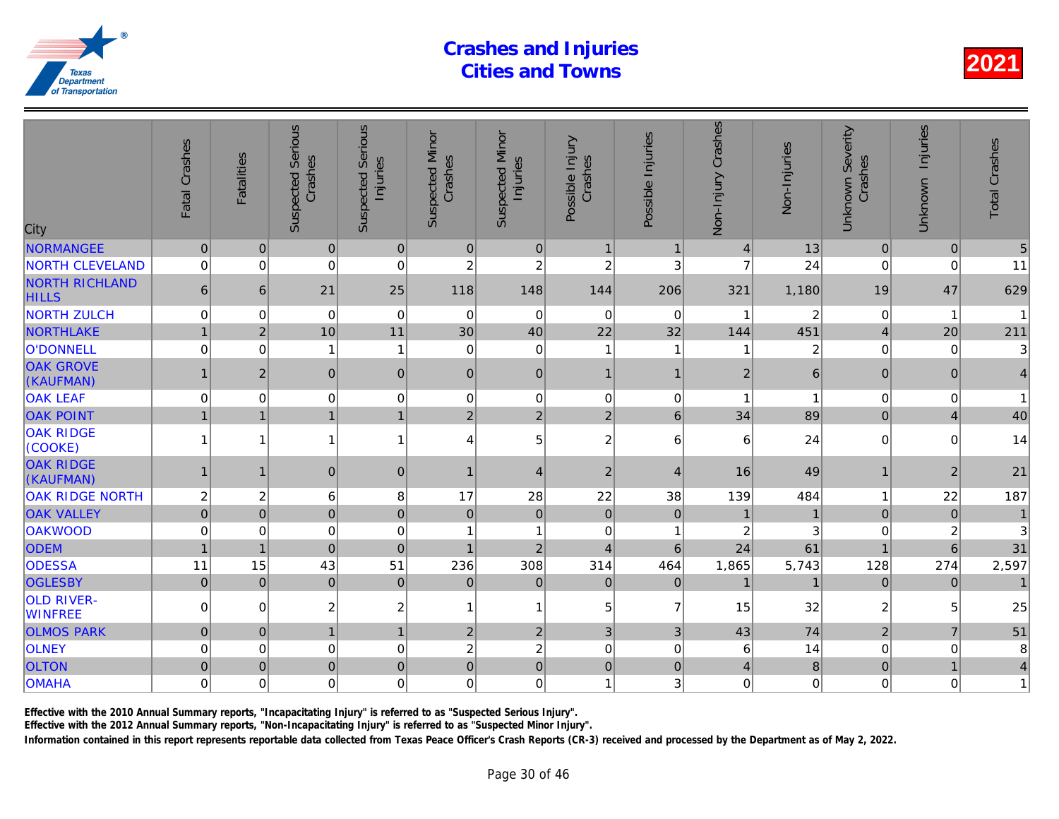| City                                  | Fatal Crashes  | <b>Fatalities</b> | <b>Suspected Serious</b><br>Crashes | Serious<br>Injuries<br>Suspected | <b>Suspected Minor</b><br>Crashes | <b>Suspected Minor</b><br>Injuries | Possible Injury<br>Crashes | Possible Injuries | Non-Injury Crashes | Non-Injuries   |
|---------------------------------------|----------------|-------------------|-------------------------------------|----------------------------------|-----------------------------------|------------------------------------|----------------------------|-------------------|--------------------|----------------|
| <b>NORMANGEE</b>                      | $\mathbf{0}$   | $\mathbf{0}$      | 0                                   | 0                                | $\mathbf{0}$                      | $\pmb{0}$                          | $\mathbf{1}$               | $\overline{1}$    | $\overline{4}$     | 13             |
| <b>NORTH CLEVELAND</b>                | $\mathbf 0$    | $\mathbf 0$       | $\mathbf 0$                         | 0                                | $\overline{c}$                    | $\overline{c}$                     | $\overline{c}$             | 3                 | $\overline{7}$     | 24             |
| <b>NORTH RICHLAND</b><br><b>HILLS</b> | 6              | 6                 | 21                                  | 25                               | 118                               | 148                                | 144                        | 206               | 321                | 1,180          |
| <b>NORTH ZULCH</b>                    | $\pmb{0}$      | $\mathbf 0$       | $\mathbf 0$                         | $\mathbf 0$                      | $\mathbf 0$                       | $\mathbf 0$                        | $\mathbf 0$                | $\mathbf 0$       | 1                  | $\overline{2}$ |
| NORTHLAKE                             | $\mathbf 1$    | $\overline{2}$    | 10                                  | 11                               | 30                                | 40                                 | 22                         | 32                | 144                | 451            |
| O'DONNELL                             | $\mathbf 0$    | $\mathbf 0$       | 1                                   | $\mathbf{1}$                     | $\mathbf 0$                       | $\pmb{0}$                          | $\mathbf{1}$               | -1                | 1                  | $\overline{2}$ |
| <b>OAK GROVE</b><br>(KAUFMAN)         |                | $\overline{2}$    | $\mathbf{0}$                        | 0                                | $\mathbf{0}$                      | $\pmb{0}$                          | $\mathbf{1}$               | $\mathbf 1$       | $\overline{2}$     | 6              |
| <b>OAK LEAF</b>                       | 0              | $\mathbf 0$       | $\mathbf 0$                         | $\pmb{0}$                        | $\mathbf 0$                       | $\pmb{0}$                          | $\mathbf 0$                | $\mathbf 0$       | 1                  |                |
| <b>OAK POINT</b>                      | $\mathbf{1}$   | $\overline{1}$    | $\overline{1}$                      | 1                                | $\overline{2}$                    | $\overline{2}$                     | $\overline{2}$             | $6\phantom{a}$    | 34                 | 89             |
| <b>OAK RIDGE</b><br>(COOKE)           |                | 1                 |                                     | $\mathbf{1}$                     | 4                                 | 5                                  | $\overline{c}$             | 6                 | 6                  | 24             |
| <b>OAK RIDGE</b><br>(KAUFMAN)         | $\mathbf 1$    | $\mathbf 1$       | $\overline{0}$                      | $\mathbf 0$                      | $\blacktriangleleft$              | $\overline{4}$                     | $\overline{2}$             | $\overline{4}$    | 16                 | 49             |
| <b>OAK RIDGE NORTH</b>                | $\overline{c}$ | $\overline{c}$    | 6                                   | 8                                | 17                                | 28                                 | 22                         | 38                | 139                | 484            |
| <b>OAK VALLEY</b>                     | $\overline{0}$ | $\overline{0}$    | $\overline{0}$                      | $\mathbf 0$                      | $\mathbf 0$                       | $\pmb{0}$                          | $\pmb{0}$                  | $\mathbf 0$       |                    |                |
| <b>OAKWOOD</b>                        | $\mathbf 0$    | $\Omega$          | $\mathbf 0$                         | $\mathbf 0$                      | 1                                 | 1                                  | $\Omega$                   | -1                | $\overline{c}$     |                |
| <b>ODEM</b>                           | $\mathbf{1}$   | $\mathbf{1}$      | $\overline{0}$                      | $\mathbf 0$                      | $\mathbf{1}$                      | $\overline{2}$                     | $\overline{4}$             | $6\phantom{1}6$   | 24                 | 61             |
| <b>ODESSA</b>                         | 11             | 15                | 43                                  | 51                               | 236                               | 308                                | 314                        | 464               | 1,865              | 5,743          |
| <b>OGLESBY</b>                        | $\mathbf 0$    | $\mathbf{0}$      | $\mathbf 0$                         | $\mathbf 0$                      | $\mathbf 0$                       | $\pmb{0}$                          | $\mathbf 0$                | $\mathbf 0$       | $\overline{1}$     |                |
| <b>OLD RIVER-</b><br><b>WINFREE</b>   | $\Omega$       | $\Omega$          | $\overline{c}$                      | $\overline{c}$                   | 1                                 | $\mathbf{1}$                       | 5                          | $\overline{7}$    | 15                 | 32             |
| <b>OLMOS PARK</b>                     | $\mathbf 0$    | $\mathbf{0}$      | $\overline{1}$                      | $\mathbf{1}$                     | $\overline{c}$                    | $\overline{2}$                     | 3                          | $\mathfrak{B}$    | 43                 | 74             |
| <b>OLNEY</b>                          | $\mathbf 0$    | $\mathbf 0$       | $\mathbf 0$                         | 0                                | $\overline{c}$                    | $\overline{c}$                     | $\mathbf 0$                | $\mathbf 0$       | 6                  | 14             |
| <b>OLTON</b>                          | $\mathbf 0$    | $\pmb{0}$         | 0                                   | $\overline{0}$                   | $\mathbf 0$                       | $\mathbf 0$                        | $\pmb{0}$                  | $\pmb{0}$         | $\overline{4}$     | 8              |
| <b>OMAHA</b>                          | $\mathbf 0$    | $\Omega$          | $\Omega$                            | $\overline{0}$                   | $\mathbf 0$                       | $\mathbf 0$                        | 1                          | 3                 | 0                  |                |
|                                       |                |                   |                                     |                                  |                                   |                                    |                            |                   |                    |                |

Effective with the 2010 Annual Summary reports, "Incapacitating Injury" is referred to as "Suspected Serious Injury".

Effective with the 2012 Annual Summary reports, "Non-Incapacitating Injury" is referred to as "Suspected Minor Injury".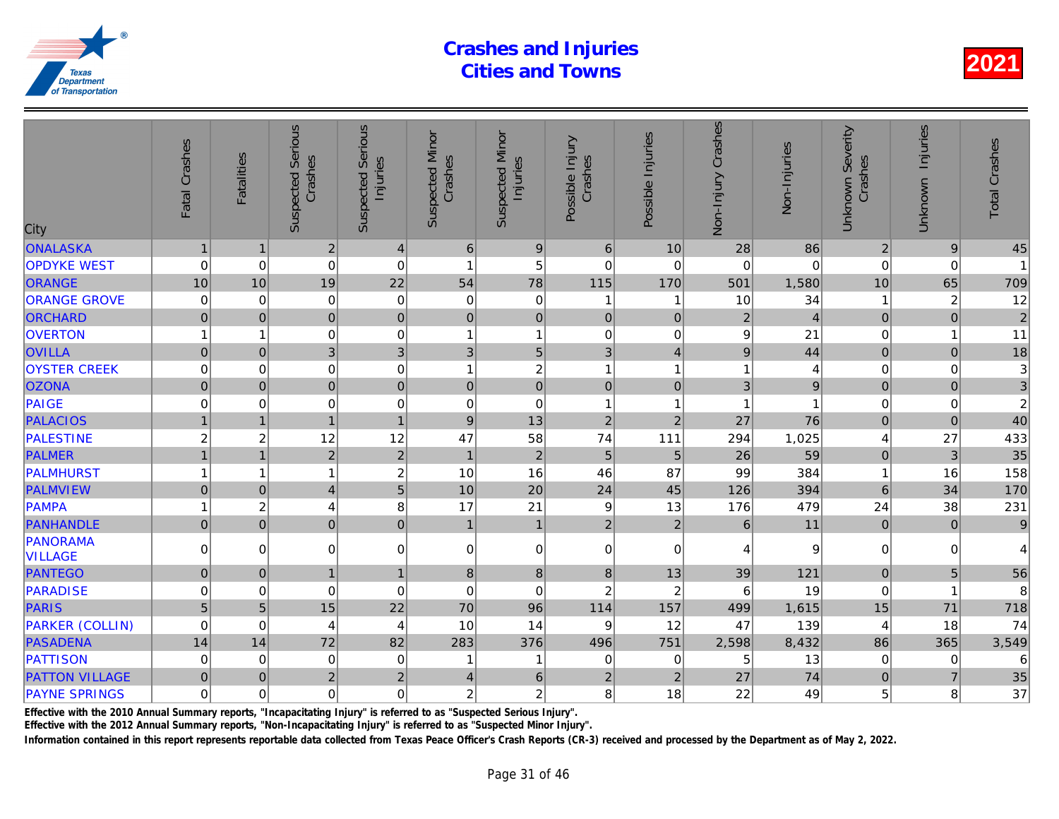| City                       | Fatal Crashes  | Fatalities              | <b>Suspected Serious</b><br>Crashes | Serious<br>Injuries<br>Suspected | <b>Suspected Minor</b><br>Crashes | <b>Suspected Minor</b><br>Injuries | Possible Injury<br>Crashes | Possible Injuries | Non-Injury Crashes | Non-Injuries   |
|----------------------------|----------------|-------------------------|-------------------------------------|----------------------------------|-----------------------------------|------------------------------------|----------------------------|-------------------|--------------------|----------------|
| ONALASKA                   | $\mathbf 1$    |                         | $\overline{2}$                      | $\overline{4}$                   | $\,6$                             | 9                                  | $\,6$                      | 10                | 28                 | 86             |
| <b>OPDYKE WEST</b>         | $\mathbf 0$    | $\mathbf 0$             | $\mathbf 0$                         | $\mathbf 0$                      | $\overline{1}$                    | 5                                  | $\mathbf 0$                | $\mathbf 0$       | $\mathbf 0$        |                |
| <b>ORANGE</b>              | 10             | 10                      | 19                                  | 22                               | 54                                | 78                                 | 115                        | 170               | 501                | 1,580          |
| <b>ORANGE GROVE</b>        | 0              | $\mathbf 0$             | $\mathbf 0$                         | $\mathbf 0$                      | $\mathbf 0$                       | $\pmb{0}$                          | 1                          | -1                | 10                 | 34             |
| ORCHARD                    | $\mathbf 0$    | $\mathbf 0$             | $\mathbf 0$                         | $\mathbf 0$                      | $\pmb{0}$                         | $\pmb{0}$                          | $\mathbf 0$                | $\pmb{0}$         | $\overline{2}$     |                |
| <b>OVERTON</b>             |                | 1                       | $\mathbf 0$                         | $\mathbf 0$                      | $\overline{1}$                    | $\mathbf{1}$                       | $\mathbf 0$                | $\pmb{0}$         | $9^{\circ}$        | 21             |
| <b>OVILLA</b>              | $\mathbf 0$    | $\mathbf 0$             | 3                                   | 3                                | $\sqrt{3}$                        | 5 <sup>1</sup>                     | 3                          | $\overline{4}$    | $\boldsymbol{9}$   | 44             |
| <b>OYSTER CREEK</b>        | $\mathbf 0$    | $\mathbf 0$             | $\mathbf 0$                         | $\mathbf 0$                      | $\overline{1}$                    | $\overline{\mathbf{c}}$            | 1                          | $\mathbf 1$       | 1                  |                |
| <b>OZONA</b>               | $\mathbf 0$    | $\pmb{0}$               | $\overline{0}$                      | $\mathbf 0$                      | $\pmb{0}$                         | $\pmb{0}$                          | $\mathbf 0$                | $\pmb{0}$         | 3                  | $\overline{9}$ |
| PAIGE                      | $\mathbf 0$    | $\mathbf 0$             | $\mathbf 0$                         | $\mathbf 0$                      | $\pmb{0}$                         | $\mathbf 0$                        | $\mathbf{1}$               | $\overline{1}$    | 1                  |                |
| <b>PALACIOS</b>            |                | $\overline{1}$          | 1                                   | $\mathbf{1}$                     | $\boldsymbol{9}$                  | 13                                 | $\overline{2}$             | $\overline{2}$    | 27                 | 76             |
| <b>PALESTINE</b>           | $\overline{2}$ | $\overline{\mathbf{c}}$ | 12                                  | 12                               | 47                                | 58                                 | 74                         | 111               | 294                | 1,025          |
| <b>PALMER</b>              | $\overline{1}$ | $\overline{1}$          | $\overline{2}$                      | $\overline{2}$                   | $\mathbf{1}$                      | $\overline{2}$                     | 5                          | $\overline{5}$    | 26                 | 59             |
| <b>PALMHURST</b>           |                | $\overline{1}$          | 1                                   | $\boldsymbol{2}$                 | 10                                | 16                                 | 46                         | 87                | 99                 | 384            |
| <b>PALMVIEW</b>            | $\pmb{0}$      | $\mathbf 0$             | $\overline{4}$                      | $\overline{5}$                   | 10                                | 20                                 | 24                         | 45                | 126                | 394            |
| PAMPA                      | 1              | $\overline{\mathbf{c}}$ | 4                                   | 8                                | 17                                | 21                                 | $\boldsymbol{9}$           | 13                | 176                | 479            |
| <b>PANHANDLE</b>           | $\pmb{0}$      | $\pmb{0}$               | $\pmb{0}$                           | $\mathbf 0$                      | $\mathbf{1}$                      | $\mathbf{1}$                       | $\overline{2}$             | $\sqrt{2}$        | $\,6\,$            | 11             |
| PANORAMA<br><b>VILLAGE</b> | $\Omega$       | $\Omega$                | $\mathbf 0$                         | 0                                | $\mathbf 0$                       | $\pmb{0}$                          | $\mathbf 0$                | $\Omega$          | 4                  | 9              |
| <b>PANTEGO</b>             | $\mathbf 0$    | $\mathbf{0}$            | $\overline{1}$                      | $\mathbf{1}$                     | $\bf 8$                           | 8                                  | $\bf 8$                    | 13                | 39                 | $121$          |
| <b>PARADISE</b>            | $\Omega$       | $\mathbf 0$             | $\mathbf 0$                         | $\mathbf 0$                      | $\pmb{0}$                         | $\mathbf 0$                        | $\overline{c}$             | $\overline{c}$    | 6                  | 19             |
| PARIS                      | $\overline{5}$ | 5                       | 15                                  | 22                               | 70                                | 96                                 | 114                        | 157               | 499                | 1,615          |
| <b>PARKER (COLLIN)</b>     | $\mathbf 0$    | $\mathbf 0$             | 4                                   | 4                                | 10                                | 14                                 | 9                          | 12                | 47                 | 139            |
| <b>PASADENA</b>            | 14             | 14                      | 72                                  | 82                               | 283                               | 376                                | 496                        | 751               | 2,598              | 8,432          |
| <b>PATTISON</b>            | $\mathbf 0$    | $\mathbf 0$             | $\mathbf 0$                         | $\mathbf 0$                      | $\overline{1}$                    | 1                                  | 0                          | 0                 | 5                  | 13             |
| <b>PATTON VILLAGE</b>      | $\pmb{0}$      | $\mathbf 0$             | $\overline{c}$                      | $\boldsymbol{2}$                 | $\overline{4}$                    | $\,6\,$                            | $\mathbf 2$                | $\overline{2}$    | 27                 | 74             |
| <b>PAYNE SPRINGS</b>       | $\mathbf 0$    | $\Omega$                | 0                                   | $\mathbf 0$                      | $\overline{c}$                    | $\sqrt{2}$                         | 8                          | 18                | 22                 | 49             |
|                            |                |                         |                                     |                                  |                                   |                                    |                            |                   |                    |                |

Effective with the 2010 Annual Summary reports, "Incapacitating Injury" is referred to as "Suspected Serious Injury".

Effective with the 2012 Annual Summary reports, "Non-Incapacitating Injury" is referred to as "Suspected Minor Injury".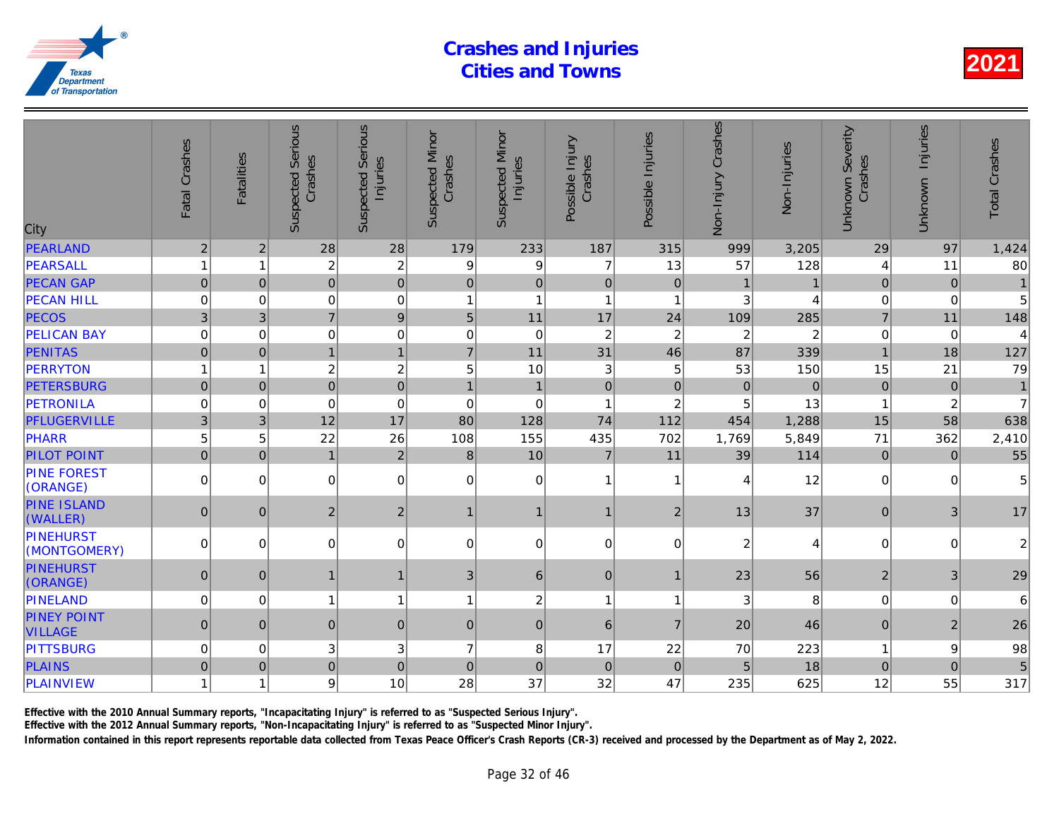| City                                 | Fatal Crashes  | <b>Fatalities</b> | <b>Suspected Serious</b><br>Crashes | <b>Serious</b><br>Injuries<br>Suspected | <b>Suspected Minor</b><br>Crashes | <b>Suspected Minor</b><br>Injuries | Possible Injury<br>Crashes | Possible Injuries | Non-Injury Crashes | Non-Injuries   |
|--------------------------------------|----------------|-------------------|-------------------------------------|-----------------------------------------|-----------------------------------|------------------------------------|----------------------------|-------------------|--------------------|----------------|
| PEARLAND                             | $\sqrt{2}$     | $\overline{c}$    | 28                                  | 28                                      | 179                               | 233                                | 187                        | 315               | 999                | 3,205          |
| PEARSALL                             | $\mathbf{1}$   | 1                 | $\overline{c}$                      | $\overline{c}$                          | 9                                 | 9                                  | $\overline{7}$             | 13                | 57                 | 128            |
| <b>PECAN GAP</b>                     | $\overline{0}$ | $\mathbf{0}$      | $\overline{0}$                      | $\mathbf 0$                             | $\pmb{0}$                         | $\pmb{0}$                          | $\mathbf 0$                | $\pmb{0}$         |                    |                |
| <b>PECAN HILL</b>                    | $\mathbf 0$    | $\Omega$          | $\mathbf 0$                         | $\mathbf 0$                             | 1                                 | $\overline{1}$                     | $\mathbf{1}$               | $\overline{1}$    | 3                  |                |
| <b>PECOS</b>                         | $\mathbf{3}$   | 3                 | $\overline{7}$                      | $\boldsymbol{9}$                        | 5                                 | 11                                 | 17                         | 24                | 109                | 285            |
| <b>PELICAN BAY</b>                   | $\mathbf 0$    | 0                 | 0                                   | $\mathbf 0$                             | $\mathbf 0$                       | $\boldsymbol{0}$                   | $\overline{c}$             | $\overline{c}$    | $\overline{c}$     | $\overline{2}$ |
| <b>PENITAS</b>                       | $\pmb{0}$      | $\overline{0}$    | $\mathbf{1}$                        | $\mathbf{1}$                            | $\overline{7}$                    | 11                                 | 31                         | 46                | 87                 | 339            |
| <b>PERRYTON</b>                      | $\overline{1}$ | 1                 | $\overline{c}$                      | $\overline{c}$                          | 5                                 | 10                                 | 3                          | 5                 | 53                 | 150            |
| <b>PETERSBURG</b>                    | $\overline{0}$ | $\pmb{0}$         | $\overline{0}$                      | $\overline{0}$                          | $\mathbf{1}$                      | $\mathbf{1}$                       | $\mathbf 0$                | $\pmb{0}$         | $\mathbf 0$        | $\overline{0}$ |
| <b>PETRONILA</b>                     | 0              | 0                 | $\mathbf 0$                         | $\mathbf 0$                             | 0                                 | $\mathbf 0$                        | 1                          | $\overline{c}$    | 5                  | 13             |
| PFLUGERVILLE                         | 3              | 3                 | 12                                  | 17                                      | 80                                | 128                                | 74                         | 112               | 454                | 1,288          |
| PHARR                                | 5              | 5                 | 22                                  | 26                                      | 108                               | 155                                | 435                        | 702               | 1,769              | 5,849          |
| <b>PILOT POINT</b>                   | $\overline{0}$ | $\mathbf{0}$      | $\overline{1}$                      | $\overline{2}$                          | 8                                 | 10                                 | $\overline{7}$             | 11                | 39                 | 114            |
| <b>PINE FOREST</b><br>(ORANGE)       | $\Omega$       | $\Omega$          | $\Omega$                            | $\mathbf 0$                             | 0                                 | $\mathbf 0$                        | $\overline{1}$             | 1                 | 4                  | 12             |
| <b>PINE ISLAND</b><br>(WALLER)       | $\mathbf 0$    | $\mathbf{0}$      | $\overline{2}$                      | $\overline{2}$                          | $\mathbf{1}$                      | $\mathbf{1}$                       | $\mathbf{1}$               | $\overline{2}$    | 13                 | 37             |
| PINEHURST<br>(MONTGOMERY)            | 0              | 0                 | $\overline{0}$                      | 0                                       | 0                                 | 0                                  | $\mathbf 0$                | 0                 | 2                  |                |
| <b>PINEHURST</b><br>(ORANGE)         | $\overline{0}$ | $\mathbf{0}$      | $\mathbf{1}$                        | $\mathbf{1}$                            | 3                                 | $\,6\,$                            | $\mathbf 0$                | -1                | 23                 | 56             |
| PINELAND                             | 0              | $\Omega$          | $\mathbf{1}$                        | $\overline{1}$                          | 1                                 | $\overline{c}$                     | $\mathbf{1}$               | 1                 | 3                  | 8              |
| <b>PINEY POINT</b><br><b>VILLAGE</b> | $\overline{0}$ | $\mathbf{0}$      | $\overline{0}$                      | $\mathbf 0$                             | $\mathbf{0}$                      | $\overline{0}$                     | $6\phantom{1}6$            | $\overline{7}$    | 20                 | 46             |
| <b>PITTSBURG</b>                     | 0              | 0                 | 3                                   | 3                                       | $\overline{7}$                    | 8                                  | 17                         | 22                | 70                 | 223            |
| <b>PLAINS</b>                        | $\pmb{0}$      | $\overline{0}$    | $\overline{0}$                      | $\mathbf 0$                             | $\pmb{0}$                         | $\overline{0}$                     | $\pmb{0}$                  | $\mathbf 0$       | 5                  | 18             |
| PLAINVIEW                            | 1              | 1                 | 9                                   | 10                                      | 28                                | 37                                 | 32                         | 47                | 235                | 625            |
|                                      |                |                   |                                     |                                         |                                   |                                    |                            |                   |                    |                |

Effective with the 2010 Annual Summary reports, "Incapacitating Injury" is referred to as "Suspected Serious Injury".

Effective with the 2012 Annual Summary reports, "Non-Incapacitating Injury" is referred to as "Suspected Minor Injury".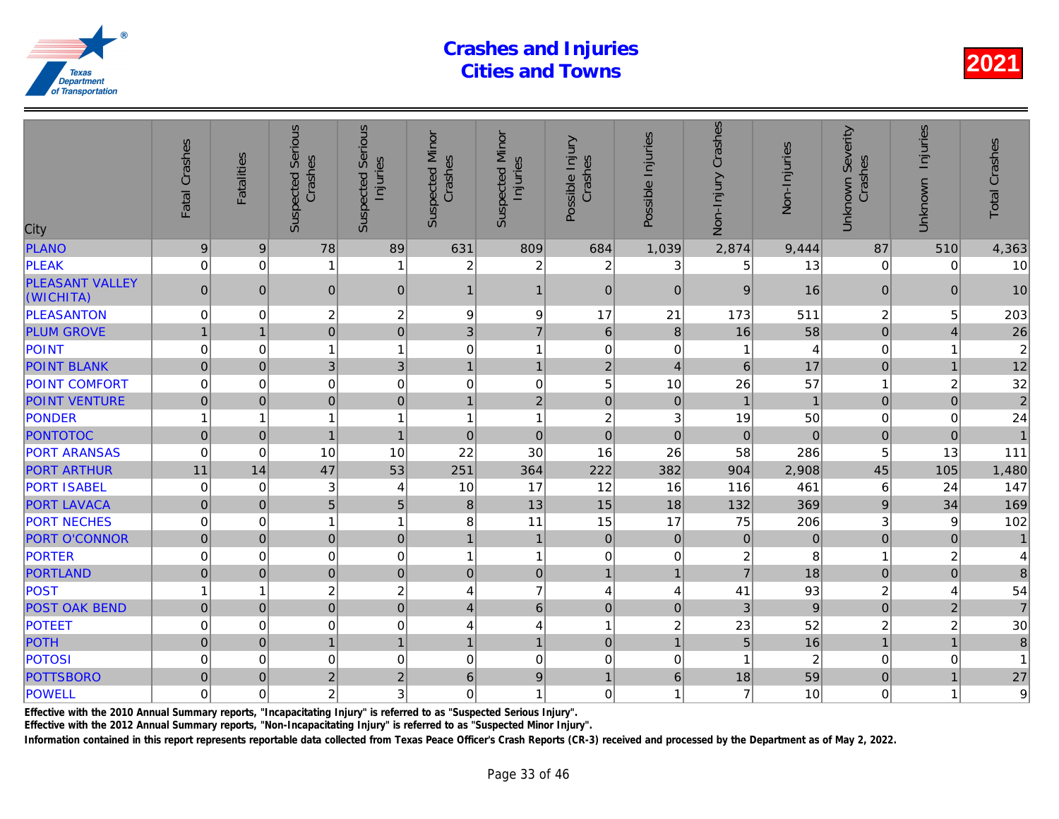| City                                | Fatal Crashes    | <b>Fatalities</b> | <b>Suspected Serious</b><br>Crashes | Serious<br>Injuries<br>Suspected | <b>Suspected Minor</b><br>Crashes | <b>Suspected Minor</b><br>Injuries | Possible Injury<br>Crashes | Possible Injuries | Non-Injury Crashes | Non-Injuries   |
|-------------------------------------|------------------|-------------------|-------------------------------------|----------------------------------|-----------------------------------|------------------------------------|----------------------------|-------------------|--------------------|----------------|
| PLANO                               | $\boldsymbol{9}$ | 9                 | 78                                  | 89                               | 631                               | 809                                | 684                        | 1,039             | 2,874              | 9,444          |
| <b>PLEAK</b>                        | $\mathbf 0$      | $\mathbf 0$       |                                     | $\mathbf{1}$                     | $\overline{c}$                    | $\overline{c}$                     | $\overline{c}$             | 3                 | 5                  | 13             |
| <b>PLEASANT VALLEY</b><br>(WICHITA) | $\mathbf{0}$     | $\Omega$          | $\mathbf{0}$                        | 0                                | 1                                 | $\mathbf{1}$                       | $\mathbf{0}$               | $\Omega$          | 9                  | 16             |
| <b>PLEASANTON</b>                   | 0                | 0                 | $\boldsymbol{2}$                    | $\overline{c}$                   | 9                                 | $\boldsymbol{9}$                   | 17                         | 21                | 173                | 511            |
| <b>PLUM GROVE</b>                   | $\overline{1}$   | $\overline{1}$    | $\mathbf 0$                         | $\mathbf 0$                      | 3                                 | $\overline{7}$                     | $6\phantom{1}6$            | 8                 | 16                 | 58             |
| POINT                               | $\mathbf 0$      | $\mathbf 0$       | 1                                   | $\mathbf{1}$                     | $\mathbf 0$                       | $\mathbf{1}$                       | $\mathbf 0$                | $\mathbf 0$       | 1                  |                |
| <b>POINT BLANK</b>                  | $\pmb{0}$        | $\pmb{0}$         | 3                                   | 3                                | $\mathbf{1}$                      | $\mathbf{1}$                       | $\overline{2}$             | $\overline{4}$    | $6\phantom{1}$     | 17             |
| <b>POINT COMFORT</b>                | $\mathbf 0$      | $\Omega$          | $\mathbf 0$                         | $\overline{0}$                   | 0                                 | $\mathbf 0$                        | 5                          | 10                | 26                 | 57             |
| <b>POINT VENTURE</b>                | $\mathbf 0$      | $\Omega$          | $\overline{0}$                      | $\mathbf 0$                      | $\mathbf{1}$                      | $\overline{2}$                     | $\overline{0}$             | $\mathbf 0$       | $\mathbf{1}$       |                |
| PONDER                              |                  | 1                 |                                     | $\mathbf{1}$                     | $\overline{1}$                    | $\mathbf{1}$                       | $\overline{c}$             | 3                 | 19                 | 50             |
| <b>PONTOTOC</b>                     | $\Omega$         | $\Omega$          |                                     | $\mathbf{1}$                     | $\Omega$                          | $\mathbf 0$                        | $\overline{0}$             | $\Omega$          | $\Omega$           | $\Omega$       |
| <b>PORT ARANSAS</b>                 | $\mathbf 0$      | $\Omega$          | 10                                  | 10                               | 22                                | 30                                 | 16                         | 26                | 58                 | 286            |
| <b>PORT ARTHUR</b>                  | 11               | 14                | 47                                  | 53                               | 251                               | 364                                | 222                        | 382               | 904                | 2,908          |
| <b>PORT ISABEL</b>                  | $\mathbf 0$      | 0                 | 3                                   | 4                                | 10                                | 17                                 | 12                         | 16                | 116                | 461            |
| <b>PORT LAVACA</b>                  | $\overline{0}$   | $\Omega$          | 5                                   | 5                                | $\bf 8$                           | 13                                 | 15                         | 18                | 132                | 369            |
| <b>PORT NECHES</b>                  | $\mathbf 0$      | $\Omega$          | 1                                   | $\mathbf{1}$                     | 8                                 | 11                                 | 15                         | 17                | 75                 | 206            |
| <b>PORT O'CONNOR</b>                | $\overline{0}$   | $\mathbf 0$       | $\mathbf 0$                         | $\pmb{0}$                        | $\mathbf{1}$                      | $\mathbf{1}$                       | $\mathbf 0$                | $\mathbf 0$       | $\pmb{0}$          | $\overline{0}$ |
| <b>PORTER</b>                       | 0                | 0                 | $\mathbf 0$                         | 0                                | 1                                 | $\mathbf{1}$                       | $\mathbf 0$                | 0                 | $\overline{c}$     | 8              |
| <b>PORTLAND</b>                     | $\overline{0}$   | $\Omega$          | $\mathbf 0$                         | $\pmb{0}$                        | $\overline{0}$                    | $\mathbf 0$                        | $\mathbf{1}$               | $\mathbf{1}$      | $\overline{7}$     | 18             |
| POST                                |                  | 1                 | $\overline{c}$                      | $\overline{c}$                   | 4                                 | $\overline{7}$                     | 4                          | 4                 | 41                 | 93             |
| <b>POST OAK BEND</b>                | $\overline{0}$   | $\mathbf{0}$      | $\overline{0}$                      | $\mathbf 0$                      | 4                                 | $6\phantom{a}$                     | $\mathbf{0}$               | $\mathbf{0}$      | 3                  | $\overline{9}$ |
| <b>POTEET</b>                       | $\mathbf 0$      | 0                 | $\mathbf 0$                         | $\mathbf 0$                      | 4                                 | 4                                  | 1                          | $\overline{c}$    | 23                 | 52             |
| POTH                                | $\overline{0}$   | $\mathbf 0$       | $\mathbf{1}$                        | $\mathbf{1}$                     | $\mathbf{1}$                      | $\mathbf{1}$                       | $\mathbf 0$                | $\mathbf{1}$      | 5                  | 16             |
| <b>POTOSI</b>                       | 0                | $\mathbf 0$       | $\mathbf 0$                         | $\mathbf 0$                      | $\mathbf 0$                       | $\pmb{0}$                          | $\mathbf 0$                | $\mathbf 0$       |                    | $\overline{2}$ |
| <b>POTTSBORO</b>                    | $\overline{0}$   | $\Omega$          | $\overline{2}$                      | $\overline{2}$                   | 6                                 | $\boldsymbol{9}$                   | $\mathbf{1}$               | 6                 | 18                 | 59             |
| POWELL                              | $\mathbf 0$      | $\mathbf 0$       | $\overline{c}$                      | 3                                | $\mathbf 0$                       | $\mathbf{1}$                       | $\mathbf 0$                | 1                 | $\overline{7}$     | 10             |
|                                     |                  |                   |                                     |                                  |                                   |                                    |                            |                   |                    |                |

Effective with the 2010 Annual Summary reports, "Incapacitating Injury" is referred to as "Suspected Serious Injury".

Effective with the 2012 Annual Summary reports, "Non-Incapacitating Injury" is referred to as "Suspected Minor Injury".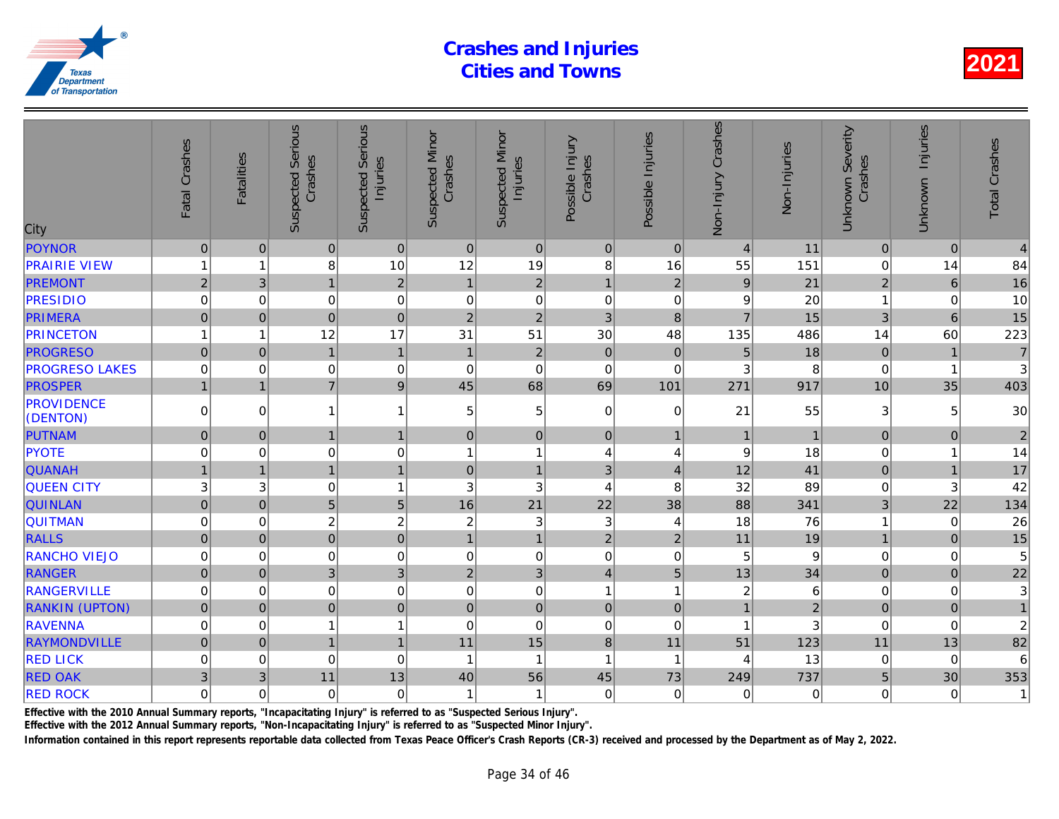| City                          | Fatal Crashes       | <b>Fatalities</b> | <b>Suspected Serious</b><br>Crashes | Serious<br>Injuries<br>Suspected | <b>Suspected Minor</b><br>Crashes | <b>Suspected Minor</b><br>Injuries | Possible Injury<br>Crashes | Possible Injuries       | Non-Injury Crashes | Non-Injuries   |
|-------------------------------|---------------------|-------------------|-------------------------------------|----------------------------------|-----------------------------------|------------------------------------|----------------------------|-------------------------|--------------------|----------------|
| <b>POYNOR</b>                 | $\mathsf{O}\xspace$ | $\mathbf{0}$      | $\pmb{0}$                           | $\pmb{0}$                        | $\mathbf 0$                       | $\pmb{0}$                          | $\pmb{0}$                  | $\overline{0}$          | $\overline{4}$     | 11             |
| <b>PRAIRIE VIEW</b>           | 1                   | 1                 | 8                                   | 10                               | 12                                | 19                                 | 8                          | 16                      | 55                 | 151            |
| <b>PREMONT</b>                | $\overline{2}$      | $\mathbf{3}$      | $\mathbf{1}$                        | $\sqrt{2}$                       | $\mathbf{1}$                      | $\sqrt{2}$                         | $\mathbf{1}$               | $\overline{2}$          | $\boldsymbol{9}$   | 21             |
| <b>PRESIDIO</b>               | 0                   | 0                 | $\pmb{0}$                           | $\mathbf 0$                      | $\mathbf 0$                       | $\pmb{0}$                          | $\mathbf 0$                | 0                       | 9                  | 20             |
| <b>PRIMERA</b>                | $\overline{0}$      | $\mathbf 0$       | $\mathbf 0$                         | $\pmb{0}$                        | $\overline{2}$                    | $\overline{2}$                     | 3                          | $\bf{8}$                | $\overline{7}$     | 15             |
| <b>PRINCETON</b>              | 1                   | $\overline{1}$    | 12                                  | 17                               | 31                                | 51                                 | 30                         | 48                      | 135                | 486            |
| <b>PROGRESO</b>               | $\overline{0}$      | $\mathbf 0$       | $\overline{1}$                      | $\mathbf{1}$                     | $\mathbf{1}$                      | $\sqrt{2}$                         | $\pmb{0}$                  | $\overline{0}$          | 5                  | 18             |
| <b>PROGRESO LAKES</b>         | $\mathbf 0$         | 0                 | $\boldsymbol{0}$                    | $\mathbf 0$                      | $\mathbf 0$                       | $\pmb{0}$                          | $\mathbf 0$                | $\mathbf 0$             | 3                  | 8              |
| <b>PROSPER</b>                | $\overline{1}$      | $\mathbf{1}$      | $\overline{7}$                      | $\boldsymbol{9}$                 | 45                                | 68                                 | 69                         | 101                     | 271                | 917            |
| <b>PROVIDENCE</b><br>(DENTON) | $\Omega$            | $\Omega$          | 1                                   | $\mathbf{1}$                     | 5                                 | $\mathbf 5$                        | $\mathbf 0$                | $\mathbf 0$             | 21                 | 55             |
| PUTNAM                        | 0                   | $\Omega$          | 1                                   | $\mathbf{1}$                     | 0                                 | $\mathsf{O}\xspace$                | $\mathbf{0}$               | $\overline{1}$          | $\mathbf{1}$       |                |
| <b>PYOTE</b>                  | $\mathbf 0$         | $\mathbf 0$       | 0                                   | $\mathbf 0$                      | $\overline{1}$                    | $\mathbf{1}$                       | $\overline{4}$             | 4                       | 9                  | 18             |
| <b>QUANAH</b>                 | $\mathbf{1}$        | $\overline{1}$    | $\mathbf{1}$                        | $\mathbf{1}$                     | $\mathbf 0$                       | $\mathbf{1}$                       | 3                          | $\overline{4}$          | 12                 | 41             |
| <b>QUEEN CITY</b>             | 3                   | 3                 | $\pmb{0}$                           | $\mathbf{1}$                     | 3                                 | 3                                  | 4                          | 8                       | 32                 | 89             |
| <b>QUINLAN</b>                | $\mathbf 0$         | $\Omega$          | 5                                   | 5                                | 16                                | 21                                 | 22                         | 38                      | 88                 | 341            |
| <b>QUITMAN</b>                | $\mathbf 0$         | $\Omega$          | $\overline{c}$                      | $\overline{c}$                   | $\boldsymbol{2}$                  | $\mathbf{3}$                       | $\mathbf{3}$               | 4                       | 18                 | 76             |
| <b>RALLS</b>                  | $\mathbf 0$         | $\mathbf{0}$      | $\overline{0}$                      | $\pmb{0}$                        | $\mathbf{1}$                      | $\mathbf{1}$                       | $\overline{2}$             | $\overline{2}$          | 11                 | 19             |
| <b>RANCHO VIEJO</b>           | $\mathbf 0$         | 0                 | $\mathbf 0$                         | $\mathbf 0$                      | $\mathbf 0$                       | $\pmb{0}$                          | $\pmb{0}$                  | 0                       | 5                  |                |
| <b>RANGER</b>                 | $\mathsf{O}\xspace$ | $\mathbf 0$       | 3                                   | 3                                | $\overline{2}$                    | 3                                  | $\overline{\mathbf{4}}$    | 5                       | 13                 | 34             |
| <b>RANGERVILLE</b>            | $\mathbf 0$         | $\mathbf 0$       | $\mathbf 0$                         | $\mathbf 0$                      | $\mathbf 0$                       | $\mathbf 0$                        | $\mathbf{1}$               | $\overline{\mathbf{1}}$ | $\overline{c}$     | 6              |
| <b>RANKIN (UPTON)</b>         | $\mathsf{O}\xspace$ | $\mathbf 0$       | $\overline{0}$                      | $\mathbf 0$                      | $\mathbf 0$                       | $\pmb{0}$                          | $\mathbf 0$                | $\mathbf 0$             | $\mathbf{1}$       | $\overline{2}$ |
| <b>RAVENNA</b>                | $\mathbf 0$         | $\mathbf 0$       |                                     | $\mathbf{1}$                     | $\mathbf 0$                       | $\mathbf 0$                        | $\mathbf 0$                | $\mathbf 0$             |                    |                |
| RAYMONDVILLE                  | $\overline{0}$      | $\mathbf 0$       | $\mathbf{1}$                        | $\overline{1}$                   | 11                                | 15                                 | 8                          | 11                      | 51                 | 123            |
| <b>RED LICK</b>               | $\mathbf 0$         | $\mathbf 0$       | $\mathbf 0$                         | $\mathbf 0$                      | $\overline{1}$                    | $\mathbf{1}$                       | $\mathbf{1}$               | $\overline{\mathbf{1}}$ | 4                  | 13             |
| <b>RED OAK</b>                | 3                   | 3                 | 11                                  | 13                               | 40                                | 56                                 | 45                         | 73                      | 249                | 737            |
| <b>RED ROCK</b>               | $\mathbf 0$         | 0                 | $\mathbf 0$                         | $\overline{0}$                   | $\overline{1}$                    | $\mathbf{1}$                       | $\Omega$                   | $\mathbf 0$             | $\mathbf 0$        |                |
|                               |                     |                   |                                     |                                  |                                   |                                    |                            |                         |                    |                |

Effective with the 2010 Annual Summary reports, "Incapacitating Injury" is referred to as "Suspected Serious Injury".

Effective with the 2012 Annual Summary reports, "Non-Incapacitating Injury" is referred to as "Suspected Minor Injury".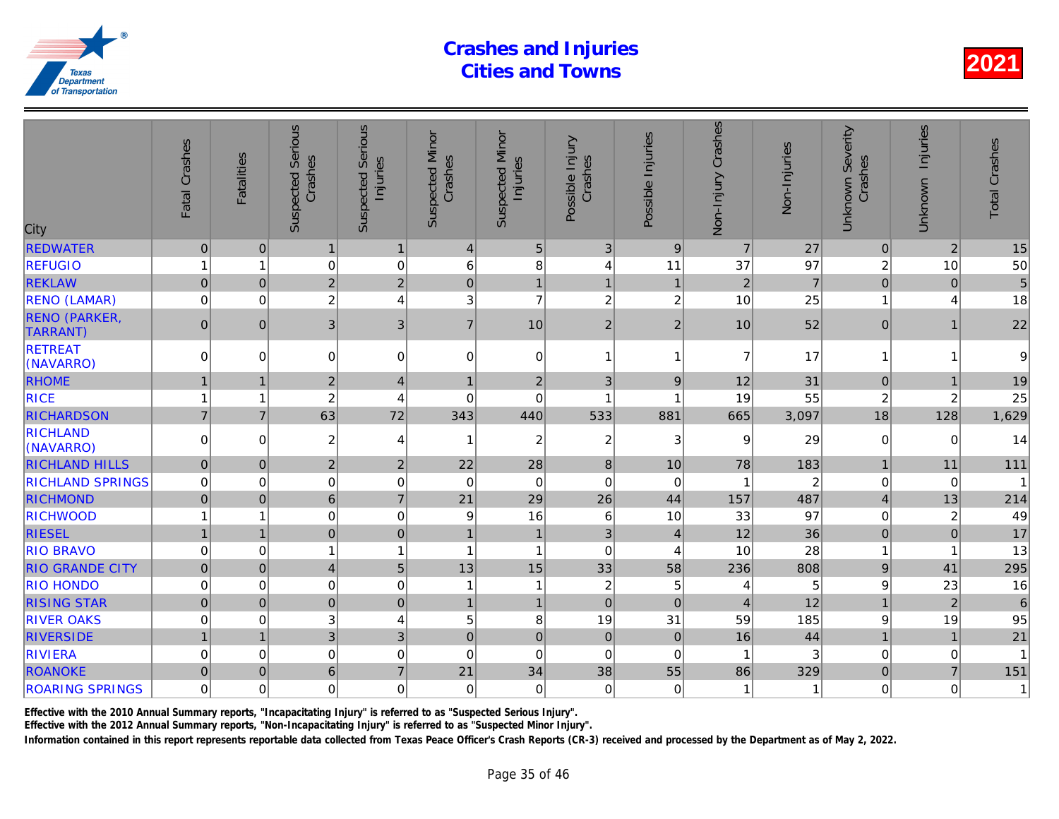| City                                     | Fatal Crashes  | <b>Fatalities</b> | <b>Suspected Serious</b><br>Crashes | <b>Serious</b><br>Injuries<br>Suspected | <b>Suspected Minor</b><br>Crashes | <b>Suspected Minor</b><br>Injuries | Possible Injury<br>Crashes | Possible Injuries | Non-Injury Crashes | Non-Injuries   |
|------------------------------------------|----------------|-------------------|-------------------------------------|-----------------------------------------|-----------------------------------|------------------------------------|----------------------------|-------------------|--------------------|----------------|
| <b>REDWATER</b>                          | $\pmb{0}$      | $\mathbf{0}$      | $\mathbf{1}$                        | $\mathbf{1}$                            | $\overline{4}$                    | $5\phantom{.0}$                    | 3                          | 9                 | $\overline{7}$     | 27             |
| <b>REFUGIO</b>                           | 1              | 1                 | 0                                   | $\mathbf 0$                             | 6                                 | 8                                  | $\overline{4}$             | 11                | 37                 | 97             |
| <b>REKLAW</b>                            | $\overline{0}$ | $\mathbf 0$       | $\overline{2}$                      | $\overline{2}$                          | $\mathbf 0$                       | $\overline{1}$                     | $\mathbf{1}$               | $\mathbf{1}$      | $\overline{2}$     | $\overline{7}$ |
| <b>RENO (LAMAR)</b>                      | $\mathbf 0$    | $\Omega$          | $\overline{c}$                      | $\overline{4}$                          | 3                                 | $\overline{7}$                     | $\overline{c}$             | $\overline{c}$    | 10                 | 25             |
| <b>RENO (PARKER,</b><br><b>TARRANT</b> ) | $\mathbf 0$    | $\Omega$          | 3                                   | $\mathfrak{B}$                          | $\overline{7}$                    | 10                                 | $\overline{2}$             | $\overline{2}$    | 10                 | 52             |
| <b>RETREAT</b><br>(NAVARRO)              | 0              | $\Omega$          | 0                                   | $\pmb{0}$                               | 0                                 | 0                                  | 1                          | 1                 | 7                  | 17             |
| <b>RHOME</b>                             | $\mathbf{1}$   | 1                 | $\overline{2}$                      | $\overline{4}$                          | 1                                 | $\mathbf 2$                        | 3                          | $9\,$             | 12                 | 31             |
| <b>RICE</b>                              | $\mathbf{1}$   | 1                 | $\overline{c}$                      | 4                                       | 0                                 | $\mathbf 0$                        | 1                          | 1                 | 19                 | 55             |
| <b>RICHARDSON</b>                        | $\overline{7}$ | $\overline{7}$    | 63                                  | 72                                      | 343                               | 440                                | 533                        | 881               | 665                | 3,097          |
| <b>RICHLAND</b><br>(NAVARRO)             | $\Omega$       | $\Omega$          | $\overline{c}$                      | 4                                       | 1                                 | $\overline{c}$                     | $\overline{2}$             | 3                 | 9                  | 29             |
| <b>RICHLAND HILLS</b>                    | $\overline{0}$ | $\mathbf{0}$      | $\overline{2}$                      | $\overline{2}$                          | 22                                | 28                                 | $\boldsymbol{8}$           | 10                | 78                 | 183            |
| <b>RICHLAND SPRINGS</b>                  | $\mathbf 0$    | 0                 | 0                                   | $\mathbf 0$                             | $\mathbf 0$                       | $\boldsymbol{0}$                   | $\mathbf 0$                | $\mathbf 0$       |                    | $\overline{2}$ |
| <b>RICHMOND</b>                          | $\overline{0}$ | $\mathbf 0$       | 6 <sup>1</sup>                      | $\overline{7}$                          | 21                                | 29                                 | 26                         | 44                | 157                | 487            |
| <b>RICHWOOD</b>                          | 1              | 1                 | 0                                   | $\mathbf 0$                             | 9                                 | 16                                 | $6\phantom{1}6$            | 10                | 33                 | 97             |
| <b>RIESEL</b>                            | $\mathbf{1}$   |                   | $\overline{0}$                      | $\mathbf 0$                             | 1                                 | $\mathbf{1}$                       | 3                          | $\overline{4}$    | 12                 | 36             |
| <b>RIO BRAVO</b>                         | $\mathbf 0$    | 0                 | 1                                   | $\overline{1}$                          | 1                                 | $\overline{1}$                     | $\Omega$                   | $\overline{A}$    | 10                 | 28             |
| <b>RIO GRANDE CITY</b>                   | $\overline{0}$ | $\Omega$          | $\vert 4 \vert$                     | 5                                       | 13                                | 15                                 | 33                         | 58                | 236                | 808            |
| <b>RIO HONDO</b>                         | $\mathbf 0$    | 0                 | 0                                   | $\mathbf 0$                             | 1                                 | $\mathbf{1}$                       | $\overline{\mathbf{c}}$    | 5                 | 4                  |                |
| <b>RISING STAR</b>                       | $\pmb{0}$      | $\Omega$          | 0                                   | $\mathbf 0$                             | 1                                 | $\mathbf{1}$                       | $\mathbf 0$                | $\Omega$          | $\overline{4}$     | 12             |
| <b>RIVER OAKS</b>                        | $\mathbf 0$    | $\Omega$          | 3                                   | $\overline{4}$                          | 5                                 | 8                                  | 19                         | 31                | 59                 | 185            |
| <b>RIVERSIDE</b>                         | $\mathbf{1}$   | $\overline{1}$    | 3 <sup>1</sup>                      | 3                                       | $\mathbf 0$                       | $\pmb{0}$                          | $\mathbf 0$                | $\mathbf 0$       | 16                 | 44             |
| <b>RIVIERA</b>                           | $\mathbf 0$    | 0                 | $\mathbf 0$                         | $\mathbf 0$                             | $\mathbf 0$                       | $\boldsymbol{0}$                   | $\mathbf 0$                | $\mathbf 0$       |                    |                |
| <b>ROANOKE</b>                           | $\mathbf 0$    | $\Omega$          | $6\phantom{1}$                      | $\overline{7}$                          | 21                                | 34                                 | 38                         | 55                | 86                 | 329            |
| <b>ROARING SPRINGS</b>                   | $\mathbf 0$    | $\Omega$          | $\mathbf 0$                         | $\mathbf 0$                             | 0                                 | $\mathbf 0$                        | $\Omega$                   | 0                 | 1                  |                |
|                                          |                |                   |                                     |                                         |                                   |                                    |                            |                   |                    |                |

Effective with the 2010 Annual Summary reports, "Incapacitating Injury" is referred to as "Suspected Serious Injury".

Effective with the 2012 Annual Summary reports, "Non-Incapacitating Injury" is referred to as "Suspected Minor Injury".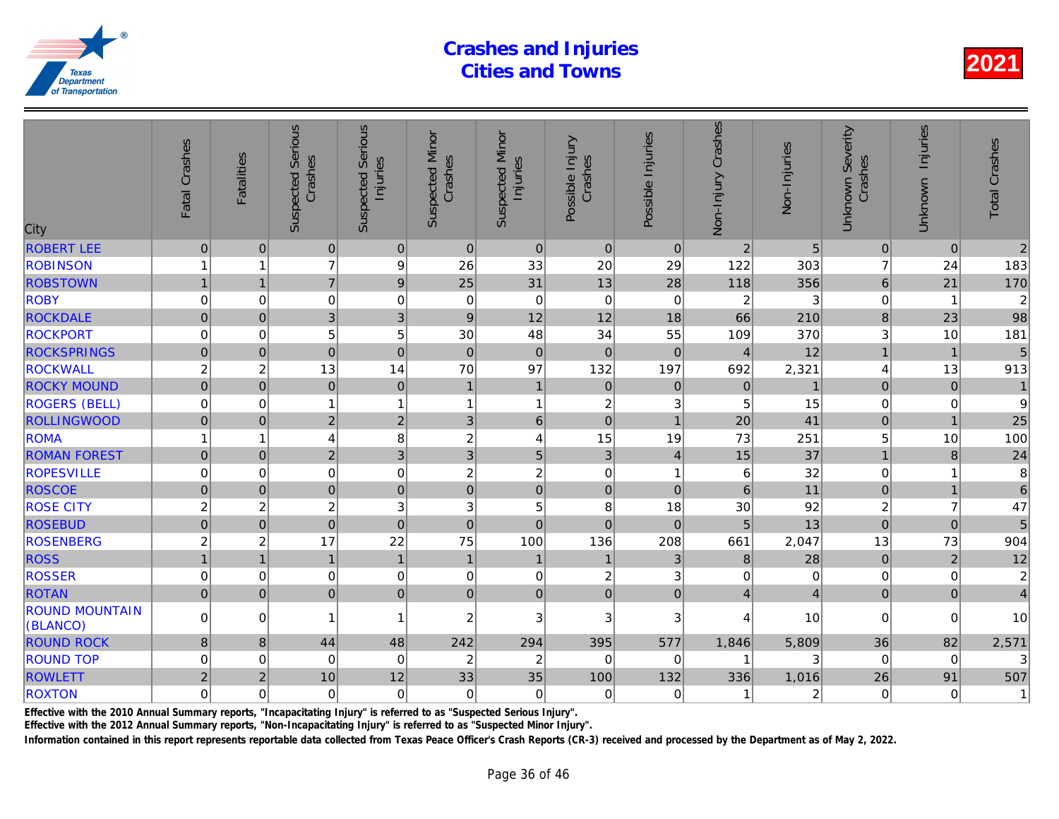| City                              | Fatal Crashes       | <b>Fatalities</b>       | <b>Suspected Serious</b><br>Crashes | Serious<br>Injuries<br>Suspected | <b>Suspected Minor</b><br>Crashes | <b>Suspected Minor</b><br>Injuries | Possible Injury<br>Crashes | Possible Injuries | Non-Injury Crashes | Non-Injuries |
|-----------------------------------|---------------------|-------------------------|-------------------------------------|----------------------------------|-----------------------------------|------------------------------------|----------------------------|-------------------|--------------------|--------------|
| <b>ROBERT LEE</b>                 | $\mathsf{O}\xspace$ | $\mathbf{0}$            | $\mathbf 0$                         | $\pmb{0}$                        | $\mathbf{0}$                      | $\pmb{0}$                          | $\mathbf 0$                | $\overline{0}$    | $\overline{2}$     | 5            |
| <b>ROBINSON</b>                   | 1                   | 1                       | $\overline{7}$                      | 9                                | 26                                | 33                                 | 20                         | 29                | 122                | 303          |
| <b>ROBSTOWN</b>                   | $\mathbf{1}$        | $\mathbf{1}$            | $\overline{7}$                      | $\boldsymbol{9}$                 | 25                                | 31                                 | 13                         | 28                | 118                | 356          |
| <b>ROBY</b>                       | 0                   | $\mathbf 0$             | 0                                   | $\mathbf 0$                      | $\mathbf 0$                       | $\mathbf 0$                        | $\mathbf 0$                | $\mathbf 0$       | $\overline{c}$     | 3            |
| <b>ROCKDALE</b>                   | $\overline{0}$      | $\Omega$                | $\overline{3}$                      | 3                                | 9                                 | 12                                 | 12                         | 18                | 66                 | 210          |
| <b>ROCKPORT</b>                   | $\mathbf 0$         | $\Omega$                | 5                                   | 5                                | 30                                | 48                                 | 34                         | 55                | 109                | 370          |
| <b>ROCKSPRINGS</b>                | $\overline{0}$      | $\mathbf{0}$            | $\mathbf 0$                         | $\mathbf 0$                      | $\mathbf 0$                       | $\mathbf 0$                        | $\mathbf 0$                | $\Omega$          | $\overline{4}$     | 12           |
| <b>ROCKWALL</b>                   | $\overline{c}$      | $\overline{c}$          | 13                                  | 14                               | 70                                | 97                                 | 132                        | 197               | 692                | 2,321        |
| <b>ROCKY MOUND</b>                | $\mathbf 0$         | $\mathbf 0$             | $\mathbf 0$                         | $\pmb{0}$                        | $\mathbf{1}$                      | $\mathbf{1}$                       | $\pmb{0}$                  | $\overline{0}$    | $\pmb{0}$          |              |
| <b>ROGERS (BELL)</b>              | 0                   | $\Omega$                | 1                                   | $\mathbf{1}$                     | 1                                 | $\mathbf{1}$                       | $\boldsymbol{2}$           | 3 <sup>1</sup>    | 5                  | 15           |
| <b>ROLLINGWOOD</b>                | $\mathbf 0$         | $\overline{0}$          | $\overline{2}$                      | $\overline{c}$                   | 3                                 | $6\phantom{a}$                     | $\overline{0}$             | $\overline{1}$    | 20                 | 41           |
| <b>ROMA</b>                       | 1                   | 1                       | 4                                   | 8                                | $\overline{c}$                    | 4                                  | 15                         | 19                | 73                 | 251          |
| <b>ROMAN FOREST</b>               | $\overline{0}$      | $\Omega$                | $\overline{2}$                      | $\overline{3}$                   | 3                                 | 5                                  | $\mathbf{3}$               | $\overline{4}$    | 15                 | 37           |
| <b>ROPESVILLE</b>                 | $\mathbf 0$         | $\mathbf 0$             | $\mathbf 0$                         | $\mathbf 0$                      | 2                                 | $\overline{c}$                     | $\mathbf 0$                | -1                | 6                  | 32           |
| <b>ROSCOE</b>                     | $\mathbf 0$         | $\Omega$                | $\overline{0}$                      | $\mathbf 0$                      | $\mathbf 0$                       | $\mathbf 0$                        | $\mathbf 0$                | $\Omega$          | 6                  | 11           |
| <b>ROSE CITY</b>                  | $\overline{c}$      | $\overline{c}$          | $\boldsymbol{2}$                    | 3                                | 3                                 | 5                                  | 8                          | 18                | 30                 | 92           |
| <b>ROSEBUD</b>                    | $\mathsf{O}\xspace$ | $\mathbf{0}$            | $\pmb{0}$                           | $\mathbf 0$                      | $\pmb{0}$                         | $\pmb{0}$                          | $\mathbf 0$                | $\overline{0}$    | 5                  | 13           |
| <b>ROSENBERG</b>                  | $\overline{c}$      | $\overline{\mathbf{c}}$ | 17                                  | 22                               | 75                                | 100                                | 136                        | 208               | 661                | 2,047        |
| <b>ROSS</b>                       |                     | $\overline{1}$          | $\overline{1}$                      | $\mathbf{1}$                     | $\mathbf{1}$                      | $\mathbf{1}$                       | $\mathbf{1}$               | $\mathbf{3}$      | $\bf 8$            | 28           |
| <b>ROSSER</b>                     | 0                   | 0                       | 0                                   | $\mathbf 0$                      | 0                                 | 0                                  | $\overline{\mathbf{c}}$    | 3                 | 0                  |              |
| <b>ROTAN</b>                      | $\overline{0}$      | $\mathbf{0}$            | $\mathbf 0$                         | $\overline{0}$                   | $\mathbf 0$                       | $\pmb{0}$                          | $\mathbf 0$                | $\mathbf 0$       | $\overline{4}$     |              |
| <b>ROUND MOUNTAIN</b><br>(BLANCO) | $\mathbf 0$         | $\Omega$                | 1                                   | $\mathbf{1}$                     | $\overline{2}$                    | 3                                  | 3                          | 3                 | 4                  | 10           |
| <b>ROUND ROCK</b>                 | 8                   | 8                       | 44                                  | 48                               | 242                               | 294                                | 395                        | 577               | 1,846              | 5,809        |
| <b>ROUND TOP</b>                  | $\mathbf 0$         | 0                       | $\mathbf 0$                         | $\mathbf 0$                      | $\overline{2}$                    | $\overline{c}$                     | $\Omega$                   | 0                 |                    |              |
| <b>ROWLETT</b>                    | $\overline{2}$      | $\overline{2}$          | 10                                  | 12                               | 33                                | 35                                 | 100                        | 132               | 336                | 1,016        |
| <b>ROXTON</b>                     | $\mathbf 0$         | $\mathbf 0$             | $\mathbf 0$                         | $\overline{0}$                   | $\mathbf 0$                       | $\pmb{0}$                          | $\mathbf 0$                | $\mathbf 0$       | 1                  |              |
|                                   |                     |                         |                                     |                                  |                                   |                                    |                            |                   |                    |              |

Effective with the 2010 Annual Summary reports, "Incapacitating Injury" is referred to as "Suspected Serious Injury".

Effective with the 2012 Annual Summary reports, "Non-Incapacitating Injury" is referred to as "Suspected Minor Injury".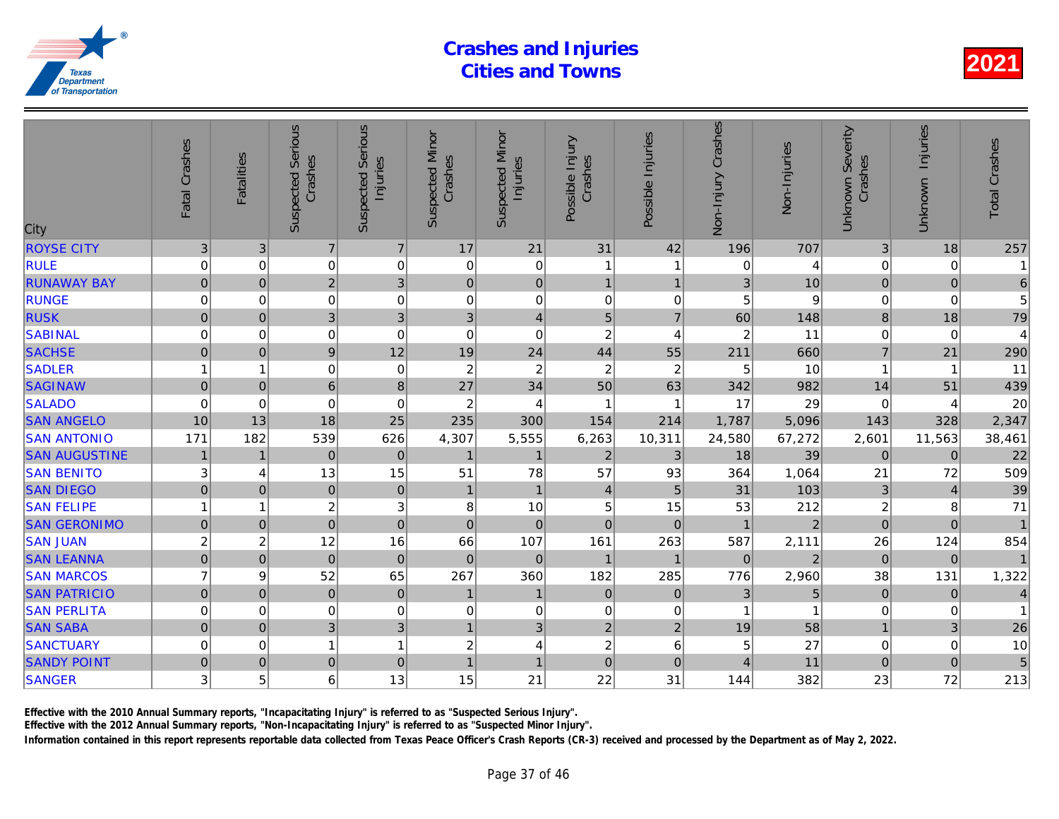| City                 | Fatal Crashes       | <b>Fatalities</b> | <b>Suspected Serious</b><br>Crashes | Serious<br>Injuries<br>Suspected | <b>Suspected Minor</b><br>Crashes | <b>Suspected Minor</b><br>Injuries | Possible Injury<br>Crashes | Possible Injuries | Non-Injury Crashes | Non-Injuries   |
|----------------------|---------------------|-------------------|-------------------------------------|----------------------------------|-----------------------------------|------------------------------------|----------------------------|-------------------|--------------------|----------------|
| <b>ROYSE CITY</b>    | $\sqrt{3}$          | 3                 | $\overline{7}$                      | $\overline{7}$                   | 17                                | 21                                 | 31                         | 42                | 196                | 707            |
| <b>RULE</b>          | 0                   | 0                 | 0                                   | $\mathbf 0$                      | 0                                 | 0                                  | 1                          | -1                | 0                  |                |
| <b>RUNAWAY BAY</b>   | $\mathbf 0$         | $\mathbf 0$       | $\overline{2}$                      | $\overline{3}$                   | $\pmb{0}$                         | $\mathbf 0$                        | $\mathbf{1}$               | $\overline{1}$    | 3                  | 10             |
| <b>RUNGE</b>         | 0                   | $\Omega$          | $\mathbf 0$                         | $\mathbf 0$                      | $\mathbf 0$                       | $\pmb{0}$                          | $\Omega$                   | $\mathbf 0$       | 5                  |                |
| <b>RUSK</b>          | $\mathbf 0$         | $\mathbf 0$       | $\overline{3}$                      | 3                                | 3                                 | $\overline{4}$                     | 5                          | $\overline{7}$    | 60                 | 148            |
| <b>SABINAL</b>       | 0                   | 0                 | 0                                   | $\mathbf 0$                      | 0                                 | $\pmb{0}$                          | $\boldsymbol{2}$           | 4                 | $\overline{2}$     | 11             |
| <b>SACHSE</b>        | 0                   | $\overline{0}$    | $\boldsymbol{9}$                    | 12                               | 19                                | 24                                 | 44                         | 55                | 211                | 660            |
| <b>SADLER</b>        |                     | 1                 | $\mathbf 0$                         | $\mathbf 0$                      | $\boldsymbol{2}$                  | $\overline{c}$                     | $\boldsymbol{2}$           | $\boldsymbol{2}$  | 5                  | 10             |
| <b>SAGINAW</b>       | $\mathbf 0$         | $\mathbf 0$       | 6                                   | 8                                | 27                                | 34                                 | 50                         | 63                | 342                | 982            |
| <b>SALADO</b>        | $\mathbf 0$         | $\Omega$          | $\mathbf 0$                         | $\mathbf 0$                      | $\overline{c}$                    | $\overline{4}$                     | $\mathbf{1}$               | -1                | 17                 | 29             |
| <b>SAN ANGELO</b>    | 10                  | 13                | 18                                  | 25                               | 235                               | 300                                | 154                        | 214               | 1,787              | 5,096          |
| <b>SAN ANTONIO</b>   | 171                 | 182               | 539                                 | 626                              | 4,307                             | 5,555                              | 6,263                      | 10,311            | 24,580             | 67,272         |
| <b>SAN AUGUSTINE</b> | $\mathbf{1}$        | $\overline{1}$    | $\mathbf 0$                         | $\mathbf 0$                      | $\mathbf{1}$                      | $\mathbf{1}$                       | $\overline{2}$             | $\mathfrak{B}$    | 18                 | 39             |
| <b>SAN BENITO</b>    | 3                   | 4                 | 13                                  | 15                               | 51                                | 78                                 | 57                         | 93                | 364                | 1,064          |
| <b>SAN DIEGO</b>     | $\overline{0}$      | $\Omega$          | $\mathbf 0$                         | $\mathbf 0$                      | $\mathbf{1}$                      | $\mathbf{1}$                       | $\overline{4}$             | 5                 | 31                 | 103            |
| <b>SAN FELIPE</b>    |                     | 1                 | $\overline{c}$                      | 3                                | 8                                 | 10                                 | 5                          | 15                | 53                 | 212            |
| <b>SAN GERONIMO</b>  | $\mathbf 0$         | $\overline{0}$    | $\mathbf 0$                         | $\mathbf 0$                      | $\mathbf 0$                       | $\mathbf 0$                        | $\mathbf 0$                | $\mathbf 0$       |                    | $\overline{a}$ |
| <b>SAN JUAN</b>      | $\overline{c}$      | $\overline{c}$    | 12                                  | 16                               | 66                                | 107                                | 161                        | 263               | 587                | 2,111          |
| <b>SAN LEANNA</b>    | $\overline{0}$      | $\mathbf 0$       | $\overline{0}$                      | $\overline{0}$                   | $\mathbf 0$                       | $\mathbf{0}$                       | $\mathbf{1}$               | 1                 | $\Omega$           |                |
| <b>SAN MARCOS</b>    | $\overline{7}$      | 9                 | 52                                  | 65                               | 267                               | 360                                | 182                        | 285               | 776                | 2,960          |
| <b>SAN PATRICIO</b>  | $\overline{0}$      | $\mathbf 0$       | $\mathbf 0$                         | $\pmb{0}$                        | $\mathbf{1}$                      | $\mathbf{1}$                       | $\mathbf 0$                | $\mathbf 0$       | 3                  |                |
| <b>SAN PERLITA</b>   | 0                   | 0                 | 0                                   | $\mathbf 0$                      | 0                                 | $\,0\,$                            | 0                          | 0                 |                    |                |
| <b>SAN SABA</b>      | $\mathsf{O}\xspace$ | $\overline{0}$    | 3                                   | 3                                | $\mathbf{1}$                      | 3                                  | $\overline{c}$             | $\mathbf 2$       | 19                 | 58             |
| <b>SANCTUARY</b>     | $\mathbf 0$         | 0                 |                                     | $\mathbf{1}$                     | $\overline{c}$                    | 4                                  | $\boldsymbol{2}$           | 6                 | 5                  | 27             |
| <b>SANDY POINT</b>   | $\overline{0}$      | $\mathbf 0$       | $\mathbf 0$                         | $\pmb{0}$                        | $\mathbf{1}$                      | $\overline{1}$                     | $\overline{0}$             | $\mathbf 0$       | $\overline{4}$     | 11             |
| <b>SANGER</b>        | 3                   | 5                 | 6                                   | 13                               | 15                                | 21                                 | 22                         | 31                | 144                | 382            |
|                      |                     |                   |                                     |                                  |                                   |                                    |                            |                   |                    |                |

Effective with the 2010 Annual Summary reports, "Incapacitating Injury" is referred to as "Suspected Serious Injury".

Effective with the 2012 Annual Summary reports, "Non-Incapacitating Injury" is referred to as "Suspected Minor Injury".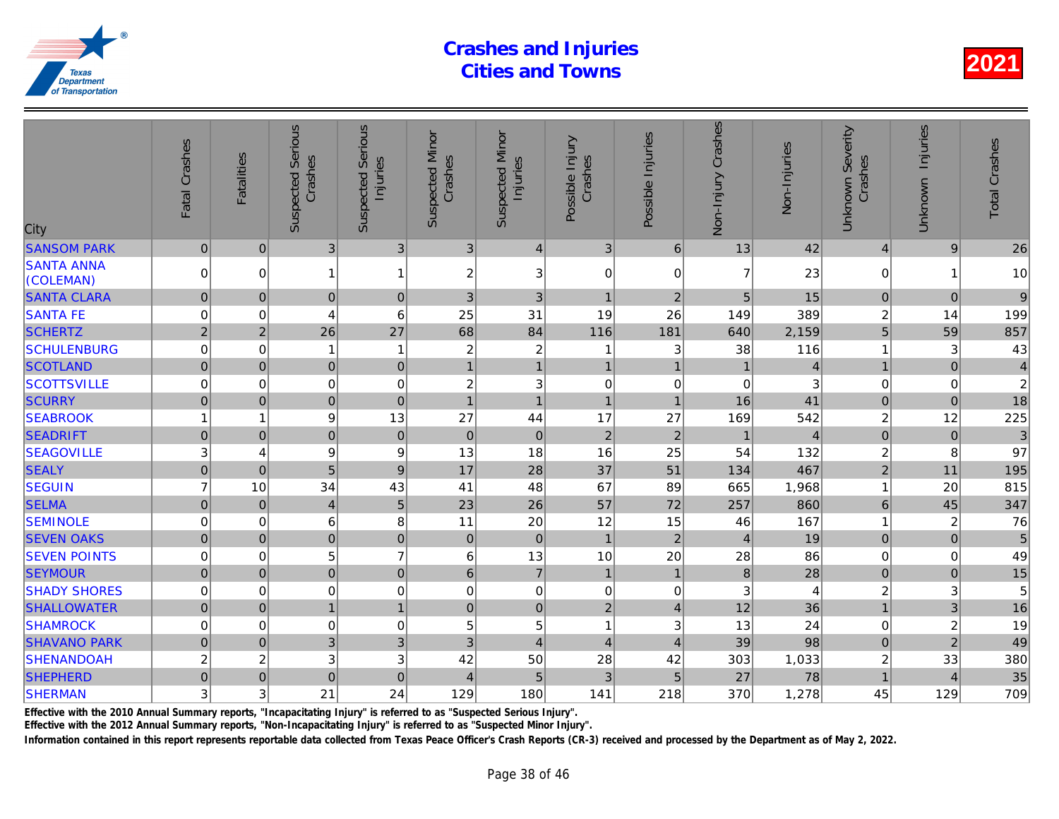| City                           | Fatal Crashes       | <b>Fatalities</b> | <b>Suspected Serious</b><br>Crashes | Serious<br>Injuries<br>Suspected | <b>Suspected Minor</b><br>Crashes | <b>Suspected Minor</b><br>Injuries | Possible Injury<br>Crashes | Possible Injuries         | Non-Injury Crashes | Non-Injuries |
|--------------------------------|---------------------|-------------------|-------------------------------------|----------------------------------|-----------------------------------|------------------------------------|----------------------------|---------------------------|--------------------|--------------|
| <b>SANSOM PARK</b>             | $\pmb{0}$           | $\mathbf{0}$      | $\mathfrak{B}$                      | 3                                | 3                                 | $\overline{4}$                     | $\mathbf{3}$               | 6                         | 13                 | 42           |
| <b>SANTA ANNA</b><br>(COLEMAN) | $\Omega$            | $\Omega$          |                                     | $\mathbf{1}$                     | 2                                 | 3                                  | $\mathbf 0$                | $\mathbf{0}$              | 7                  | 23           |
| <b>SANTA CLARA</b>             | $\pmb{0}$           | $\mathbf{0}$      | $\mathbf 0$                         | $\mathbf 0$                      | 3                                 | 3                                  | $\mathbf{1}$               | $\overline{2}$            | 5                  | 15           |
| <b>SANTA FE</b>                | 0                   | 0                 | 4                                   | 6                                | 25                                | 31                                 | 19                         | 26                        | 149                | 389          |
| <b>SCHERTZ</b>                 | $\overline{2}$      | $\overline{2}$    | 26                                  | 27                               | 68                                | 84                                 | 116                        | 181                       | 640                | 2,159        |
| <b>SCHULENBURG</b>             | $\mathbf 0$         | $\mathbf 0$       |                                     | $\mathbf{1}$                     | $\overline{c}$                    | $\overline{c}$                     | 1                          | 3                         | 38                 | 116          |
| <b>SCOTLAND</b>                | $\pmb{0}$           | $\pmb{0}$         | $\mathbf 0$                         | $\mathbf 0$                      | $\mathbf{1}$                      | $\mathbf{1}$                       | $\mathbf{1}$               | $\overline{1}$            |                    |              |
| <b>SCOTTSVILLE</b>             | $\mathbf 0$         | $\mathbf 0$       | $\mathbf 0$                         | $\mathbf 0$                      | $\overline{c}$                    | 3                                  | $\mathbf 0$                | 0                         | $\mathbf 0$        |              |
| <b>SCURRY</b>                  | $\mathbf 0$         | $\mathbf 0$       | $\pmb{0}$                           | $\mathbf 0$                      | $\overline{1}$                    | $\mathbf{1}$                       | $\overline{1}$             | $\mathbf{1}$              | 16                 | 41           |
| <b>SEABROOK</b>                |                     | 1                 | 9                                   | 13                               | 27                                | 44                                 | 17                         | 27                        | 169                | 542          |
| <b>SEADRIFT</b>                | $\mathsf{O}\xspace$ | $\overline{0}$    | $\mathbf 0$                         | $\mathbf 0$                      | $\mathbf 0$                       | $\pmb{0}$                          | $\overline{2}$             | $\overline{2}$            |                    |              |
| <b>SEAGOVILLE</b>              | 3                   | 4                 | 9                                   | 9                                | 13                                | 18                                 | 16                         | 25                        | 54                 | 132          |
| <b>SEALY</b>                   | $\pmb{0}$           | $\overline{0}$    | 5                                   | $\boldsymbol{9}$                 | 17                                | 28                                 | 37                         | 51                        | 134                | 467          |
| <b>SEGUIN</b>                  | $\overline{7}$      | 10                | 34                                  | 43                               | 41                                | 48                                 | 67                         | 89                        | 665                | 1,968        |
| <b>SELMA</b>                   | $\overline{0}$      | $\Omega$          | $\overline{4}$                      | 5                                | 23                                | 26                                 | 57                         | 72                        | 257                | 860          |
| <b>SEMINOLE</b>                | $\mathbf 0$         | 0                 | 6                                   | 8                                | 11                                | 20                                 | 12                         | 15                        | 46                 | 167          |
| <b>SEVEN OAKS</b>              | $\mathsf{O}\xspace$ | $\mathbf{0}$      | $\mathbf 0$                         | $\mathbf 0$                      | $\mathbf 0$                       | $\pmb{0}$                          | $\mathbf{1}$               | $\overline{2}$            | $\overline{4}$     | 19           |
| <b>SEVEN POINTS</b>            | $\mathbf 0$         | 0                 | 5                                   | $\overline{7}$                   | 6                                 | 13                                 | 10                         | 20                        | 28                 | 86           |
| <b>SEYMOUR</b>                 | $\mathsf{O}\xspace$ | $\pmb{0}$         | $\mathbf 0$                         | $\mathbf 0$                      | 6                                 | $\overline{7}$                     | $\mathbf{1}$               | $\mathbf{1}$              | $\bf 8$            | 28           |
| <b>SHADY SHORES</b>            | $\mathbf 0$         | $\mathbf 0$       | $\mathbf 0$                         | $\mathbf 0$                      | $\mathbf 0$                       | $\mathbf 0$                        | $\pmb{0}$                  | 0                         | 3                  |              |
| <b>SHALLOWATER</b>             | $\mathsf{O}\xspace$ | $\mathbf 0$       | 1                                   | $\mathbf{1}$                     | $\mathbf 0$                       | $\mathbf 0$                        | $\overline{2}$             | $\overline{4}$            | 12                 | 36           |
| <b>SHAMROCK</b>                | $\mathbf 0$         | $\mathbf 0$       | $\mathbf 0$                         | $\mathbf 0$                      | 5                                 | 5                                  | $\mathbf{1}$               | $\ensuremath{\mathsf{3}}$ | 13                 | 24           |
| <b>SHAVANO PARK</b>            | $\overline{0}$      | $\mathbf 0$       | $\overline{3}$                      | $\mathbf{3}$                     | 3                                 | $\overline{4}$                     | $\overline{4}$             | $\overline{4}$            | 39                 | 98           |
| <b>SHENANDOAH</b>              | $\overline{c}$      | $\overline{c}$    | $\ensuremath{\mathsf{3}}$           | 3                                | 42                                | 50                                 | 28                         | 42                        | 303                | 1,033        |
| <b>SHEPHERD</b>                | $\mathbf 0$         | $\mathbf 0$       | $\mathbf 0$                         | $\pmb{0}$                        | $\overline{4}$                    | 5                                  | 3                          | 5                         | 27                 | 78           |
| <b>SHERMAN</b>                 | 3                   | 3                 | 21                                  | 24                               | 129                               | 180                                | 141                        | 218                       | 370                | 1,278        |
|                                |                     |                   |                                     |                                  |                                   |                                    |                            |                           |                    |              |

Effective with the 2010 Annual Summary reports, "Incapacitating Injury" is referred to as "Suspected Serious Injury".

Effective with the 2012 Annual Summary reports, "Non-Incapacitating Injury" is referred to as "Suspected Minor Injury".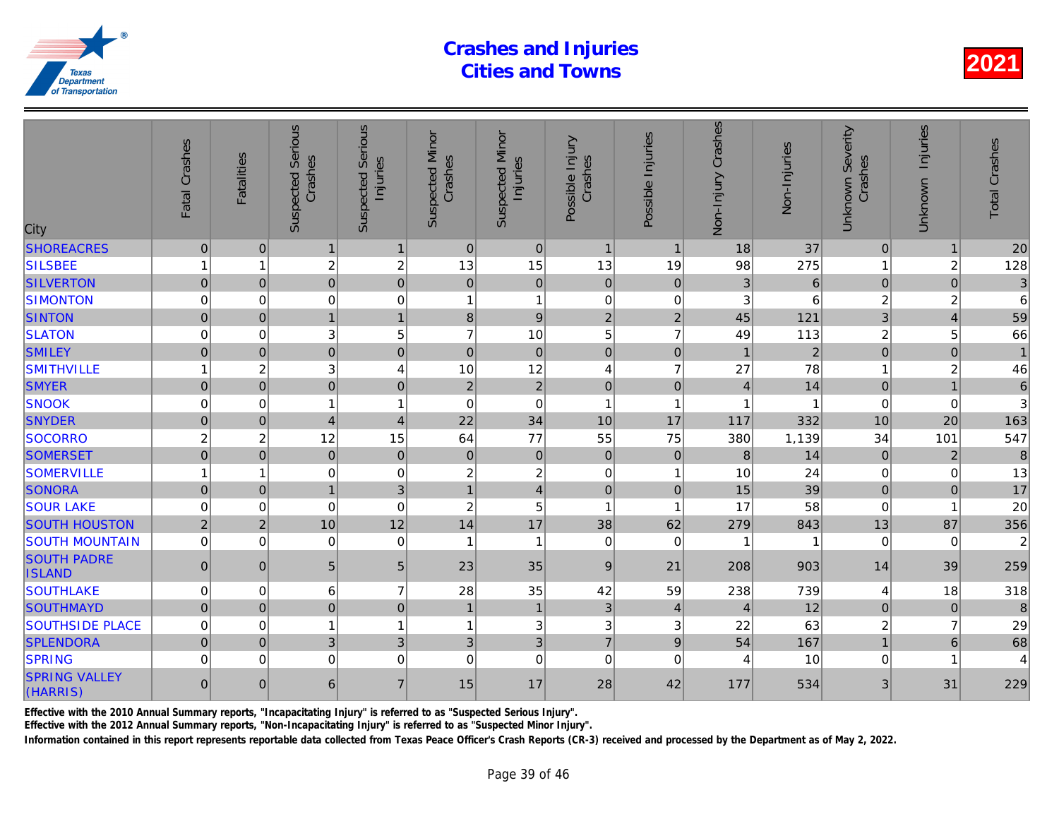| Serious<br><b>Serious</b><br><b>Suspected Minor</b><br><b>Suspected Minor</b><br>Possible Injuries<br>Fatal Crashes<br>Possible Injury<br>Crashes<br>Crashes<br>Crashes<br><b>Fatalities</b><br>Injuries<br>Injuries<br>Suspected<br>Suspected<br>City | Non-Injury Crashes | Non-Injuries   |
|--------------------------------------------------------------------------------------------------------------------------------------------------------------------------------------------------------------------------------------------------------|--------------------|----------------|
| $\mathbf 0$<br>$\mathbf 0$<br><b>SHOREACRES</b><br>$\mathbf{0}$<br>$\mathbf{0}$<br>$\mathbf{1}$<br>$\mathbf{1}$<br>$\mathbf{1}$<br>$\mathbf{1}$                                                                                                        | 18                 | 37             |
| $\overline{c}$<br><b>SILSBEE</b><br>$\overline{c}$<br>13<br>15<br>13<br>19<br>1<br>1                                                                                                                                                                   | 98                 | 275            |
| $\overline{0}$<br>$\mathbf 0$<br><b>SILVERTON</b><br>$\overline{0}$<br>$\mathbf 0$<br> 0 <br>$\mathbf 0$<br>$\mathbf 0$<br>$\Omega$                                                                                                                    | 3                  | 6              |
| $\mathbf 0$<br><b>SIMONTON</b><br>$\mathbf 0$<br>$\mathbf 0$<br>$\mathbf{1}$<br>$\mathbf 0$<br>$\mathbf 0$<br>0<br>1                                                                                                                                   | 3                  | 6              |
| $\mathbf{1}$<br>9<br><b>SINTON</b><br>$\mathbf 0$<br>$\Omega$<br>$\mathbf{1}$<br>8<br>$\overline{2}$<br>$\overline{2}$                                                                                                                                 | 45                 | 121            |
| 5<br>10<br>5<br><b>SLATON</b><br>$\mathbf 0$<br>3<br>$\overline{7}$<br>$\overline{7}$<br>$\Omega$                                                                                                                                                      | 49                 | 113            |
| <b>SMILEY</b><br>$\overline{0}$<br>$\overline{0}$<br>$\mathbf 0$<br>$\mathbf 0$<br>$\mathbf 0$<br>$\mathbf{0}$<br>$\mathbf{0}$<br>$\mathbf{0}$                                                                                                         | $\overline{1}$     | $\overline{a}$ |
| 3<br>12<br>$\overline{\mathbf{c}}$<br>$\overline{4}$<br>10<br>$\overline{7}$<br><b>SMITHVILLE</b><br>$\mathbf{1}$<br>$\overline{4}$                                                                                                                    | 27                 | 78             |
| $\overline{2}$<br>$\overline{0}$<br>$\overline{0}$<br>$\mathbf 0$<br>$\overline{2}$<br>$\Omega$<br>$\mathbf 0$<br>$\mathbf 0$<br><b>SMYER</b>                                                                                                          | $\overline{4}$     | 14             |
| $\mathbf 0$<br>$\overline{1}$<br><b>SNOOK</b><br>$\Omega$<br>$\Omega$<br>0<br>1<br>1<br>1                                                                                                                                                              |                    |                |
| $\overline{0}$<br>34<br>17<br><b>SNYDER</b><br>$\vert 4 \vert$<br>$\overline{4}$<br>22<br>10<br>$\mathbf{0}$                                                                                                                                           | 117                | 332            |
| $\overline{c}$<br>12<br>15<br>77<br>55<br><b>SOCORRO</b><br>$\overline{c}$<br>64<br>75                                                                                                                                                                 | 380                | 1,139          |
| $\mathbf 0$<br>$\overline{0}$<br>$\mathbf 0$<br>$\overline{0}$<br>$\overline{0}$<br>$\mathbf 0$<br><b>SOMERSET</b><br>$\pmb{0}$<br>$\mathbf 0$                                                                                                         | $\boldsymbol{8}$   | 14             |
| $\mathbf 0$<br>$\overline{c}$<br><b>SOMERVILLE</b><br>$\Omega$<br>$\overline{c}$<br>$\Omega$<br>$\mathbf{1}$<br>1<br>$\overline{1}$                                                                                                                    | 10                 | 24             |
| <b>SONORA</b><br>$\overline{0}$<br>$\mathbf{1}$<br>3<br>$\vert 4 \vert$<br>$\mathbf 0$<br>$\mathbf{0}$<br>$\mathbf{0}$<br>$\mathbf{1}$                                                                                                                 | 15                 | 39             |
| <b>SOUR LAKE</b><br>$\mathbf 0$<br>$\mathbf 0$<br>$\mathbf 0$<br>$\overline{c}$<br>5<br>0<br>1<br>1                                                                                                                                                    | 17                 | 58             |
| <b>SOUTH HOUSTON</b><br>$\overline{2}$<br>$\overline{2}$<br>12<br>17<br>38<br>10<br>14<br>62                                                                                                                                                           | 279                | 843            |
| <b>SOUTH MOUNTAIN</b><br>$\mathbf 0$<br>$\mathbf 0$<br>$\mathbf 0$<br>$\mathbf 0$<br>$\mathbf{1}$<br>1<br>$\mathbf 0$<br>$\mathbf 0$                                                                                                                   |                    |                |
| <b>SOUTH PADRE</b><br>$\overline{0}$<br>5<br>5<br>35<br>21<br>$\Omega$<br>23<br>9<br><b>ISLAND</b>                                                                                                                                                     | 208                | 903            |
| <b>SOUTHLAKE</b><br>6<br>$\overline{7}$<br>35<br>42<br>$\mathbf 0$<br>28<br>59<br>$\Omega$                                                                                                                                                             | 238                | 739            |
| <b>SOUTHMAYD</b><br>$\overline{0}$<br>$\overline{0}$<br>$\mathbf 0$<br>$\mathbf{1}$<br>$\mathbf{1}$<br>3<br>$\mathbf{0}$<br>$\overline{4}$                                                                                                             | $\overline{4}$     | 12             |
| 3<br><b>SOUTHSIDE PLACE</b><br>$\mathbf 0$<br>$\mathbf{1}$<br>$\overline{1}$<br>$\ensuremath{\mathsf{3}}$<br>3<br>0<br>1                                                                                                                               | 22                 | 63             |
| $\mathfrak{S}$<br><b>SPLENDORA</b><br>$\mathbf 0$<br>3 <sup>1</sup><br>3<br>3<br>$\overline{7}$<br>9<br>$\Omega$                                                                                                                                       | 54                 | 167            |
| $\mathbf 0$<br>$\Omega$<br>$\Omega$<br>$\mathbf 0$<br>$\Omega$<br><b>SPRING</b><br>$\Omega$<br>$\Omega$<br>$\Omega$                                                                                                                                    | 4                  | 10             |
| <b>SPRING VALLEY</b><br>$\Omega$<br>$6 \mid$<br>$\overline{7}$<br>15<br>17<br>28<br>42<br>$\Omega$<br>(HARRIS)                                                                                                                                         | 177                | 534            |

Effective with the 2010 Annual Summary reports, "Incapacitating Injury" is referred to as "Suspected Serious Injury".

Effective with the 2012 Annual Summary reports, "Non-Incapacitating Injury" is referred to as "Suspected Minor Injury".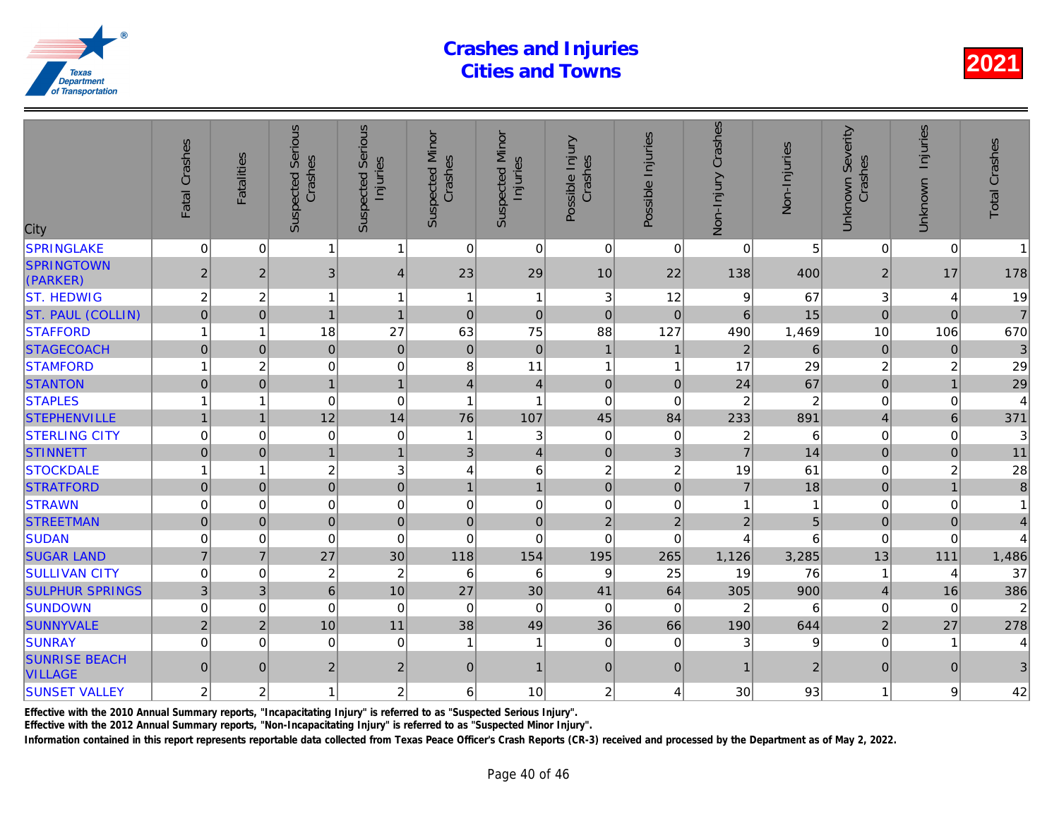| City                                   | Fatal Crashes       | <b>Fatalities</b> | <b>Suspected Serious</b><br>Crashes | Serious<br>Injuries<br>Suspected | <b>Suspected Minor</b><br>Crashes | <b>Suspected Minor</b><br>Injuries | Possible Injury<br>Crashes | Possible Injuries | Non-Injury Crashes    | Non-Injuries   |
|----------------------------------------|---------------------|-------------------|-------------------------------------|----------------------------------|-----------------------------------|------------------------------------|----------------------------|-------------------|-----------------------|----------------|
| <b>SPRINGLAKE</b>                      | $\mathbf 0$         | 0                 | 1                                   | 1                                | $\mathbf 0$                       | $\mathbf 0$                        | $\mathbf 0$                | $\mathbf{0}$      | $\mathbf{0}^{\prime}$ | 5              |
| <b>SPRINGTOWN</b><br>(PARKER)          | $\overline{2}$      | $\overline{2}$    | $\mathfrak{B}$                      | $\overline{\mathbf{4}}$          | 23                                | 29                                 | 10                         | 22                | 138                   | 400            |
| <b>ST. HEDWIG</b>                      | $\overline{c}$      | $\overline{c}$    | 1                                   | $\mathbf{1}$                     | $\overline{1}$                    | $\mathbf{1}$                       | $\sqrt{3}$                 | 12                | 9                     | 67             |
| <b>ST. PAUL (COLLIN)</b>               | $\overline{0}$      | $\mathbf 0$       | $\mathbf{1}$                        | $\overline{1}$                   | $\mathbf 0$                       | $\overline{0}$                     | $\mathbf 0$                | $\mathbf 0$       | $6\phantom{1}$        | 15             |
| <b>STAFFORD</b>                        |                     | 1                 | 18                                  | 27                               | 63                                | 75                                 | 88                         | 127               | 490                   | 1,469          |
| <b>STAGECOACH</b>                      | $\mathbf{0}$        | $\Omega$          | $\overline{0}$                      | $\mathbf 0$                      | $\overline{0}$                    | $\mathbf 0$                        | $\mathbf{1}$               | $\overline{1}$    | $\overline{2}$        | 6              |
| <b>STAMFORD</b>                        |                     | $\overline{c}$    | $\mathbf 0$                         | $\mathbf 0$                      | 8                                 | 11                                 | 1                          | -1                | 17                    | 29             |
| <b>STANTON</b>                         | $\overline{0}$      | $\overline{0}$    | $\mathbf{1}$                        | $\mathbf{1}$                     | $\overline{4}$                    | $\overline{4}$                     | $\mathbf 0$                | $\mathbf 0$       | 24                    | 67             |
| <b>STAPLES</b>                         |                     | 1                 | $\mathbf 0$                         | $\mathbf 0$                      | $\overline{1}$                    | 1                                  | $\mathbf 0$                | $\mathbf 0$       | $\overline{2}$        |                |
| <b>STEPHENVILLE</b>                    |                     | $\overline{1}$    | 12                                  | 14                               | 76                                | 107                                | 45                         | 84                | 233                   | 891            |
| <b>STERLING CITY</b>                   | 0                   | 0                 | $\mathbf 0$                         | 0                                | $\overline{1}$                    | 3                                  | $\mathbf 0$                | $\mathbf 0$       | $\overline{c}$        | 6              |
| <b>STINNETT</b>                        | $\mathsf{O}\xspace$ | $\mathbf 0$       | $\overline{1}$                      | $\mathbf{1}$                     | $\mathfrak{B}$                    | $\overline{4}$                     | $\mathbf 0$                | 3                 | $\overline{7}$        | 14             |
| <b>STOCKDALE</b>                       | 1                   | 1                 | $\overline{c}$                      | 3                                | 4                                 | $\,6\,$                            | $\overline{c}$             | $\overline{c}$    | 19                    | 61             |
| <b>STRATFORD</b>                       | $\overline{0}$      | $\Omega$          | $\overline{0}$                      | $\mathbf 0$                      | $\overline{1}$                    | $\mathbf{1}$                       | $\overline{0}$             | $\mathbf 0$       | $\overline{7}$        | 18             |
| <b>STRAWN</b>                          | 0                   | $\Omega$          | $\mathbf 0$                         | $\mathbf 0$                      | $\mathbf 0$                       | $\pmb{0}$                          | $\Omega$                   | 0                 | 1                     |                |
| <b>STREETMAN</b>                       | $\mathsf{O}\xspace$ | $\mathbf{0}$      | $\pmb{0}$                           | $\mathbf 0$                      | $\pmb{0}$                         | $\mathbf 0$                        | $\overline{2}$             | $\overline{2}$    | $\overline{2}$        | 5              |
| <b>SUDAN</b>                           | 0                   | 0                 | 0                                   | $\mathbf 0$                      | 0                                 | $\mathbf 0$                        | $\mathbf 0$                | 0                 | 4                     | 6              |
| <b>SUGAR LAND</b>                      | $\overline{7}$      | $\overline{7}$    | 27                                  | 30                               | 118                               | 154                                | 195                        | 265               | 1,126                 | 3,285          |
| <b>SULLIVAN CITY</b>                   | $\mathbf 0$         | $\Omega$          | $\boldsymbol{2}$                    | $\overline{c}$                   | 6                                 | 6                                  | 9                          | 25                | 19                    | 76             |
| <b>SULPHUR SPRINGS</b>                 | 3                   | 3                 | $6\phantom{a}$                      | 10                               | 27                                | 30                                 | 41                         | 64                | 305                   | 900            |
| <b>SUNDOWN</b>                         | 0                   | 0                 | $\mathbf 0$                         | $\mathbf 0$                      | $\mathbf 0$                       | $\mathbf 0$                        | $\mathbf 0$                | $\mathbf 0$       | $\overline{2}$        | 6              |
| <b>SUNNYVALE</b>                       | $\overline{2}$      | $\overline{2}$    | 10                                  | 11                               | 38                                | 49                                 | 36                         | 66                | 190                   | 644            |
| <b>SUNRAY</b>                          | $\Omega$            | $\Omega$          | $\Omega$                            | $\Omega$                         | 1                                 | $\mathbf{1}$                       | $\Omega$                   | $\mathbf{0}$      | 3                     |                |
| <b>SUNRISE BEACH</b><br><b>VILLAGE</b> | $\overline{0}$      | $\overline{0}$    | $\overline{2}$                      | $\overline{c}$                   | 0                                 | $\overline{1}$                     | $\mathbf 0$                | $\mathbf{0}$      |                       | $\overline{a}$ |
| <b>SUNSET VALLEY</b>                   | 2                   | $\overline{c}$    | 1                                   | $\overline{c}$                   | 6                                 | 10                                 | $\overline{c}$             | 4                 | 30                    | 93             |
|                                        |                     |                   |                                     |                                  |                                   |                                    |                            |                   |                       |                |

Effective with the 2010 Annual Summary reports, "Incapacitating Injury" is referred to as "Suspected Serious Injury".

Effective with the 2012 Annual Summary reports, "Non-Incapacitating Injury" is referred to as "Suspected Minor Injury".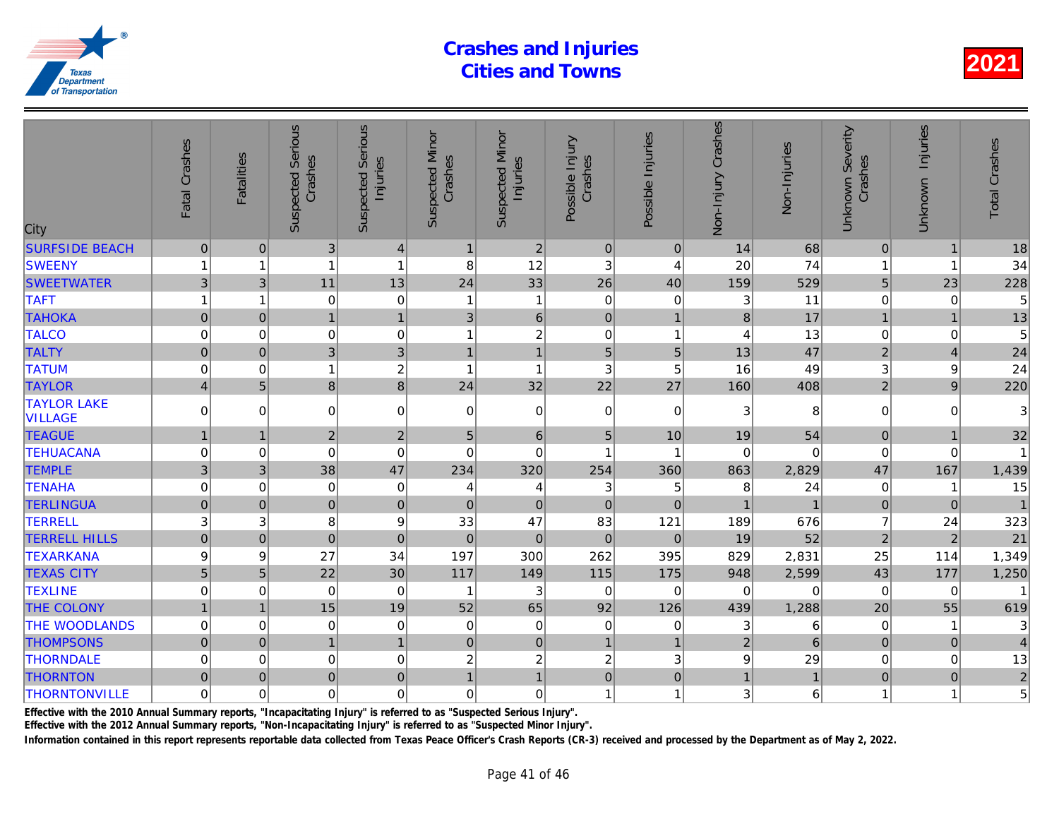| City                                 | Fatal Crashes    | Fatalities     | <b>Suspected Serious</b><br>Crashes | Serious<br>Injuries<br>Suspected | <b>Suspected Minor</b><br>Crashes | <b>Suspected Minor</b><br>Injuries | Possible Injury<br>Crashes | Possible Injuries        | Crashes<br>Non-Injury | Non-Injuries |
|--------------------------------------|------------------|----------------|-------------------------------------|----------------------------------|-----------------------------------|------------------------------------|----------------------------|--------------------------|-----------------------|--------------|
| <b>SURFSIDE BEACH</b>                | $\overline{0}$   | $\mathbf{0}$   | 3 <sup>1</sup>                      | $\overline{4}$                   | $\mathbf{1}$                      | $\vert$ 2                          | $\overline{0}$             | $\overline{0}$           | 14                    | 68           |
| <b>SWEENY</b>                        | 1                | 1              | 1                                   | 1                                | 8                                 | 12                                 | 3                          | 4                        | 20                    | 74           |
| <b>SWEETWATER</b>                    | 3                | 3              | 11                                  | 13                               | 24                                | 33                                 | 26                         | 40                       | 159                   | 529          |
| <b>TAFT</b>                          | 1                | 1              | $\mathbf 0$                         | $\mathbf 0$                      | $\overline{1}$                    | $\mathbf{1}$                       | $\mathbf 0$                | 0                        | 3                     | 11           |
| <b>TAHOKA</b>                        | $\mathbf 0$      | $\mathbf 0$    | $\overline{1}$                      | $\mathbf{1}$                     | 3                                 | $\,6$                              | $\mathbf 0$                | $\overline{1}$           | 8                     | 17           |
| <b>TALCO</b>                         | $\mathbf 0$      | $\mathbf 0$    | $\mathbf 0$                         | $\mathbf 0$                      | 1                                 | $\overline{c}$                     | $\mathbf 0$                | $\overline{1}$           | $\overline{4}$        | 13           |
| <b>TALTY</b>                         | $\mathbf 0$      | $\mathbf{0}$   | 3 <sup>1</sup>                      | 3                                | $\overline{1}$                    | $\mathbf{1}$                       | 5                          | $\overline{5}$           | 13                    | 47           |
| <b>TATUM</b>                         | $\mathbf 0$      | $\mathbf 0$    | 1                                   | $\boldsymbol{2}$                 | 1                                 | $\mathbf{1}$                       | 3                          | 5                        | 16                    | 49           |
| <b>TAYLOR</b>                        | $\overline{4}$   | 5              | $\bf{8}$                            | $\bf{8}$                         | 24                                | 32                                 | 22                         | 27                       | 160                   | 408          |
| <b>TAYLOR LAKE</b><br><b>VILLAGE</b> | $\Omega$         | $\Omega$       | $\mathbf 0$                         | $\mathbf 0$                      | $\mathbf 0$                       | $\mathbf 0$                        | $\mathbf 0$                | $\mathbf 0$              | 3                     | 8            |
| <b>TEAGUE</b>                        | 1                |                | $\overline{2}$                      | $\overline{c}$                   | 5                                 | 6                                  | 5                          | 10                       | 19                    | 54           |
| <b>TEHUACANA</b>                     | $\Omega$         | 0              | $\Omega$                            | $\mathbf 0$                      | $\mathbf 0$                       | $\Omega$                           | 1                          | $\overline{\phantom{a}}$ | $\mathbf 0$           |              |
| <b>TEMPLE</b>                        | 3                | 3              | 38                                  | 47                               | 234                               | 320                                | 254                        | 360                      | 863                   | 2,829        |
| <b>TENAHA</b>                        | $\mathbf 0$      | $\mathbf 0$    | $\mathbf 0$                         | 0                                | 4                                 | 4                                  | 3                          | 5                        | 8                     | 24           |
| <b>TERLINGUA</b>                     | $\boldsymbol{0}$ | $\mathbf{0}$   | $\mathbf{0}$                        | $\mathbf 0$                      | $\mathbf{0}$                      | $\mathbf 0$                        | $\overline{0}$             | $\mathbf{0}$             |                       |              |
| <b>TERRELL</b>                       | 3                | 3              | 8                                   | $\mathsf g$                      | 33                                | 47                                 | 83                         | 121                      | 189                   | 676          |
| <b>TERRELL HILLS</b>                 | $\mathbf 0$      | $\pmb{0}$      | $\pmb{0}$                           | $\mathbf 0$                      | $\pmb{0}$                         | $\pmb{0}$                          | $\mathbf 0$                | $\mathbf{0}$             | 19                    | 52           |
| <b>TEXARKANA</b>                     | 9                | 9              | 27                                  | 34                               | 197                               | 300                                | 262                        | 395                      | 829                   | 2,831        |
| <b>TEXAS CITY</b>                    | 5 <sup>1</sup>   | 5              | 22                                  | 30                               | 117                               | 149                                | 115                        | 175                      | 948                   | 2,599        |
| <b>TEXLINE</b>                       | $\Omega$         | $\Omega$       | $\Omega$                            | $\Omega$                         | -1                                | 3                                  | $\Omega$                   | $\Omega$                 | $\Omega$              | $\Omega$     |
| <b>THE COLONY</b>                    | $\overline{1}$   | $\overline{1}$ | 15                                  | 19                               | 52                                | 65                                 | 92                         | 126                      | 439                   | 1,288        |
| THE WOODLANDS                        | 0                | $\mathbf 0$    | $\mathbf 0$                         | 0                                | $\mathbf 0$                       | $\mathbf 0$                        | $\mathbf 0$                | 0                        | 3                     | 6            |
| <b>THOMPSONS</b>                     | $\Omega$         | $\mathbf{0}$   | $\overline{1}$                      | $\mathbf{1}$                     | $\mathbf{0}$                      | $\mathbf 0$                        | $\mathbf{1}$               | $\overline{1}$           | $\overline{2}$        | 6            |
| <b>THORNDALE</b>                     | $\mathbf 0$      | $\Omega$       | $\mathbf 0$                         | $\mathbf 0$                      | $\overline{c}$                    | $\overline{c}$                     | $\overline{c}$             | 3                        | 9                     | 29           |
| <b>THORNTON</b>                      | $\mathbf{0}$     | $\mathbf 0$    | $\pmb{0}$                           | $\mathbf 0$                      | $\mathbf{1}$                      | $\overline{1}$                     | $\mathbf 0$                | $\boldsymbol{0}$         | $\mathbf{1}$          |              |
| <b>THORNTONVILLE</b>                 | $\mathbf 0$      | 0              | $\mathbf 0$                         | $\mathbf 0$                      | $\mathbf 0$                       | $\mathbf 0$                        | 1                          | 1                        | 3                     | 6            |
|                                      |                  |                |                                     |                                  |                                   |                                    |                            |                          |                       |              |

Effective with the 2010 Annual Summary reports, "Incapacitating Injury" is referred to as "Suspected Serious Injury".

Effective with the 2012 Annual Summary reports, "Non-Incapacitating Injury" is referred to as "Suspected Minor Injury".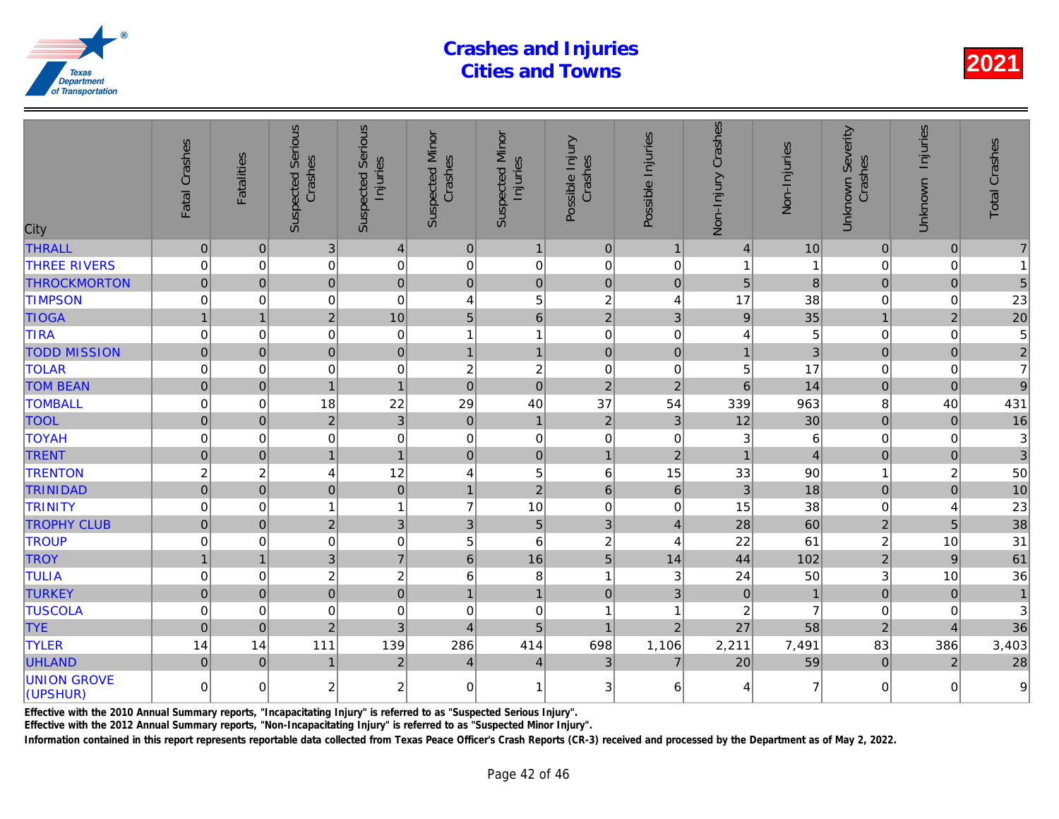| City                           | Fatal Crashes       | <b>Fatalities</b> | <b>Suspected Serious</b><br>Crashes | <b>Suspected Serious</b><br>Injuries | <b>Suspected Minor</b><br>Crashes | <b>Suspected Minor</b><br>Injuries | Possible Injury<br>Crashes | Possible Injuries         | Non-Injury Crashes | Non-Injuries   |
|--------------------------------|---------------------|-------------------|-------------------------------------|--------------------------------------|-----------------------------------|------------------------------------|----------------------------|---------------------------|--------------------|----------------|
| <b>THRALL</b>                  | $\mathbf 0$         | $\mathbf 0$       | 3                                   | $\overline{\mathbf{4}}$              | $\mathbf 0$                       | $\mathbf{1}$                       | $\pmb{0}$                  | $\mathbf{1}$              | $\overline{4}$     | 10             |
| <b>THREE RIVERS</b>            | $\mathbf 0$         | $\mathbf 0$       | $\pmb{0}$                           | $\mathbf 0$                          | $\mathbf 0$                       | $\mathbf 0$                        | $\mathbf 0$                | $\mathbf 0$               |                    |                |
| <b>THROCKMORTON</b>            | $\mathbf 0$         | $\overline{0}$    | $\overline{0}$                      | $\overline{0}$                       | $\mathbf 0$                       | $\pmb{0}$                          | $\mathbf 0$                | $\mathbf 0$               | 5                  | 8              |
| <b>TIMPSON</b>                 | 0                   | $\mathbf 0$       | $\mathbf 0$                         | 0                                    | $\overline{4}$                    | 5                                  | $\overline{c}$             | 4                         | 17                 | 38             |
| <b>TIOGA</b>                   | $\mathbf{1}$        | $\overline{1}$    | $\overline{2}$                      | 10                                   | 5                                 | $\,6\,$                            | $\overline{2}$             | $\mathfrak{3}$            | 9                  | 35             |
| <b>TIRA</b>                    | $\mathbf 0$         | $\mathbf 0$       | 0                                   | 0                                    | 1                                 | $\mathbf{1}$                       | $\mathbf 0$                | $\mathbf 0$               | $\overline{A}$     | 5              |
| <b>TODD MISSION</b>            | $\mathsf{O}\xspace$ | $\pmb{0}$         | $\pmb{0}$                           | $\mathbf 0$                          | $\mathbf{1}$                      | $\mathbf{1}$                       | $\mathbf 0$                | $\pmb{0}$                 | $\mathbf{1}$       | 3              |
| <b>TOLAR</b>                   | 0                   | $\mathbf 0$       | 0                                   | 0                                    | $\overline{c}$                    | $\overline{c}$                     | $\mathbf 0$                | $\pmb{0}$                 | 5                  | 17             |
| <b>TOM BEAN</b>                | $\Omega$            | $\mathbf 0$       | $\overline{1}$                      | $\overline{1}$                       | $\pmb{0}$                         | $\overline{0}$                     | $\overline{2}$             | $\overline{2}$            | $6\phantom{1}$     | 14             |
| <b>TOMBALL</b>                 | $\mathbf 0$         | 0                 | 18                                  | 22                                   | 29                                | 40                                 | 37                         | 54                        | 339                | 963            |
| <b>TOOL</b>                    | $\overline{0}$      | $\mathbf{0}$      | $\overline{2}$                      | 3                                    | $\mathbf 0$                       | $\mathbf{1}$                       | $\overline{2}$             | $\sqrt{3}$                | 12                 | 30             |
| <b>TOYAH</b>                   | 0                   | $\mathbf 0$       | 0                                   | $\mathbf 0$                          | 0                                 | $\pmb{0}$                          | $\mathbf 0$                | $\mathbf 0$               | 3                  | 6              |
| <b>TRENT</b>                   | $\mathbf 0$         | $\pmb{0}$         | $\mathbf{1}$                        | $\mathbf{1}$                         | $\pmb{0}$                         | $\pmb{0}$                          | $\overline{1}$             | $\sqrt{2}$                | $\overline{1}$     | $\overline{A}$ |
| <b>TRENTON</b>                 | $\overline{c}$      | $\overline{2}$    | $\overline{4}$                      | 12                                   | 4                                 | 5                                  | 6                          | 15                        | 33                 | 90             |
| <b>TRINIDAD</b>                | $\overline{0}$      | $\overline{0}$    | $\mathbf 0$                         | $\mathbf 0$                          | $\mathbf{1}$                      | $\overline{2}$                     | $6\phantom{1}$             | $\,6\,$                   | 3                  | 18             |
| <b>TRINITY</b>                 | 0                   | 0                 |                                     | $\mathbf{1}$                         | $\overline{7}$                    | 10                                 | $\mathbf 0$                | $\mathbf 0$               | 15                 | 38             |
| <b>TROPHY CLUB</b>             | $\Omega$            | $\mathbf 0$       | $\overline{2}$                      | 3                                    | $\mathbf{3}$                      | 5                                  | 3                          | $\overline{4}$            | 28                 | 60             |
| <b>TROUP</b>                   | $\Omega$            | $\mathbf 0$       | 0                                   | 0                                    | 5                                 | $\,6$                              | $\overline{c}$             | 4                         | 22                 | 61             |
| <b>TROY</b>                    |                     | 1                 | $\mathfrak{S}$                      | $\overline{7}$                       | $\,6\,$                           | 16                                 | $\overline{5}$             | 14                        | 44                 | 102            |
| <b>TULIA</b>                   | 0                   | $\mathbf 0$       | $\boldsymbol{2}$                    | $\overline{\mathbf{c}}$              | $6\phantom{1}6$                   | 8                                  | 1                          | $\ensuremath{\mathsf{3}}$ | 24                 | 50             |
| <b>TURKEY</b>                  | $\mathbf 0$         | $\mathbf 0$       | $\overline{0}$                      | $\mathbf 0$                          | $\mathbf{1}$                      | $\mathbf{1}$                       | $\mathbf 0$                | $\mathfrak{Z}$            | $\pmb{0}$          |                |
| <b>TUSCOLA</b>                 | 0                   | $\mathbf 0$       | 0                                   | 0                                    | $\mathbf 0$                       | $\Omega$                           | 1                          | $\overline{1}$            | $\boldsymbol{2}$   |                |
| <b>TYE</b>                     | $\overline{0}$      | $\mathbf{0}$      | $\overline{2}$                      | 3                                    | $\overline{4}$                    | 5                                  | $\overline{1}$             | $\overline{2}$            | 27                 | 58             |
| <b>TYLER</b>                   | 14                  | 14                | 111                                 | 139                                  | 286                               | 414                                | 698                        | 1,106                     | 2,211              | 7,491          |
| <b>UHLAND</b>                  | 0                   | $\mathbf{0}$      | $\mathbf{1}$                        | $\overline{c}$                       | $\vert 4 \vert$                   | $\overline{4}$                     | $\mathbf{3}$               | $\overline{7}$            | 20                 | 59             |
| <b>UNION GROVE</b><br>(UPSHUR) | $\Omega$            | $\mathbf 0$       | $\overline{c}$                      | $\overline{c}$                       | $\overline{0}$                    | $\mathbf{1}$                       | 3                          | 6                         | 4                  | 7              |

Effective with the 2010 Annual Summary reports, "Incapacitating Injury" is referred to as "Suspected Serious Injury".

Effective with the 2012 Annual Summary reports, "Non-Incapacitating Injury" is referred to as "Suspected Minor Injury".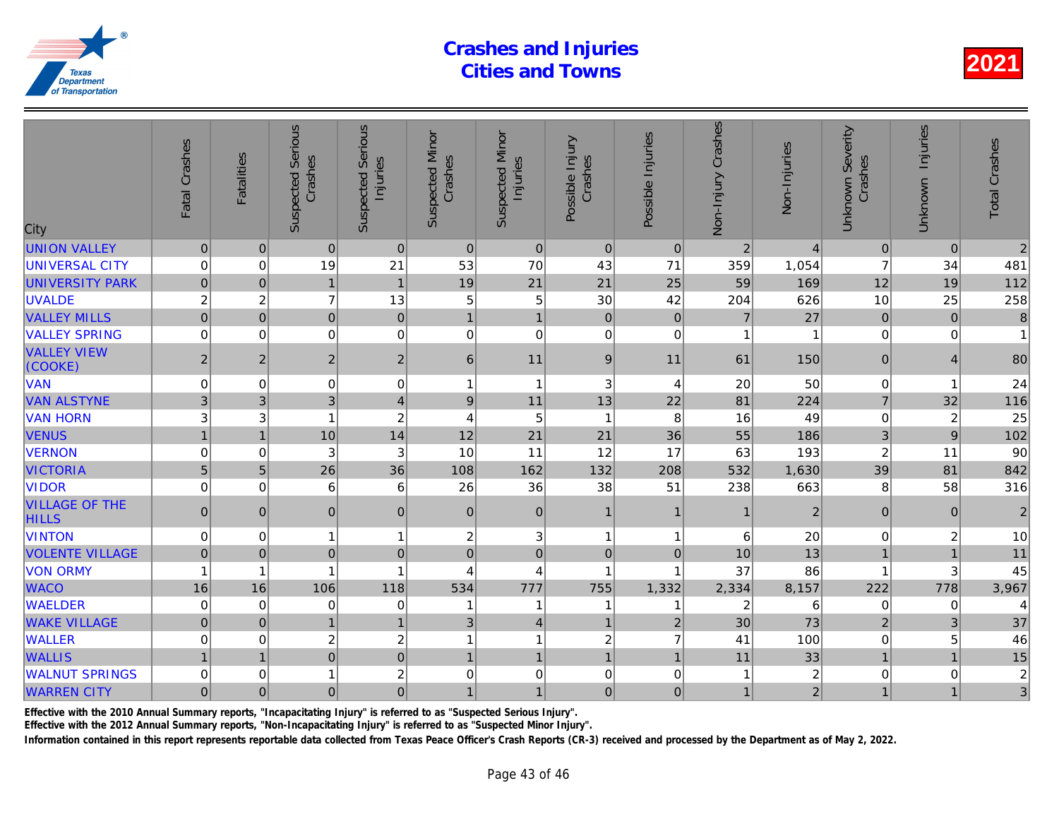| City                                  | Fatal Crashes  | <b>Fatalities</b> | <b>Suspected Serious</b><br>Crashes | Serious<br>Injuries<br>Suspected | <b>Suspected Minor</b><br>Crashes | <b>Suspected Minor</b><br>Injuries | Possible Injury<br>Crashes | Possible Injuries | Non-Injury Crashes | Non-Injuries   |
|---------------------------------------|----------------|-------------------|-------------------------------------|----------------------------------|-----------------------------------|------------------------------------|----------------------------|-------------------|--------------------|----------------|
| <b>UNION VALLEY</b>                   | $\pmb{0}$      | $\mathbf{0}$      | $\mathbf{0}$                        | $\overline{0}$                   | $\boldsymbol{0}$                  | $\mathbf 0$                        | $\mathbf 0$                | $\overline{0}$    | $\overline{2}$     |                |
| <b>UNIVERSAL CITY</b>                 | $\mathbf 0$    | 0                 | 19                                  | 21                               | 53                                | 70                                 | 43                         | 71                | 359                | 1,054          |
| <b>UNIVERSITY PARK</b>                | $\overline{0}$ | $\Omega$          | $\mathbf{1}$                        | $\overline{1}$                   | 19                                | 21                                 | 21                         | 25                | 59                 | 169            |
| <b>UVALDE</b>                         | $\overline{c}$ | $\overline{c}$    | $\overline{7}$                      | 13                               | 5                                 | $\mathbf 5$                        | 30                         | 42                | 204                | 626            |
| <b>VALLEY MILLS</b>                   | $\mathbf 0$    | $\Omega$          | $\overline{0}$                      | $\mathbf 0$                      | $\mathbf{1}$                      | $\mathbf{1}$                       | $\Omega$                   | $\Omega$          | $\overline{7}$     | 27             |
| <b>VALLEY SPRING</b>                  | $\mathbf 0$    | $\mathbf 0$       | $\mathbf 0$                         | $\mathbf 0$                      | $\mathbf 0$                       | $\mathbf 0$                        | $\mathbf 0$                | $\mathbf 0$       |                    |                |
| <b>VALLEY VIEW</b><br>(COOKE)         | $\overline{c}$ | $\overline{2}$    | $\overline{2}$                      | $\overline{2}$                   | 6                                 | 11                                 | 9                          | 11                | 61                 | 150            |
| <b>VAN</b>                            | 0              | 0                 | $\mathbf 0$                         | 0                                | 1                                 | $\mathbf{1}$                       | 3                          | 4                 | 20                 | 50             |
| <b>VAN ALSTYNE</b>                    | 3              | 3                 | 3                                   | $\overline{\mathbf{4}}$          | $9\,$                             | 11                                 | 13                         | 22                | 81                 | 224            |
| <b>VAN HORN</b>                       | 3              | 3                 |                                     | $\overline{c}$                   | 4                                 | $\,$ 5 $\,$                        | $\mathbf{1}$               | 8                 | 16                 | 49             |
| <b>VENUS</b>                          | $\mathbf{1}$   | $\overline{1}$    | 10                                  | 14                               | 12                                | 21                                 | 21                         | 36                | 55                 | 186            |
| <b>VERNON</b>                         | 0              | 0                 | 3                                   | 3                                | 10                                | 11                                 | 12                         | 17                | 63                 | 193            |
| <b>VICTORIA</b>                       | 5              | 5                 | 26                                  | 36                               | 108                               | 162                                | 132                        | 208               | 532                | 1,630          |
| <b>VIDOR</b>                          | $\mathbf 0$    | $\Omega$          | 6                                   | 6                                | 26                                | 36                                 | 38                         | 51                | 238                | 663            |
| <b>VILLAGE OF THE</b><br><b>HILLS</b> | $\overline{0}$ | $\Omega$          | $\overline{0}$                      | $\mathbf 0$                      | $\mathbf 0$                       | $\mathbf 0$                        | $\mathbf 1$                | $\mathbf 1$       |                    | $\overline{a}$ |
| <b>VINTON</b>                         | $\mathbf 0$    | $\Omega$          | 1                                   | $\mathbf{1}$                     | 2                                 | 3                                  | $\mathbf{1}$               | -1                | 6                  | 20             |
| <b>VOLENTE VILLAGE</b>                | $\mathbf 0$    | $\Omega$          | $\mathbf 0$                         | $\mathbf 0$                      | $\Omega$                          | $\mathsf{O}\xspace$                | $\mathbf 0$                | $\mathbf{0}$      | 10                 | 13             |
| <b>VON ORMY</b>                       | 1              | 1                 |                                     | $\mathbf{1}$                     | 4                                 | 4                                  | $\overline{1}$             | -1                | 37                 | 86             |
| <b>WACO</b>                           | 16             | 16                | 106                                 | 118                              | 534                               | 777                                | 755                        | 1,332             | 2,334              | 8,157          |
| <b>WAELDER</b>                        | $\mathbf 0$    | 0                 | 0                                   | $\mathbf 0$                      | 1                                 | 1                                  | 1                          | 1                 | $\overline{2}$     | 6              |
| <b>WAKE VILLAGE</b>                   | $\pmb{0}$      | $\mathbf{0}$      | $\mathbf{1}$                        | $\mathbf{1}$                     | 3                                 | $\overline{4}$                     | $\mathbf{1}$               | 2                 | 30                 | 73             |
| <b>WALLER</b>                         | 0              | 0                 | $2^{1}$                             | $\overline{c}$                   | 1                                 | $\mathbf{1}$                       | $\overline{c}$             | $\overline{7}$    | 41                 | 100            |
| <b>WALLIS</b>                         |                | $\overline{1}$    | $\overline{0}$                      | $\overline{0}$                   | $\mathbf{1}$                      | $\mathbf{1}$                       | $\mathbf{1}$               | $\overline{1}$    | 11                 | 33             |
| <b>WALNUT SPRINGS</b>                 | 0              | 0                 |                                     | $\overline{c}$                   | 0                                 | $\mathbf 0$                        | $\mathbf 0$                | 0                 |                    |                |
| <b>WARREN CITY</b>                    | $\mathbf 0$    | $\overline{0}$    | 0                                   | $\overline{0}$                   | $\mathbf{1}$                      | $\mathbf{1}$                       | $\mathbf 0$                | $\overline{0}$    | $\mathbf{1}$       | $\overline{2}$ |
|                                       |                |                   |                                     |                                  |                                   |                                    |                            |                   |                    |                |

Effective with the 2010 Annual Summary reports, "Incapacitating Injury" is referred to as "Suspected Serious Injury".

Effective with the 2012 Annual Summary reports, "Non-Incapacitating Injury" is referred to as "Suspected Minor Injury".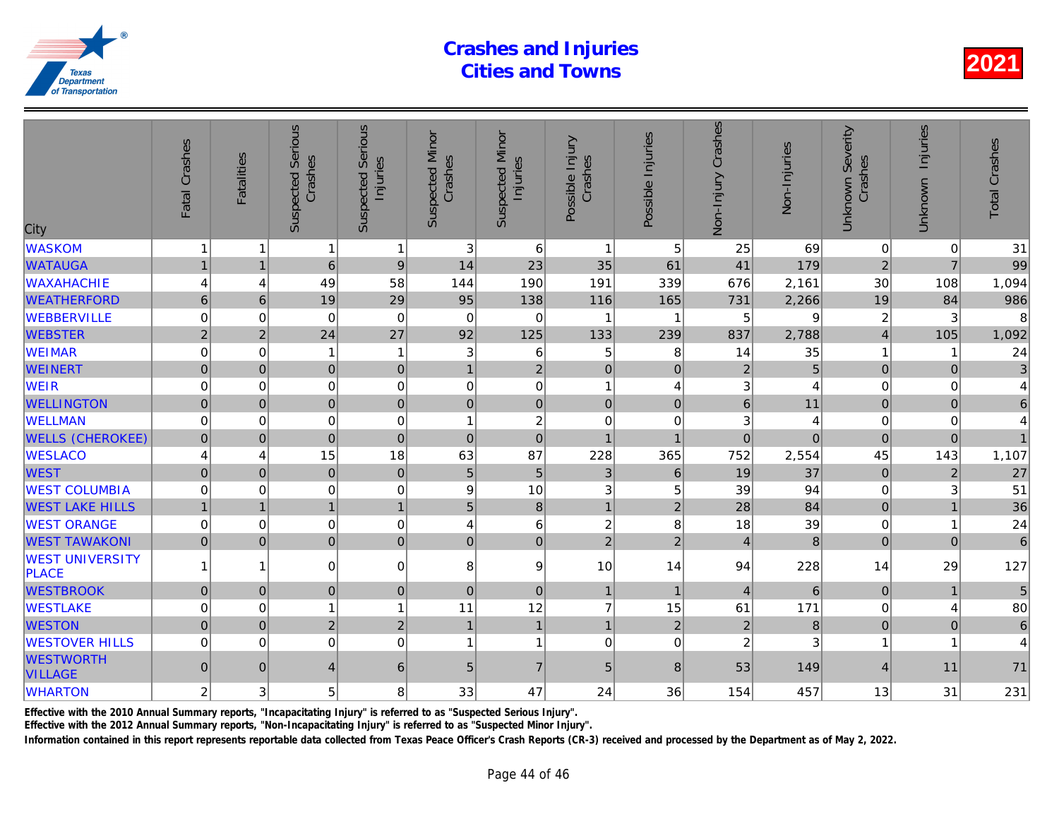| City                                   | Fatal Crashes  | <b>Fatalities</b>   | Serious<br>Crashes<br>Suspected | <b>Serious</b><br>Injuries<br>Suspected | <b>Suspected Minor</b><br>Crashes | <b>Suspected Minor</b><br>Injuries | Possible Injury<br>Crashes | Possible Injuries | Non-Injury Crashes | Non-Injuries |
|----------------------------------------|----------------|---------------------|---------------------------------|-----------------------------------------|-----------------------------------|------------------------------------|----------------------------|-------------------|--------------------|--------------|
| <b>WASKOM</b>                          | 1              |                     | 1                               | $\mathbf{1}$                            | 3                                 | 6                                  | $\mathbf{1}$               | 5                 | 25                 | 69           |
| <b>WATAUGA</b>                         | $\mathbf{1}$   | 1                   | $6\phantom{1}$                  | $\overline{9}$                          | 14                                | 23                                 | 35                         | 61                | 41                 | 179          |
| <b>WAXAHACHIE</b>                      | 4              | 4                   | 49                              | 58                                      | 144                               | 190                                | 191                        | 339               | 676                | 2,161        |
| <b>WEATHERFORD</b>                     | $6\phantom{1}$ | $6\phantom{1}$      | 19                              | 29                                      | 95                                | 138                                | 116                        | 165               | 731                | 2,266        |
| WEBBERVILLE                            | $\mathbf 0$    | $\Omega$            | $\Omega$                        | $\Omega$                                | $\Omega$                          | $\mathbf 0$                        | $\mathbf 1$                | -1                | 5                  |              |
| <b>WEBSTER</b>                         | $\overline{c}$ | $\overline{2}$      | 24                              | 27                                      | 92                                | 125                                | 133                        | 239               | 837                | 2,788        |
| <b>WEIMAR</b>                          | 0              | 0                   | 1                               | $\overline{1}$                          | 3                                 | 6                                  | 5                          | 8                 | 14                 | 35           |
| <b>WEINERT</b>                         | $\pmb{0}$      | $\mathsf{O}\xspace$ | $\overline{0}$                  | $\mathbf 0$                             | $\overline{1}$                    | $\overline{2}$                     | $\mathbf 0$                | $\pmb{0}$         | $\overline{2}$     |              |
| <b>WEIR</b>                            | $\mathbf 0$    | $\Omega$            | $\mathbf 0$                     | $\mathbf 0$                             | 0                                 | $\pmb{0}$                          | $\mathbf{1}$               | 4                 | 3                  |              |
| <b>WELLINGTON</b>                      | $\mathbf 0$    | $\mathbf{0}$        | $\overline{0}$                  | $\mathbf 0$                             | $\pmb{0}$                         | $\overline{0}$                     | $\mathbf 0$                | $\pmb{0}$         | $6\phantom{a}$     | 11           |
| <b>WELLMAN</b>                         | 0              | 0                   | 0                               | $\mathbf 0$                             | 1                                 | $\boldsymbol{2}$                   | $\Omega$                   | 0                 | 3                  |              |
| <b>WELLS (CHEROKEE)</b>                | $\mathbf 0$    | $\mathbf 0$         | $\overline{0}$                  | $\mathbf 0$                             | $\mathbf 0$                       | $\mathbf 0$                        | $\overline{1}$             | $\overline{1}$    | $\overline{0}$     | $\Omega$     |
| <b>WESLACO</b>                         | 4              | 4                   | 15                              | 18                                      | 63                                | 87                                 | 228                        | 365               | 752                | 2,554        |
| <b>WEST</b>                            | $\Omega$       | $\Omega$            | $\overline{0}$                  | $\mathbf 0$                             | 5                                 | $\overline{5}$                     | 3                          | 6                 | 19                 | 37           |
| <b>WEST COLUMBIA</b>                   | $\mathbf 0$    | $\Omega$            | $\mathbf 0$                     | $\mathbf 0$                             | 9                                 | 10                                 | 3                          | 5                 | 39                 | 94           |
| <b>WEST LAKE HILLS</b>                 | $\mathbf{1}$   | $\overline{1}$      | 1                               | $\mathbf{1}$                            | 5                                 | $\bf 8$                            | $\mathbf{1}$               | $\overline{2}$    | 28                 | 84           |
| <b>WEST ORANGE</b>                     | $\mathbf 0$    | 0                   | $\mathbf 0$                     | $\mathbf 0$                             | 4                                 | $\,6\,$                            | $\overline{\mathbf{c}}$    | 8                 | 18                 | 39           |
| <b>WEST TAWAKONI</b>                   | $\pmb{0}$      | $\mathbf 0$         | $\overline{0}$                  | $\mathbf 0$                             | $\pmb{0}$                         | $\overline{0}$                     | $\overline{2}$             | $\overline{2}$    | $\overline{4}$     | 8            |
| <b>WEST UNIVERSITY</b><br><b>PLACE</b> |                | 1                   | 0                               | $\pmb{0}$                               | 8                                 | $\boldsymbol{9}$                   | 10                         | 14                | 94                 | 228          |
| <b>WESTBROOK</b>                       | $\overline{0}$ | $\mathbf{0}$        | $\overline{0}$                  | $\mathbf 0$                             | $\pmb{0}$                         | $\pmb{0}$                          | $\mathbf{1}$               | $\overline{1}$    | $\overline{4}$     | 6            |
| <b>WESTLAKE</b>                        | 0              | 0                   | 1                               | $\overline{1}$                          | 11                                | 12                                 | $\overline{7}$             | 15                | 61                 | $171$        |
| <b>WESTON</b>                          | $\overline{0}$ | $\mathbf{0}$        | $\overline{2}$                  | $\overline{2}$                          | $\overline{1}$                    | $\mathbf{1}$                       | $\mathbf{1}$               | $\overline{2}$    | $\overline{2}$     | 8            |
| <b>WESTOVER HILLS</b>                  | $\Omega$       | $\Omega$            | $\Omega$                        | $\mathbf 0$                             | 1                                 | $\mathbf{1}$                       | $\Omega$                   | $\Omega$          | $\overline{2}$     |              |
| <b>WESTWORTH</b><br><b>VILLAGE</b>     | $\pmb{0}$      | $\mathbf{0}$        | $\overline{4}$                  | 6                                       | 5                                 | $\overline{7}$                     | 5                          | 8                 | 53                 | 149          |
| <b>WHARTON</b>                         | 2              | 3                   | 5                               | 8                                       | 33                                | 47                                 | 24                         | 36                | 154                | 457          |
|                                        |                |                     |                                 |                                         |                                   |                                    |                            |                   |                    |              |

Effective with the 2010 Annual Summary reports, "Incapacitating Injury" is referred to as "Suspected Serious Injury".

Effective with the 2012 Annual Summary reports, "Non-Incapacitating Injury" is referred to as "Suspected Minor Injury".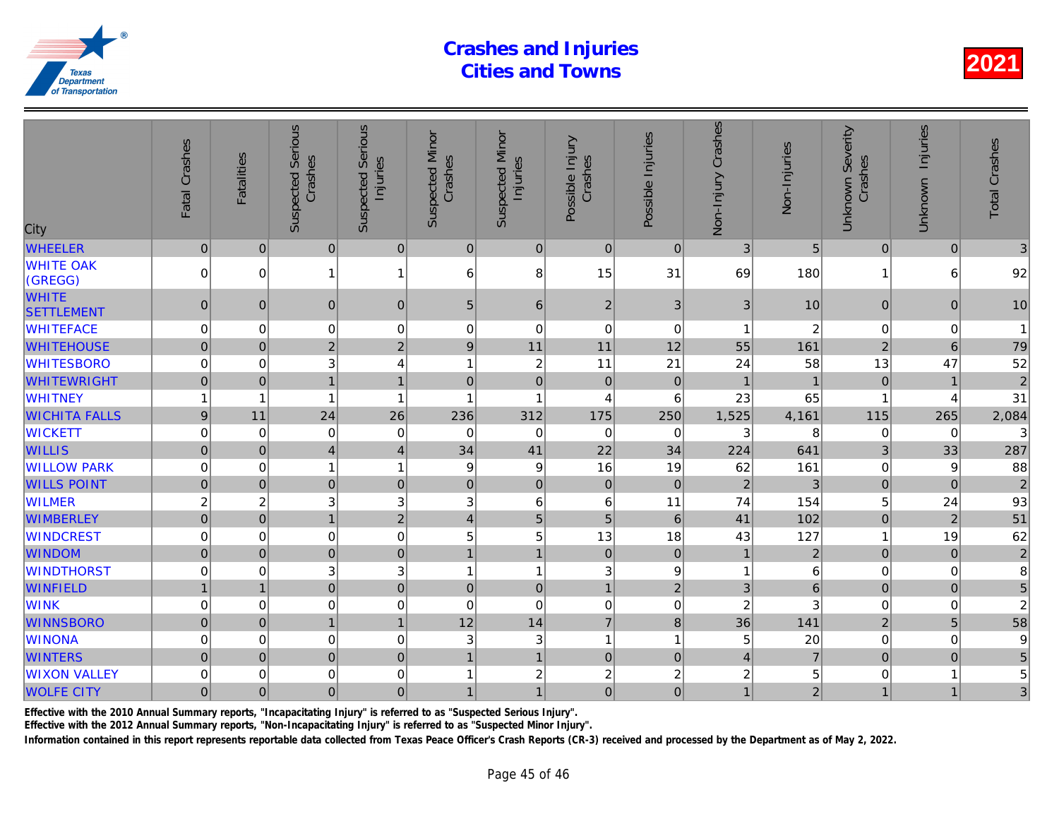| City                              | Fatal Crashes    | <b>Fatalities</b> | <b>Suspected Serious</b><br>Crashes | <b>Suspected Serious</b><br>Injuries | <b>Suspected Minor</b><br>Crashes | <b>Suspected Minor</b><br>Injuries | Possible Injury<br>Crashes | Possible Injuries | Non-Injury Crashes | Non-Injuries   |
|-----------------------------------|------------------|-------------------|-------------------------------------|--------------------------------------|-----------------------------------|------------------------------------|----------------------------|-------------------|--------------------|----------------|
| <b>WHEELER</b>                    | $\overline{0}$   | $\pmb{0}$         | $\overline{0}$                      | $\pmb{0}$                            | $\pmb{0}$                         | $\overline{0}$                     | $\pmb{0}$                  | $\mathbf 0$       | 3                  | 5              |
| <b>WHITE OAK</b><br>(GREGG)       | $\mathbf 0$      | $\Omega$          | $\mathbf{1}$                        | $\mathbf{1}$                         | 6                                 | 8                                  | 15                         | 31                | 69                 | 180            |
| <b>WHITE</b><br><b>SETTLEMENT</b> | $\pmb{0}$        | $\mathbf{0}$      | $\overline{0}$                      | $\mathbf 0$                          | 5                                 | 6                                  | $\overline{2}$             | 3                 | 3                  | 10             |
| <b>WHITEFACE</b>                  | 0                | 0                 | 0                                   | $\boldsymbol{0}$                     | 0                                 | $\boldsymbol{0}$                   | $\mathbf 0$                | $\mathbf 0$       |                    | $\overline{a}$ |
| <b>WHITEHOUSE</b>                 | $\overline{0}$   | $\Omega$          | $\overline{2}$                      | $\overline{2}$                       | 9                                 | 11                                 | 11                         | 12                | 55                 | 161            |
| <b>WHITESBORO</b>                 | $\mathbf 0$      | $\Omega$          | 3                                   | $\overline{4}$                       | 1                                 | $\sqrt{2}$                         | 11                         | 21                | 24                 | 58             |
| <b>WHITEWRIGHT</b>                | $\overline{0}$   | $\mathbf{0}$      | $\mathbf{1}$                        | $\mathbf{1}$                         | $\pmb{0}$                         | $\mathbf 0$                        | $\mathbf 0$                | $\mathbf 0$       |                    |                |
| <b>WHITNEY</b>                    | 1                | 1                 | $\overline{1}$                      | $\overline{1}$                       | 1                                 | 1                                  | $\overline{4}$             | 6                 | 23                 | 65             |
| <b>WICHITA FALLS</b>              | $\boldsymbol{9}$ | 11                | 24                                  | 26                                   | 236                               | 312                                | 175                        | 250               | 1,525              | 4,161          |
| <b>WICKETT</b>                    | $\boldsymbol{0}$ | $\mathbf 0$       | $\mathbf 0$                         | $\mathbf 0$                          | 0                                 | $\mathbf 0$                        | 0                          | 0                 | 3                  | 8              |
| <b>WILLIS</b>                     | $\pmb{0}$        | $\pmb{0}$         | $\overline{\mathbf{4}}$             | $\overline{\mathbf{4}}$              | 34                                | 41                                 | 22                         | 34                | 224                | 641            |
| <b>WILLOW PARK</b>                | 0                | 0                 | $\mathbf{1}$                        | $\overline{1}$                       | 9                                 | 9                                  | 16                         | 19                | 62                 | 161            |
| <b>WILLS POINT</b>                | $\overline{0}$   | $\mathbf 0$       | $\overline{0}$                      | $\mathbf 0$                          | $\mathbf 0$                       | $\mathbf 0$                        | $\mathbf 0$                | $\mathbf 0$       | $\overline{2}$     | 3              |
| <b>WILMER</b>                     | $\overline{c}$   | $\overline{c}$    | 3                                   | 3                                    | 3                                 | 6                                  | $6\phantom{1}6$            | 11                | 74                 | 154            |
| <b>WIMBERLEY</b>                  | $\mathbf 0$      | $\mathbf 0$       | $\overline{1}$                      | $\overline{2}$                       | $\overline{4}$                    | $\overline{5}$                     | 5                          | $6\phantom{1}6$   | 41                 | 102            |
| <b>WINDCREST</b>                  | $\mathbf 0$      | 0                 | $\mathbf 0$                         | $\mathbf 0$                          | 5                                 | 5                                  | 13                         | 18                | 43                 | 127            |
| <b>WINDOM</b>                     | $\overline{0}$   | $\mathbf 0$       | $\overline{0}$                      | $\mathbf 0$                          | $\mathbf{1}$                      | $\overline{1}$                     | $\mathbf 0$                | $\mathbf 0$       | $\mathbf{1}$       | $\overline{a}$ |
| <b>WINDTHORST</b>                 | 0                | 0                 | 3                                   | 3                                    | 1                                 | $\mathbf{1}$                       | 3                          | 9                 | 1                  |                |
| <b>WINFIELD</b>                   | $\mathbf{1}$     | $\overline{1}$    | $\overline{0}$                      | $\overline{0}$                       | $\pmb{0}$                         | $\mathbf 0$                        | $\mathbf{1}$               | $\overline{2}$    | 3                  | $\overline{6}$ |
| <b>WINK</b>                       | 0                | $\Omega$          | $\boldsymbol{0}$                    | $\mathbf 0$                          | $\mathbf 0$                       | $\boldsymbol{0}$                   | $\mathbf 0$                | $\mathbf 0$       | $\overline{c}$     |                |
| <b>WINNSBORO</b>                  | $\pmb{0}$        | $\mathbf{0}$      | 1                                   | $\mathbf{1}$                         | 12                                | 14                                 | $\overline{7}$             | 8                 | 36                 | 141            |
| <b>WINONA</b>                     | $\mathbf 0$      | 0                 | $\mathbf 0$                         | $\mathbf 0$                          | 3                                 | $\ensuremath{\mathsf{3}}$          | $\mathbf{1}$               | $\overline{1}$    | 5                  | 20             |
| <b>WINTERS</b>                    | $\mathbf 0$      | $\Omega$          | $\overline{0}$                      | $\mathbf 0$                          | 1                                 | $\mathbf{1}$                       | $\mathbf 0$                | $\mathbf 0$       | $\overline{4}$     | $\overline{7}$ |
| <b>WIXON VALLEY</b>               | $\mathbf 0$      | 0                 | 0                                   | $\mathbf 0$                          | 1                                 | $\boldsymbol{2}$                   | $\overline{\mathbf{c}}$    | $\overline{c}$    | $\boldsymbol{2}$   |                |
| <b>WOLFE CITY</b>                 | 0                | $\mathbf{0}$      | $\overline{0}$                      | $\pmb{0}$                            | 1                                 | $\overline{1}$                     | $\overline{0}$             | $\mathbf{0}$      | $\mathbf{1}$       | $\overline{a}$ |

Effective with the 2010 Annual Summary reports, "Incapacitating Injury" is referred to as "Suspected Serious Injury".

Effective with the 2012 Annual Summary reports, "Non-Incapacitating Injury" is referred to as "Suspected Minor Injury".